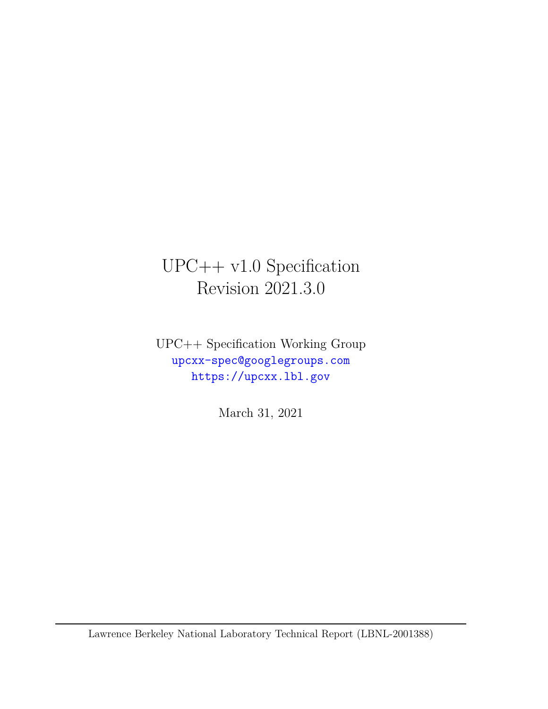## UPC++ v1.0 Specification Revision 2021.3.0

UPC++ Specification Working Group [upcxx-spec@googlegroups.com](mailto:upcxx-spec@googlegroups.com) <https://upcxx.lbl.gov>

March 31, 2021

Lawrence Berkeley National Laboratory Technical Report (LBNL-2001388)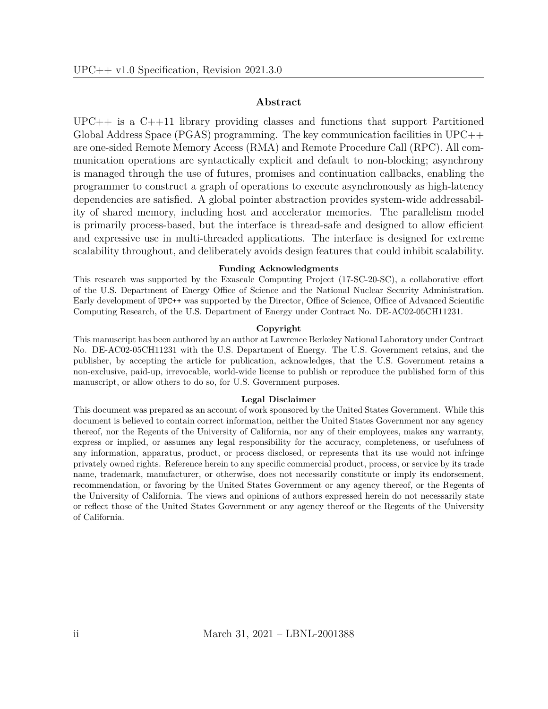#### **Abstract**

 $UPC++$  is a  $C++11$  library providing classes and functions that support Partitioned Global Address Space (PGAS) programming. The key communication facilities in UPC++ are one-sided Remote Memory Access (RMA) and Remote Procedure Call (RPC). All communication operations are syntactically explicit and default to non-blocking; asynchrony is managed through the use of futures, promises and continuation callbacks, enabling the programmer to construct a graph of operations to execute asynchronously as high-latency dependencies are satisfied. A global pointer abstraction provides system-wide addressability of shared memory, including host and accelerator memories. The parallelism model is primarily process-based, but the interface is thread-safe and designed to allow efficient and expressive use in multi-threaded applications. The interface is designed for extreme scalability throughout, and deliberately avoids design features that could inhibit scalability.

#### **Funding Acknowledgments**

This research was supported by the Exascale Computing Project (17-SC-20-SC), a collaborative effort of the U.S. Department of Energy Office of Science and the National Nuclear Security Administration. Early development of UPC++ was supported by the Director, Office of Science, Office of Advanced Scientific Computing Research, of the U.S. Department of Energy under Contract No. DE-AC02-05CH11231.

#### **Copyright**

This manuscript has been authored by an author at Lawrence Berkeley National Laboratory under Contract No. DE-AC02-05CH11231 with the U.S. Department of Energy. The U.S. Government retains, and the publisher, by accepting the article for publication, acknowledges, that the U.S. Government retains a non-exclusive, paid-up, irrevocable, world-wide license to publish or reproduce the published form of this manuscript, or allow others to do so, for U.S. Government purposes.

#### **Legal Disclaimer**

This document was prepared as an account of work sponsored by the United States Government. While this document is believed to contain correct information, neither the United States Government nor any agency thereof, nor the Regents of the University of California, nor any of their employees, makes any warranty, express or implied, or assumes any legal responsibility for the accuracy, completeness, or usefulness of any information, apparatus, product, or process disclosed, or represents that its use would not infringe privately owned rights. Reference herein to any specific commercial product, process, or service by its trade name, trademark, manufacturer, or otherwise, does not necessarily constitute or imply its endorsement, recommendation, or favoring by the United States Government or any agency thereof, or the Regents of the University of California. The views and opinions of authors expressed herein do not necessarily state or reflect those of the United States Government or any agency thereof or the Regents of the University of California.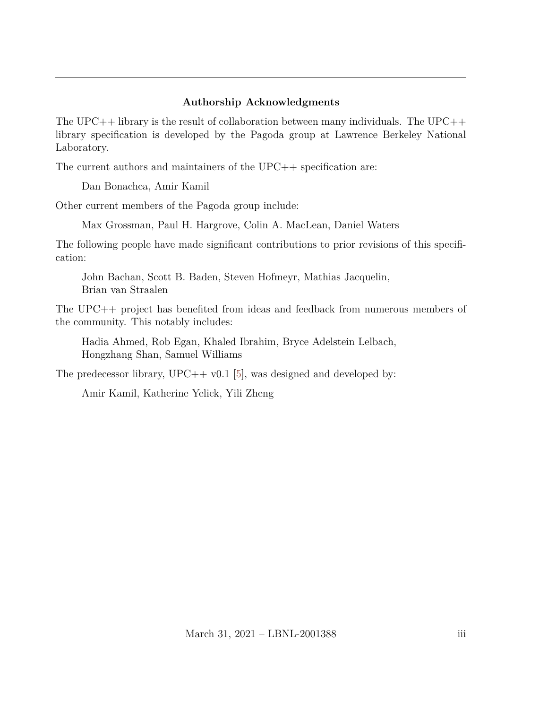#### **Authorship Acknowledgments**

The UPC++ library is the result of collaboration between many individuals. The  $UPC++$ library specification is developed by the Pagoda group at Lawrence Berkeley National Laboratory.

The current authors and maintainers of the UPC++ specification are:

Dan Bonachea, Amir Kamil

Other current members of the Pagoda group include:

Max Grossman, Paul H. Hargrove, Colin A. MacLean, Daniel Waters

The following people have made significant contributions to prior revisions of this specification:

John Bachan, Scott B. Baden, Steven Hofmeyr, Mathias Jacquelin, Brian van Straalen

The UPC++ project has benefited from ideas and feedback from numerous members of the community. This notably includes:

Hadia Ahmed, Rob Egan, Khaled Ibrahim, Bryce Adelstein Lelbach, Hongzhang Shan, Samuel Williams

The predecessor library,  $UPC++$  v0.1 [\[5\]](#page-171-0), was designed and developed by:

Amir Kamil, Katherine Yelick, Yili Zheng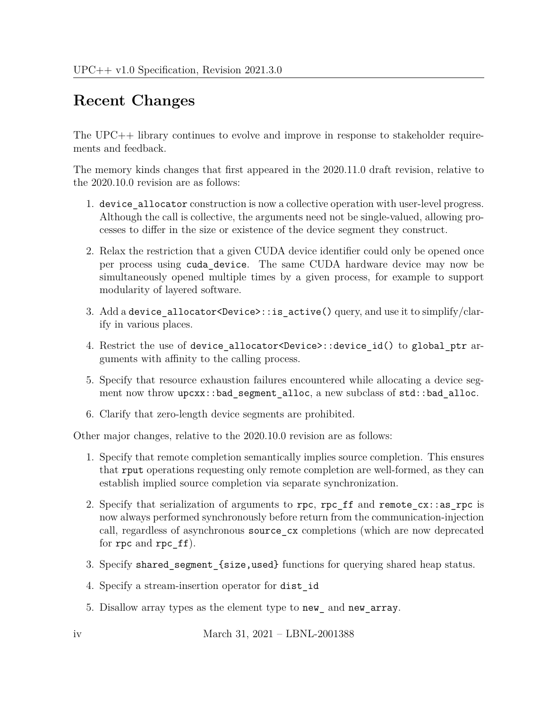## **Recent Changes**

<span id="page-3-0"></span>The UPC++ library continues to evolve and improve in response to stakeholder requirements and feedback.

The memory kinds changes that first appeared in the 2020.11.0 draft revision, relative to the 2020.10.0 revision are as follows:

- 1. device allocator construction is now a collective operation with user-level progress. Although the call is collective, the arguments need not be single-valued, allowing processes to differ in the size or existence of the device segment they construct.
- 2. Relax the restriction that a given CUDA device identifier could only be opened once per process using cuda\_device. The same CUDA hardware device may now be simultaneously opened multiple times by a given process, for example to support modularity of layered software.
- 3. Add a device allocator<Device>::is active() query, and use it to simplify/clarify in various places.
- 4. Restrict the use of device allocator<Device>::device id() to global ptr arguments with affinity to the calling process.
- 5. Specify that resource exhaustion failures encountered while allocating a device segment now throw upcxx::bad segment alloc, a new subclass of std::bad alloc.
- 6. Clarify that zero-length device segments are prohibited.

Other major changes, relative to the 2020.10.0 revision are as follows:

- 1. Specify that remote completion semantically implies source completion. This ensures that rput operations requesting only remote completion are well-formed, as they can establish implied source completion via separate synchronization.
- 2. Specify that serialization of arguments to rpc, rpc ff and remote  $cx$ :: as rpc is now always performed synchronously before return from the communication-injection call, regardless of asynchronous source\_cx completions (which are now deprecated for rpc and rpc ff).
- 3. Specify shared segment {size,used} functions for querying shared heap status.
- 4. Specify a stream-insertion operator for dist\_id
- 5. Disallow array types as the element type to new\_ and new\_array.

iv March 31, 2021 – LBNL-2001388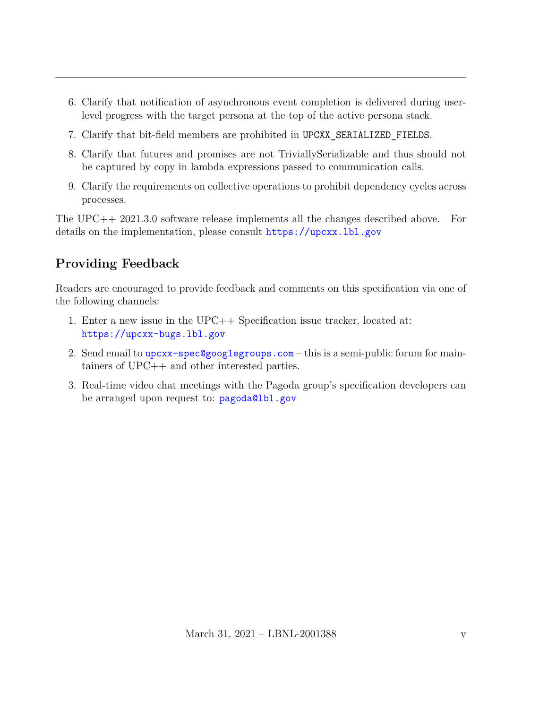- 6. Clarify that notification of asynchronous event completion is delivered during userlevel progress with the target persona at the top of the active persona stack.
- 7. Clarify that bit-field members are prohibited in UPCXX\_SERIALIZED\_FIELDS.
- 8. Clarify that futures and promises are not TriviallySerializable and thus should not be captured by copy in lambda expressions passed to communication calls.
- 9. Clarify the requirements on collective operations to prohibit dependency cycles across processes.

The UPC++ 2021.3.0 software release implements all the changes described above. For details on the implementation, please consult <https://upcxx.lbl.gov>

### **Providing Feedback**

Readers are encouraged to provide feedback and comments on this specification via one of the following channels:

- 1. Enter a new issue in the UPC++ Specification issue tracker, located at: <https://upcxx-bugs.lbl.gov>
- 2. Send email to [upcxx-spec@googlegroups.com](mailto:upcxx-spec@googlegroups.com) this is a semi-public forum for maintainers of UPC++ and other interested parties.
- 3. Real-time video chat meetings with the Pagoda group's specification developers can be arranged upon request to: [pagoda@lbl.gov](mailto:pagoda@lbl.gov)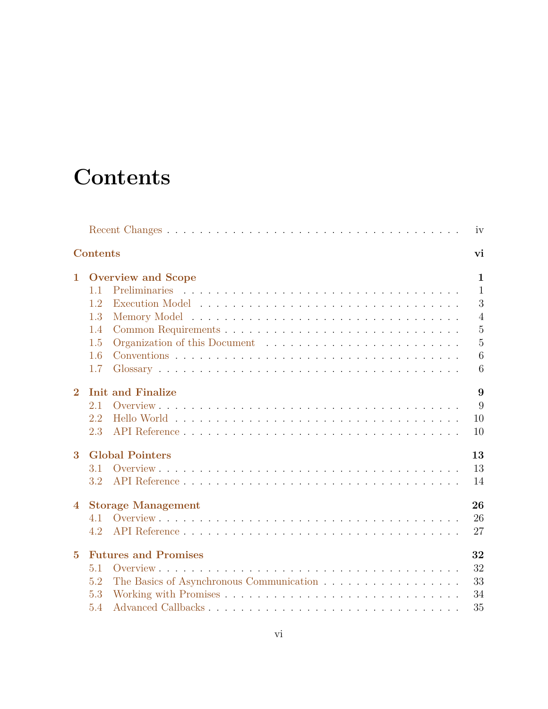# <span id="page-5-0"></span>**Contents**

|                | iv                                        |                |  |  |  |  |  |  |  |  |  |
|----------------|-------------------------------------------|----------------|--|--|--|--|--|--|--|--|--|
|                | Contents                                  | vi             |  |  |  |  |  |  |  |  |  |
| $\mathbf{1}$   | $\mathbf{1}$<br><b>Overview and Scope</b> |                |  |  |  |  |  |  |  |  |  |
|                | Preliminaries<br>1.1                      | $\mathbf{1}$   |  |  |  |  |  |  |  |  |  |
|                | 1.2                                       | 3              |  |  |  |  |  |  |  |  |  |
|                | 1.3                                       | $\overline{4}$ |  |  |  |  |  |  |  |  |  |
|                | 1.4                                       | $\overline{5}$ |  |  |  |  |  |  |  |  |  |
|                | 1.5                                       | $\overline{5}$ |  |  |  |  |  |  |  |  |  |
|                | 1.6                                       | $\overline{6}$ |  |  |  |  |  |  |  |  |  |
|                | 1.7                                       | 6              |  |  |  |  |  |  |  |  |  |
| $\overline{2}$ | <b>Init and Finalize</b><br>9             |                |  |  |  |  |  |  |  |  |  |
|                | 2.1                                       | 9              |  |  |  |  |  |  |  |  |  |
|                | 2.2                                       | 10             |  |  |  |  |  |  |  |  |  |
|                | 2.3                                       | 10             |  |  |  |  |  |  |  |  |  |
| 3              | <b>Global Pointers</b><br>13              |                |  |  |  |  |  |  |  |  |  |
|                | 3.1                                       | 13             |  |  |  |  |  |  |  |  |  |
|                | 3.2                                       | 14             |  |  |  |  |  |  |  |  |  |
| $\overline{4}$ | 26<br><b>Storage Management</b>           |                |  |  |  |  |  |  |  |  |  |
|                | 4.1                                       | 26             |  |  |  |  |  |  |  |  |  |
|                | 4.2                                       | 27             |  |  |  |  |  |  |  |  |  |
| $\overline{5}$ | <b>Futures and Promises</b><br>32         |                |  |  |  |  |  |  |  |  |  |
|                | 5.1                                       | 32             |  |  |  |  |  |  |  |  |  |
|                | 5.2                                       | 33             |  |  |  |  |  |  |  |  |  |
|                | 5.3                                       | 34             |  |  |  |  |  |  |  |  |  |
|                | 5.4                                       | 35             |  |  |  |  |  |  |  |  |  |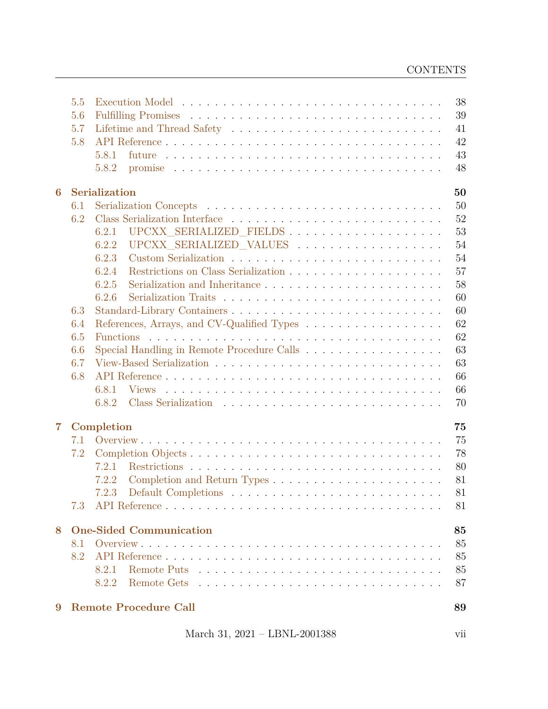|                         | 5.5<br>5.6<br>5.7<br>5.8 | 5.8.1<br>5.8.2<br>promise $\ldots \ldots \ldots \ldots \ldots \ldots \ldots \ldots \ldots \ldots \ldots \ldots$ | 38<br>39<br>41<br>42<br>43<br>48 |
|-------------------------|--------------------------|-----------------------------------------------------------------------------------------------------------------|----------------------------------|
| 6                       |                          | Serialization                                                                                                   | 50                               |
|                         | 6.1                      |                                                                                                                 | 50                               |
|                         | 6.2                      |                                                                                                                 | 52                               |
|                         |                          | 6.2.1                                                                                                           | 53                               |
|                         |                          | UPCXX_SERIALIZED_VALUES<br>6.2.2                                                                                | 54                               |
|                         |                          | 6.2.3                                                                                                           | 54                               |
|                         |                          | 6.2.4                                                                                                           | 57                               |
|                         |                          | 6.2.5                                                                                                           | 58                               |
|                         |                          | 6.2.6                                                                                                           | 60                               |
|                         | 6.3                      |                                                                                                                 | 60                               |
|                         | 6.4                      |                                                                                                                 | 62                               |
|                         | 6.5                      |                                                                                                                 | 62                               |
|                         | 6.6                      |                                                                                                                 | 63                               |
|                         | 6.7                      |                                                                                                                 | 63                               |
|                         | 6.8                      |                                                                                                                 | 66                               |
|                         |                          | 6.8.1<br><i>Views</i><br>6.8.2                                                                                  | 66<br>70                         |
|                         |                          |                                                                                                                 |                                  |
| $\overline{\mathbf{7}}$ |                          | Completion                                                                                                      | 75                               |
|                         | 7.1                      |                                                                                                                 | 75                               |
|                         | 7.2                      | Completion Objects                                                                                              | 78                               |
|                         |                          | 7.2.1                                                                                                           | 80                               |
|                         |                          | 7.2.2                                                                                                           | 81                               |
|                         |                          |                                                                                                                 | 81                               |
|                         | 7.3                      |                                                                                                                 | 81                               |
|                         |                          |                                                                                                                 |                                  |
| 8                       |                          | <b>One-Sided Communication</b>                                                                                  | 85<br>85                         |
|                         | 8.1<br>8.2               |                                                                                                                 | 85                               |
|                         |                          | 8.2.1                                                                                                           | 85                               |
|                         |                          | 8.2.2                                                                                                           | 87                               |
|                         |                          |                                                                                                                 |                                  |
| 9                       |                          | <b>Remote Procedure Call</b>                                                                                    | 89                               |

March 31, 2021 – LBNL-2001388 vii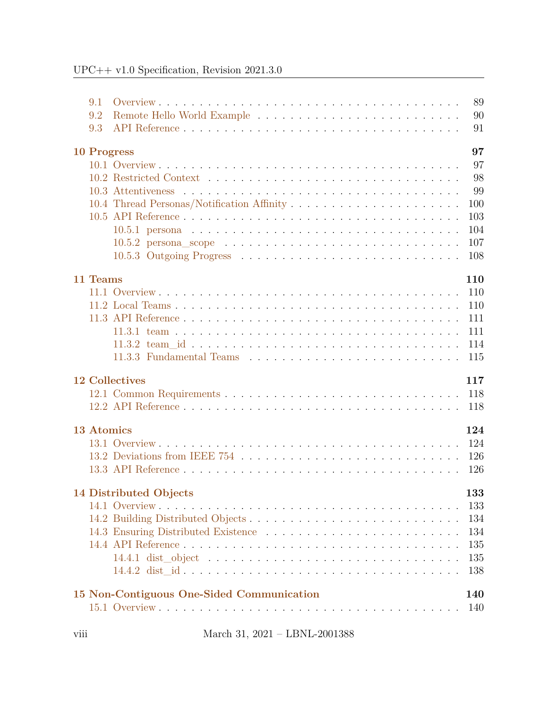#### UPC++ v1.0 Specification, Revision 2021.3.0

|                                                  | 9.1                      | 89                                   |  |  |  |  |  |  |  |  |  |  |
|--------------------------------------------------|--------------------------|--------------------------------------|--|--|--|--|--|--|--|--|--|--|
|                                                  | 9.2                      | 90                                   |  |  |  |  |  |  |  |  |  |  |
|                                                  | 9.3                      | 91                                   |  |  |  |  |  |  |  |  |  |  |
|                                                  | 97<br><b>10 Progress</b> |                                      |  |  |  |  |  |  |  |  |  |  |
|                                                  |                          | 97                                   |  |  |  |  |  |  |  |  |  |  |
|                                                  |                          | 98                                   |  |  |  |  |  |  |  |  |  |  |
|                                                  |                          | 99                                   |  |  |  |  |  |  |  |  |  |  |
|                                                  |                          | 100                                  |  |  |  |  |  |  |  |  |  |  |
|                                                  |                          | 103                                  |  |  |  |  |  |  |  |  |  |  |
|                                                  |                          | 104                                  |  |  |  |  |  |  |  |  |  |  |
|                                                  |                          | 107                                  |  |  |  |  |  |  |  |  |  |  |
|                                                  |                          | 108                                  |  |  |  |  |  |  |  |  |  |  |
| 11 Teams                                         |                          |                                      |  |  |  |  |  |  |  |  |  |  |
|                                                  |                          | 110                                  |  |  |  |  |  |  |  |  |  |  |
|                                                  |                          | 110                                  |  |  |  |  |  |  |  |  |  |  |
|                                                  |                          | 111                                  |  |  |  |  |  |  |  |  |  |  |
|                                                  |                          | 111                                  |  |  |  |  |  |  |  |  |  |  |
|                                                  |                          | 114                                  |  |  |  |  |  |  |  |  |  |  |
|                                                  |                          | 115                                  |  |  |  |  |  |  |  |  |  |  |
|                                                  |                          | 117<br><b>12 Collectives</b>         |  |  |  |  |  |  |  |  |  |  |
|                                                  |                          | 118                                  |  |  |  |  |  |  |  |  |  |  |
|                                                  |                          | 118                                  |  |  |  |  |  |  |  |  |  |  |
|                                                  | 13 Atomics               | 124                                  |  |  |  |  |  |  |  |  |  |  |
|                                                  |                          | 124                                  |  |  |  |  |  |  |  |  |  |  |
|                                                  |                          | 126                                  |  |  |  |  |  |  |  |  |  |  |
|                                                  |                          | 126                                  |  |  |  |  |  |  |  |  |  |  |
|                                                  |                          |                                      |  |  |  |  |  |  |  |  |  |  |
|                                                  |                          | <b>14 Distributed Objects</b><br>133 |  |  |  |  |  |  |  |  |  |  |
|                                                  |                          | 133                                  |  |  |  |  |  |  |  |  |  |  |
|                                                  |                          | 134                                  |  |  |  |  |  |  |  |  |  |  |
|                                                  |                          | 134                                  |  |  |  |  |  |  |  |  |  |  |
|                                                  |                          | 135                                  |  |  |  |  |  |  |  |  |  |  |
|                                                  |                          | 135                                  |  |  |  |  |  |  |  |  |  |  |
|                                                  |                          | 138                                  |  |  |  |  |  |  |  |  |  |  |
| 15 Non-Contiguous One-Sided Communication<br>140 |                          |                                      |  |  |  |  |  |  |  |  |  |  |
|                                                  |                          | 140                                  |  |  |  |  |  |  |  |  |  |  |
|                                                  |                          |                                      |  |  |  |  |  |  |  |  |  |  |

viii March 31, 2021 – LBNL-2001388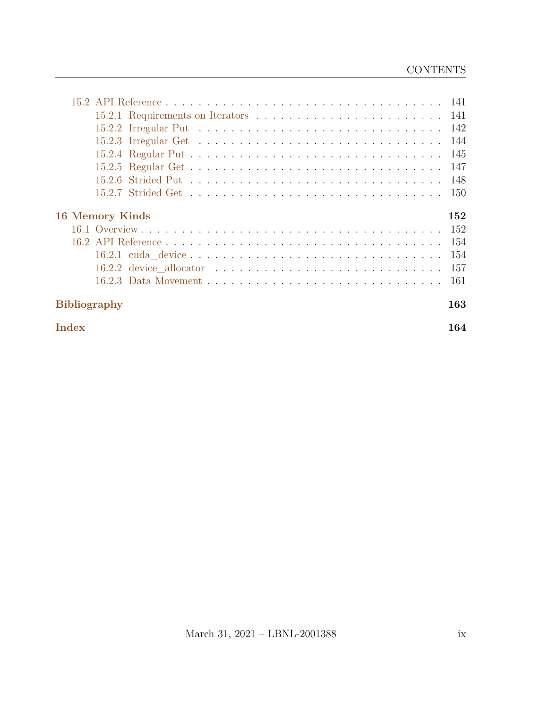|                     |  |  |  | 141        |  |  |  |  |
|---------------------|--|--|--|------------|--|--|--|--|
|                     |  |  |  | 142        |  |  |  |  |
|                     |  |  |  | 144        |  |  |  |  |
|                     |  |  |  | 145        |  |  |  |  |
|                     |  |  |  | 147        |  |  |  |  |
|                     |  |  |  | 148        |  |  |  |  |
|                     |  |  |  | <b>150</b> |  |  |  |  |
| 16 Memory Kinds     |  |  |  | 152        |  |  |  |  |
|                     |  |  |  | 152        |  |  |  |  |
|                     |  |  |  | 154        |  |  |  |  |
|                     |  |  |  | 154        |  |  |  |  |
|                     |  |  |  | 157        |  |  |  |  |
|                     |  |  |  | 161        |  |  |  |  |
| <b>Bibliography</b> |  |  |  |            |  |  |  |  |
| $_{\rm Index}$      |  |  |  | 164        |  |  |  |  |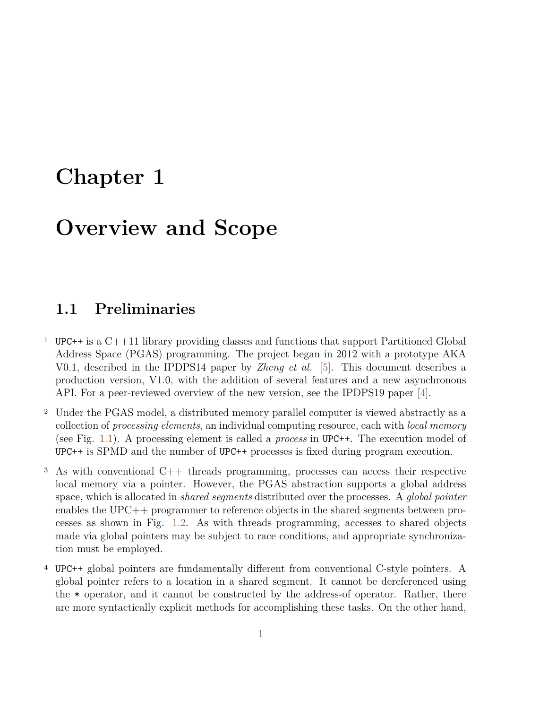# <span id="page-9-0"></span>**Chapter 1**

## **Overview and Scope**

#### <span id="page-9-1"></span>**1.1 Preliminaries**

- <sup>1</sup> UPC++ is a C++11 library providing classes and functions that support Partitioned Global Address Space (PGAS) programming. The project began in 2012 with a prototype AKA V0.1, described in the IPDPS14 paper by *Zheng et al.* [\[5\]](#page-171-0). This document describes a production version, V1.0, with the addition of several features and a new asynchronous API. For a peer-reviewed overview of the new version, see the IPDPS19 paper [\[4\]](#page-171-2).
- <sup>2</sup> Under the PGAS model, a distributed memory parallel computer is viewed abstractly as a collection of *processing elements*, an individual computing resource, each with *local memory* (see Fig. [1.1\)](#page-10-0). A processing element is called a *process* in UPC++. The execution model of UPC++ is SPMD and the number of UPC++ processes is fixed during program execution.
- <sup>3</sup> As with conventional C++ threads programming, processes can access their respective local memory via a pointer. However, the PGAS abstraction supports a global address space, which is allocated in *shared segments* distributed over the processes. A *global pointer* enables the UPC++ programmer to reference objects in the shared segments between processes as shown in Fig. [1.2.](#page-10-1) As with threads programming, accesses to shared objects made via global pointers may be subject to race conditions, and appropriate synchronization must be employed.
- <sup>4</sup> UPC++ global pointers are fundamentally different from conventional C-style pointers. A global pointer refers to a location in a shared segment. It cannot be dereferenced using the \* operator, and it cannot be constructed by the address-of operator. Rather, there are more syntactically explicit methods for accomplishing these tasks. On the other hand,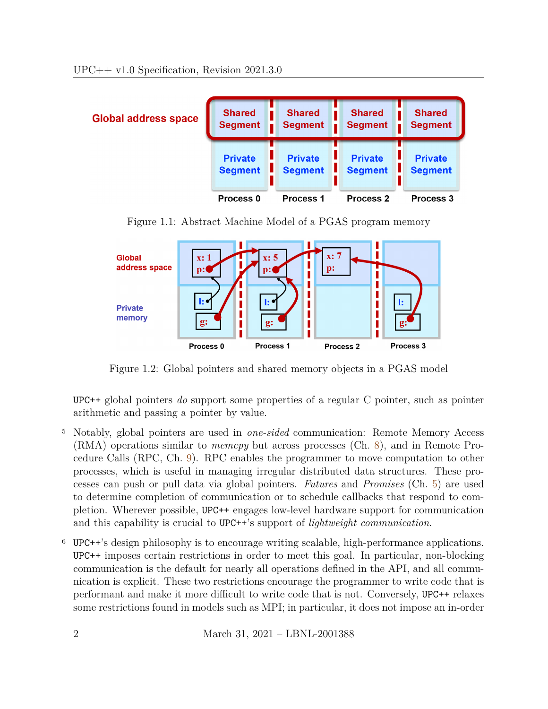

<span id="page-10-0"></span>Figure 1.1: Abstract Machine Model of a PGAS program memory



<span id="page-10-1"></span>Figure 1.2: Global pointers and shared memory objects in a PGAS model

UPC++ global pointers *do* support some properties of a regular C pointer, such as pointer arithmetic and passing a pointer by value.

- <sup>5</sup> Notably, global pointers are used in *one-sided* communication: Remote Memory Access (RMA) operations similar to *memcpy* but across processes (Ch. [8\)](#page-93-0), and in Remote Procedure Calls (RPC, Ch. [9\)](#page-97-0). RPC enables the programmer to move computation to other processes, which is useful in managing irregular distributed data structures. These processes can push or pull data via global pointers. *Futures* and *Promises* (Ch. [5\)](#page-40-0) are used to determine completion of communication or to schedule callbacks that respond to completion. Wherever possible, UPC++ engages low-level hardware support for communication and this capability is crucial to UPC++'s support of *lightweight communication*.
- <sup>6</sup> UPC++'s design philosophy is to encourage writing scalable, high-performance applications. UPC++ imposes certain restrictions in order to meet this goal. In particular, non-blocking communication is the default for nearly all operations defined in the API, and all communication is explicit. These two restrictions encourage the programmer to write code that is performant and make it more difficult to write code that is not. Conversely, UPC++ relaxes some restrictions found in models such as MPI; in particular, it does not impose an in-order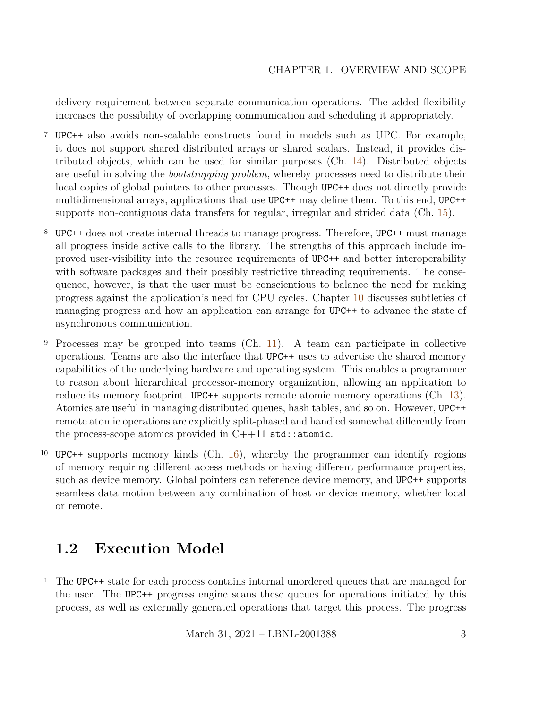delivery requirement between separate communication operations. The added flexibility increases the possibility of overlapping communication and scheduling it appropriately.

- <sup>7</sup> UPC++ also avoids non-scalable constructs found in models such as UPC. For example, it does not support shared distributed arrays or shared scalars. Instead, it provides distributed objects, which can be used for similar purposes (Ch. [14\)](#page-141-0). Distributed objects are useful in solving the *bootstrapping problem*, whereby processes need to distribute their local copies of global pointers to other processes. Though UPC++ does not directly provide multidimensional arrays, applications that use UPC++ may define them. To this end, UPC++ supports non-contiguous data transfers for regular, irregular and strided data (Ch. [15\)](#page-148-0).
- <sup>8</sup> UPC++ does not create internal threads to manage progress. Therefore, UPC++ must manage all progress inside active calls to the library. The strengths of this approach include improved user-visibility into the resource requirements of UPC++ and better interoperability with software packages and their possibly restrictive threading requirements. The consequence, however, is that the user must be conscientious to balance the need for making progress against the application's need for CPU cycles. Chapter [10](#page-105-0) discusses subtleties of managing progress and how an application can arrange for UPC++ to advance the state of asynchronous communication.
- <sup>9</sup> Processes may be grouped into teams (Ch. [11\)](#page-118-0). A team can participate in collective operations. Teams are also the interface that UPC++ uses to advertise the shared memory capabilities of the underlying hardware and operating system. This enables a programmer to reason about hierarchical processor-memory organization, allowing an application to reduce its memory footprint. UPC++ supports remote atomic memory operations (Ch. [13\)](#page-132-0). Atomics are useful in managing distributed queues, hash tables, and so on. However, UPC++ remote atomic operations are explicitly split-phased and handled somewhat differently from the process-scope atomics provided in  $C++11$  std::atomic.
- $UPC++$  supports memory kinds (Ch. [16\)](#page-160-0), whereby the programmer can identify regions of memory requiring different access methods or having different performance properties, such as device memory. Global pointers can reference device memory, and UPC++ supports seamless data motion between any combination of host or device memory, whether local or remote.

### <span id="page-11-0"></span>**1.2 Execution Model**

<sup>1</sup> The UPC++ state for each process contains internal unordered queues that are managed for the user. The UPC++ progress engine scans these queues for operations initiated by this process, as well as externally generated operations that target this process. The progress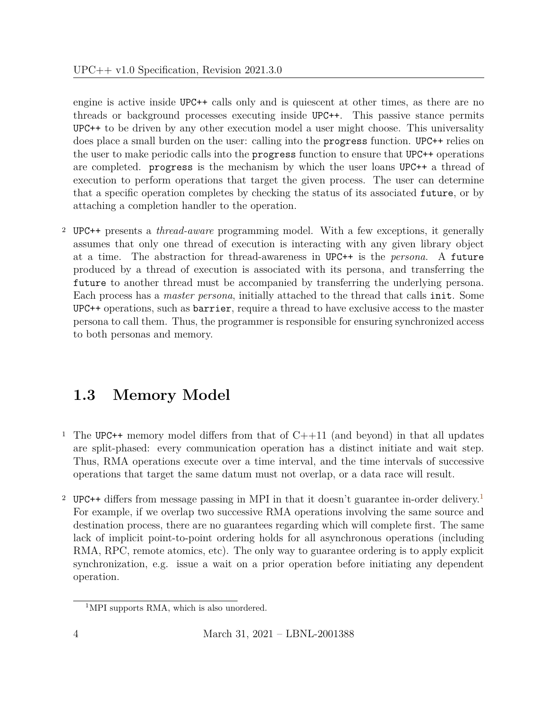engine is active inside UPC++ calls only and is quiescent at other times, as there are no threads or background processes executing inside UPC++. This passive stance permits UPC++ to be driven by any other execution model a user might choose. This universality does place a small burden on the user: calling into the progress function. UPC++ relies on the user to make periodic calls into the progress function to ensure that UPC++ operations are completed. progress is the mechanism by which the user loans UPC++ a thread of execution to perform operations that target the given process. The user can determine that a specific operation completes by checking the status of its associated future, or by attaching a completion handler to the operation.

<sup>2</sup> UPC++ presents a *thread-aware* programming model. With a few exceptions, it generally assumes that only one thread of execution is interacting with any given library object at a time. The abstraction for thread-awareness in UPC++ is the *persona*. A future produced by a thread of execution is associated with its persona, and transferring the future to another thread must be accompanied by transferring the underlying persona. Each process has a *master persona*, initially attached to the thread that calls init. Some UPC++ operations, such as barrier, require a thread to have exclusive access to the master persona to call them. Thus, the programmer is responsible for ensuring synchronized access to both personas and memory.

### <span id="page-12-0"></span>**1.3 Memory Model**

- <sup>1</sup> The UPC++ memory model differs from that of C++11 (and beyond) in that all updates are split-phased: every communication operation has a distinct initiate and wait step. Thus, RMA operations execute over a time interval, and the time intervals of successive operations that target the same datum must not overlap, or a data race will result.
- <sup>2</sup> UPC++ differs from message passing in MPI in that it doesn't guarantee in-order delivery.[1](#page-12-1) For example, if we overlap two successive RMA operations involving the same source and destination process, there are no guarantees regarding which will complete first. The same lack of implicit point-to-point ordering holds for all asynchronous operations (including RMA, RPC, remote atomics, etc). The only way to guarantee ordering is to apply explicit synchronization, e.g. issue a wait on a prior operation before initiating any dependent operation.

<span id="page-12-1"></span><sup>&</sup>lt;sup>1</sup>MPI supports RMA, which is also unordered.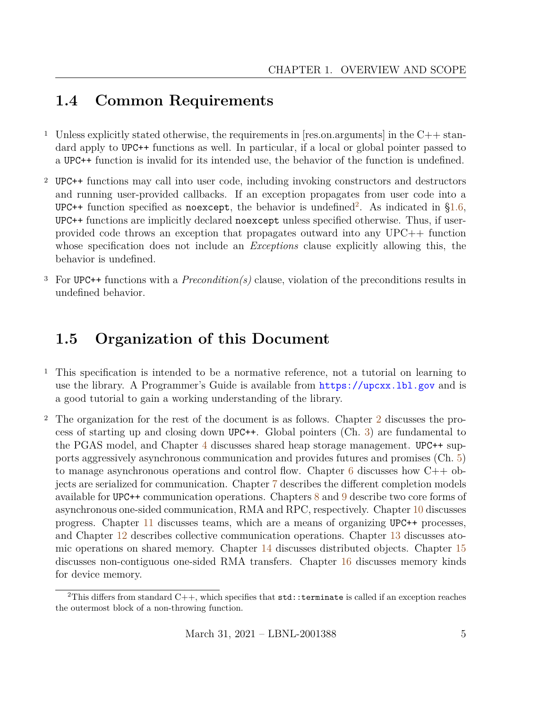### <span id="page-13-0"></span>**1.4 Common Requirements**

- <sup>1</sup> Unless explicitly stated otherwise, the requirements in [res.on.arguments] in the C++ standard apply to UPC++ functions as well. In particular, if a local or global pointer passed to a UPC++ function is invalid for its intended use, the behavior of the function is undefined.
- <sup>2</sup> UPC++ functions may call into user code, including invoking constructors and destructors and running user-provided callbacks. If an exception propagates from user code into a UPC++ function specified as noexcept, the behavior is undefined<sup>[2](#page-13-2)</sup>. As indicated in [§1.6,](#page-14-0) UPC++ functions are implicitly declared noexcept unless specified otherwise. Thus, if userprovided code throws an exception that propagates outward into any UPC++ function whose specification does not include an *Exceptions* clause explicitly allowing this, the behavior is undefined.
- <sup>3</sup> For UPC++ functions with a *Precondition(s)* clause, violation of the preconditions results in undefined behavior.

### <span id="page-13-1"></span>**1.5 Organization of this Document**

- <sup>1</sup> This specification is intended to be a normative reference, not a tutorial on learning to use the library. A Programmer's Guide is available from <https://upcxx.lbl.gov> and is a good tutorial to gain a working understanding of the library.
- <sup>2</sup> The organization for the rest of the document is as follows. Chapter [2](#page-17-0) discusses the process of starting up and closing down UPC++. Global pointers (Ch. [3\)](#page-21-0) are fundamental to the PGAS model, and Chapter [4](#page-34-0) discusses shared heap storage management. UPC++ supports aggressively asynchronous communication and provides futures and promises (Ch. [5\)](#page-40-0) to manage asynchronous operations and control flow. Chapter  $6$  discusses how  $C_{++}$  objects are serialized for communication. Chapter [7](#page-83-0) describes the different completion models available for UPC++ communication operations. Chapters [8](#page-93-0) and [9](#page-97-0) describe two core forms of asynchronous one-sided communication, RMA and RPC, respectively. Chapter [10](#page-105-0) discusses progress. Chapter [11](#page-118-0) discusses teams, which are a means of organizing UPC++ processes, and Chapter [12](#page-125-0) describes collective communication operations. Chapter [13](#page-132-0) discusses atomic operations on shared memory. Chapter [14](#page-141-0) discusses distributed objects. Chapter [15](#page-148-0) discusses non-contiguous one-sided RMA transfers. Chapter [16](#page-160-0) discusses memory kinds for device memory.

<span id="page-13-2"></span><sup>&</sup>lt;sup>2</sup>This differs from standard  $C++$ , which specifies that  $std$ :: $terminate$  is called if an exception reaches the outermost block of a non-throwing function.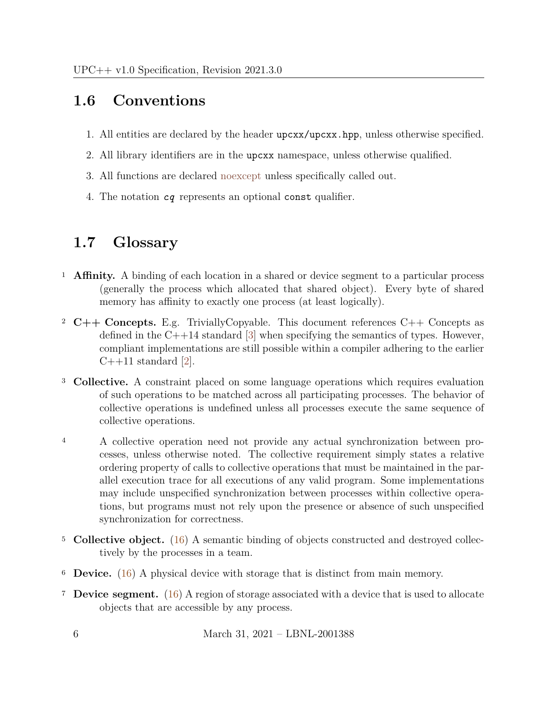### <span id="page-14-0"></span>**1.6 Conventions**

- 1. All entities are declared by the header upcxx/upcxx.hpp, unless otherwise specified.
- 2. All library identifiers are in the upcxx namespace, unless otherwise qualified.
- 3. All functions are declared noexcept unless specifically called out.
- 4. The notation *cq* represents an optional const qualifier.

### <span id="page-14-1"></span>**1.7 Glossary**

- <sup>1</sup> **Affinity.** A binding of each location in a shared or device segment to a particular process (generally the process which allocated that shared object). Every byte of shared memory has affinity to exactly one process (at least logically).
- <sup>2</sup> **C++ Concepts.** E.g. TriviallyCopyable. This document references C++ Concepts as defined in the  $C++14$  standard [\[3\]](#page-171-3) when specifying the semantics of types. However, compliant implementations are still possible within a compiler adhering to the earlier  $C++11$  standard [\[2\]](#page-171-4).
- <sup>3</sup> **Collective.** A constraint placed on some language operations which requires evaluation of such operations to be matched across all participating processes. The behavior of collective operations is undefined unless all processes execute the same sequence of collective operations.
- <sup>4</sup> A collective operation need not provide any actual synchronization between processes, unless otherwise noted. The collective requirement simply states a relative ordering property of calls to collective operations that must be maintained in the parallel execution trace for all executions of any valid program. Some implementations may include unspecified synchronization between processes within collective operations, but programs must not rely upon the presence or absence of such unspecified synchronization for correctness.
- <sup>5</sup> **Collective object.** [\(16\)](#page-160-0) A semantic binding of objects constructed and destroyed collectively by the processes in a team.
- <sup>6</sup> **Device.** [\(16\)](#page-160-0) A physical device with storage that is distinct from main memory.
- <sup>7</sup> **Device segment.** [\(16\)](#page-160-0) A region of storage associated with a device that is used to allocate objects that are accessible by any process.

6 March 31, 2021 – LBNL-2001388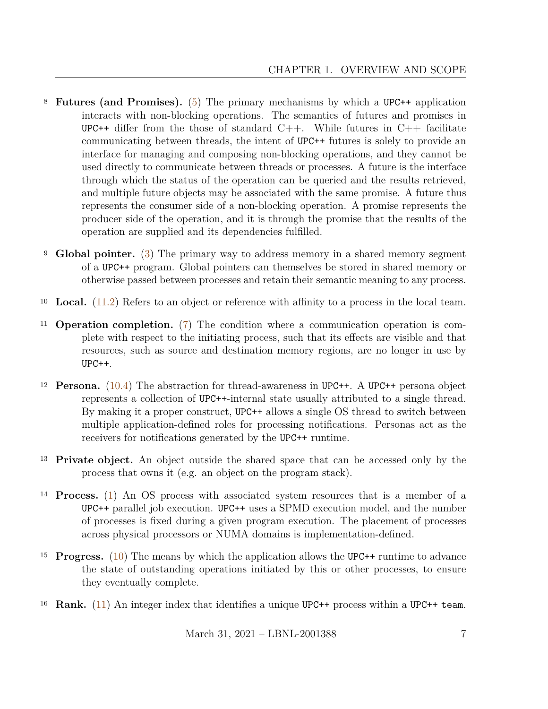- <sup>8</sup> **Futures (and Promises).** [\(5\)](#page-40-0) The primary mechanisms by which a UPC++ application interacts with non-blocking operations. The semantics of futures and promises in UPC<sup>++</sup> differ from the those of standard  $C_{++}$ . While futures in  $C_{++}$  facilitate communicating between threads, the intent of UPC++ futures is solely to provide an interface for managing and composing non-blocking operations, and they cannot be used directly to communicate between threads or processes. A future is the interface through which the status of the operation can be queried and the results retrieved, and multiple future objects may be associated with the same promise. A future thus represents the consumer side of a non-blocking operation. A promise represents the producer side of the operation, and it is through the promise that the results of the operation are supplied and its dependencies fulfilled.
- <sup>9</sup> **Global pointer.** [\(3\)](#page-21-0) The primary way to address memory in a shared memory segment of a UPC++ program. Global pointers can themselves be stored in shared memory or otherwise passed between processes and retain their semantic meaning to any process.
- <sup>10</sup> **Local.** [\(11.2\)](#page-118-2) Refers to an object or reference with affinity to a process in the local team.
- <sup>11</sup> **Operation completion.** [\(7\)](#page-83-0) The condition where a communication operation is complete with respect to the initiating process, such that its effects are visible and that resources, such as source and destination memory regions, are no longer in use by UPC++.
- <sup>12</sup> **Persona.** [\(10.4\)](#page-108-0) The abstraction for thread-awareness in UPC++. A UPC++ persona object represents a collection of UPC++-internal state usually attributed to a single thread. By making it a proper construct, UPC++ allows a single OS thread to switch between multiple application-defined roles for processing notifications. Personas act as the receivers for notifications generated by the UPC++ runtime.
- <sup>13</sup> **Private object.** An object outside the shared space that can be accessed only by the process that owns it (e.g. an object on the program stack).
- <sup>14</sup> **Process.** [\(1\)](#page-9-0) An OS process with associated system resources that is a member of a UPC++ parallel job execution. UPC++ uses a SPMD execution model, and the number of processes is fixed during a given program execution. The placement of processes across physical processors or NUMA domains is implementation-defined.
- <sup>15</sup> **Progress.** [\(10\)](#page-105-0) The means by which the application allows the UPC++ runtime to advance the state of outstanding operations initiated by this or other processes, to ensure they eventually complete.
- <sup>16</sup> **Rank.** [\(11\)](#page-118-0) An integer index that identifies a unique UPC++ process within a UPC++ team.

$$
March\;31,\;2021-LBNL-2001388\;\;
$$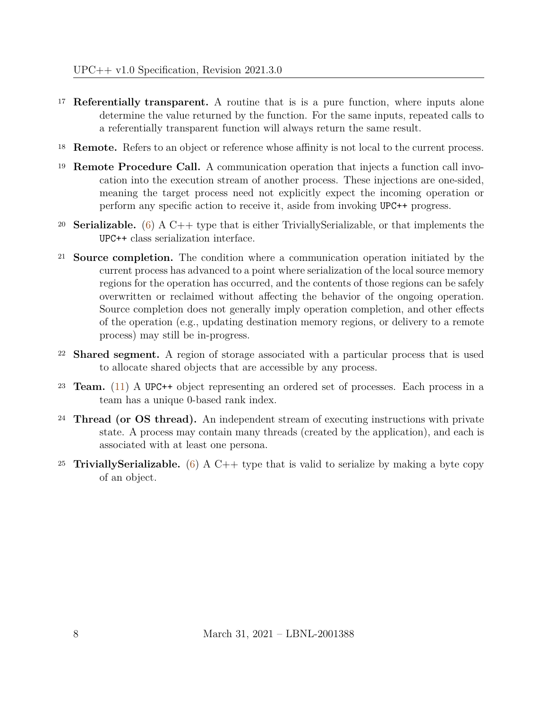- <sup>17</sup> **Referentially transparent.** A routine that is is a pure function, where inputs alone determine the value returned by the function. For the same inputs, repeated calls to a referentially transparent function will always return the same result.
- <sup>18</sup> **Remote.** Refers to an object or reference whose affinity is not local to the current process.
- <sup>19</sup> **Remote Procedure Call.** A communication operation that injects a function call invocation into the execution stream of another process. These injections are one-sided, meaning the target process need not explicitly expect the incoming operation or perform any specific action to receive it, aside from invoking UPC++ progress.
- <sup>20</sup> **Serializable.** [\(6\)](#page-58-0) A C++ type that is either TriviallySerializable, or that implements the UPC++ class serialization interface.
- <sup>21</sup> **Source completion.** The condition where a communication operation initiated by the current process has advanced to a point where serialization of the local source memory regions for the operation has occurred, and the contents of those regions can be safely overwritten or reclaimed without affecting the behavior of the ongoing operation. Source completion does not generally imply operation completion, and other effects of the operation (e.g., updating destination memory regions, or delivery to a remote process) may still be in-progress.
- <sup>22</sup> **Shared segment.** A region of storage associated with a particular process that is used to allocate shared objects that are accessible by any process.
- <sup>23</sup> **Team.** [\(11\)](#page-118-0) A UPC++ object representing an ordered set of processes. Each process in a team has a unique 0-based rank index.
- <sup>24</sup> **Thread (or OS thread).** An independent stream of executing instructions with private state. A process may contain many threads (created by the application), and each is associated with at least one persona.
- <sup>25</sup> **TriviallySerializable.** [\(6\)](#page-58-0) A C<sub>++</sub> type that is valid to serialize by making a byte copy of an object.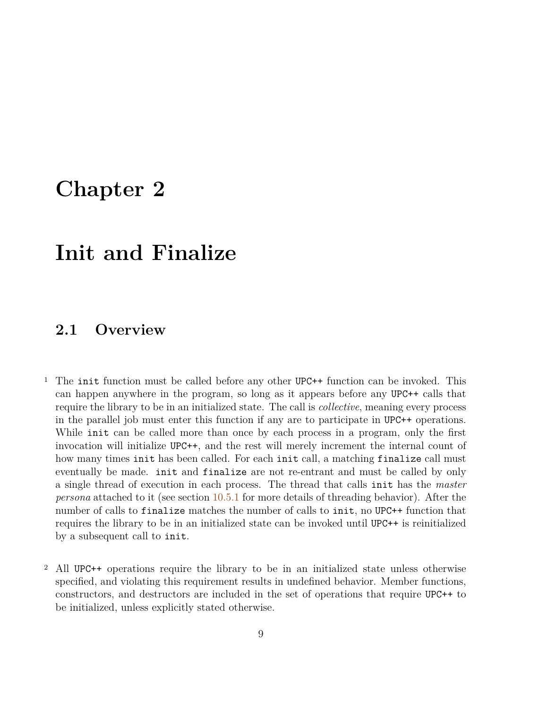## <span id="page-17-0"></span>**Chapter 2**

## **Init and Finalize**

#### <span id="page-17-1"></span>**2.1 Overview**

- <sup>1</sup> The init function must be called before any other UPC++ function can be invoked. This can happen anywhere in the program, so long as it appears before any UPC++ calls that require the library to be in an initialized state. The call is *collective*, meaning every process in the parallel job must enter this function if any are to participate in UPC++ operations. While init can be called more than once by each process in a program, only the first invocation will initialize UPC++, and the rest will merely increment the internal count of how many times init has been called. For each init call, a matching finalize call must eventually be made. init and finalize are not re-entrant and must be called by only a single thread of execution in each process. The thread that calls init has the *master persona* attached to it (see section [10.5.1](#page-112-0) for more details of threading behavior). After the number of calls to finalize matches the number of calls to init, no UPC++ function that requires the library to be in an initialized state can be invoked until UPC++ is reinitialized by a subsequent call to init.
- <sup>2</sup> All UPC++ operations require the library to be in an initialized state unless otherwise specified, and violating this requirement results in undefined behavior. Member functions, constructors, and destructors are included in the set of operations that require UPC++ to be initialized, unless explicitly stated otherwise.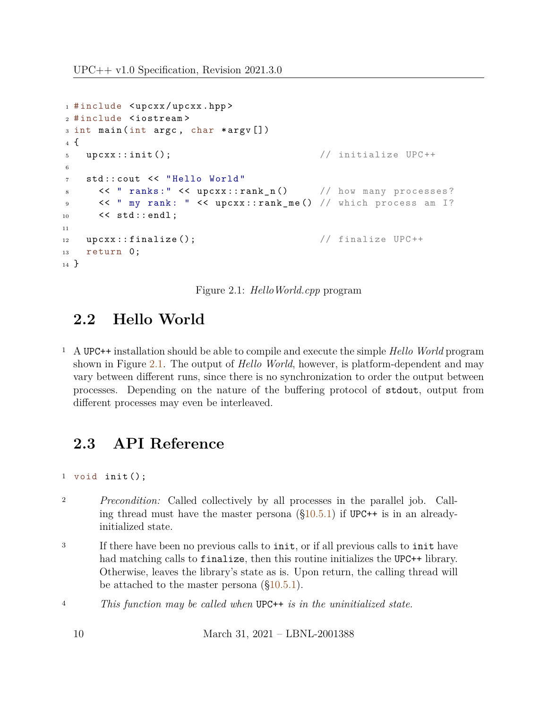UPC++ v1.0 Specification, Revision 2021.3.0

```
1 #include <upcxx/upcxx.hpp>
2 # include < iostream >
3 int main (int argc , char * argv [])
4 {
5 upcxx::init(); \frac{1}{2} // initialize UPC++
6
7 std :: cout << " Hello World "
8 << " ranks:" << upcxx::rank_n() // how many processes?
9 << " my rank: " << upcxx::rank_me() // which process am I?
10 << std::endl;
11
12 upcxx::finalize(); \frac{1}{2} // finalize UPC++
13 return 0;
14 }
```
<span id="page-18-2"></span>Figure 2.1: *HelloWorld.cpp* program

### <span id="page-18-0"></span>**2.2 Hello World**

<sup>1</sup> A UPC++ installation should be able to compile and execute the simple *Hello World* program shown in Figure [2.1.](#page-18-2) The output of *Hello World*, however, is platform-dependent and may vary between different runs, since there is no synchronization to order the output between processes. Depending on the nature of the buffering protocol of stdout, output from different processes may even be interleaved.

### <span id="page-18-1"></span>**2.3 API Reference**

1 void init ();

- <sup>2</sup> *Precondition:* Called collectively by all processes in the parallel job. Calling thread must have the master persona  $(\S10.5.1)$  if UPC++ is in an alreadyinitialized state.
- <sup>3</sup> If there have been no previous calls to init, or if all previous calls to init have had matching calls to **finalize**, then this routine initializes the UPC++ library. Otherwise, leaves the library's state as is. Upon return, the calling thread will be attached to the master persona ([§10.5.1\)](#page-112-0).
- <sup>4</sup> *This function may be called when* UPC++ *is in the uninitialized state.*

```
10 March 31, 2021 – LBNL-2001388
```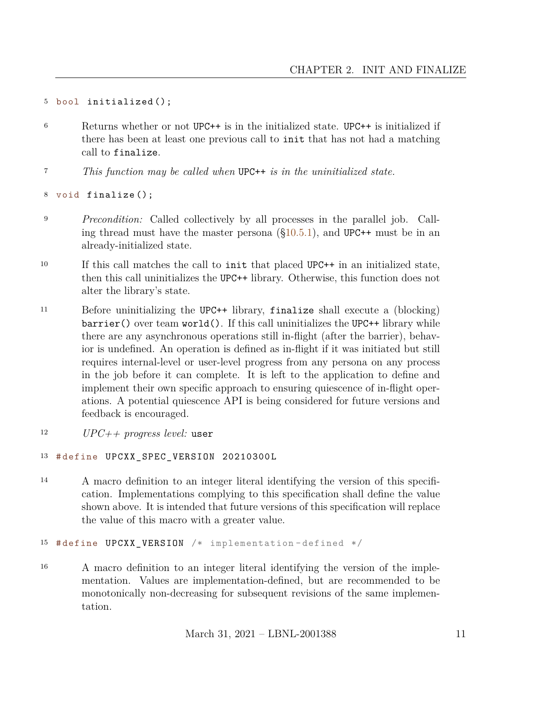5 bool initialized ();

- <sup>6</sup> Returns whether or not UPC++ is in the initialized state. UPC++ is initialized if there has been at least one previous call to init that has not had a matching call to finalize.
- <sup>7</sup> *This function may be called when* UPC++ *is in the uninitialized state.*

8 void finalize ();

- <sup>9</sup> *Precondition:* Called collectively by all processes in the parallel job. Calling thread must have the master persona  $(\S10.5.1)$ , and UPC++ must be in an already-initialized state.
- <sup>10</sup> If this call matches the call to init that placed UPC++ in an initialized state, then this call uninitializes the UPC++ library. Otherwise, this function does not alter the library's state.
- <sup>11</sup> Before uninitializing the UPC++ library, finalize shall execute a (blocking) barrier() over team world(). If this call uninitializes the UPC++ library while there are any asynchronous operations still in-flight (after the barrier), behavior is undefined. An operation is defined as in-flight if it was initiated but still requires internal-level or user-level progress from any persona on any process in the job before it can complete. It is left to the application to define and implement their own specific approach to ensuring quiescence of in-flight operations. A potential quiescence API is being considered for future versions and feedback is encouraged.
- <sup>12</sup> *UPC++ progress level:* user
- 13 # define UPCXX\_SPEC\_VERSION 20210300L
- <sup>14</sup> A macro definition to an integer literal identifying the version of this specification. Implementations complying to this specification shall define the value shown above. It is intended that future versions of this specification will replace the value of this macro with a greater value.

15 #define UPCXX VERSION /\* implementation-defined \*/

<sup>16</sup> A macro definition to an integer literal identifying the version of the implementation. Values are implementation-defined, but are recommended to be monotonically non-decreasing for subsequent revisions of the same implementation.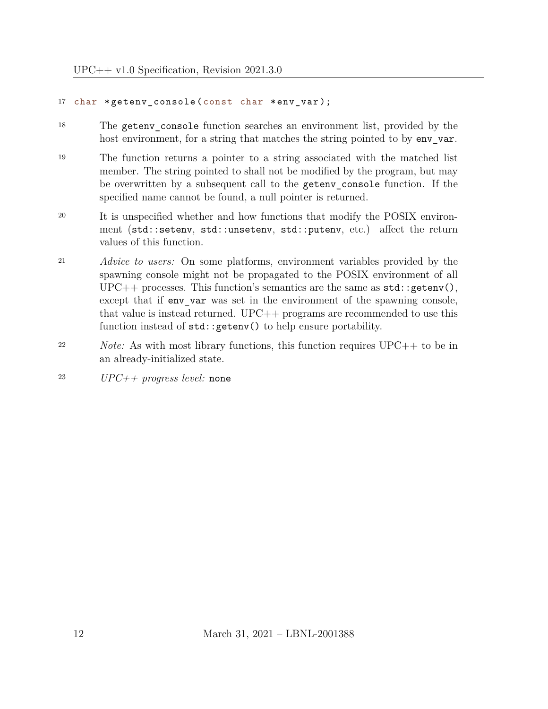#### 17 char \*getenv\_console (const char \*env\_var);

- <sup>18</sup> The getenv\_console function searches an environment list, provided by the host environment, for a string that matches the string pointed to by env var.
- <sup>19</sup> The function returns a pointer to a string associated with the matched list member. The string pointed to shall not be modified by the program, but may be overwritten by a subsequent call to the getenv\_console function. If the specified name cannot be found, a null pointer is returned.
- <sup>20</sup> It is unspecified whether and how functions that modify the POSIX environment (std::setenv, std::unsetenv, std::putenv, etc.) affect the return values of this function.
- <sup>21</sup> *Advice to users:* On some platforms, environment variables provided by the spawning console might not be propagated to the POSIX environment of all  $UPC++$  processes. This function's semantics are the same as  $std$ : : $getenv()$ , except that if env var was set in the environment of the spawning console, that value is instead returned. UPC++ programs are recommended to use this function instead of  $std::getenv()$  to help ensure portability.
- <sup>22</sup> *Note:* As with most library functions, this function requires UPC++ to be in an already-initialized state.
- <sup>23</sup> *UPC++ progress level:* none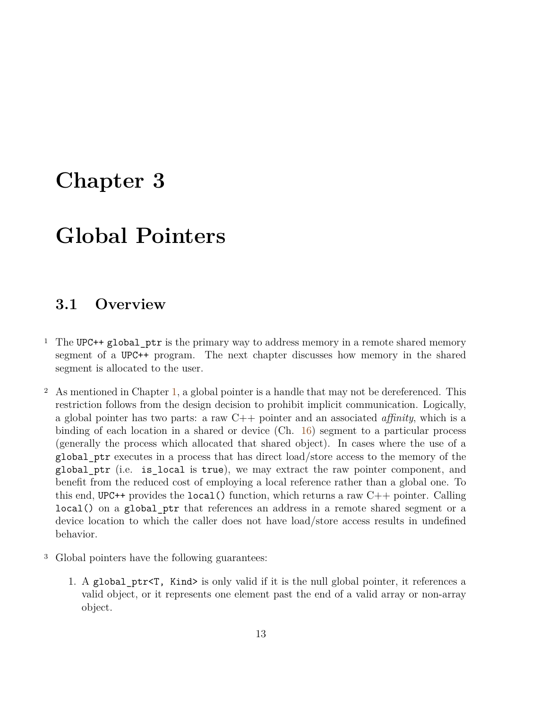# <span id="page-21-0"></span>**Chapter 3**

## **Global Pointers**

#### <span id="page-21-1"></span>**3.1 Overview**

- <sup>1</sup> The UPC++ global ptr is the primary way to address memory in a remote shared memory segment of a UPC++ program. The next chapter discusses how memory in the shared segment is allocated to the user.
- <sup>2</sup> As mentioned in Chapter [1,](#page-9-0) a global pointer is a handle that may not be dereferenced. This restriction follows from the design decision to prohibit implicit communication. Logically, a global pointer has two parts: a raw C++ pointer and an associated *affinity*, which is a binding of each location in a shared or device (Ch. [16\)](#page-160-0) segment to a particular process (generally the process which allocated that shared object). In cases where the use of a global\_ptr executes in a process that has direct load/store access to the memory of the global\_ptr (i.e. is\_local is true), we may extract the raw pointer component, and benefit from the reduced cost of employing a local reference rather than a global one. To this end, UPC++ provides the local() function, which returns a raw  $C++$  pointer. Calling local() on a global ptr that references an address in a remote shared segment or a device location to which the caller does not have load/store access results in undefined behavior.
- <sup>3</sup> Global pointers have the following guarantees:
	- 1. A global ptr $\leq T$ , Kind> is only valid if it is the null global pointer, it references a valid object, or it represents one element past the end of a valid array or non-array object.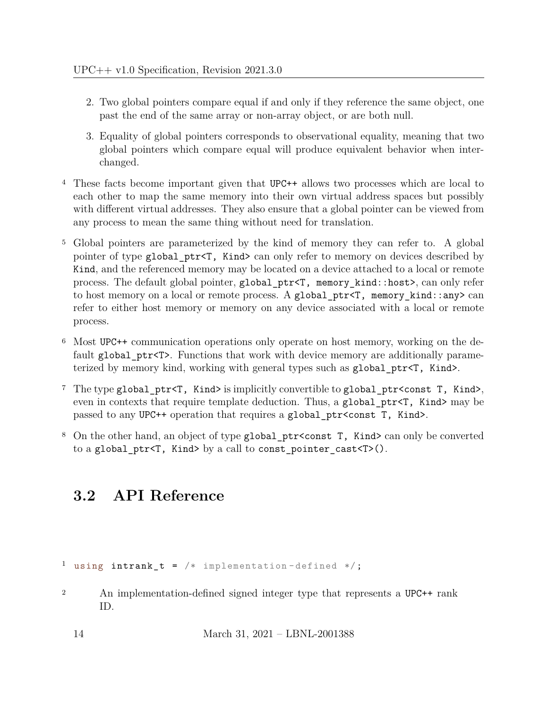- 2. Two global pointers compare equal if and only if they reference the same object, one past the end of the same array or non-array object, or are both null.
- 3. Equality of global pointers corresponds to observational equality, meaning that two global pointers which compare equal will produce equivalent behavior when interchanged.
- <sup>4</sup> These facts become important given that UPC++ allows two processes which are local to each other to map the same memory into their own virtual address spaces but possibly with different virtual addresses. They also ensure that a global pointer can be viewed from any process to mean the same thing without need for translation.
- <sup>5</sup> Global pointers are parameterized by the kind of memory they can refer to. A global pointer of type global  $ptr\leq T$ , Kind> can only refer to memory on devices described by Kind, and the referenced memory may be located on a device attached to a local or remote process. The default global pointer, global ptr<T, memory kind::host>, can only refer to host memory on a local or remote process. A global\_ptr<T, memory\_kind::any> can refer to either host memory or memory on any device associated with a local or remote process.
- <sup>6</sup> Most UPC++ communication operations only operate on host memory, working on the default global ptr<T>. Functions that work with device memory are additionally parameterized by memory kind, working with general types such as global ptr<T, Kind>.
- <sup>7</sup> The type global\_ptr<T, Kind> is implicitly convertible to global\_ptr<const T, Kind>, even in contexts that require template deduction. Thus, a global\_ptr<T, Kind> may be passed to any UPC++ operation that requires a global\_ptr<const T, Kind>.
- <sup>8</sup> On the other hand, an object of type global\_ptr<const T, Kind> can only be converted to a global ptr<T, Kind> by a call to const pointer cast<T>().

### <span id="page-22-0"></span>**3.2 API Reference**

<sup>1</sup> using intrank\_t =  $/*$  implementation-defined  $*/;$ 

- <sup>2</sup> An implementation-defined signed integer type that represents a UPC++ rank ID.
	- 14 March 31, 2021 LBNL-2001388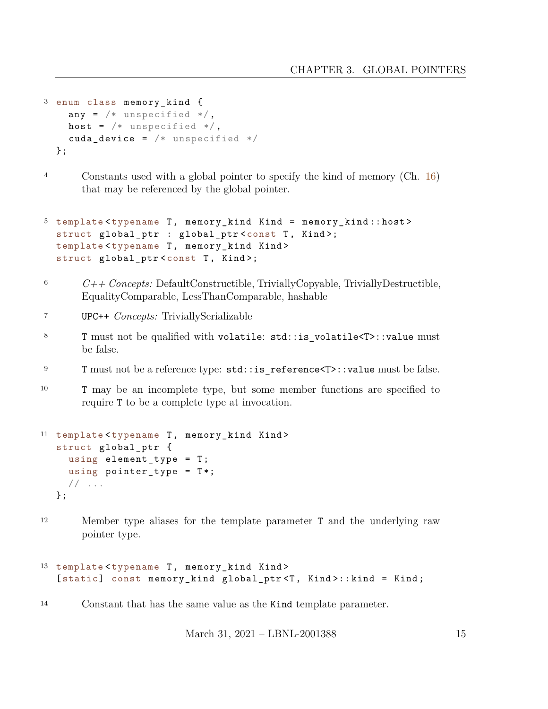```
3 enum class memory_kind {
   any = /* unspecified */,
   host = /* unspecified */,
    cuda device = /* unspecified */};
```
<sup>4</sup> Constants used with a global pointer to specify the kind of memory (Ch. [16\)](#page-160-0) that may be referenced by the global pointer.

```
5 template<typename T, memory_kind Kind = memory_kind::host>
  struct global_ptr : global_ptr<const T, Kind>;
  template<typename T, memory_kind Kind>
  struct global_ptr < const T, Kind>;
```
- <sup>6</sup> *C++ Concepts:* DefaultConstructible, TriviallyCopyable, TriviallyDestructible, EqualityComparable, LessThanComparable, hashable
- <sup>7</sup> UPC++ *Concepts:* TriviallySerializable
- 8 T must not be qualified with volatile: std::is volatile<T>::value must be false.
- 9 T must not be a reference type: std::is reference<T>::value must be false.
- <sup>10</sup> T may be an incomplete type, but some member functions are specified to require T to be a complete type at invocation.

```
11 template < typename T, memory_kind Kind>
  struct global_ptr {
    using element_type = T;
    using pointer_type = T*;
    // ...
  };
```
<sup>12</sup> Member type aliases for the template parameter T and the underlying raw pointer type.

```
13 template<typename T, memory_kind Kind>
  [static] const memory_kind global_ptr<T, Kind>:: kind = Kind;
```
<sup>14</sup> Constant that has the same value as the Kind template parameter.

```
March 31, 2021 – LBNL-2001388 15
```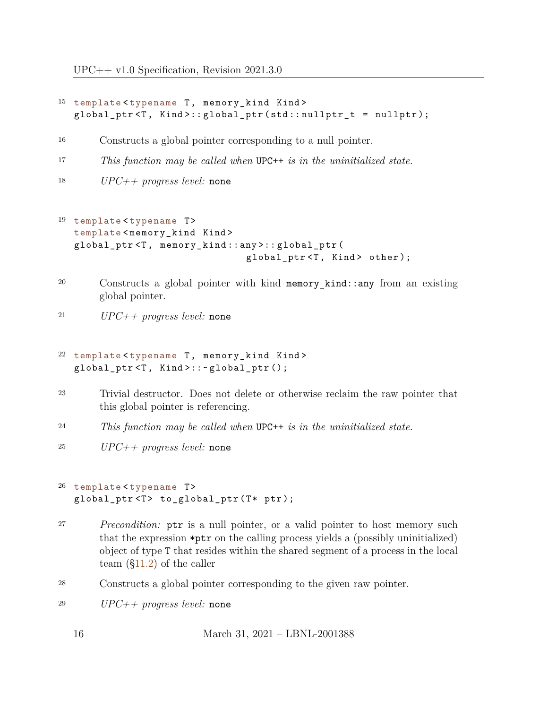```
15 template<typename T, memory_kind Kind>
  global_ptr <T , Kind >:: global_ptr ( std :: nullptr_t = nullptr );
16 Constructs a global pointer corresponding to a null pointer.
17 This function may be called when UPC++ is in the uninitialized state.
18 UPC++ progress level: none
19 template < typename T>
  template<memory kind Kind>
  global_ptr <T , memory_kind :: any >:: global_ptr (
                                   global ptr <T, Kind> other);
20 Constructs a global pointer with kind memory_kind::any from an existing
       global pointer.
```
<sup>21</sup> *UPC++ progress level:* none

```
22 template<typename T, memory_kind Kind>
  global_ptr <T , Kind >::~ global_ptr ();
```
- <sup>23</sup> Trivial destructor. Does not delete or otherwise reclaim the raw pointer that this global pointer is referencing.
- <sup>24</sup> *This function may be called when* UPC++ *is in the uninitialized state.*
- <sup>25</sup> *UPC++ progress level:* none

```
26 template < typename T>
  global_ptr<T> to_global_ptr(T* ptr);
```
- <sup>27</sup> *Precondition:* ptr is a null pointer, or a valid pointer to host memory such that the expression \*ptr on the calling process yields a (possibly uninitialized) object of type T that resides within the shared segment of a process in the local team  $(\S11.2)$  of the caller
- <sup>28</sup> Constructs a global pointer corresponding to the given raw pointer.
- <sup>29</sup> *UPC++ progress level:* none
	- 16 March 31, 2021 LBNL-2001388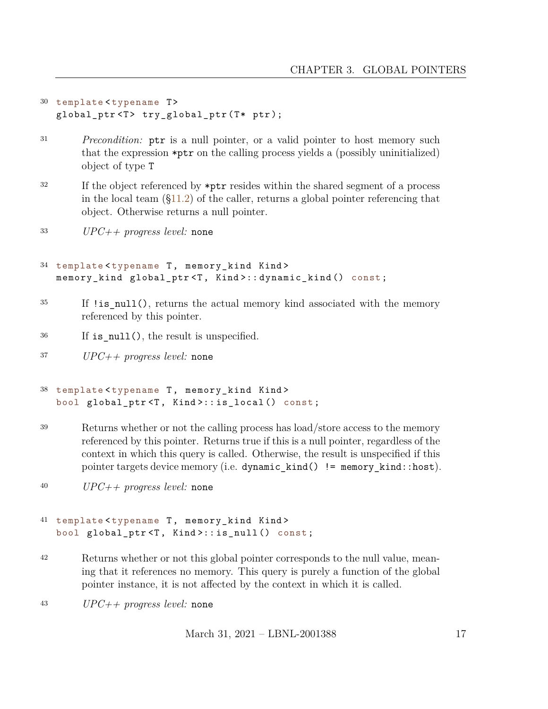```
30 template<typename T>
  global_ptr<T> try_global_ptr(T* ptr);
```
- <sup>31</sup> *Precondition:* ptr is a null pointer, or a valid pointer to host memory such that the expression \*ptr on the calling process yields a (possibly uninitialized) object of type T
- <sup>32</sup> If the object referenced by \*ptr resides within the shared segment of a process in the local team  $(\$11.2)$  of the caller, returns a global pointer referencing that object. Otherwise returns a null pointer.
- <sup>33</sup> *UPC++ progress level:* none

```
34 template<typename T, memory_kind Kind>
  memory_kind global_ptr <T , Kind >:: dynamic_kind () const ;
```
- <sup>35</sup> If !is null(), returns the actual memory kind associated with the memory referenced by this pointer.
- <sup>36</sup> If is null(), the result is unspecified.
- <sup>37</sup> *UPC++ progress level:* none

```
38 template<typename T, memory_kind Kind>
  bool global_ptr <T , Kind >:: is_local () const ;
```
- <sup>39</sup> Returns whether or not the calling process has load/store access to the memory referenced by this pointer. Returns true if this is a null pointer, regardless of the context in which this query is called. Otherwise, the result is unspecified if this pointer targets device memory (i.e. dynamic kind() != memory kind::host).
- <sup>40</sup> *UPC++ progress level:* none

```
41 template<typename T, memory_kind Kind>
  bool global_ptr<T, Kind>::is_null () const;
```
- <sup>42</sup> Returns whether or not this global pointer corresponds to the null value, meaning that it references no memory. This query is purely a function of the global pointer instance, it is not affected by the context in which it is called.
- <sup>43</sup> *UPC++ progress level:* none

```
March 31, 2021 – LBNL-2001388 17
```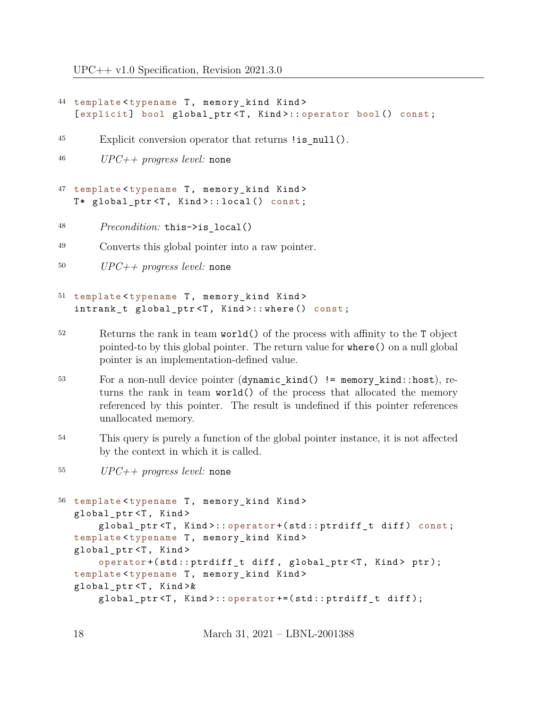```
44 template < typename T, memory_kind Kind>
   [explicit] bool global_ptr <T, Kind >:: operator bool() const;
<sup>45</sup> Explicit conversion operator that returns ! is null().
46 UPC++ progress level: none
47 template<typename T, memory_kind Kind>
  T* global_ptr<T, Kind>::local() const;
48 Precondition: this->is_local()
```
- <sup>49</sup> Converts this global pointer into a raw pointer.
- <sup>50</sup> *UPC++ progress level:* none

```
51 template<typename T, memory_kind Kind>
  intrank_t global_ptr<T, Kind>:: where () const;
```
- <sup>52</sup> Returns the rank in team world() of the process with affinity to the T object pointed-to by this global pointer. The return value for where() on a null global pointer is an implementation-defined value.
- 53 For a non-null device pointer (dynamic kind() != memory kind::host), returns the rank in team world() of the process that allocated the memory referenced by this pointer. The result is undefined if this pointer references unallocated memory.
- <sup>54</sup> This query is purely a function of the global pointer instance, it is not affected by the context in which it is called.
- <sup>55</sup> *UPC++ progress level:* none

```
56 template<typename T, memory_kind Kind>
  global_ptr <T , Kind >
       global_ptr <T , Kind >:: operator +( std :: ptrdiff_t diff ) const ;
  template<typename T, memory_kind Kind>
  global_ptr <T , Kind >
       operator+(std::ptrdiff_t diff, global_ptr<T, Kind> ptr);
  template<typename T, memory_kind Kind>
  global_ptr <T , Kind >&
       global_ptr <T , Kind >:: operator +=( std :: ptrdiff_t diff );
```
18 March 31, 2021 – LBNL-2001388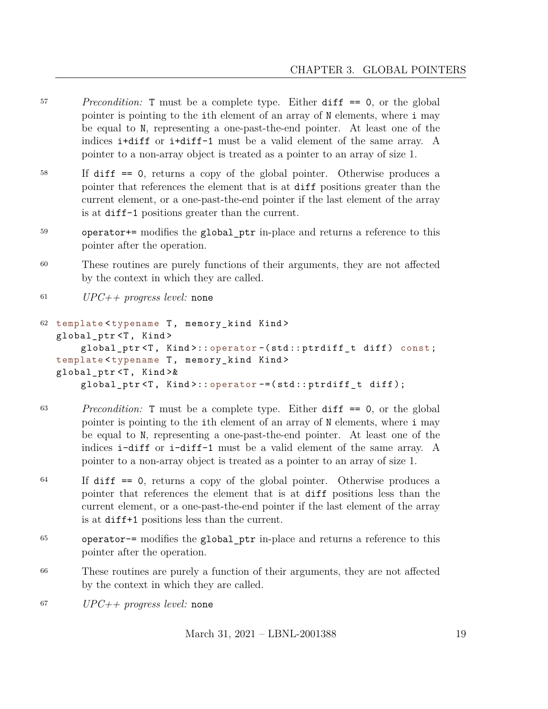- <sup>57</sup> *Precondition:* T must be a complete type. Either diff == 0, or the global pointer is pointing to the ith element of an array of N elements, where i may be equal to N, representing a one-past-the-end pointer. At least one of the indices i+diff or i+diff-1 must be a valid element of the same array. A pointer to a non-array object is treated as a pointer to an array of size 1.
- <sup>58</sup> If diff == 0, returns a copy of the global pointer. Otherwise produces a pointer that references the element that is at diff positions greater than the current element, or a one-past-the-end pointer if the last element of the array is at diff-1 positions greater than the current.
- <sup>59</sup> operator+= modifies the global\_ptr in-place and returns a reference to this pointer after the operation.
- <sup>60</sup> These routines are purely functions of their arguments, they are not affected by the context in which they are called.
- <sup>61</sup> *UPC++ progress level:* none

```
62 template<typename T, memory_kind Kind>
  global_ptr <T , Kind >
       global_ptr <T , Kind >:: operator -( std :: ptrdiff_t diff ) const ;
  template<typename T, memory_kind Kind>
  global_ptr <T , Kind >&
       global_ptr <T , Kind >:: operator -=( std :: ptrdiff_t diff );
```
- <sup>63</sup> *Precondition:* T must be a complete type. Either diff == 0, or the global pointer is pointing to the ith element of an array of N elements, where i may be equal to N, representing a one-past-the-end pointer. At least one of the indices i-diff or i-diff-1 must be a valid element of the same array. A pointer to a non-array object is treated as a pointer to an array of size 1.
- $64$  If diff  $== 0$ , returns a copy of the global pointer. Otherwise produces a pointer that references the element that is at diff positions less than the current element, or a one-past-the-end pointer if the last element of the array is at diff+1 positions less than the current.
- $65$  operator-= modifies the global ptr in-place and returns a reference to this pointer after the operation.
- <sup>66</sup> These routines are purely a function of their arguments, they are not affected by the context in which they are called.
- <sup>67</sup> *UPC++ progress level:* none

```
March 31, 2021 – LBNL-2001388 19
```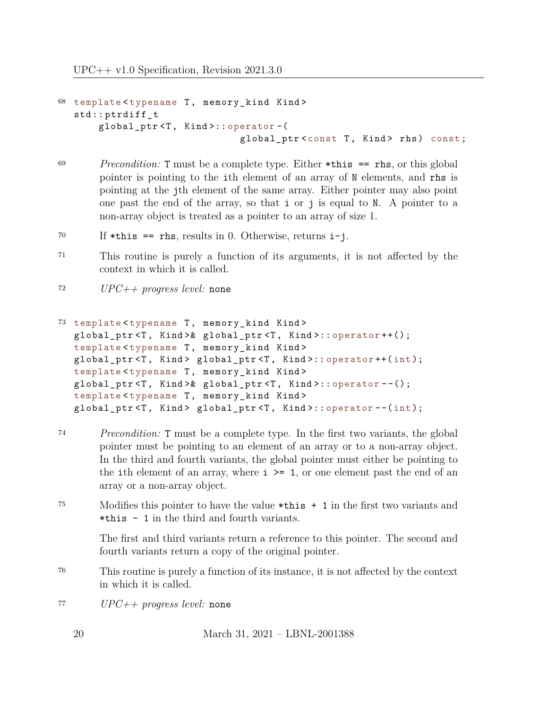```
68 template<typename T, memory_kind Kind>
  std:: ptrdiff t
       global_ptr <T , Kind >:: operator -(
                               global ptr<const T, Kind> rhs) const;
```
<sup>69</sup> *Precondition:* T must be a complete type. Either \*this == rhs, or this global pointer is pointing to the ith element of an array of N elements, and rhs is pointing at the jth element of the same array. Either pointer may also point one past the end of the array, so that i or j is equal to N. A pointer to a non-array object is treated as a pointer to an array of size 1.

```
70 If *this == rhs, results in 0. Otherwise, returns i-j.
```
- <sup>71</sup> This routine is purely a function of its arguments, it is not affected by the context in which it is called.
- <sup>72</sup> *UPC++ progress level:* none

```
73 template<typename T, memory_kind Kind>
  global_ptr <T , Kind >& global_ptr <T , Kind >:: operator ++();
  template<typename T, memory_kind Kind>
  global_ptr <T , Kind > global_ptr <T , Kind >:: operator ++( int );
  template<typename T, memory_kind Kind>
  global_ptr <T , Kind >& global_ptr <T , Kind >:: operator - -();
  template<typename T, memory_kind Kind>
  global_ptr<T, Kind> global_ptr<T, Kind>::operator--(int);
```
- <sup>74</sup> *Precondition:* T must be a complete type. In the first two variants, the global pointer must be pointing to an element of an array or to a non-array object. In the third and fourth variants, the global pointer must either be pointing to the ith element of an array, where  $i \geq 1$ , or one element past the end of an array or a non-array object.
- <sup>75</sup> Modifies this pointer to have the value \*this + 1 in the first two variants and \*this - 1 in the third and fourth variants.

The first and third variants return a reference to this pointer. The second and fourth variants return a copy of the original pointer.

- <sup>76</sup> This routine is purely a function of its instance, it is not affected by the context in which it is called.
- <sup>77</sup> *UPC++ progress level:* none

20 March 31, 2021 – LBNL-2001388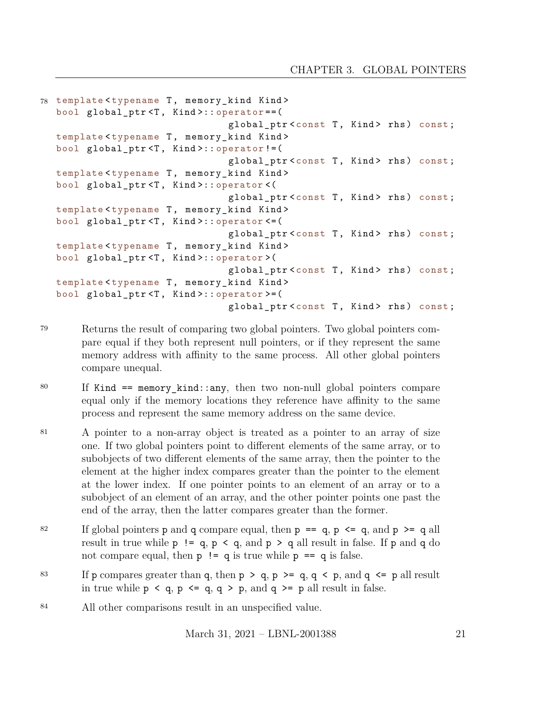```
78 template < typename T , memory_kind Kind >
  bool global_ptr <T , Kind >:: operator ==(
                                global ptr<const T, Kind> rhs) const;
  template<typename T, memory_kind Kind>
  bool global ptr <T, Kind >:: operator != (
                                global_ptr<const T, Kind> rhs) const;
  template<typename T, memory_kind Kind>
  bool global_ptr <T , Kind >:: operator <(
                                global_ptr<const T, Kind> rhs) const;
  template<typename T, memory_kind Kind>
  bool global_ptr <T , Kind >:: operator <=(
                                global_ptr<const T, Kind> rhs) const;
  template<typename T, memory_kind Kind>
  bool global_ptr <T , Kind >:: operator >(
                                global_ptr<const T, Kind> rhs) const;
  template<typename T, memory_kind Kind>
  bool global_ptr <T , Kind >:: operator >=(
                                global ptr<const T, Kind> rhs) const;
```
- <sup>79</sup> Returns the result of comparing two global pointers. Two global pointers compare equal if they both represent null pointers, or if they represent the same memory address with affinity to the same process. All other global pointers compare unequal.
- 80 If Kind  $==$  memory kind::any, then two non-null global pointers compare equal only if the memory locations they reference have affinity to the same process and represent the same memory address on the same device.
- <sup>81</sup> A pointer to a non-array object is treated as a pointer to an array of size one. If two global pointers point to different elements of the same array, or to subobjects of two different elements of the same array, then the pointer to the element at the higher index compares greater than the pointer to the element at the lower index. If one pointer points to an element of an array or to a subobject of an element of an array, and the other pointer points one past the end of the array, then the latter compares greater than the former.
- 82 If global pointers p and q compare equal, then  $p == q$ ,  $p \leq q$ , and  $p \geq q$  all result in true while  $p \neq q$ ,  $p \leq q$ , and  $p \geq q$  all result in false. If p and q do not compare equal, then  $p := q$  is true while  $p == q$  is false.
- 83 If p compares greater than q, then  $p > q$ ,  $p \ge q$ ,  $q < p$ , and  $q \le p$  all result in true while  $p \le q$ ,  $p \le q$ ,  $q > p$ , and  $q \ge p$  all result in false.
- <sup>84</sup> All other comparisons result in an unspecified value.

$$
March\; 31, \; 2021 - LBNL-2001388 \qquad \qquad 21
$$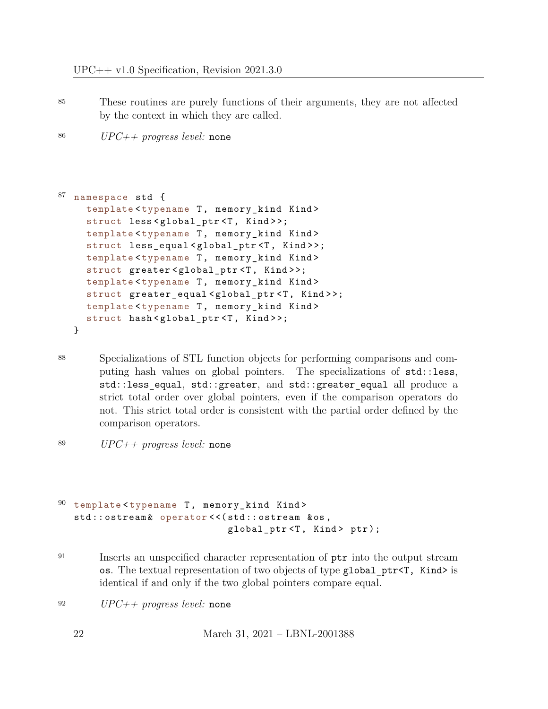<sup>85</sup> These routines are purely functions of their arguments, they are not affected by the context in which they are called.

<sup>86</sup> *UPC++ progress level:* none

```
87 namespace std {
    template<typename T, memory_kind Kind>
    struct less<global_ptr<T, Kind>>;
    template<typename T, memory_kind Kind>
    struct less_equal<global_ptr<T, Kind>>;
    template<typename T, memory_kind Kind>
    struct greater<global_ptr<T, Kind>>;
    template<typename T, memory_kind Kind>
    struct greater_equal < global_ptr <T, Kind>>;
    template<typename T, memory_kind Kind>
    struct hash<global_ptr<T, Kind>>;
  }
```
<sup>88</sup> Specializations of STL function objects for performing comparisons and computing hash values on global pointers. The specializations of std::less, std::less equal, std::greater, and std::greater equal all produce a strict total order over global pointers, even if the comparison operators do not. This strict total order is consistent with the partial order defined by the comparison operators.

```
90 template < typename T, memory_kind Kind>
  std:: ostream & operator << (std:: ostream & os,
                              global_ptr<T, Kind> ptr);
```
- <sup>91</sup> Inserts an unspecified character representation of ptr into the output stream os. The textual representation of two objects of type global\_ptr<T, Kind> is identical if and only if the two global pointers compare equal.
- <sup>92</sup> *UPC++ progress level:* none
	- 22 March 31, 2021 LBNL-2001388

<sup>89</sup> *UPC++ progress level:* none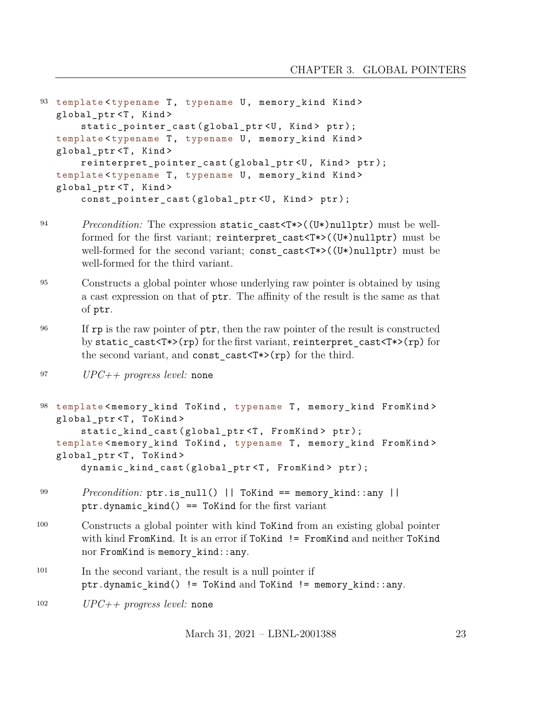```
93 template<typename T, typename U, memory_kind Kind>
  global_ptr <T , Kind >
      static_pointer_cast(global_ptr<U, Kind> ptr);
  template<typename T, typename U, memory kind Kind>
  global_ptr <T , Kind >
      reinterpret_pointer_cast ( global_ptr <U , Kind > ptr );
  template<typename T, typename U, memory_kind Kind>
  global_ptr <T , Kind >
      const_pointer_cast(global_ptr<U, Kind> ptr);
```
- <sup>94</sup> *Precondition:* The expression static\_cast<T\*>((U\*)nullptr) must be wellformed for the first variant; reinterpret cast  $\langle (U*)nullptr \rangle$  must be well-formed for the second variant; const cast<T\*>((U\*)nullptr) must be well-formed for the third variant.
- <sup>95</sup> Constructs a global pointer whose underlying raw pointer is obtained by using a cast expression on that of ptr. The affinity of the result is the same as that of ptr.
- $^{96}$  If rp is the raw pointer of ptr, then the raw pointer of the result is constructed by static cast<T\*>(rp) for the first variant, reinterpret cast<T\*>(rp) for the second variant, and const cast $\langle T^* \rangle(r)$  for the third.
- <sup>97</sup> *UPC++ progress level:* none

```
98 template<memory_kind ToKind, typename T, memory_kind FromKind>
  global_ptr <T , ToKind >
       static_kind_cast ( global_ptr <T, FromKind > ptr );
  template<memory_kind ToKind, typename T, memory_kind FromKind>
  global_ptr <T , ToKind >
       dynamic_kind_cast ( global_ptr <T , FromKind > ptr );
```
- 99 *Precondition:* ptr.is null() || ToKind == memory kind::any || ptr.dynamic  $kind() == Tokind$  for the first variant
- <sup>100</sup> Constructs a global pointer with kind ToKind from an existing global pointer with kind FromKind. It is an error if ToKind != FromKind and neither ToKind nor FromKind is memory kind::any.
- <sup>101</sup> In the second variant, the result is a null pointer if ptr.dynamic\_kind() != ToKind and ToKind != memory\_kind::any.
- <sup>102</sup> *UPC++ progress level:* none

```
March 31, 2021 – LBNL-2001388 23
```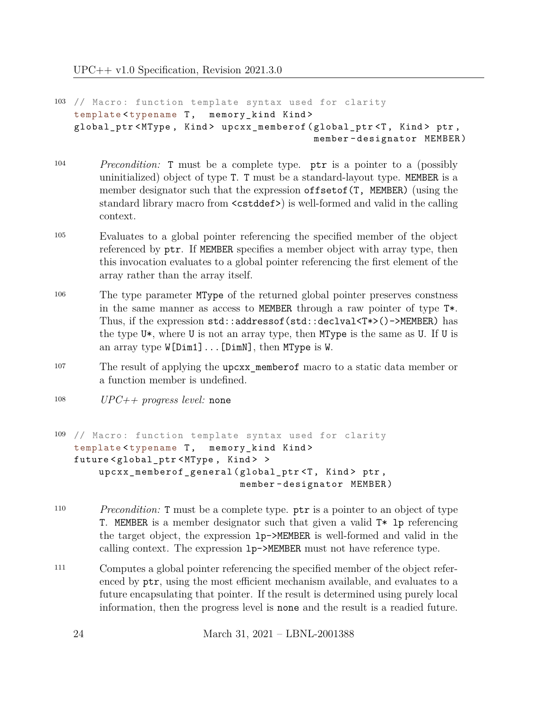103 // Macro: function template syntax used for clarity template<typename T, memory kind Kind> global\_ptr < MType , Kind > upcxx\_memberof ( global\_ptr <T , Kind > ptr , member - designator MEMBER )

- <sup>104</sup> *Precondition:* T must be a complete type. ptr is a pointer to a (possibly uninitialized) object of type T. T must be a standard-layout type. MEMBER is a member designator such that the expression offsetof(T, MEMBER) (using the standard library macro from <cstddef>) is well-formed and valid in the calling context.
- <sup>105</sup> Evaluates to a global pointer referencing the specified member of the object referenced by ptr. If MEMBER specifies a member object with array type, then this invocation evaluates to a global pointer referencing the first element of the array rather than the array itself.
- <sup>106</sup> The type parameter MType of the returned global pointer preserves constness in the same manner as access to MEMBER through a raw pointer of type T\*. Thus, if the expression std::addressof(std::declval<T\*>()->MEMBER) has the type U\*, where U is not an array type, then MType is the same as U. If U is an array type W[Dim1]...[DimN], then MType is W.
- <sup>107</sup> The result of applying the upcxx member of macro to a static data member or a function member is undefined.
- <sup>108</sup> *UPC++ progress level:* none

```
109 // Macro: function template syntax used for clarity
   template<typename T, memory_kind Kind>
   future < global_ptr < MType , Kind > >
       upcxx_memberof_general ( global_ptr <T , Kind > ptr ,
                                member - designator MEMBER )
```
- <sup>110</sup> *Precondition:* T must be a complete type. ptr is a pointer to an object of type T. MEMBER is a member designator such that given a valid  $T^*$  1p referencing the target object, the expression lp->MEMBER is well-formed and valid in the calling context. The expression lp->MEMBER must not have reference type.
- <sup>111</sup> Computes a global pointer referencing the specified member of the object referenced by ptr, using the most efficient mechanism available, and evaluates to a future encapsulating that pointer. If the result is determined using purely local information, then the progress level is none and the result is a readied future.

```
24 March 31, 2021 – LBNL-2001388
```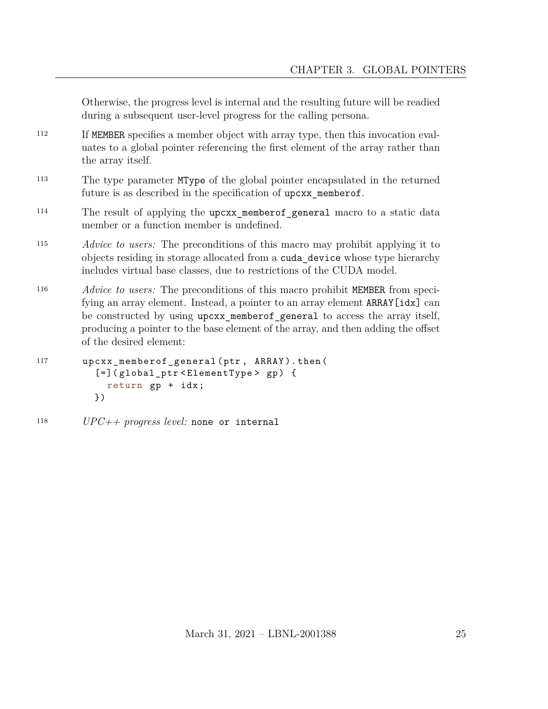Otherwise, the progress level is internal and the resulting future will be readied during a subsequent user-level progress for the calling persona.

- <sup>112</sup> If MEMBER specifies a member object with array type, then this invocation evaluates to a global pointer referencing the first element of the array rather than the array itself.
- <sup>113</sup> The type parameter MType of the global pointer encapsulated in the returned future is as described in the specification of upcxx memberof.
- <sup>114</sup> The result of applying the upcxx memberof general macro to a static data member or a function member is undefined.
- <sup>115</sup> *Advice to users:* The preconditions of this macro may prohibit applying it to objects residing in storage allocated from a cuda\_device whose type hierarchy includes virtual base classes, due to restrictions of the CUDA model.
- <sup>116</sup> *Advice to users:* The preconditions of this macro prohibit MEMBER from specifying an array element. Instead, a pointer to an array element ARRAY[idx] can be constructed by using upcxx\_memberof\_general to access the array itself, producing a pointer to the base element of the array, and then adding the offset of the desired element:

```
117 upcxx memberof general (ptr, ARRAY). then (
          [=]( global_ptr < ElementType > gp ) {
            return gp + idx ;
          })
```
<sup>118</sup> *UPC++ progress level:* none or internal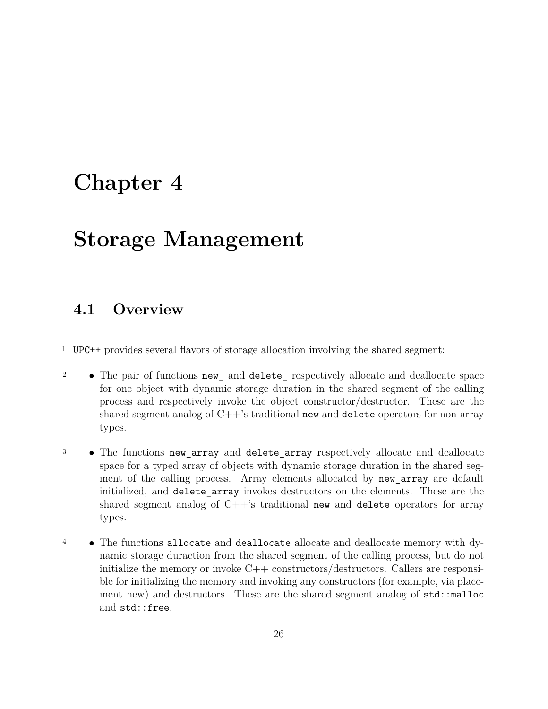# <span id="page-34-0"></span>**Chapter 4**

# **Storage Management**

#### <span id="page-34-1"></span>**4.1 Overview**

<sup>1</sup> UPC++ provides several flavors of storage allocation involving the shared segment:

- <sup>2</sup> The pair of functions new and delete respectively allocate and deallocate space for one object with dynamic storage duration in the shared segment of the calling process and respectively invoke the object constructor/destructor. These are the shared segment analog of C++'s traditional new and delete operators for non-array types.
- <sup>3</sup> The functions new array and delete array respectively allocate and deallocate space for a typed array of objects with dynamic storage duration in the shared segment of the calling process. Array elements allocated by new\_array are default initialized, and delete array invokes destructors on the elements. These are the shared segment analog of  $C++$ 's traditional new and delete operators for array types.
- <sup>4</sup> The functions allocate and deallocate allocate and deallocate memory with dynamic storage duraction from the shared segment of the calling process, but do not initialize the memory or invoke  $C++$  constructors/destructors. Callers are responsible for initializing the memory and invoking any constructors (for example, via placement new) and destructors. These are the shared segment analog of std::malloc and std::free.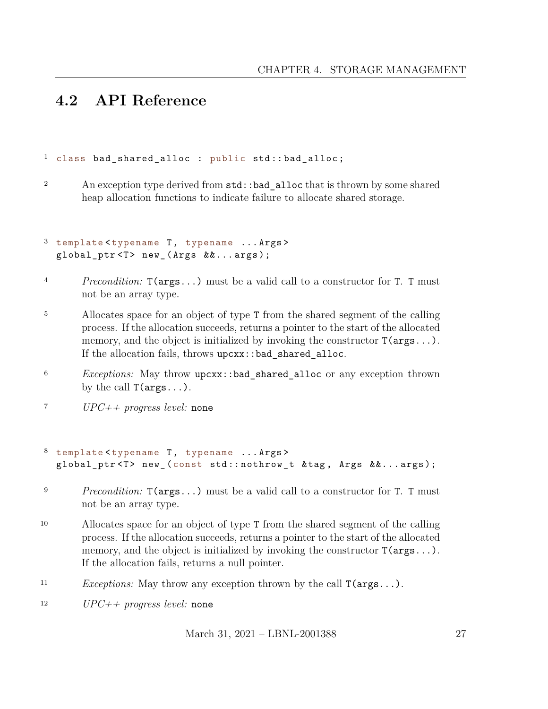### <span id="page-35-0"></span>**4.2 API Reference**

<sup>1</sup> class bad\_shared\_alloc : public std::bad\_alloc;

2 An exception type derived from  $std::bad$  alloc that is thrown by some shared heap allocation functions to indicate failure to allocate shared storage.

```
3 template < typename T, typename ... Args >
  global_ptr<T> new_(Args &&...args);
```
- <sup>4</sup> *Precondition:* T(args...) must be a valid call to a constructor for T. T must not be an array type.
- <sup>5</sup> Allocates space for an object of type T from the shared segment of the calling process. If the allocation succeeds, returns a pointer to the start of the allocated memory, and the object is initialized by invoking the constructor  $T(\arg s \dots)$ . If the allocation fails, throws upcxx::bad\_shared\_alloc.
- <sup>6</sup> *Exceptions:* May throw upcxx::bad\_shared\_alloc or any exception thrown by the call  $T(\text{args}...).$
- <sup>7</sup> *UPC++ progress level:* none

```
8 template < typename T, typename ... Args >
  global_ptr<T> new_(const std::nothrow_t &tag, Args &&...args);
```
- <sup>9</sup> *Precondition:* T(args...) must be a valid call to a constructor for T. T must not be an array type.
- <sup>10</sup> Allocates space for an object of type T from the shared segment of the calling process. If the allocation succeeds, returns a pointer to the start of the allocated memory, and the object is initialized by invoking the constructor  $T(args...)$ . If the allocation fails, returns a null pointer.
- <sup>11</sup> *Exceptions:* May throw any exception thrown by the call T(args...).
- <sup>12</sup> *UPC++ progress level:* none

```
March 31, 2021 – LBNL-2001388 27
```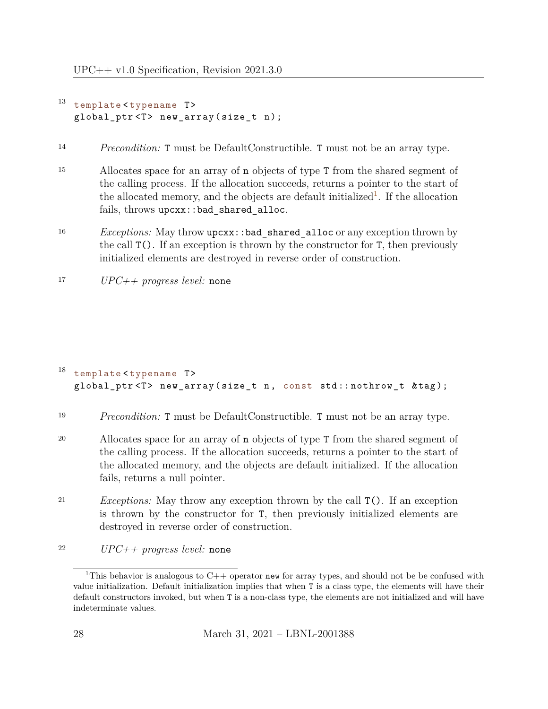### template < typename T> global\_ptr<T> new\_array (size\_t n);

<sup>14</sup> *Precondition:* T must be DefaultConstructible. T must not be an array type.

- <sup>15</sup> Allocates space for an array of n objects of type T from the shared segment of the calling process. If the allocation succeeds, returns a pointer to the start of the allocated memory, and the objects are default initialized<sup>[1](#page-36-0)</sup>. If the allocation fails, throws upcxx: : bad shared alloc.
- <sup>16</sup> *Exceptions:* May throw upcxx::bad\_shared\_alloc or any exception thrown by the call  $T()$ . If an exception is thrown by the constructor for  $T$ , then previously initialized elements are destroyed in reverse order of construction.
- <sup>17</sup> *UPC++ progress level:* none

```
18 template < typename T>
  global_ptr<T> new_array(size_t n, const std::nothrow_t &tag);
```
- <sup>19</sup> *Precondition:* T must be DefaultConstructible. T must not be an array type.
- <sup>20</sup> Allocates space for an array of n objects of type T from the shared segment of the calling process. If the allocation succeeds, returns a pointer to the start of the allocated memory, and the objects are default initialized. If the allocation fails, returns a null pointer.
- <sup>21</sup> *Exceptions:* May throw any exception thrown by the call T(). If an exception is thrown by the constructor for T, then previously initialized elements are destroyed in reverse order of construction.
- <sup>22</sup> *UPC++ progress level:* none

<span id="page-36-0"></span><sup>&</sup>lt;sup>1</sup>This behavior is analogous to C++ operator new for array types, and should not be be confused with value initialization. Default initialization implies that when T is a class type, the elements will have their default constructors invoked, but when T is a non-class type, the elements are not initialized and will have indeterminate values.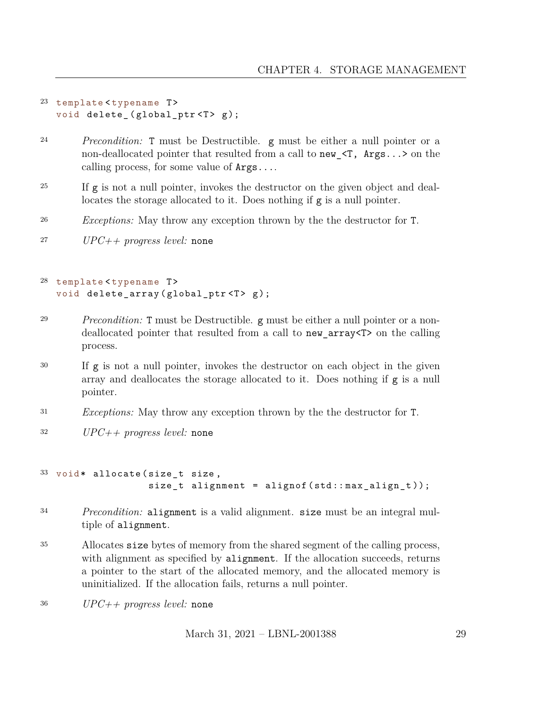```
23 template<typename T>
  void delete_(global_ptr <T> g);
```
- <sup>24</sup> *Precondition:* T must be Destructible. g must be either a null pointer or a non-deallocated pointer that resulted from a call to new  $\leq T$ , Args... $>$  on the calling process, for some value of Args....
- <sup>25</sup> If g is not a null pointer, invokes the destructor on the given object and deallocates the storage allocated to it. Does nothing if g is a null pointer.
- <sup>26</sup> *Exceptions:* May throw any exception thrown by the the destructor for T.
- <sup>27</sup> *UPC++ progress level:* none

```
28 template < typename T>
  void delete_array ( global_ptr <T> g);
```
- <sup>29</sup> *Precondition:* T must be Destructible. g must be either a null pointer or a nondeallocated pointer that resulted from a call to new\_array<T> on the calling process.
- <sup>30</sup> If g is not a null pointer, invokes the destructor on each object in the given array and deallocates the storage allocated to it. Does nothing if g is a null pointer.
- <sup>31</sup> *Exceptions:* May throw any exception thrown by the the destructor for T.
- <sup>32</sup> *UPC++ progress level:* none

 $33$  void\* allocate (size\_t size,  $size_t$  alignment = alignof  $(std::max_align_t))$ ;

- <sup>34</sup> *Precondition:* alignment is a valid alignment. size must be an integral multiple of alignment.
- <sup>35</sup> Allocates size bytes of memory from the shared segment of the calling process, with alignment as specified by alignment. If the allocation succeeds, returns a pointer to the start of the allocated memory, and the allocated memory is uninitialized. If the allocation fails, returns a null pointer.
- <sup>36</sup> *UPC++ progress level:* none

```
March 31, 2021 – LBNL-2001388 29
```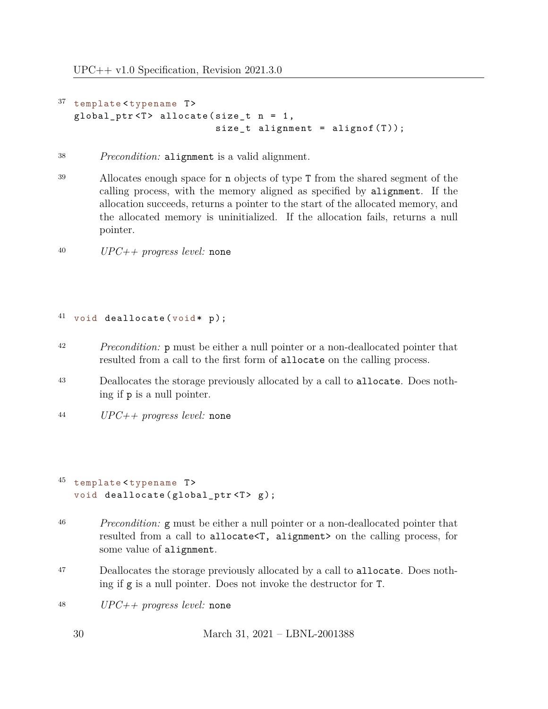```
37 template lttypename T>
  global_ptr < T > allocate (size_t n = 1,
                            size_t alignment = alignof(T);
```
<sup>38</sup> *Precondition:* alignment is a valid alignment.

<sup>39</sup> Allocates enough space for n objects of type T from the shared segment of the calling process, with the memory aligned as specified by alignment. If the allocation succeeds, returns a pointer to the start of the allocated memory, and the allocated memory is uninitialized. If the allocation fails, returns a null pointer.

<sup>40</sup> *UPC++ progress level:* none

#### $41$  void deallocate (void\* p);

- <sup>42</sup> *Precondition:* p must be either a null pointer or a non-deallocated pointer that resulted from a call to the first form of allocate on the calling process.
- <sup>43</sup> Deallocates the storage previously allocated by a call to allocate. Does nothing if p is a null pointer.
- <sup>44</sup> *UPC++ progress level:* none

#### $45$  template < typename T> void deallocate (global\_ptr <T> g);

- <sup>46</sup> *Precondition:* g must be either a null pointer or a non-deallocated pointer that resulted from a call to allocate<T, alignment> on the calling process, for some value of alignment.
- <sup>47</sup> Deallocates the storage previously allocated by a call to allocate. Does nothing if g is a null pointer. Does not invoke the destructor for T.
- <sup>48</sup> *UPC++ progress level:* none
	- 30 March 31, 2021 LBNL-2001388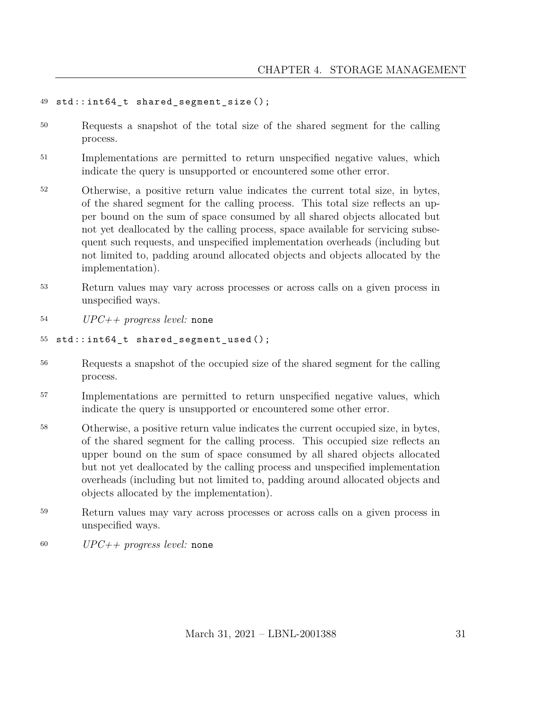```
49 std :: int64_t shared_segment_size ();
```
- <sup>50</sup> Requests a snapshot of the total size of the shared segment for the calling process.
- <sup>51</sup> Implementations are permitted to return unspecified negative values, which indicate the query is unsupported or encountered some other error.
- <sup>52</sup> Otherwise, a positive return value indicates the current total size, in bytes, of the shared segment for the calling process. This total size reflects an upper bound on the sum of space consumed by all shared objects allocated but not yet deallocated by the calling process, space available for servicing subsequent such requests, and unspecified implementation overheads (including but not limited to, padding around allocated objects and objects allocated by the implementation).
- <sup>53</sup> Return values may vary across processes or across calls on a given process in unspecified ways.
- <sup>54</sup> *UPC++ progress level:* none
- 55 std :: int64\_t shared\_segment\_used ();
- <sup>56</sup> Requests a snapshot of the occupied size of the shared segment for the calling process.
- <sup>57</sup> Implementations are permitted to return unspecified negative values, which indicate the query is unsupported or encountered some other error.
- <sup>58</sup> Otherwise, a positive return value indicates the current occupied size, in bytes, of the shared segment for the calling process. This occupied size reflects an upper bound on the sum of space consumed by all shared objects allocated but not yet deallocated by the calling process and unspecified implementation overheads (including but not limited to, padding around allocated objects and objects allocated by the implementation).
- <sup>59</sup> Return values may vary across processes or across calls on a given process in unspecified ways.
- <sup>60</sup> *UPC++ progress level:* none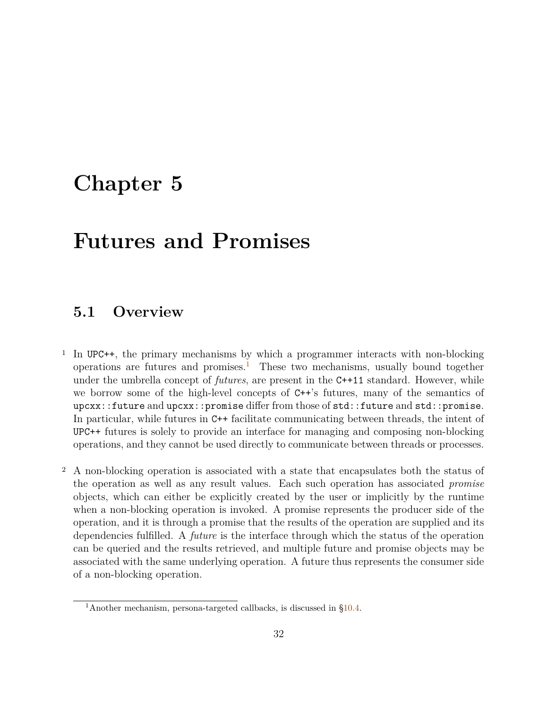# <span id="page-40-1"></span>**Chapter 5**

# **Futures and Promises**

### **5.1 Overview**

- <sup>1</sup> In UPC++, the primary mechanisms by which a programmer interacts with non-blocking operations are futures and promises.[1](#page-40-0) These two mechanisms, usually bound together under the umbrella concept of *futures*, are present in the C++11 standard. However, while we borrow some of the high-level concepts of C++'s futures, many of the semantics of upcxx::future and upcxx::promise differ from those of std::future and std::promise. In particular, while futures in C++ facilitate communicating between threads, the intent of UPC++ futures is solely to provide an interface for managing and composing non-blocking operations, and they cannot be used directly to communicate between threads or processes.
- <sup>2</sup> A non-blocking operation is associated with a state that encapsulates both the status of the operation as well as any result values. Each such operation has associated *promise* objects, which can either be explicitly created by the user or implicitly by the runtime when a non-blocking operation is invoked. A promise represents the producer side of the operation, and it is through a promise that the results of the operation are supplied and its dependencies fulfilled. A *future* is the interface through which the status of the operation can be queried and the results retrieved, and multiple future and promise objects may be associated with the same underlying operation. A future thus represents the consumer side of a non-blocking operation.

<span id="page-40-0"></span><sup>1</sup>Another mechanism, persona-targeted callbacks, is discussed in [§10.4.](#page-108-0)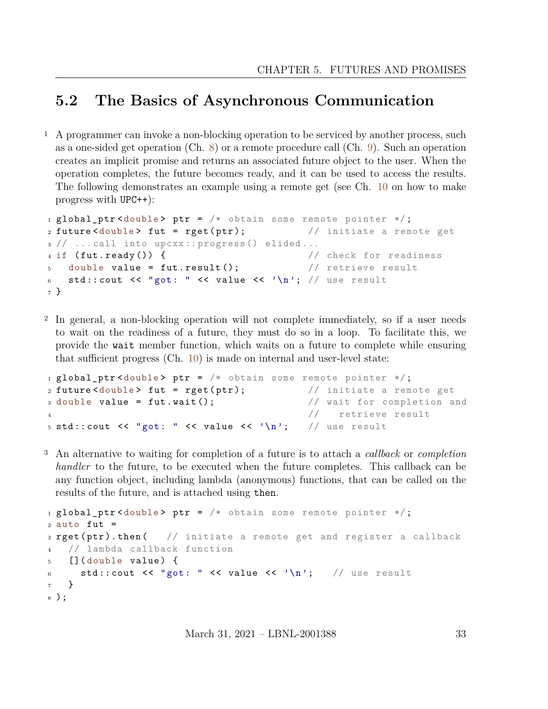## **5.2 The Basics of Asynchronous Communication**

<sup>1</sup> A programmer can invoke a non-blocking operation to be serviced by another process, such as a one-sided get operation (Ch. [8\)](#page-93-0) or a remote procedure call (Ch. [9\)](#page-97-0). Such an operation creates an implicit promise and returns an associated future object to the user. When the operation completes, the future becomes ready, and it can be used to access the results. The following demonstrates an example using a remote get (see Ch. [10](#page-105-0) on how to make progress with UPC++):

```
1 global_ptr<double> ptr = /* obtain some remote pointer */;2 future<double> fut = rget(ptr); // initiate a remote get
3 // \ldots call into upcxx:: progress () elided...
4 if (fut.ready()) { \qquad // check for readiness
   double value = fut. result (); // retrieve result
6 std:: cout << "got: " << value << '\n'; // use result
7 }
```
<sup>2</sup> In general, a non-blocking operation will not complete immediately, so if a user needs to wait on the readiness of a future, they must do so in a loop. To facilitate this, we provide the wait member function, which waits on a future to complete while ensuring that sufficient progress (Ch. [10\)](#page-105-0) is made on internal and user-level state:

```
1 global_ptr<double> ptr = /* obtain some remote pointer */;
2 future <double > fut = rget (ptr); \frac{1}{2} initiate a remote get
3 double value = fut.wait(); \frac{1}{2} wait for completion and
                                            // retrieve result
5 std:: cout \lt\lt "got: " \lt\lt value \lt\lt' '\n'; // use result
```
<sup>3</sup> An alternative to waiting for completion of a future is to attach a *callback* or *completion handler* to the future, to be executed when the future completes. This callback can be any function object, including lambda (anonymous) functions, that can be called on the results of the future, and is attached using then.

```
1 global_ptr<double> ptr = /* obtain some remote pointer */;2 auto fut =
3 rget (ptr). then (\frac{1}{1} initiate a remote get and register a callback
4 // lambda callback function
5 [](double value) {
6 std:: cout << "got: " << value << '\n'; // use result
   7 }
8 );
```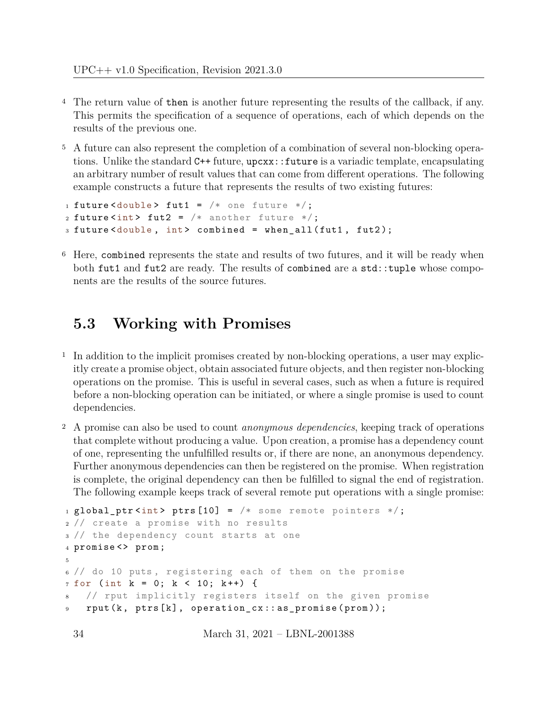- <sup>4</sup> The return value of then is another future representing the results of the callback, if any. This permits the specification of a sequence of operations, each of which depends on the results of the previous one.
- <sup>5</sup> A future can also represent the completion of a combination of several non-blocking operations. Unlike the standard C++ future, upcxx::future is a variadic template, encapsulating an arbitrary number of result values that can come from different operations. The following example constructs a future that represents the results of two existing futures:

```
1 future < double > fut1 = /* one future */;
2 future<int> fut2 = /* another future */;3 future <double , int > combined = when_all ( fut1 , fut2 );
```
<sup>6</sup> Here, combined represents the state and results of two futures, and it will be ready when both fut1 and fut2 are ready. The results of combined are a std::tuple whose components are the results of the source futures.

## **5.3 Working with Promises**

- <sup>1</sup> In addition to the implicit promises created by non-blocking operations, a user may explicitly create a promise object, obtain associated future objects, and then register non-blocking operations on the promise. This is useful in several cases, such as when a future is required before a non-blocking operation can be initiated, or where a single promise is used to count dependencies.
- <sup>2</sup> A promise can also be used to count *anonymous dependencies*, keeping track of operations that complete without producing a value. Upon creation, a promise has a dependency count of one, representing the unfulfilled results or, if there are none, an anonymous dependency. Further anonymous dependencies can then be registered on the promise. When registration is complete, the original dependency can then be fulfilled to signal the end of registration. The following example keeps track of several remote put operations with a single promise:

```
1 global_ptr<int> ptrs [10] = /* some remote pointers */;
2 // create a promise with no results
3 // the dependency count starts at one
4 promise <> prom;
5
6 // do 10 puts, registering each of them on the promise
7 for (int k = 0; k < 10; k++) {
   8 // rput implicitly registers itself on the given promise
9 rput (k, ptrs [k], operation_cx:: as_promise (prom));
```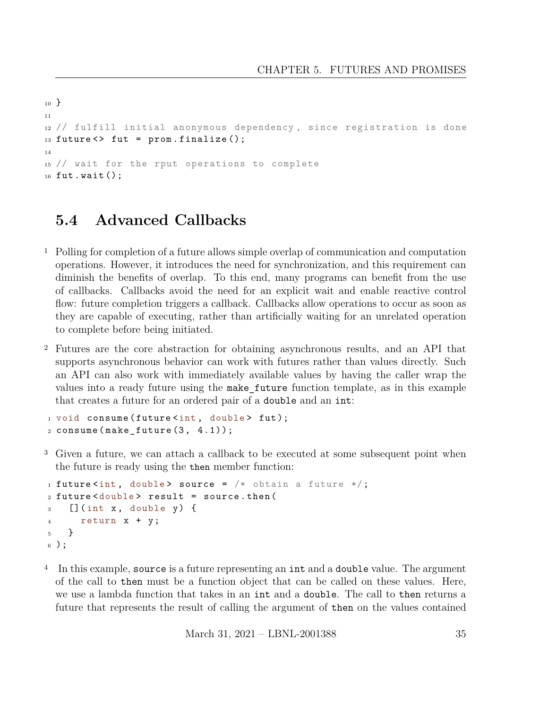```
10 }
11
12 // fulfill initial anonymous dependency , since registration is done
13 future <> fut = prom. finalize();
14
15 // wait for the rput operations to complete
16 fut . wait ();
```
## **5.4 Advanced Callbacks**

- <sup>1</sup> Polling for completion of a future allows simple overlap of communication and computation operations. However, it introduces the need for synchronization, and this requirement can diminish the benefits of overlap. To this end, many programs can benefit from the use of callbacks. Callbacks avoid the need for an explicit wait and enable reactive control flow: future completion triggers a callback. Callbacks allow operations to occur as soon as they are capable of executing, rather than artificially waiting for an unrelated operation to complete before being initiated.
- <sup>2</sup> Futures are the core abstraction for obtaining asynchronous results, and an API that supports asynchronous behavior can work with futures rather than values directly. Such an API can also work with immediately available values by having the caller wrap the values into a ready future using the make\_future function template, as in this example that creates a future for an ordered pair of a double and an int:

```
1 void consume (future <int, double> fut);
2 consume (make_future (3, 4.1));
```
<sup>3</sup> Given a future, we can attach a callback to be executed at some subsequent point when the future is ready using the then member function:

```
1 future <int, double > source = /* obtain a future */;2 future <double > result = source . then (
_3 [](int x, double y) {
4 return x + y ;
5 }
6 );
```
<sup>4</sup> In this example, source is a future representing an int and a double value. The argument of the call to then must be a function object that can be called on these values. Here, we use a lambda function that takes in an int and a double. The call to then returns a future that represents the result of calling the argument of then on the values contained

March 31, 2021 – LBNL-2001388 35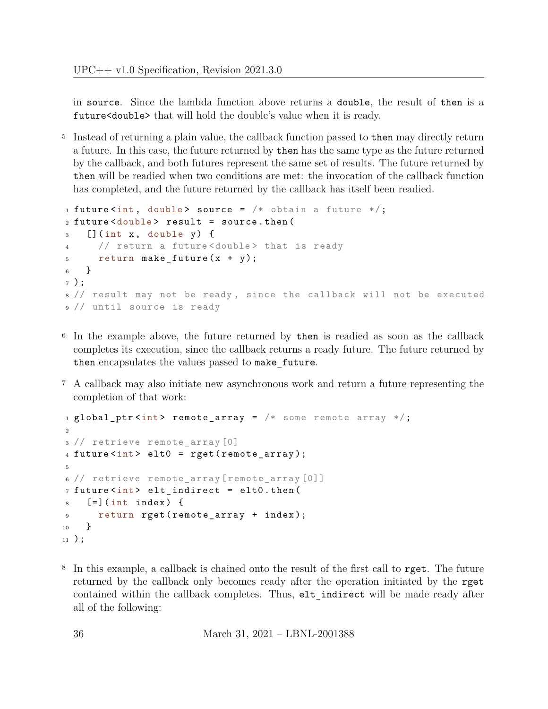in source. Since the lambda function above returns a double, the result of then is a future<double> that will hold the double's value when it is ready.

<sup>5</sup> Instead of returning a plain value, the callback function passed to then may directly return a future. In this case, the future returned by then has the same type as the future returned by the callback, and both futures represent the same set of results. The future returned by then will be readied when two conditions are met: the invocation of the callback function has completed, and the future returned by the callback has itself been readied.

```
1 future <int, double > source = /* obtain a future */;2 future <double > result = source . then (
_3 [](int x, double y) {
4 // return a future < double > that is ready
5 return make_future (x + y);
6 }
7 );
8 // result may not be ready , since the callback will not be executed
9 // until source is ready
```
- <sup>6</sup> In the example above, the future returned by then is readied as soon as the callback completes its execution, since the callback returns a ready future. The future returned by then encapsulates the values passed to make\_future.
- <sup>7</sup> A callback may also initiate new asynchronous work and return a future representing the completion of that work:

```
1 global_ptr <int> remote_array = /* some remote array */;2
3 // retrieve remote_array [0]
4 future<int> elt0 = rget(remote_array);
5
6 // retrieve remote array [ remote array [0] ]
7 future <int > elt_indirect = elt0 . then (
    [=] (int index) {
9 return rget (remote_array + index);
10 }
11 );
```
<sup>8</sup> In this example, a callback is chained onto the result of the first call to rget. The future returned by the callback only becomes ready after the operation initiated by the rget contained within the callback completes. Thus, elt\_indirect will be made ready after all of the following: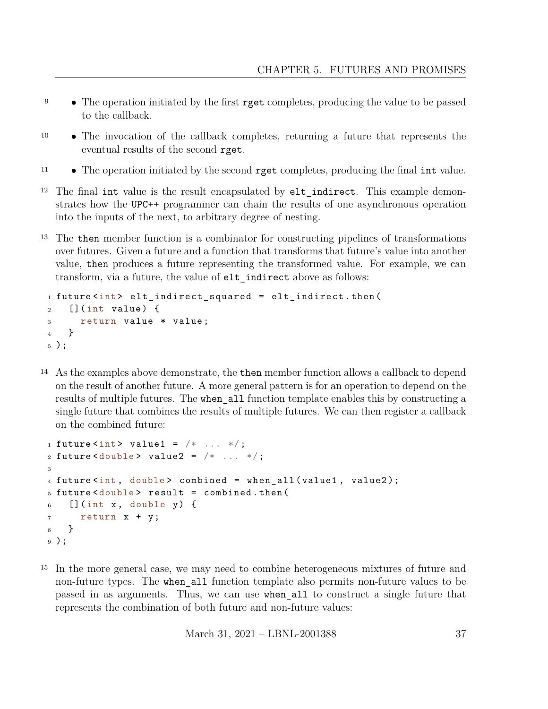- <sup>9</sup> The operation initiated by the first rget completes, producing the value to be passed to the callback.
- <sup>10</sup> The invocation of the callback completes, returning a future that represents the eventual results of the second rget.
- <sup>11</sup> The operation initiated by the second rget completes, producing the final int value.
- <sup>12</sup> The final int value is the result encapsulated by elt indirect. This example demonstrates how the UPC++ programmer can chain the results of one asynchronous operation into the inputs of the next, to arbitrary degree of nesting.
- <sup>13</sup> The then member function is a combinator for constructing pipelines of transformations over futures. Given a future and a function that transforms that future's value into another value, then produces a future representing the transformed value. For example, we can transform, via a future, the value of elt\_indirect above as follows:

```
1 future<int> elt_indirect_squared = elt_indirect.then(
\sum_{2} [] (int value) {
3 return value * value ;
4 }
5 );
```
<sup>14</sup> As the examples above demonstrate, the then member function allows a callback to depend on the result of another future. A more general pattern is for an operation to depend on the results of multiple futures. The when\_all function template enables this by constructing a single future that combines the results of multiple futures. We can then register a callback on the combined future:

```
1 future \langle \text{int} \rangle value1 = /* ... */;2 future <double > value2 = /* ... */;
3
4 future <int, double> combined = when_all (value1, value2);
5 future <double > result = combined . then (
    [](int x, double y) {
7 return x + y;
8 }
9 );
```
<sup>15</sup> In the more general case, we may need to combine heterogeneous mixtures of future and non-future types. The when all function template also permits non-future values to be passed in as arguments. Thus, we can use when\_all to construct a single future that represents the combination of both future and non-future values:

March 31, 2021 – LBNL-2001388 37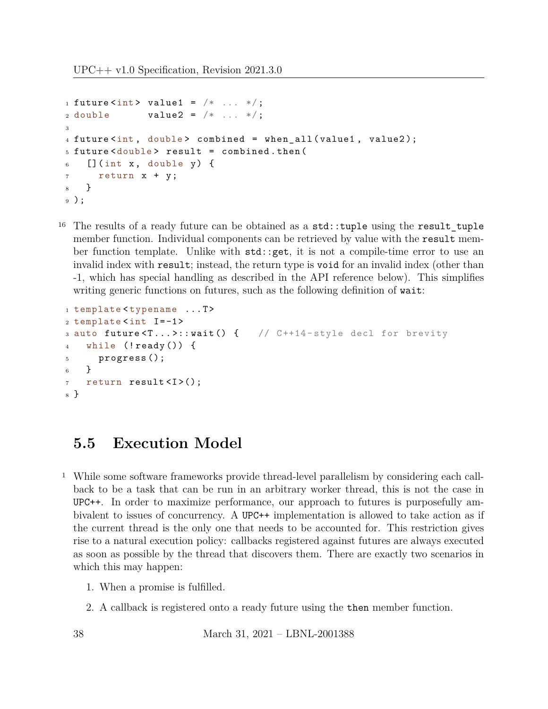```
1 future <int > value1 = /* ... */;
2 double value2 = /* ... * /;3
4 future <int, double> combined = when_all (value1, value2);
5 future <double > result = combined . then (
   [](int x, double y) {
\tau return x + y;
8 }
9 );
```
<sup>16</sup> The results of a ready future can be obtained as a std::tuple using the result\_tuple member function. Individual components can be retrieved by value with the result member function template. Unlike with std::get, it is not a compile-time error to use an invalid index with result; instead, the return type is void for an invalid index (other than -1, which has special handling as described in the API reference below). This simplifies writing generic functions on futures, such as the following definition of wait:

```
1 template<typename ... T>
2 template \text{Sint} I = -1>
3 auto future\langle T \dots \rangle: wait () { // C++14-style decl for brevity
4 while (! ready ()) {
5 progress ();
6 }
7 return result <I > ();
8 }
```
# **5.5 Execution Model**

<sup>1</sup> While some software frameworks provide thread-level parallelism by considering each callback to be a task that can be run in an arbitrary worker thread, this is not the case in UPC++. In order to maximize performance, our approach to futures is purposefully ambivalent to issues of concurrency. A UPC++ implementation is allowed to take action as if the current thread is the only one that needs to be accounted for. This restriction gives rise to a natural execution policy: callbacks registered against futures are always executed as soon as possible by the thread that discovers them. There are exactly two scenarios in which this may happen:

- 1. When a promise is fulfilled.
- 2. A callback is registered onto a ready future using the then member function.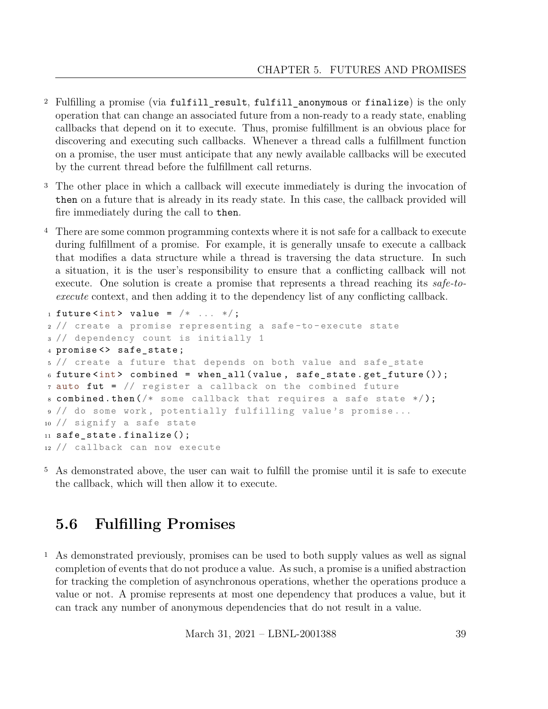- Fulfilling a promise (via fulfill\_result, fulfill\_anonymous or finalize) is the only operation that can change an associated future from a non-ready to a ready state, enabling callbacks that depend on it to execute. Thus, promise fulfillment is an obvious place for discovering and executing such callbacks. Whenever a thread calls a fulfillment function on a promise, the user must anticipate that any newly available callbacks will be executed by the current thread before the fulfillment call returns.
- <sup>3</sup> The other place in which a callback will execute immediately is during the invocation of then on a future that is already in its ready state. In this case, the callback provided will fire immediately during the call to then.
- <sup>4</sup> There are some common programming contexts where it is not safe for a callback to execute during fulfillment of a promise. For example, it is generally unsafe to execute a callback that modifies a data structure while a thread is traversing the data structure. In such a situation, it is the user's responsibility to ensure that a conflicting callback will not execute. One solution is create a promise that represents a thread reaching its *safe-toexecute* context, and then adding it to the dependency list of any conflicting callback.

```
1 future <int > value = /* ... */;
2 // create a promise representing a safe-to-execute state
3 // dependency count is initially 1
4 promise <> safe_state;
5 // create a future that depends on both value and safe_state
6 future\text{Cint} > \text{combined} = \text{when} \text{all} (\text{value}, \text{safe} \text{state} \text{.get} \text{future}()) ;7 auto fut = // register a callback on the combined future
8 combined.then (/* some callback that requires a safe state */);
9 // do some work , potentially fulfilling value 's promise ...
10 // signify a safe state
11 safe state. finalize ();
12 // callback can now execute
```
<sup>5</sup> As demonstrated above, the user can wait to fulfill the promise until it is safe to execute the callback, which will then allow it to execute.

# **5.6 Fulfilling Promises**

<sup>1</sup> As demonstrated previously, promises can be used to both supply values as well as signal completion of events that do not produce a value. As such, a promise is a unified abstraction for tracking the completion of asynchronous operations, whether the operations produce a value or not. A promise represents at most one dependency that produces a value, but it can track any number of anonymous dependencies that do not result in a value.

$$
March\;31,2021 - LBNL-2001388\qquad \qquad 39
$$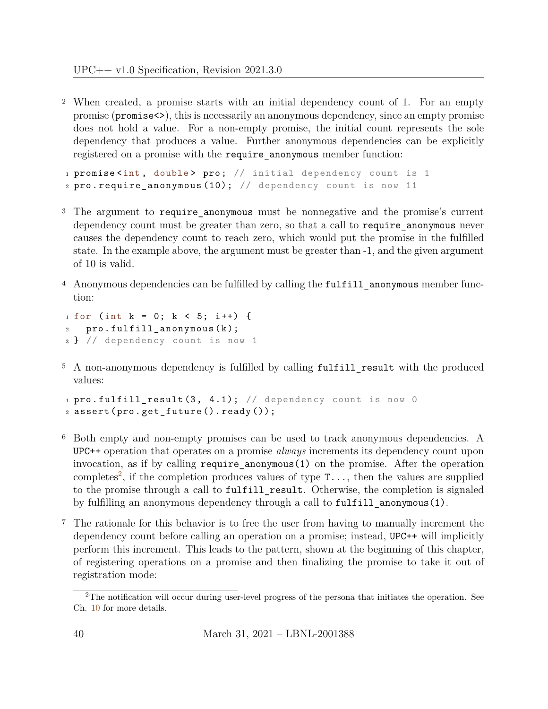<sup>2</sup> When created, a promise starts with an initial dependency count of 1. For an empty promise (promise<>), this is necessarily an anonymous dependency, since an empty promise does not hold a value. For a non-empty promise, the initial count represents the sole dependency that produces a value. Further anonymous dependencies can be explicitly registered on a promise with the require\_anonymous member function:

```
1 promise \text{sin } t, double > pro; // initial dependency count is 1
2 pro.require_anonymous (10); // dependency count is now 11
```
- <sup>3</sup> The argument to require anonymous must be nonnegative and the promise's current dependency count must be greater than zero, so that a call to require anonymous never causes the dependency count to reach zero, which would put the promise in the fulfilled state. In the example above, the argument must be greater than -1, and the given argument of 10 is valid.
- <sup>4</sup> Anonymous dependencies can be fulfilled by calling the fulfill\_anonymous member function:

```
_{1} for (int k = 0; k < 5; i++) {
 pro . fulfill_anonymous (k);
3 } // dependency count is now 1
```
<sup>5</sup> A non-anonymous dependency is fulfilled by calling fulfill result with the produced values:

```
1 pro.fulfill_result (3, 4.1); // dependency count is now 0
2 assert ( pro . get_future (). ready ());
```
- <sup>6</sup> Both empty and non-empty promises can be used to track anonymous dependencies. A UPC++ operation that operates on a promise *always* increments its dependency count upon invocation, as if by calling require anonymous $(1)$  on the promise. After the operation completes<sup>[2](#page-48-0)</sup>, if the completion produces values of type  $T...$ , then the values are supplied to the promise through a call to fulfill result. Otherwise, the completion is signaled by fulfilling an anonymous dependency through a call to fulfill anonymous(1).
- <sup>7</sup> The rationale for this behavior is to free the user from having to manually increment the dependency count before calling an operation on a promise; instead, UPC++ will implicitly perform this increment. This leads to the pattern, shown at the beginning of this chapter, of registering operations on a promise and then finalizing the promise to take it out of registration mode:

<span id="page-48-0"></span><sup>2</sup>The notification will occur during user-level progress of the persona that initiates the operation. See Ch. [10](#page-105-0) for more details.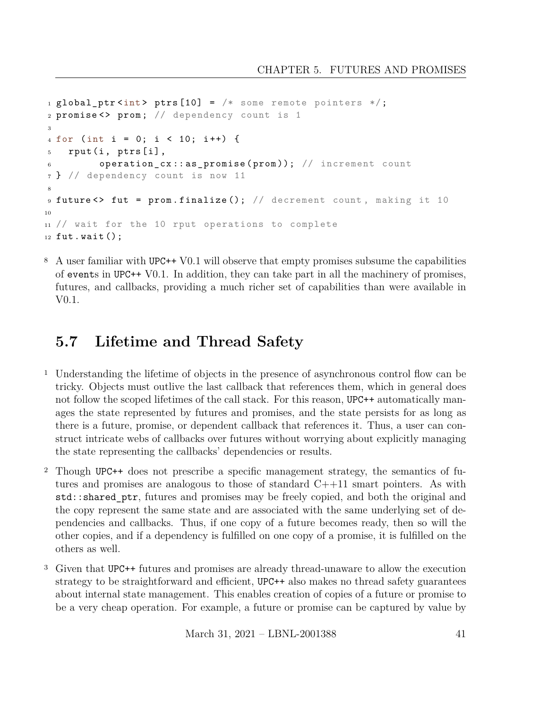```
1 global_ptr<int> ptrs [10] = /* some remote pointers */;
2 promise <> prom; // dependency count is 1
3
_4 for (int i = 0; i < 10; i++) {
5 rput (i, \text{ptrs[i]},6 operation_cx :: as_promise ( prom )); // increment count
7 } // dependency count is now 11
8
9 future <> fut = prom.finalize(); // decrement count, making it 10
10
11 // wait for the 10 rput operations to complete
12 fut . wait ();
```
<sup>8</sup> A user familiar with UPC++ V0.1 will observe that empty promises subsume the capabilities of events in UPC++ V0.1. In addition, they can take part in all the machinery of promises, futures, and callbacks, providing a much richer set of capabilities than were available in V0.1.

# **5.7 Lifetime and Thread Safety**

- <sup>1</sup> Understanding the lifetime of objects in the presence of asynchronous control flow can be tricky. Objects must outlive the last callback that references them, which in general does not follow the scoped lifetimes of the call stack. For this reason, UPC++ automatically manages the state represented by futures and promises, and the state persists for as long as there is a future, promise, or dependent callback that references it. Thus, a user can construct intricate webs of callbacks over futures without worrying about explicitly managing the state representing the callbacks' dependencies or results.
- <sup>2</sup> Though UPC++ does not prescribe a specific management strategy, the semantics of futures and promises are analogous to those of standard  $C++11$  smart pointers. As with std::shared ptr, futures and promises may be freely copied, and both the original and the copy represent the same state and are associated with the same underlying set of dependencies and callbacks. Thus, if one copy of a future becomes ready, then so will the other copies, and if a dependency is fulfilled on one copy of a promise, it is fulfilled on the others as well.
- <sup>3</sup> Given that UPC++ futures and promises are already thread-unaware to allow the execution strategy to be straightforward and efficient, UPC++ also makes no thread safety guarantees about internal state management. This enables creation of copies of a future or promise to be a very cheap operation. For example, a future or promise can be captured by value by

March 31, 2021 – LBNL-2001388 41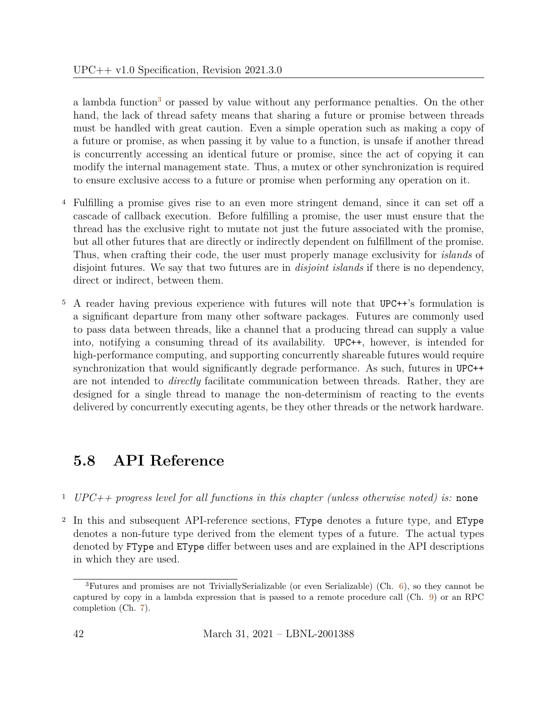a lambda function<sup>[3](#page-50-0)</sup> or passed by value without any performance penalties. On the other hand, the lack of thread safety means that sharing a future or promise between threads must be handled with great caution. Even a simple operation such as making a copy of a future or promise, as when passing it by value to a function, is unsafe if another thread is concurrently accessing an identical future or promise, since the act of copying it can modify the internal management state. Thus, a mutex or other synchronization is required to ensure exclusive access to a future or promise when performing any operation on it.

- <sup>4</sup> Fulfilling a promise gives rise to an even more stringent demand, since it can set off a cascade of callback execution. Before fulfilling a promise, the user must ensure that the thread has the exclusive right to mutate not just the future associated with the promise, but all other futures that are directly or indirectly dependent on fulfillment of the promise. Thus, when crafting their code, the user must properly manage exclusivity for *islands* of disjoint futures. We say that two futures are in *disjoint islands* if there is no dependency, direct or indirect, between them.
- <sup>5</sup> A reader having previous experience with futures will note that UPC++'s formulation is a significant departure from many other software packages. Futures are commonly used to pass data between threads, like a channel that a producing thread can supply a value into, notifying a consuming thread of its availability. UPC++, however, is intended for high-performance computing, and supporting concurrently shareable futures would require synchronization that would significantly degrade performance. As such, futures in UPC++ are not intended to *directly* facilitate communication between threads. Rather, they are designed for a single thread to manage the non-determinism of reacting to the events delivered by concurrently executing agents, be they other threads or the network hardware.

# **5.8 API Reference**

- <sup>1</sup> *UPC++ progress level for all functions in this chapter (unless otherwise noted) is:* none
- <sup>2</sup> In this and subsequent API-reference sections, FType denotes a future type, and EType denotes a non-future type derived from the element types of a future. The actual types denoted by FType and EType differ between uses and are explained in the API descriptions in which they are used.

<span id="page-50-0"></span><sup>3</sup>Futures and promises are not TriviallySerializable (or even Serializable) (Ch. [6\)](#page-58-0), so they cannot be captured by copy in a lambda expression that is passed to a remote procedure call (Ch. [9\)](#page-97-0) or an RPC completion (Ch. [7\)](#page-83-0).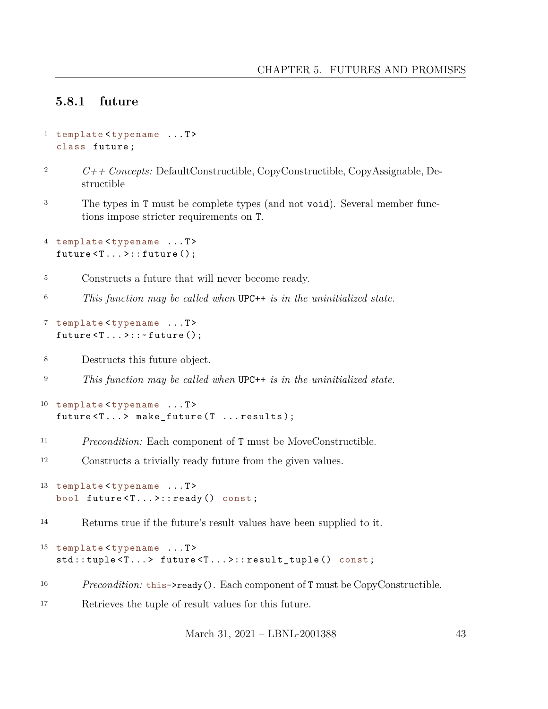#### **5.8.1 future**

```
1 template<typename ... T>
  class future ;
```
- <sup>2</sup> *C++ Concepts:* DefaultConstructible, CopyConstructible, CopyAssignable, Destructible
- <sup>3</sup> The types in T must be complete types (and not void). Several member functions impose stricter requirements on T.

```
4 template<typename ... T>
  future < T \ldots >:: future();
```
- <sup>5</sup> Constructs a future that will never become ready.
- <sup>6</sup> *This function may be called when* UPC++ *is in the uninitialized state.*

```
7 template<typename ... T>
  future < T \ldots >: :fature();
```
<sup>8</sup> Destructs this future object.

<sup>9</sup> *This function may be called when* UPC++ *is in the uninitialized state.*

```
10 template<typename ... T>
  future<T...> make_future(T ... results);
```
- <sup>11</sup> *Precondition:* Each component of T must be MoveConstructible.
- <sup>12</sup> Constructs a trivially ready future from the given values.

```
13 template < typename ... T>
  bool future<T...>::ready() const;
```
<sup>14</sup> Returns true if the future's result values have been supplied to it.

```
15 template < typename ... T>
  std::tuple<T...> future<T...>::result_tuple() const;
```
- <sup>16</sup> *Precondition:* this->ready(). Each component of T must be CopyConstructible.
- <sup>17</sup> Retrieves the tuple of result values for this future.

```
March 31, 2021 – LBNL-2001388 43
```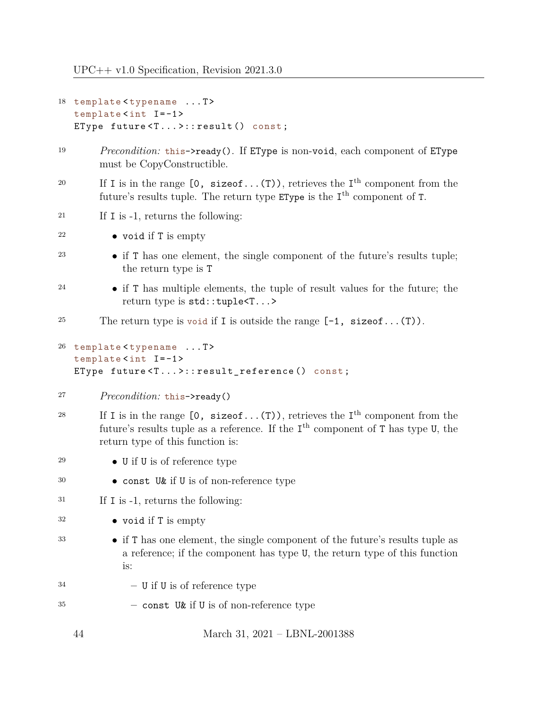```
18 template<typename ... T>
   template<int I = -1>
   EType future<T...>::result() const;
19 Precondition: this->ready(). If EType is non-void, each component of EType
        must be CopyConstructible.
<sup>20</sup> If I is in the range [0, sizeof... (T)), retrieves the I<sup>th</sup> component from the
        future's results tuple. The return type Exppe is the I<sup>th</sup> component of T.
21 If I is -1, returns the following:
22 • void if T is empty
23 • if T has one element, the single component of the future's results tuple;
             the return type is T
24 • if T has multiple elements, the tuple of result values for the future; the
             return type is std::tuple<T...>
<sup>25</sup> The return type is void if I is outside the range [-1, \text{ sizeof} \dots (T)).
26 template<typename ...T>
   template<int I = -1>
   EType future<T...>::result_reference() const;
27 Precondition: this->ready()
<sup>28</sup> If I is in the range [0, sizeof... (T)), retrieves the I<sup>th</sup> component from the
        future's results tuple as a reference. If the I<sup>th</sup> component of T has type U, the
        return type of this function is:
29 • U if U is of reference type
30 • const U& if U is of non-reference type
<sup>31</sup> If I is -1, returns the following:
32 • void if T is empty
33 • if T has one element, the single component of the future's results tuple as
             a reference; if the component has type U, the return type of this function
             is:
34 – U if U is of reference type
35 – const U& if U is of non-reference type
   44 March 31, 2021 – LBNL-2001388
```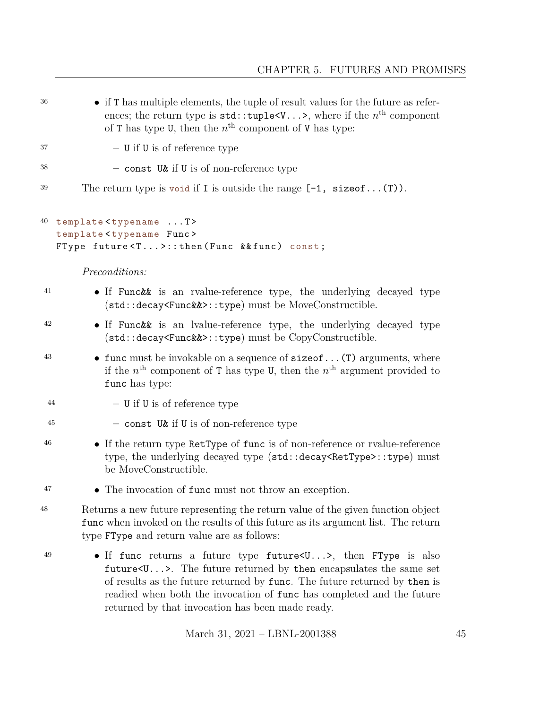- <sup>36</sup> if T has multiple elements, the tuple of result values for the future as references; the return type is  $\texttt{std::tuple<}V\ldots$ >, where if the  $n^{\text{th}}$  component of T has type U, then the  $n^{\text{th}}$  component of V has type:
- <sup>37</sup> **–** U if U is of reference type
- <sup>38</sup> **–** const U& if U is of non-reference type
- 39 The return type is void if I is outside the range  $[-1, \text{ sizeof} \dots (T))$ .

```
40 template < typename ... T>
  template < typename Func >
  FType future<T...>::then (Func &&func) const;
```
#### *Preconditions:*

- <sup>41</sup> If Func&& is an rvalue-reference type, the underlying decayed type (std::decay<Func&&>::type) must be MoveConstructible. <sup>42</sup> • If Func&& is an lvalue-reference type, the underlying decayed type (std::decay<Func&&>::type) must be CopyConstructible.  $43$  • func must be invokable on a sequence of size of . . . (T) arguments, where if the  $n<sup>th</sup>$  component of T has type U, then the  $n<sup>th</sup>$  argument provided to func has type: <sup>44</sup> **–** U if U is of reference type <sup>45</sup> **–** const U& if U is of non-reference type <sup>46</sup> • If the return type RetType of func is of non-reference or rvalue-reference type, the underlying decayed type (std::decay<RetType>::type) must be MoveConstructible. <sup>47</sup> • The invocation of func must not throw an exception. <sup>48</sup> Returns a new future representing the return value of the given function object func when invoked on the results of this future as its argument list. The return type FType and return value are as follows:
- <sup>49</sup> If func returns a future type future<U...>, then FType is also future<U...>. The future returned by then encapsulates the same set of results as the future returned by func. The future returned by then is readied when both the invocation of func has completed and the future returned by that invocation has been made ready.

$$
March\;31,\;2021-LBNL-2001388\qquad \qquad 45
$$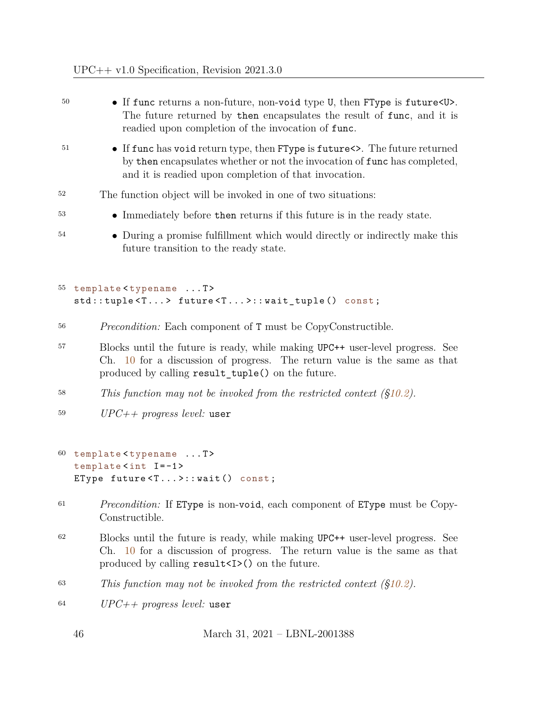| 50 | • If func returns a non-future, non-void type U, then FType is future <u>.<br/>The future returned by then encapsulates the result of func, and it is<br/>readied upon completion of the invocation of func.</u>       |  |  |  |  |
|----|------------------------------------------------------------------------------------------------------------------------------------------------------------------------------------------------------------------------|--|--|--|--|
| 51 | • If func has void return type, then FType is future <>>>>>. The future returned<br>by then encapsulates whether or not the invocation of func has completed,<br>and it is readied upon completion of that invocation. |  |  |  |  |
| 52 | The function object will be invoked in one of two situations:                                                                                                                                                          |  |  |  |  |
| 53 | • Immediately before then returns if this future is in the ready state.                                                                                                                                                |  |  |  |  |
| 54 | • During a promise fulfillment which would directly or indirectly make this<br>future transition to the ready state.                                                                                                   |  |  |  |  |
| 55 | template <typename t=""><br/>std::tuple<t> future<t>::wait_tuple() const;</t></t></typename>                                                                                                                           |  |  |  |  |
| 56 | Precondition: Each component of T must be CopyConstructible.                                                                                                                                                           |  |  |  |  |
| 57 | Blocks until the future is ready, while making UPC++ user-level progress. See<br>Ch. $10$ for a discussion of progress. The return value is the same as that<br>produced by calling result_tuple() on the future.      |  |  |  |  |
| 58 | This function may not be invoked from the restricted context $(\S10.2)$ .                                                                                                                                              |  |  |  |  |
| 59 | $UPC++$ progress level: user                                                                                                                                                                                           |  |  |  |  |
|    |                                                                                                                                                                                                                        |  |  |  |  |
|    | 60 template <typename <math="">\ldotsT&gt;<br/>template<int i="-1"><br/>EType future<math>(T</math>: wait () const;</int></typename>                                                                                   |  |  |  |  |
| 61 | <i>Precondition:</i> If EType is non-void, each component of EType must be Copy-<br>Constructible.                                                                                                                     |  |  |  |  |
| 62 | Blocks until the future is ready, while making UPC++ user-level progress. See<br>Ch. $10$ for a discussion of progress. The return value is the same as that<br>produced by calling result <i>() on the future.</i>    |  |  |  |  |
| 63 | This function may not be invoked from the restricted context $(\$10.2)$ .                                                                                                                                              |  |  |  |  |

- <sup>64</sup> *UPC++ progress level:* user
	- 46 March 31, 2021 LBNL-2001388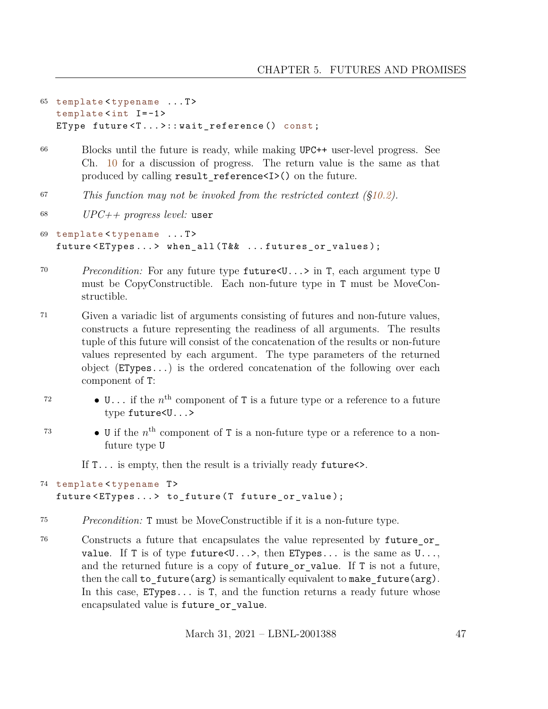```
65 template < typename ... T >
  template<int I = -1>
  EType future<T...>::wait_reference() const;
```
- <sup>66</sup> Blocks until the future is ready, while making UPC++ user-level progress. See Ch. [10](#page-105-0) for a discussion of progress. The return value is the same as that produced by calling result reference<I>() on the future.
- <sup>67</sup> *This function may not be invoked from the restricted context ([§10.2\)](#page-106-0).*
- <sup>68</sup> *UPC++ progress level:* user

```
69 template < typename ... T>
  future<ETypes...> when_all(T&& ...futures_or_values);
```
- <sup>70</sup> *Precondition:* For any future type future<U...> in T, each argument type U must be CopyConstructible. Each non-future type in T must be MoveConstructible.
- <sup>71</sup> Given a variadic list of arguments consisting of futures and non-future values, constructs a future representing the readiness of all arguments. The results tuple of this future will consist of the concatenation of the results or non-future values represented by each argument. The type parameters of the returned object (ETypes...) is the ordered concatenation of the following over each component of T:
- $\bullet$  U... if the  $n^{\text{th}}$  component of T is a future type or a reference to a future type future<U...>
- $\bullet$  U if the  $n^{\text{th}}$  component of T is a non-future type or a reference to a nonfuture type U

If T... is empty, then the result is a trivially ready future<>.

```
74 template<typename T>
  future < ETypes ... > to_future ( T future_or_value );
```
- <sup>75</sup> *Precondition:* T must be MoveConstructible if it is a non-future type.
- <sup>76</sup> Constructs a future that encapsulates the value represented by future\_or\_ value. If T is of type future< $U \ldots$ , then ETypes... is the same as  $U \ldots$ , and the returned future is a copy of future or value. If T is not a future, then the call to future(arg) is semantically equivalent to make future(arg). In this case, ETypes... is T, and the function returns a ready future whose encapsulated value is future\_or\_value.

March 31, 2021 – LBNL-2001388 47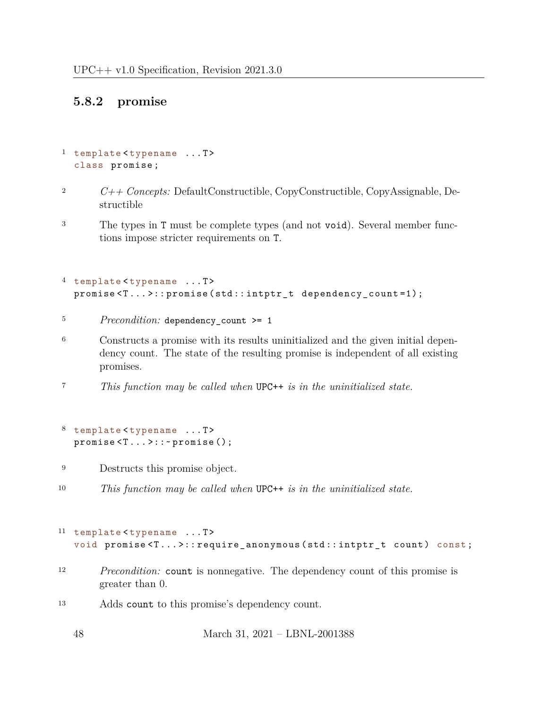### **5.8.2 promise**

```
1 template<typename ...T>
  class promise ;
```
<sup>2</sup> *C++ Concepts:* DefaultConstructible, CopyConstructible, CopyAssignable, Destructible

<sup>3</sup> The types in T must be complete types (and not void). Several member functions impose stricter requirements on T.

```
4 template < typename ... T>
  promise < T ... >:: promise ( std :: intptr_t dependency_count =1);
```

```
5 Precondition: dependency_count >= 1
```
- <sup>6</sup> Constructs a promise with its results uninitialized and the given initial dependency count. The state of the resulting promise is independent of all existing promises.
- <sup>7</sup> *This function may be called when* UPC++ *is in the uninitialized state.*

```
8 template<typename ... T>
  promise < T... >:: ~ promise ();
```
<sup>9</sup> Destructs this promise object.

<sup>10</sup> *This function may be called when* UPC++ *is in the uninitialized state.*

```
11 template < typename ... T>
  void promise<T...>:: require_anonymous (std:: intptr_t count) const;
```
- <sup>12</sup> *Precondition:* count is nonnegative. The dependency count of this promise is greater than 0.
- <sup>13</sup> Adds count to this promise's dependency count.

```
48 March 31, 2021 – LBNL-2001388
```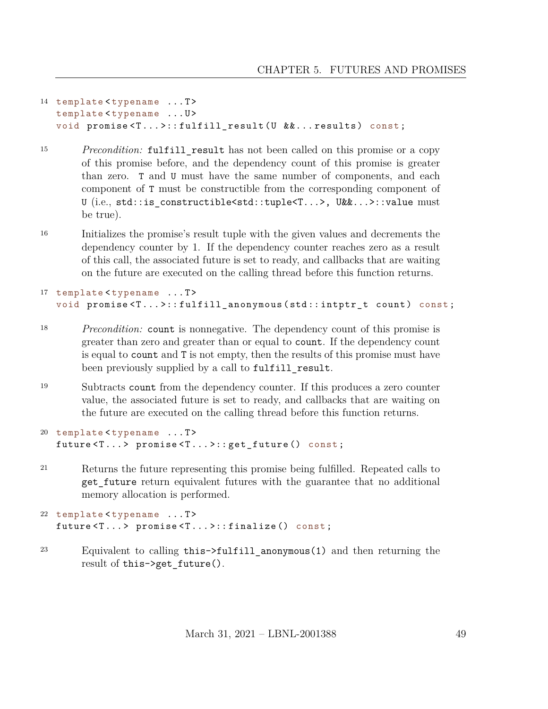```
14 template < typename ... T>
  template<typename ... U>
  void promise<T...>::fulfill_result (U &&...results) const;
```
- <sup>15</sup> *Precondition:* fulfill result has not been called on this promise or a copy of this promise before, and the dependency count of this promise is greater than zero. T and U must have the same number of components, and each component of T must be constructible from the corresponding component of U (i.e., std::is constructible<std::tuple<T...>, U&&...>::value must be true).
- <sup>16</sup> Initializes the promise's result tuple with the given values and decrements the dependency counter by 1. If the dependency counter reaches zero as a result of this call, the associated future is set to ready, and callbacks that are waiting on the future are executed on the calling thread before this function returns.
- 17 template < typename ... T> void promise<T...>::fulfill\_anonymous(std::intptr\_t count) const;
- <sup>18</sup> *Precondition:* count is nonnegative. The dependency count of this promise is greater than zero and greater than or equal to count. If the dependency count is equal to count and T is not empty, then the results of this promise must have been previously supplied by a call to fulfill result.
- <sup>19</sup> Subtracts count from the dependency counter. If this produces a zero counter value, the associated future is set to ready, and callbacks that are waiting on the future are executed on the calling thread before this function returns.

```
20 template < typename ... T>
  future<T...> promise<T...>::get_future() const;
```
<sup>21</sup> Returns the future representing this promise being fulfilled. Repeated calls to get\_future return equivalent futures with the guarantee that no additional memory allocation is performed.

```
22 template<typename ...T>
  future<T...> promise<T...>::finalize() const;
```
<sup>23</sup> Equivalent to calling this->fulfill\_anonymous(1) and then returning the result of this->get future().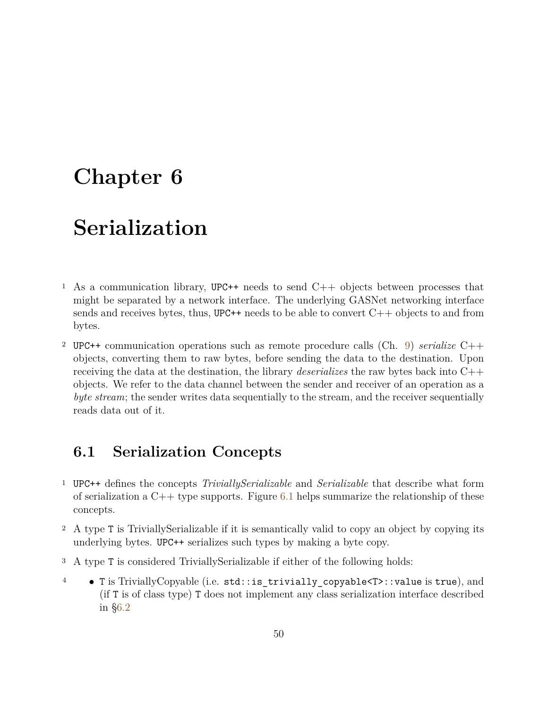# <span id="page-58-0"></span>**Chapter 6**

# **Serialization**

- <sup>1</sup> As a communication library, UPC++ needs to send C++ objects between processes that might be separated by a network interface. The underlying GASNet networking interface sends and receives bytes, thus,  $UPC++$  needs to be able to convert  $C++$  objects to and from bytes.
- <sup>2</sup> UPC++ communication operations such as remote procedure calls (Ch. [9\)](#page-97-0) *serialize* C++ objects, converting them to raw bytes, before sending the data to the destination. Upon receiving the data at the destination, the library *deserializes* the raw bytes back into C++ objects. We refer to the data channel between the sender and receiver of an operation as a *byte stream*; the sender writes data sequentially to the stream, and the receiver sequentially reads data out of it.

# **6.1 Serialization Concepts**

- <sup>1</sup> UPC++ defines the concepts *TriviallySerializable* and *Serializable* that describe what form of serialization a  $C_{++}$  type supports. Figure [6.1](#page-59-0) helps summarize the relationship of these concepts.
- <sup>2</sup> A type T is TriviallySerializable if it is semantically valid to copy an object by copying its underlying bytes. UPC++ serializes such types by making a byte copy.
- <sup>3</sup> A type T is considered TriviallySerializable if either of the following holds:
- <sup>4</sup> T is TriviallyCopyable (i.e. std::is\_trivially\_copyable<T>::value is true), and (if T is of class type) T does not implement any class serialization interface described in [§6.2](#page-60-0)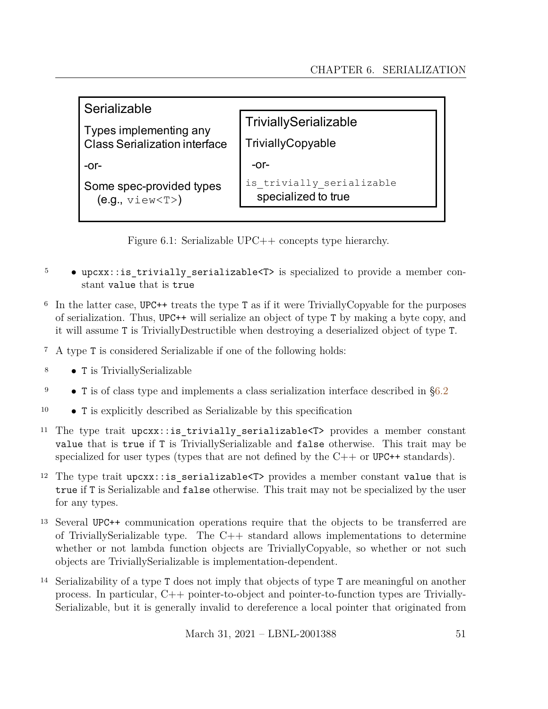| Serializable                                                   |                                                  |  |  |
|----------------------------------------------------------------|--------------------------------------------------|--|--|
| Types implementing any<br><b>Class Serialization interface</b> | TriviallySerializable                            |  |  |
|                                                                | TriviallyCopyable                                |  |  |
| $-0r-$                                                         | -or-                                             |  |  |
| Some spec-provided types<br>$(e.g., view \top)$                | is trivially serializable<br>specialized to true |  |  |
|                                                                |                                                  |  |  |

<span id="page-59-0"></span>

| Figure 6.1: Serializable $UPC++$ concepts type hierarchy. |  |  |
|-----------------------------------------------------------|--|--|
|                                                           |  |  |

- <sup>5</sup> upcxx:: is trivially serializable<T> is specialized to provide a member constant value that is true
- <sup>6</sup> In the latter case, UPC++ treats the type T as if it were TriviallyCopyable for the purposes of serialization. Thus, UPC++ will serialize an object of type T by making a byte copy, and it will assume T is TriviallyDestructible when destroying a deserialized object of type T.
- <sup>7</sup> A type T is considered Serializable if one of the following holds:
- <sup>8</sup> T is TriviallySerializable
- <sup>9</sup> T is of class type and implements a class serialization interface described in [§6.2](#page-60-0)
- $10$  T is explicitly described as Serializable by this specification
- <sup>11</sup> The type trait upcxx::is trivially serializable  $\leq$  provides a member constant value that is true if T is TriviallySerializable and false otherwise. This trait may be specialized for user types (types that are not defined by the  $C++$  or  $UPC++$  standards).
- <sup>12</sup> The type trait upcxx:: is serializable  $\langle T \rangle$  provides a member constant value that is true if T is Serializable and false otherwise. This trait may not be specialized by the user for any types.
- <sup>13</sup> Several UPC++ communication operations require that the objects to be transferred are of TriviallySerializable type. The  $C++$  standard allows implementations to determine whether or not lambda function objects are TriviallyCopyable, so whether or not such objects are TriviallySerializable is implementation-dependent.
- <sup>14</sup> Serializability of a type T does not imply that objects of type T are meaningful on another process. In particular, C++ pointer-to-object and pointer-to-function types are Trivially-Serializable, but it is generally invalid to dereference a local pointer that originated from

$$
March\;31,\;2021-LBNL-2001388\;\;
$$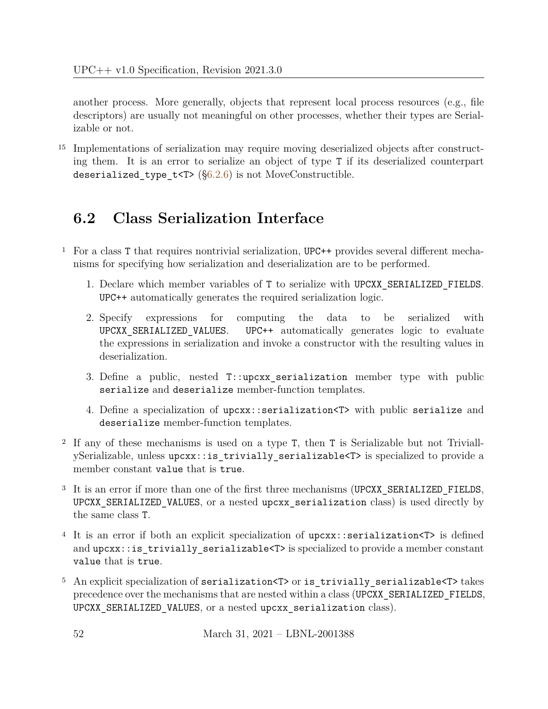another process. More generally, objects that represent local process resources (e.g., file descriptors) are usually not meaningful on other processes, whether their types are Serializable or not.

<sup>15</sup> Implementations of serialization may require moving deserialized objects after constructing them. It is an error to serialize an object of type T if its deserialized counterpart deserialized type  $t < T > (§6.2.6)$  $t < T > (§6.2.6)$  is not MoveConstructible.

# <span id="page-60-0"></span>**6.2 Class Serialization Interface**

- <sup>1</sup> For a class T that requires nontrivial serialization, UPC++ provides several different mechanisms for specifying how serialization and deserialization are to be performed.
	- 1. Declare which member variables of T to serialize with UPCXX\_SERIALIZED\_FIELDS. UPC++ automatically generates the required serialization logic.
	- 2. Specify expressions for computing the data to be serialized with UPCXX\_SERIALIZED\_VALUES. UPC++ automatically generates logic to evaluate the expressions in serialization and invoke a constructor with the resulting values in deserialization.
	- 3. Define a public, nested T::upcxx serialization member type with public serialize and deserialize member-function templates.
	- 4. Define a specialization of upcxx::serialization<T> with public serialize and deserialize member-function templates.
- <sup>2</sup> If any of these mechanisms is used on a type T, then T is Serializable but not TriviallySerializable, unless upcxx::is\_trivially\_serializable<T> is specialized to provide a member constant value that is true.
- <sup>3</sup> It is an error if more than one of the first three mechanisms (UPCXX\_SERIALIZED\_FIELDS, UPCXX\_SERIALIZED\_VALUES, or a nested upcxx\_serialization class) is used directly by the same class T.
- <sup>4</sup> It is an error if both an explicit specialization of upcxx::serialization<T> is defined and upcxx::is\_trivially\_serializable<T> is specialized to provide a member constant value that is true.
- 5 An explicit specialization of serialization<T> or is trivially serializable<T> takes precedence over the mechanisms that are nested within a class (UPCXX\_SERIALIZED\_FIELDS, UPCXX\_SERIALIZED\_VALUES, or a nested upcxx\_serialization class).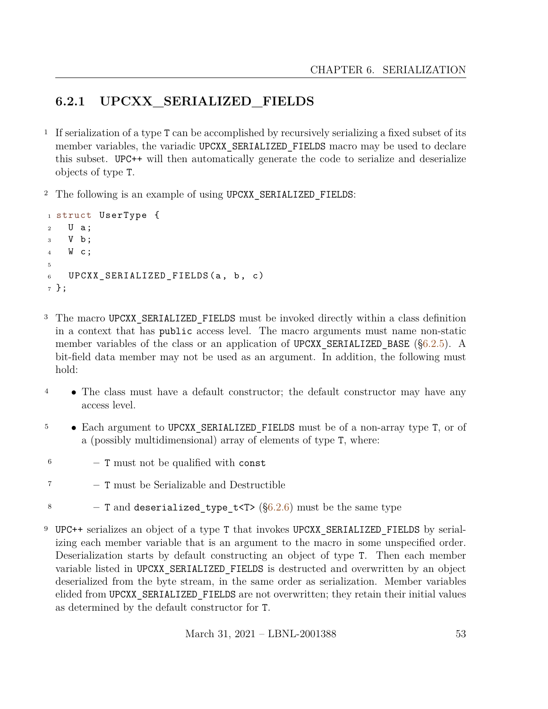## **6.2.1 UPCXX\_SERIALIZED\_FIELDS**

<sup>1</sup> If serialization of a type T can be accomplished by recursively serializing a fixed subset of its member variables, the variadic UPCXX\_SERIALIZED\_FIELDS macro may be used to declare this subset. UPC++ will then automatically generate the code to serialize and deserialize objects of type T.

<sup>2</sup> The following is an example of using UPCXX\_SERIALIZED\_FIELDS:

```
1 struct UserType {
2 U a ;
3 V b;
4 W c ;
5
6 UPCXX_SERIALIZED_FIELDS (a, b, c)
7 };
```
- <sup>3</sup> The macro UPCXX SERIALIZED FIELDS must be invoked directly within a class definition in a context that has public access level. The macro arguments must name non-static member variables of the class or an application of UPCXX SERIALIZED BASE ( $\S6.2.5$ ). A bit-field data member may not be used as an argument. In addition, the following must hold:
- <sup>4</sup> The class must have a default constructor; the default constructor may have any access level.
- <sup>5</sup> Each argument to UPCXX SERIALIZED FIELDS must be of a non-array type T, or of a (possibly multidimensional) array of elements of type T, where:
- <sup>6</sup> **–** T must not be qualified with const
- <sup>7</sup> **–** T must be Serializable and Destructible
- $8$  **–** T and deserialized type t<T> ( $\S6.2.6$ ) must be the same type
- <sup>9</sup> UPC++ serializes an object of a type T that invokes UPCXX\_SERIALIZED\_FIELDS by serializing each member variable that is an argument to the macro in some unspecified order. Deserialization starts by default constructing an object of type T. Then each member variable listed in UPCXX\_SERIALIZED\_FIELDS is destructed and overwritten by an object deserialized from the byte stream, in the same order as serialization. Member variables elided from UPCXX\_SERIALIZED\_FIELDS are not overwritten; they retain their initial values as determined by the default constructor for T.

March 31, 2021 – LBNL-2001388 53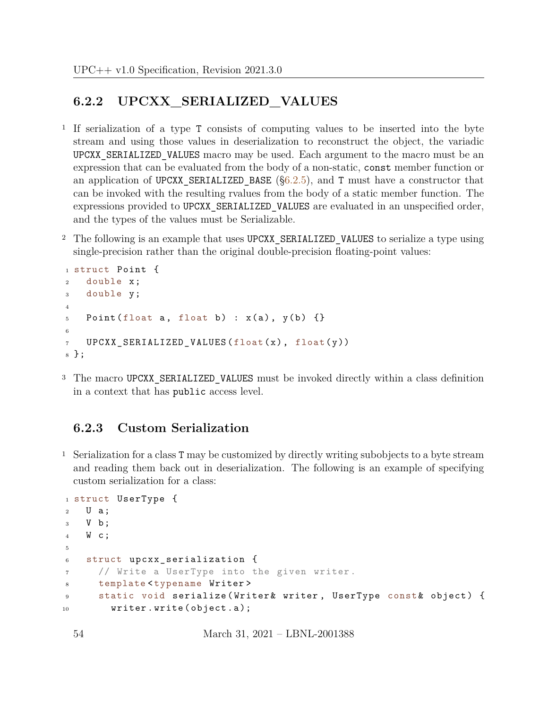### **6.2.2 UPCXX\_SERIALIZED\_VALUES**

- <sup>1</sup> If serialization of a type T consists of computing values to be inserted into the byte stream and using those values in deserialization to reconstruct the object, the variadic UPCXX SERIALIZED VALUES macro may be used. Each argument to the macro must be an expression that can be evaluated from the body of a non-static, const member function or an application of UPCXX SERIALIZED BASE  $(\S6.2.5)$ , and T must have a constructor that can be invoked with the resulting rvalues from the body of a static member function. The expressions provided to UPCXX\_SERIALIZED\_VALUES are evaluated in an unspecified order, and the types of the values must be Serializable.
- <sup>2</sup> The following is an example that uses UPCXX\_SERIALIZED\_VALUES to serialize a type using single-precision rather than the original double-precision floating-point values:

```
1 struct Point {
2 double x;
3 double y;
4
5 Point (float a, float b) : x(a), y(b) {}
6
7 UPCXX_SERIALIZED_VALUES (float (x), float (y))
8 };
```
<sup>3</sup> The macro UPCXX\_SERIALIZED\_VALUES must be invoked directly within a class definition in a context that has public access level.

### <span id="page-62-0"></span>**6.2.3 Custom Serialization**

<sup>1</sup> Serialization for a class T may be customized by directly writing subobjects to a byte stream and reading them back out in deserialization. The following is an example of specifying custom serialization for a class:

```
1 struct UserType {
2 U a ;
3 V b;
4 W c ;
5
6 struct upcxx_serialization {
7 // Write a UserType into the given writer .
8 template<typename Writer>
9 static void serialize (Writer & writer, UserType const & object) {
10 writer.write (object.a);
```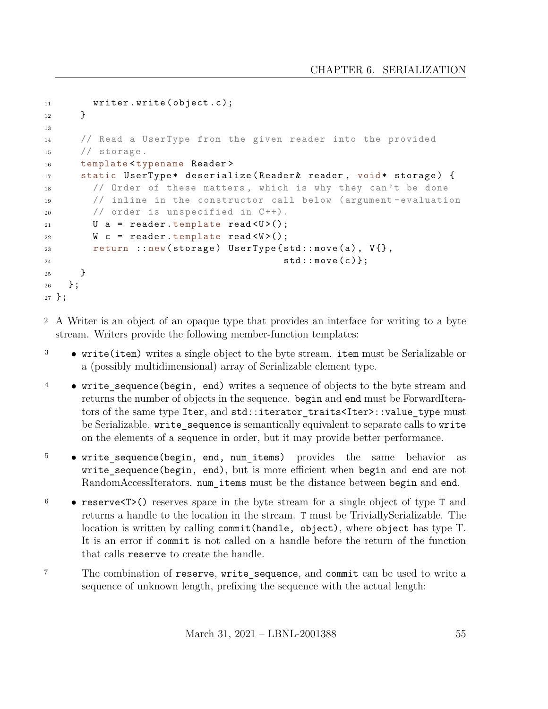```
11 writer.write (object.c);
12 }
13
14 // Read a UserType from the given reader into the provided
15 // storage.
16 template < typename Reader >
17 static UserType* deserialize (Reader & reader, void* storage) {
18 // Order of these matters , which is why they can 't be done
19 // inline in the constructor call below ( argument - evaluation
20 // order is unspecified in C++).
21 U a = reader template read <U > ();
22 W c = reader.template read \langle W \rangle ();
23 return :: new (storage) UserType { std :: move (a), V{},
24 std::move (c) };
25 }
26 };
27 };
```
- <sup>2</sup> A Writer is an object of an opaque type that provides an interface for writing to a byte stream. Writers provide the following member-function templates:
- <sup>3</sup> write(item) writes a single object to the byte stream. item must be Serializable or a (possibly multidimensional) array of Serializable element type.
- <sup>4</sup> write sequence(begin, end) writes a sequence of objects to the byte stream and returns the number of objects in the sequence. begin and end must be ForwardIterators of the same type Iter, and std::iterator\_traits<Iter>::value\_type must be Serializable. write sequence is semantically equivalent to separate calls to write on the elements of a sequence in order, but it may provide better performance.
- $5 \rightarrow$  write sequence(begin, end, num items) provides the same behavior as write sequence(begin, end), but is more efficient when begin and end are not RandomAccessIterators. num\_items must be the distance between begin and end.
- <sup>6</sup> reserve<T>() reserves space in the byte stream for a single object of type T and returns a handle to the location in the stream. T must be TriviallySerializable. The location is written by calling commit(handle, object), where object has type T. It is an error if commit is not called on a handle before the return of the function that calls reserve to create the handle.
- <sup>7</sup> The combination of reserve, write sequence, and commit can be used to write a sequence of unknown length, prefixing the sequence with the actual length: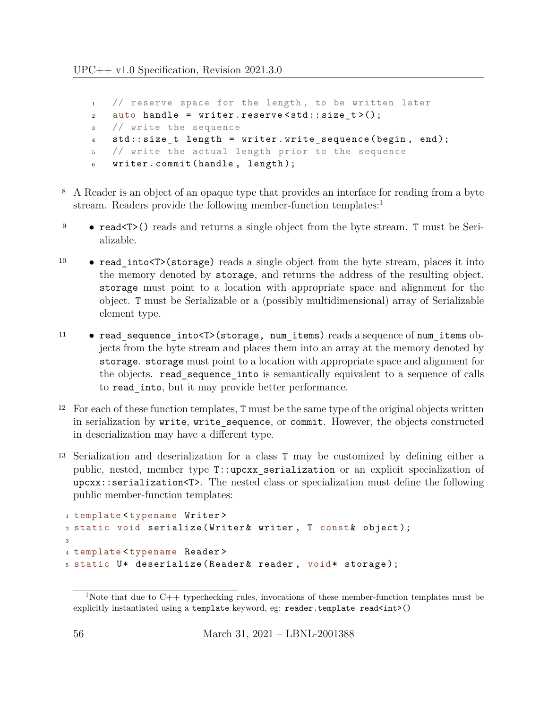```
1 // reserve space for the length , to be written later
2 auto handle = writer.reserve < std:: size_t > ();
3 // write the sequence
4 std:: size t length = writer . write sequence (begin, end);
5 // write the actual length prior to the sequence
6 writer.commit (handle, length);
```
- <sup>8</sup> A Reader is an object of an opaque type that provides an interface for reading from a byte stream. Readers provide the following member-function templates:<sup>[1](#page-64-0)</sup>
- <sup>9</sup> read<T>() reads and returns a single object from the byte stream. T must be Serializable.
- <sup>10</sup> read into<T>(storage) reads a single object from the byte stream, places it into the memory denoted by storage, and returns the address of the resulting object. storage must point to a location with appropriate space and alignment for the object. T must be Serializable or a (possibly multidimensional) array of Serializable element type.
- 11 read sequence into<T>(storage, num items) reads a sequence of num items objects from the byte stream and places them into an array at the memory denoted by storage. storage must point to a location with appropriate space and alignment for the objects. read sequence into is semantically equivalent to a sequence of calls to read\_into, but it may provide better performance.
- <sup>12</sup> For each of these function templates, T must be the same type of the original objects written in serialization by write, write sequence, or commit. However, the objects constructed in deserialization may have a different type.
- <sup>13</sup> Serialization and deserialization for a class T may be customized by defining either a public, nested, member type T::upcxx\_serialization or an explicit specialization of upcxx::serialization<T>. The nested class or specialization must define the following public member-function templates:

```
1 template<typename Writer>
2 static void serialize (Writer & writer, T const & object);
\overline{2}4 template < typename Reader >
5 static U* deserialize (Reader & reader, void* storage);
```
<span id="page-64-0"></span><sup>&</sup>lt;sup>1</sup>Note that due to  $C_{++}$  typechecking rules, invocations of these member-function templates must be explicitly instantiated using a template keyword, eg: reader.template read<int>()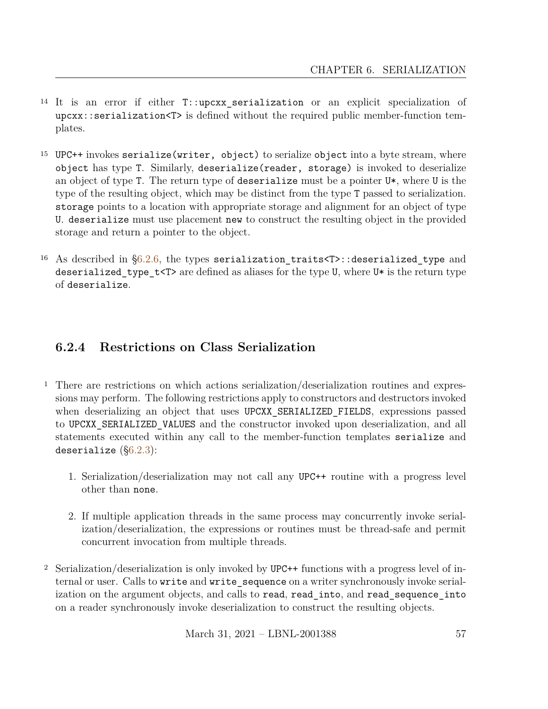- <sup>14</sup> It is an error if either T::upcxx\_serialization or an explicit specialization of upcxx::serialization<T> is defined without the required public member-function templates.
- <sup>15</sup> UPC++ invokes serialize(writer, object) to serialize object into a byte stream, where object has type T. Similarly, deserialize(reader, storage) is invoked to deserialize an object of type T. The return type of deserialize must be a pointer U\*, where U is the type of the resulting object, which may be distinct from the type T passed to serialization. storage points to a location with appropriate storage and alignment for an object of type U. deserialize must use placement new to construct the resulting object in the provided storage and return a pointer to the object.
- <sup>16</sup> As described in  $\S6.2.6$ , the types serialization traits<T>::deserialized type and deserialized type  $t < T$  are defined as aliases for the type U, where U\* is the return type of deserialize.

### **6.2.4 Restrictions on Class Serialization**

- <sup>1</sup> There are restrictions on which actions serialization/deserialization routines and expressions may perform. The following restrictions apply to constructors and destructors invoked when deserializing an object that uses UPCXX\_SERIALIZED\_FIELDS, expressions passed to UPCXX\_SERIALIZED\_VALUES and the constructor invoked upon deserialization, and all statements executed within any call to the member-function templates serialize and deserialize ([§6.2.3\)](#page-62-0):
	- 1. Serialization/deserialization may not call any UPC++ routine with a progress level other than none.
	- 2. If multiple application threads in the same process may concurrently invoke serialization/deserialization, the expressions or routines must be thread-safe and permit concurrent invocation from multiple threads.
- <sup>2</sup> Serialization/deserialization is only invoked by UPC++ functions with a progress level of internal or user. Calls to write and write sequence on a writer synchronously invoke serialization on the argument objects, and calls to read, read into, and read sequence into on a reader synchronously invoke deserialization to construct the resulting objects.

$$
March\;31,\;2021-LBNL-2001388\qquad57
$$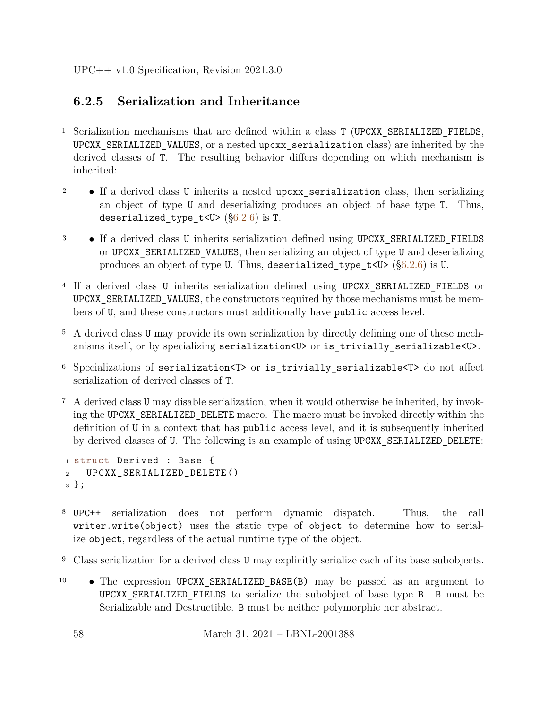### <span id="page-66-0"></span>**6.2.5 Serialization and Inheritance**

- <sup>1</sup> Serialization mechanisms that are defined within a class **T** (UPCXX SERIALIZED FIELDS, UPCXX\_SERIALIZED\_VALUES, or a nested upcxx\_serialization class) are inherited by the derived classes of T. The resulting behavior differs depending on which mechanism is inherited:
- <sup>2</sup> If a derived class U inherits a nested upcxx\_serialization class, then serializing an object of type U and deserializing produces an object of base type T. Thus, deserialized type  $t **\frac{1}{66.2.6}**$  is T.
- <sup>3</sup> If a derived class U inherits serialization defined using UPCXX SERIALIZED FIELDS or UPCXX\_SERIALIZED\_VALUES, then serializing an object of type U and deserializing produces an object of type U. Thus, deserialized\_type\_t<U>  $(\S6.2.6)$  is U.
- <sup>4</sup> If a derived class U inherits serialization defined using UPCXX SERIALIZED FIELDS or UPCXX\_SERIALIZED\_VALUES, the constructors required by those mechanisms must be members of U, and these constructors must additionally have public access level.
- <sup>5</sup> A derived class U may provide its own serialization by directly defining one of these mechanisms itself, or by specializing serialization<U> or is trivially serializable<U>.
- <sup>6</sup> Specializations of serialization<T> or is\_trivially\_serializable<T> do not affect serialization of derived classes of T.
- <sup>7</sup> A derived class U may disable serialization, when it would otherwise be inherited, by invoking the UPCXX\_SERIALIZED\_DELETE macro. The macro must be invoked directly within the definition of U in a context that has public access level, and it is subsequently inherited by derived classes of U. The following is an example of using UPCXX\_SERIALIZED\_DELETE:

```
1 struct Derived : Base {
2 UPCXX_SERIALIZED_DELETE ()
3 };
```
- <sup>8</sup> UPC++ serialization does not perform dynamic dispatch. Thus, the call writer.write(object) uses the static type of object to determine how to serialize object, regardless of the actual runtime type of the object.
- <sup>9</sup> Class serialization for a derived class U may explicitly serialize each of its base subobjects.
- $10$  The expression UPCXX SERIALIZED BASE(B) may be passed as an argument to UPCXX\_SERIALIZED\_FIELDS to serialize the subobject of base type B. B must be Serializable and Destructible. B must be neither polymorphic nor abstract.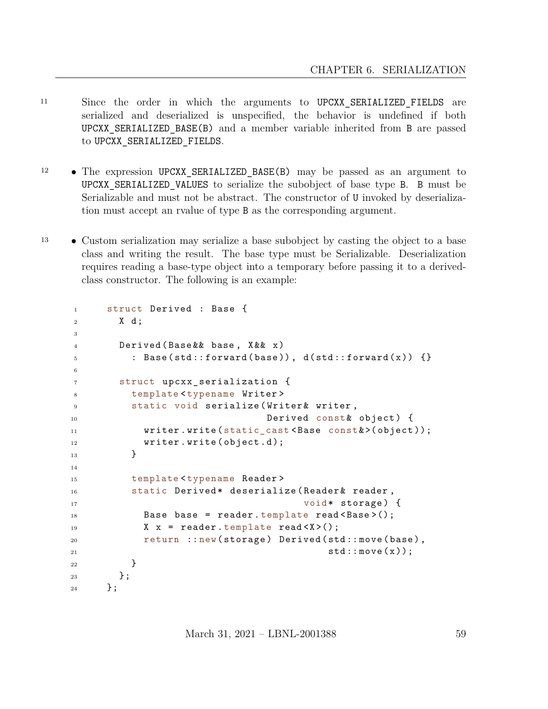- <sup>11</sup> Since the order in which the arguments to UPCXX\_SERIALIZED\_FIELDS are serialized and deserialized is unspecified, the behavior is undefined if both UPCXX\_SERIALIZED\_BASE(B) and a member variable inherited from B are passed to UPCXX\_SERIALIZED\_FIELDS.
- <sup>12</sup> The expression UPCXX SERIALIZED BASE(B) may be passed as an argument to UPCXX\_SERIALIZED\_VALUES to serialize the subobject of base type B. B must be Serializable and must not be abstract. The constructor of U invoked by deserialization must accept an rvalue of type B as the corresponding argument.
- <sup>13</sup> Custom serialization may serialize a base subobject by casting the object to a base class and writing the result. The base type must be Serializable. Deserialization requires reading a base-type object into a temporary before passing it to a derivedclass constructor. The following is an example:

```
1 struct Derived : Base {
2 X d;
\overline{3}4 Derived (Base & & base, X & & x)
5 : Base(std::forward(base)), d(std::forward(x)) {}
6
      7 struct upcxx_serialization {
8 template < typename Writer >
9 static void serialize (Writer & writer,
10 Derived const & object) {
11 writer.write(static_cast < Base const & >(object));
12 writer.write (object.d);
13 }
14
15 template < typename Reader >
16 static Derived* deserialize (Reader & reader,
17 void* storage) {
18 Base base = reader.template read<Base>();
19 X \times = \text{reader.template read} \langle X \rangle ();
20 return :: new (storage) Derived (std:: move (base),
21 std :: move (x) );
<sup>22</sup>    }
23 };
<sup>24</sup>    };
```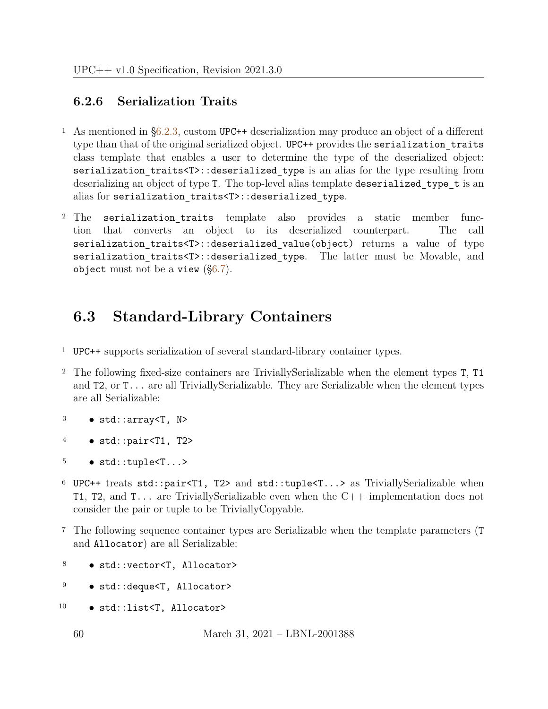### <span id="page-68-0"></span>**6.2.6 Serialization Traits**

- <sup>1</sup> As mentioned in [§6.2.3,](#page-62-0) custom UPC++ deserialization may produce an object of a different type than that of the original serialized object. UPC++ provides the serialization traits class template that enables a user to determine the type of the deserialized object: serialization traits<T>::deserialized type is an alias for the type resulting from deserializing an object of type T. The top-level alias template deserialized type t is an alias for serialization\_traits<T>::deserialized\_type.
- <sup>2</sup> The serialization traits template also provides a static member function that converts an object to its deserialized counterpart. The call serialization\_traits<T>::deserialized\_value(object) returns a value of type serialization traits<T>::deserialized type. The latter must be Movable, and object must not be a view  $(\S6.7)$ .

# **6.3 Standard-Library Containers**

- <sup>1</sup> UPC++ supports serialization of several standard-library container types.
- <sup>2</sup> The following fixed-size containers are TriviallySerializable when the element types T, T1 and T2, or T... are all TriviallySerializable. They are Serializable when the element types are all Serializable:
- $3 \bullet \text{std::array}\langle T, N \rangle$
- $4 \qquad \bullet \text{ std::pair=T1, T2>}$
- $5 \qquad \bullet \text{ std::tuple} \leq T \ldots$
- 6 UPC++ treats std::pair<T1, T2> and std::tuple<T...> as TriviallySerializable when **T1, T2, and T...** are TriviallySerializable even when the  $C++$  implementation does not consider the pair or tuple to be TriviallyCopyable.
- <sup>7</sup> The following sequence container types are Serializable when the template parameters (T and Allocator) are all Serializable:
- 8 std::vector<T, Allocator>
- 9 std::deque<T, Allocator>
- 10 std::list<T, Allocator>
	- 60 March 31, 2021 LBNL-2001388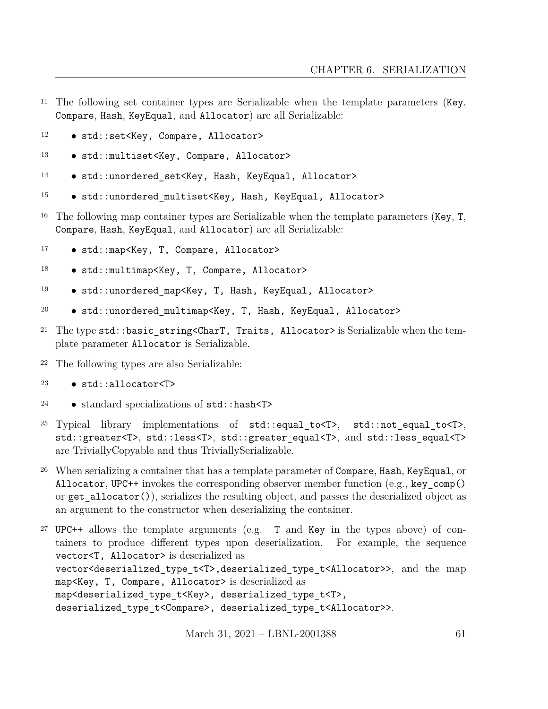- <sup>11</sup> The following set container types are Serializable when the template parameters (Key, Compare, Hash, KeyEqual, and Allocator) are all Serializable:
- 12 std::set<Key, Compare, Allocator>
- 13 std:: multiset<Key, Compare, Allocator>
- 14 std:: unordered set<Key, Hash, KeyEqual, Allocator>
- 15 std:: unordered multiset<Key, Hash, KeyEqual, Allocator>
- <sup>16</sup> The following map container types are Serializable when the template parameters (Key, T, Compare, Hash, KeyEqual, and Allocator) are all Serializable:
- 17 std:: map<Key, T, Compare, Allocator>
- 18 std:: multimap<Key, T, Compare, Allocator>
- $19$  std::unordered map<Key, T, Hash, KeyEqual, Allocator>
- $20$  std::unordered multimap<Key, T, Hash, KeyEqual, Allocator>
- 21 The type std::basic\_string<CharT, Traits, Allocator> is Serializable when the template parameter Allocator is Serializable.
- <sup>22</sup> The following types are also Serializable:
- <sup>23</sup> std::allocator<T>
- $^{24}$  standard specializations of  $std::hash < T$ >
- <sup>25</sup> Typical library implementations of  $std::equal to < T$ , std::not equal to<T>, std::greater<T>, std::less<T>, std::greater\_equal<T>, and std::less\_equal<T> are TriviallyCopyable and thus TriviallySerializable.
- <sup>26</sup> When serializing a container that has a template parameter of Compare, Hash, KeyEqual, or Allocator, UPC++ invokes the corresponding observer member function (e.g., key comp() or get\_allocator()), serializes the resulting object, and passes the deserialized object as an argument to the constructor when deserializing the container.
- <sup>27</sup> UPC++ allows the template arguments (e.g. T and Key in the types above) of containers to produce different types upon deserialization. For example, the sequence vector<T, Allocator> is deserialized as vector<deserialized\_type\_t<T>,deserialized\_type\_t<Allocator>>, and the map map<Key, T, Compare, Allocator> is deserialized as map<deserialized\_type\_t<Key>, deserialized\_type\_t<T>, deserialized\_type\_t<Compare>, deserialized\_type\_t<Allocator>>.

March 31, 2021 – LBNL-2001388 61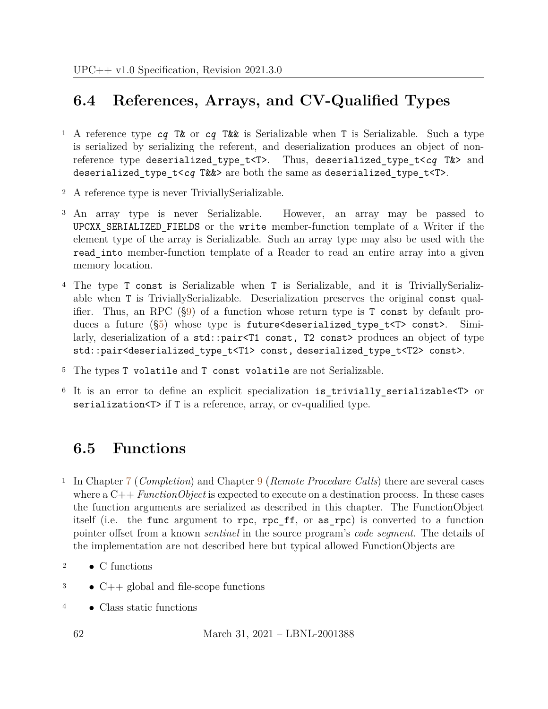# **6.4 References, Arrays, and CV-Qualified Types**

- <sup>1</sup> A reference type *cq* T& or *cq* T&& is Serializable when T is Serializable. Such a type is serialized by serializing the referent, and deserialization produces an object of nonreference type deserialized\_type\_t<T>. Thus, deserialized\_type\_t<*cq* T&> and deserialized type  $t < cq$  T&&> are both the same as deserialized type  $t < T$ >.
- <sup>2</sup> A reference type is never TriviallySerializable.
- <sup>3</sup> An array type is never Serializable. However, an array may be passed to UPCXX\_SERIALIZED\_FIELDS or the write member-function template of a Writer if the element type of the array is Serializable. Such an array type may also be used with the read into member-function template of a Reader to read an entire array into a given memory location.
- <sup>4</sup> The type T const is Serializable when T is Serializable, and it is TriviallySerializable when T is TriviallySerializable. Deserialization preserves the original const qualifier. Thus, an RPC ([§9\)](#page-97-0) of a function whose return type is T const by default produces a future ([§5\)](#page-40-1) whose type is future<deserialized\_type\_t<T> const>. Similarly, deserialization of a std::pair<T1 const, T2 const> produces an object of type std::pair<deserialized type t<T1> const, deserialized type t<T2> const>.
- <sup>5</sup> The types T volatile and T const volatile are not Serializable.
- <sup>6</sup> It is an error to define an explicit specialization is\_trivially\_serializable<T> or serialization<T> if T is a reference, array, or cv-qualified type.

# **6.5 Functions**

- <sup>1</sup> In Chapter [7](#page-83-0) (*Completion*) and Chapter [9](#page-97-0) (*Remote Procedure Calls*) there are several cases where a C++ *FunctionObject* is expected to execute on a destination process. In these cases the function arguments are serialized as described in this chapter. The FunctionObject itself (i.e. the func argument to rpc, rpc\_ff, or as\_rpc) is converted to a function pointer offset from a known *sentinel* in the source program's *code segment*. The details of the implementation are not described here but typical allowed FunctionObjects are
- <sup>2</sup> C functions
- $3 \rightarrow C++$  global and file-scope functions
- <sup>4</sup> Class static functions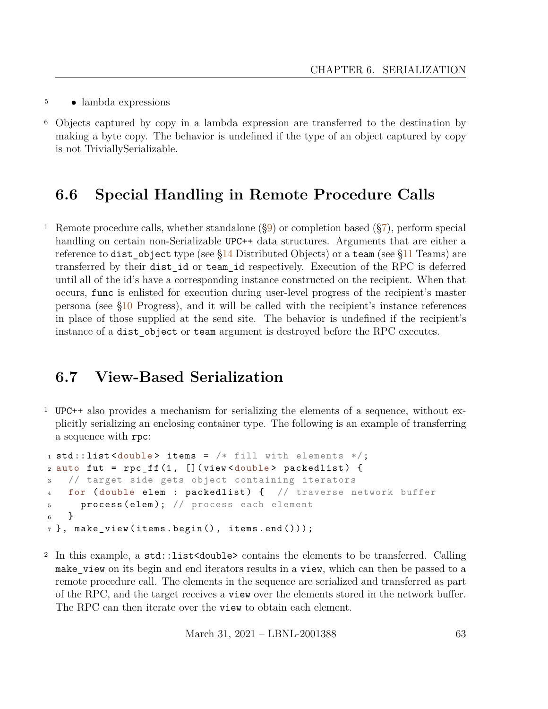- <sup>5</sup> lambda expressions
- <sup>6</sup> Objects captured by copy in a lambda expression are transferred to the destination by making a byte copy. The behavior is undefined if the type of an object captured by copy is not TriviallySerializable.

# **6.6 Special Handling in Remote Procedure Calls**

<sup>1</sup> Remote procedure calls, whether standalone ([§9\)](#page-97-0) or completion based ([§7\)](#page-83-0), perform special handling on certain non-Serializable UPC++ data structures. Arguments that are either a reference to dist object type (see  $$14$  Distributed Objects) or a team (see  $$11$  Teams) are transferred by their dist\_id or team\_id respectively. Execution of the RPC is deferred until all of the id's have a corresponding instance constructed on the recipient. When that occurs, func is enlisted for execution during user-level progress of the recipient's master persona (see [§10](#page-105-0) Progress), and it will be called with the recipient's instance references in place of those supplied at the send site. The behavior is undefined if the recipient's instance of a dist object or team argument is destroyed before the RPC executes.

# <span id="page-71-0"></span>**6.7 View-Based Serialization**

<sup>1</sup> UPC++ also provides a mechanism for serializing the elements of a sequence, without explicitly serializing an enclosing container type. The following is an example of transferring a sequence with rpc:

```
1 std::list<double> items = /* fill with elements */;2 auto fut = \text{rpc}_\text{f}(1, [\cdot] (view < double > packedlist) {
3 // target side gets object containing iterators
4 for (double elem : packedlist) { // traverse network buffer
5 process (elem); // process each element
6 }
7 } , make_view ( items . begin () , items . end ()));
```
<sup>2</sup> In this example, a std::list<double> contains the elements to be transferred. Calling make view on its begin and end iterators results in a view, which can then be passed to a remote procedure call. The elements in the sequence are serialized and transferred as part of the RPC, and the target receives a view over the elements stored in the network buffer. The RPC can then iterate over the view to obtain each element.

$$
March\;31,\;2021-LBNL-2001388\qquad \qquad 63
$$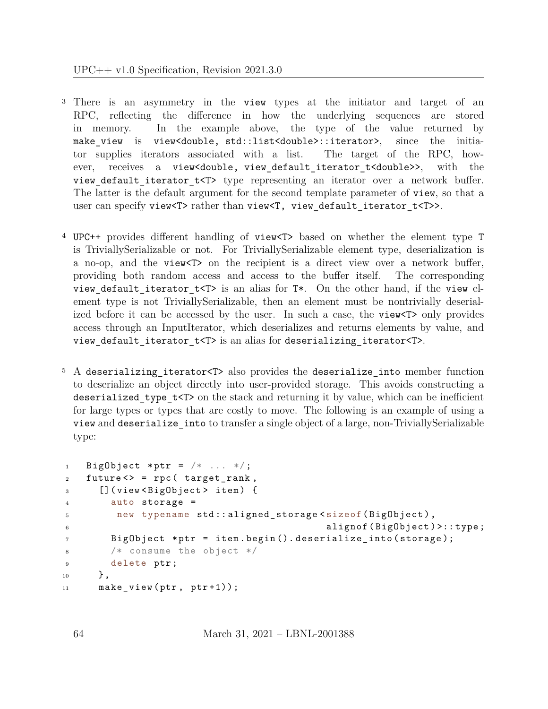- <sup>3</sup> There is an asymmetry in the view types at the initiator and target of an RPC, reflecting the difference in how the underlying sequences are stored in memory. In the example above, the type of the value returned by make view is view<double, std::list<double>::iterator>, since the initiator supplies iterators associated with a list. The target of the RPC, however, receives a view<double, view default iterator t<double>>, with the view default iterator  $t < T$  type representing an iterator over a network buffer. The latter is the default argument for the second template parameter of view, so that a user can specify view<T> rather than view<T, view\_default\_iterator\_t<T>>.
- <sup>4</sup> UPC++ provides different handling of view<T> based on whether the element type T is TriviallySerializable or not. For TriviallySerializable element type, deserialization is a no-op, and the view<T> on the recipient is a direct view over a network buffer, providing both random access and access to the buffer itself. The corresponding view default iterator  $t < T$  is an alias for T\*. On the other hand, if the view element type is not TriviallySerializable, then an element must be nontrivially deserialized before it can be accessed by the user. In such a case, the view<T> only provides access through an InputIterator, which deserializes and returns elements by value, and view default iterator  $t$ <T> is an alias for deserializing iterator<T>.
- <sup>5</sup> A deserializing iterator<T> also provides the deserialize into member function to deserialize an object directly into user-provided storage. This avoids constructing a deserialized\_type\_t<T> on the stack and returning it by value, which can be inefficient for large types or types that are costly to move. The following is an example of using a view and deserialize\_into to transfer a single object of a large, non-TriviallySerializable type:

```
1 BigObject *ptr = /* ... */;2 future <> = rpc ( target_rank,
3 []( view < BigObject > item ) {
4 auto storage =
5 new typename std :: aligned_storage < sizeof ( BigObject ) ,
6 alignof (BigObject)>::type;
7 BigObject *ptr = item.begin().deserialize_into (storage);
8 /* consume the object */
9 delete ptr;
_{10} },
11 make_view (ptr, ptr+1));
```
64 March 31, 2021 – LBNL-2001388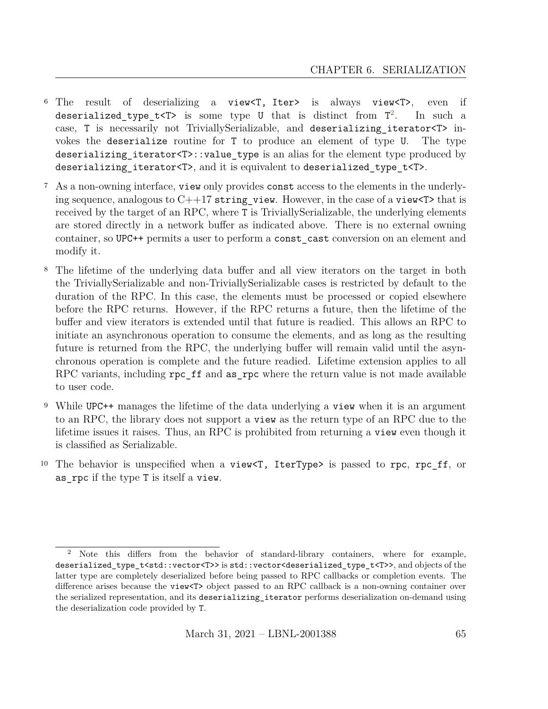- The result of deserializing a view<T, Iter> is always view<T>, even if deserialized\_type\_t<T> is some type U that is distinct from  $T^2$  $T^2$ . In such a case, T is necessarily not TriviallySerializable, and deserializing iterator<T> invokes the deserialize routine for T to produce an element of type U. The type deserializing\_iterator<T>::value\_type is an alias for the element type produced by deserializing iterator<T>, and it is equivalent to deserialized type t<T>.
- <sup>7</sup> As a non-owning interface, view only provides const access to the elements in the underlying sequence, analogous to  $C++17$  string view. However, in the case of a view $\langle T \rangle$  that is received by the target of an RPC, where T is TriviallySerializable, the underlying elements are stored directly in a network buffer as indicated above. There is no external owning container, so UPC++ permits a user to perform a const cast conversion on an element and modify it.
- <sup>8</sup> The lifetime of the underlying data buffer and all view iterators on the target in both the TriviallySerializable and non-TriviallySerializable cases is restricted by default to the duration of the RPC. In this case, the elements must be processed or copied elsewhere before the RPC returns. However, if the RPC returns a future, then the lifetime of the buffer and view iterators is extended until that future is readied. This allows an RPC to initiate an asynchronous operation to consume the elements, and as long as the resulting future is returned from the RPC, the underlying buffer will remain valid until the asynchronous operation is complete and the future readied. Lifetime extension applies to all RPC variants, including rpc ff and as rpc where the return value is not made available to user code.
- <sup>9</sup> While UPC++ manages the lifetime of the data underlying a view when it is an argument to an RPC, the library does not support a view as the return type of an RPC due to the lifetime issues it raises. Thus, an RPC is prohibited from returning a view even though it is classified as Serializable.
- <sup>10</sup> The behavior is unspecified when a view<T, IterType> is passed to rpc, rpc\_ff, or as rpc if the type T is itself a view.

<span id="page-73-0"></span><sup>&</sup>lt;sup>2</sup> Note this differs from the behavior of standard-library containers, where for example, deserialized\_type\_t<std::vector<T>> is std::vector<deserialized\_type\_t<T>>, and objects of the latter type are completely deserialized before being passed to RPC callbacks or completion events. The difference arises because the view<T> object passed to an RPC callback is a non-owning container over the serialized representation, and its deserializing\_iterator performs deserialization on-demand using the deserialization code provided by T.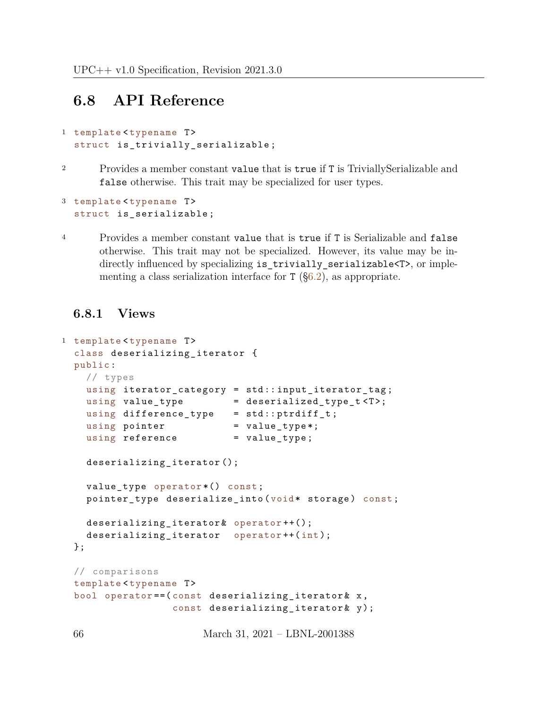## **6.8 API Reference**

```
1 template<typename T>
 struct is_trivially_serializable ;
```
<sup>2</sup> Provides a member constant value that is true if T is TriviallySerializable and false otherwise. This trait may be specialized for user types.

```
3 template<typename T>
  struct is_serializable ;
```
<sup>4</sup> Provides a member constant value that is true if T is Serializable and false otherwise. This trait may not be specialized. However, its value may be indirectly influenced by specializing is trivially serializable<T>, or implementing a class serialization interface for  $T$  ([§6.2\)](#page-60-0), as appropriate.

### **6.8.1 Views**

```
1 template<typename T>
 class deserializing_iterator {
 public :
   // types
   using iterator_category = std::input\_iterator\_tag;
   using value_type = deserialized_type_t<T>;
   using difference_type = std::ptrdiff_t;using pointer = value_type*;
   using reference = value_type;
   deserializing_iterator ();
   value_type operator*() const;
   pointer_type deserialize_into (void* storage) const;
   deserializing_iterator & operator ++();
   deserializing_iterator operator ++(int);
 };
 // comparisons
 template<typename T>
 bool operator == (const deserializing_iterator x,
                 const deserializing_iterator & y);
 66 March 31, 2021 – LBNL-2001388
```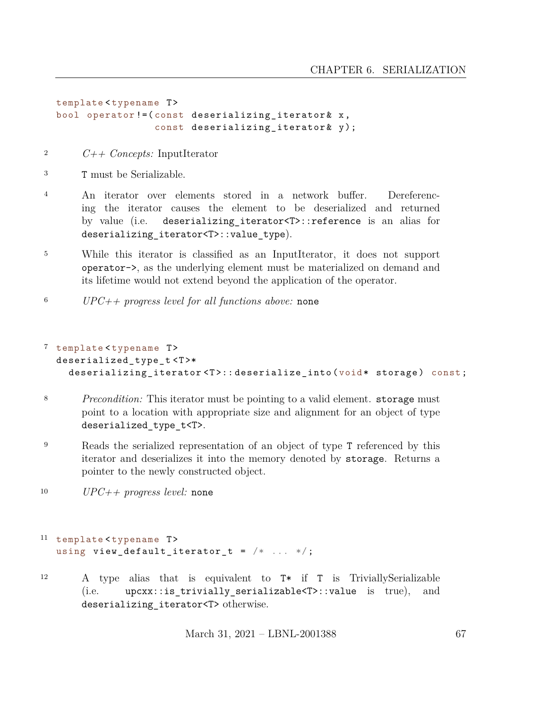```
template<typename T>
bool operator!=(const deserializing_iterator x,
                const deserializing_iterator & y);
```
- <sup>2</sup> *C++ Concepts:* InputIterator
- <sup>3</sup> T must be Serializable.
- <sup>4</sup> An iterator over elements stored in a network buffer. Dereferencing the iterator causes the element to be deserialized and returned by value (i.e. deserializing\_iterator<T>::reference is an alias for deserializing\_iterator<T>::value\_type).
- <sup>5</sup> While this iterator is classified as an InputIterator, it does not support operator->, as the underlying element must be materialized on demand and its lifetime would not extend beyond the application of the operator.
- <sup>6</sup> *UPC++ progress level for all functions above:* none

```
7 template<typename T>
  deserialized type t < T >*
    deserializing_iterator<T>::deserialize_into (void* storage) const;
```
- <sup>8</sup> *Precondition:* This iterator must be pointing to a valid element. storage must point to a location with appropriate size and alignment for an object of type deserialized type t<T>.
- <sup>9</sup> Reads the serialized representation of an object of type T referenced by this iterator and deserializes it into the memory denoted by storage. Returns a pointer to the newly constructed object.
- <sup>10</sup> *UPC++ progress level:* none
- 11 template < typename T> using view\_default\_iterator\_t =  $/* ... *$ ;
- <sup>12</sup> A type alias that is equivalent to T\* if T is TriviallySerializable (i.e. upcxx::is\_trivially\_serializable<T>::value is true), and deserializing iterator<T> otherwise.

$$
March\;31,\;2021 - LBNL-2001388\qquad \qquad 67
$$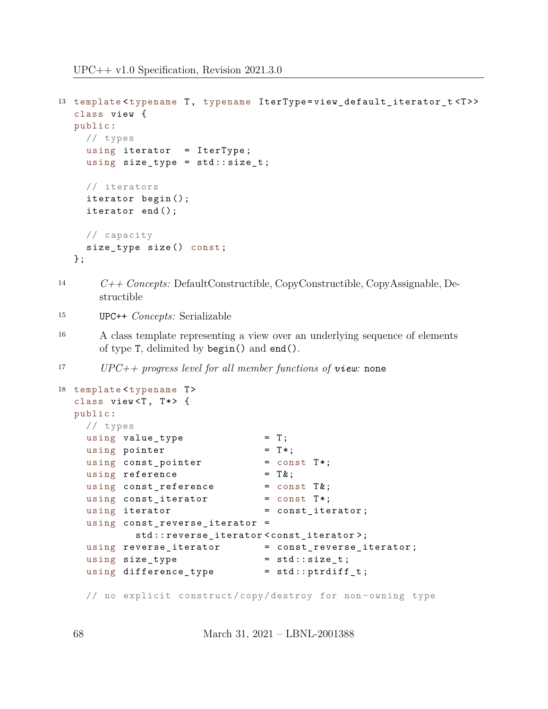UPC++ v1.0 Specification, Revision 2021.3.0

```
13 template<typename T, typename IterType=view_default_iterator_t<T>>
  class view {
  public :
    // types
    using iterator = IterType;
    using size\_type = std::size_t;// iterators
    iterator begin ();
    iterator end();
    // capacity
    size_type size () const ;
  };
14 C++ Concepts: DefaultConstructible, CopyConstructible, CopyAssignable, De-
      structible
15 UPC++ Concepts: Serializable
16 A class template representing a view over an underlying sequence of elements
      of type T, delimited by begin() and end().
17 UPC++ progress level for all member functions of view: none
18 template<typename T>
  class view <T, T*> {
  public :
    // types
    using value_type = T;
    using pointer = T^*;
    using const\_pointer = const T^*;
    using reference = T \&;
    using const\_reference = const T\&;
    using const<sub>1</sub> terator = const T*;
    using iterator = const_iterator;
    using const_reverse_iterator =
            std :: reverse_iterator < const_iterator >;
    using reverse_iterator = const_reverse_iterator;
    using size_type = std::size_t;
    using difference_type = std::ptrdiff_t;// no explicit construct / copy / destroy for non - owning type
```
68 March 31, 2021 – LBNL-2001388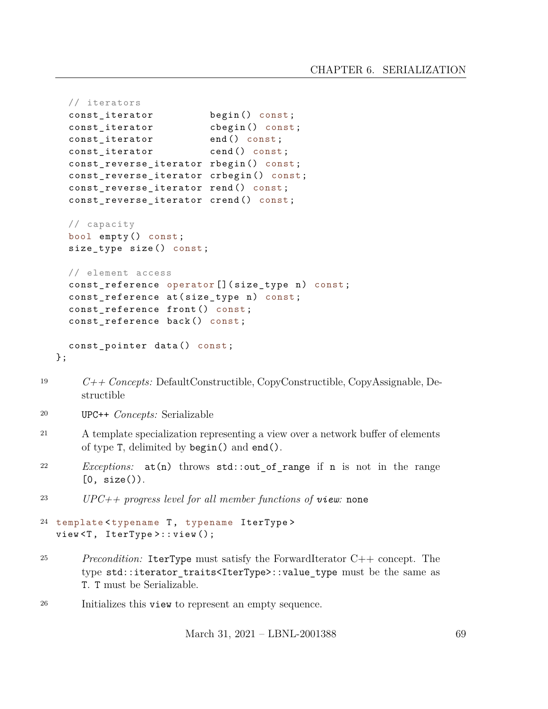```
// iterators
const_iterator begin() const;
const_iterator cbegin () const ;
const iterator end () const;
const_iterator cend() const;
const_reverse_iterator rbegin () const ;
const_reverse_iterator crbegin () const ;
const reverse iterator rend () const;
const_reverse_iterator crend () const ;
// capacity
bool empty () const ;
size_type size () const ;
// element access
const_reference operator [] (size_type n) const;
const_reference at (size_type n) const;
const_reference front () const ;
const_reference back () const ;
const_pointer data () const ;
```

```
};
```
- <sup>19</sup> *C++ Concepts:* DefaultConstructible, CopyConstructible, CopyAssignable, Destructible
- <sup>20</sup> UPC++ *Concepts:* Serializable
- <sup>21</sup> A template specialization representing a view over a network buffer of elements of type T, delimited by begin() and end().
- <sup>22</sup> *Exceptions:* at(n) throws std::out\_of\_range if n is not in the range  $[0, size()$ .
- <sup>23</sup> *UPC++ progress level for all member functions of view:* none

```
24 template<typename T, typename IterType>
  view <T, IterType >:: view ();
```
- <sup>25</sup> *Precondition:* IterType must satisfy the ForwardIterator C++ concept. The type std::iterator traits<IterType>::value type must be the same as T. T must be Serializable.
- <sup>26</sup> Initializes this view to represent an empty sequence.

March 31, 2021 – LBNL-2001388 69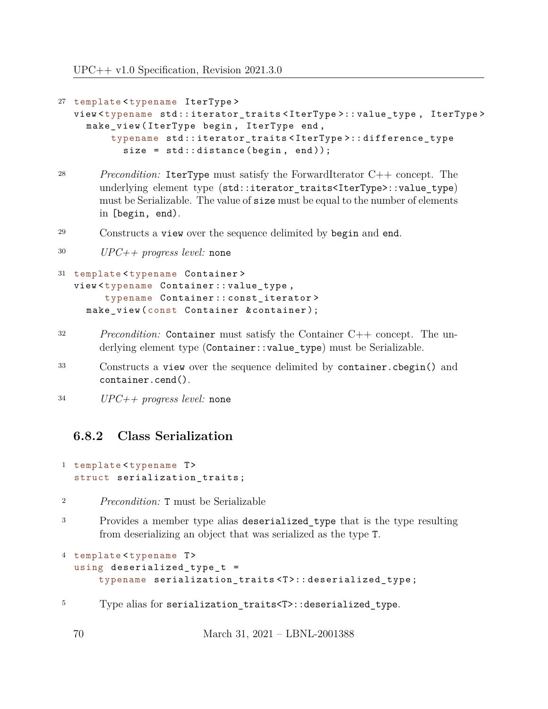```
27 template < typename IterType >
```

```
view < typename std :: iterator_traits < IterType >:: value_type , IterType >
  make_view ( IterType begin , IterType end ,
      typename std :: iterator_traits < IterType >:: difference_type
         size = std::distance(begin, end));
```
- <sup>28</sup> *Precondition:* IterType must satisfy the ForwardIterator C++ concept. The underlying element type (std::iterator traits<IterType>::value type) must be Serializable. The value of size must be equal to the number of elements in [begin, end).
- <sup>29</sup> Constructs a view over the sequence delimited by begin and end.
- <sup>30</sup> *UPC++ progress level:* none

```
31 template < typename Container >
  view < typename Container :: value_type,
        typename Container :: const_iterator >
     make_view ( const Container & container );
```
- <sup>32</sup> *Precondition:* Container must satisfy the Container C++ concept. The underlying element type (Container::value type) must be Serializable.
- <sup>33</sup> Constructs a view over the sequence delimited by container.cbegin() and container.cend().

### **6.8.2 Class Serialization**

```
1 template<typename T>
 struct serialization traits;
```
- <sup>2</sup> *Precondition:* T must be Serializable
- <sup>3</sup> Provides a member type alias deserialized type that is the type resulting from deserializing an object that was serialized as the type T.

```
4 template<typename T>
 using deserialized_type_t =
      typename serialization_traits <T >:: deserialized_type ;
```
 $5$  Type alias for serialization traits  $(T>1)$ : deserialized type.

```
70 March 31, 2021 – LBNL-2001388
```
<sup>34</sup> *UPC++ progress level:* none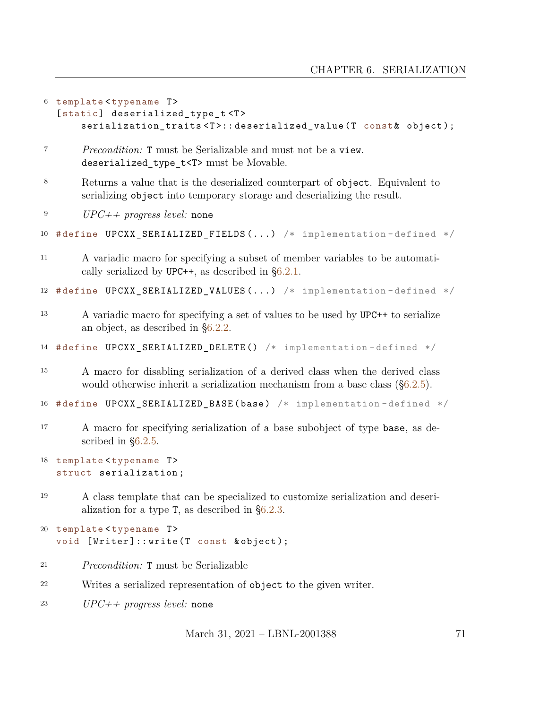```
6 template<typename T>
  [static] deserialized_type_t<T>
      serialization_traits <T>:: deserialized_value (T const & object);
```
- <sup>7</sup> *Precondition:* T must be Serializable and must not be a view. deserialized type t<T> must be Movable.
- <sup>8</sup> Returns a value that is the deserialized counterpart of object. Equivalent to serializing object into temporary storage and deserializing the result.
- <sup>9</sup> *UPC++ progress level:* none

```
10 # define UPCXX_SERIALIZED_FIELDS (...) /* implementation - defined */
```
- <sup>11</sup> A variadic macro for specifying a subset of member variables to be automatically serialized by UPC $++$ , as described in  $\S6.2.1$ .
- 12 # define UPCXX\_SERIALIZED\_VALUES (...) /\* implementation defined \*/
- <sup>13</sup> A variadic macro for specifying a set of values to be used by UPC++ to serialize an object, as described in [§6.2.2.](#page-62-0)
- 14 # define UPCXX\_SERIALIZED\_DELETE () /\* implementation defined \*/
- <sup>15</sup> A macro for disabling serialization of a derived class when the derived class would otherwise inherit a serialization mechanism from a base class ([§6.2.5\)](#page-66-0).
- 16 # define UPCXX\_SERIALIZED\_BASE ( base ) /\* implementation defined \*/
- <sup>17</sup> A macro for specifying serialization of a base subobject of type base, as described in [§6.2.5.](#page-66-0)
- 18 template<typename T> struct serialization ;
- <sup>19</sup> A class template that can be specialized to customize serialization and deserialization for a type T, as described in [§6.2.3.](#page-62-1)

```
20 template < typename T>
  void [Writer]:: write (T const & object);
```
- <sup>21</sup> *Precondition:* T must be Serializable
- <sup>22</sup> Writes a serialized representation of object to the given writer.
- <sup>23</sup> *UPC++ progress level:* none

```
March 31, 2021 – LBNL-2001388 71
```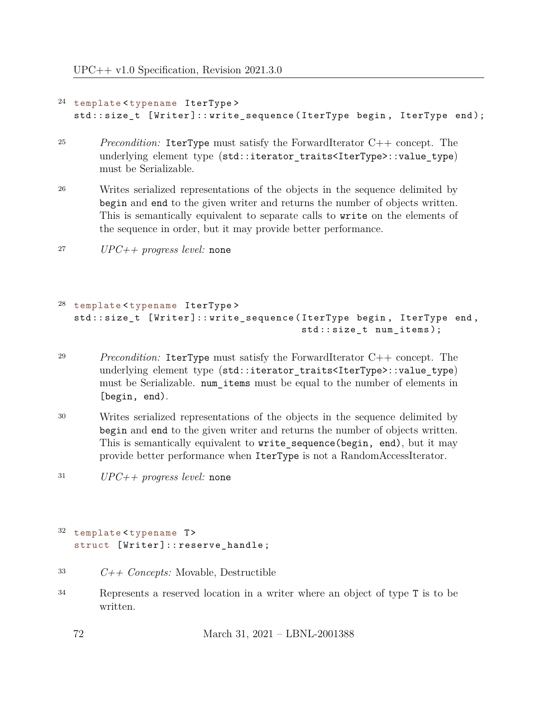### <sup>24</sup> template < typename IterType > std::size\_t [Writer]::write\_sequence (IterType begin, IterType end);

- <sup>25</sup> *Precondition:* IterType must satisfy the ForwardIterator C++ concept. The underlying element type (std::iterator traits<IterType>::value type) must be Serializable.
- <sup>26</sup> Writes serialized representations of the objects in the sequence delimited by begin and end to the given writer and returns the number of objects written. This is semantically equivalent to separate calls to write on the elements of the sequence in order, but it may provide better performance.
- <sup>27</sup> *UPC++ progress level:* none

#### <sup>28</sup> template < typename IterType > std::size\_t [Writer]::write\_sequence (IterType begin, IterType end, std :: size\_t num\_items );

- <sup>29</sup> *Precondition:* IterType must satisfy the ForwardIterator C++ concept. The underlying element type (std::iterator traits<IterType>::value type) must be Serializable. num\_items must be equal to the number of elements in [begin, end).
- <sup>30</sup> Writes serialized representations of the objects in the sequence delimited by begin and end to the given writer and returns the number of objects written. This is semantically equivalent to write sequence(begin, end), but it may provide better performance when IterType is not a RandomAccessIterator.
- <sup>31</sup> *UPC++ progress level:* none

```
32 template < typename T>
  struct [Writer]:: reserve_handle;
```
- <sup>33</sup> *C++ Concepts:* Movable, Destructible
- <sup>34</sup> Represents a reserved location in a writer where an object of type T is to be written.
	- 72 March 31, 2021 LBNL-2001388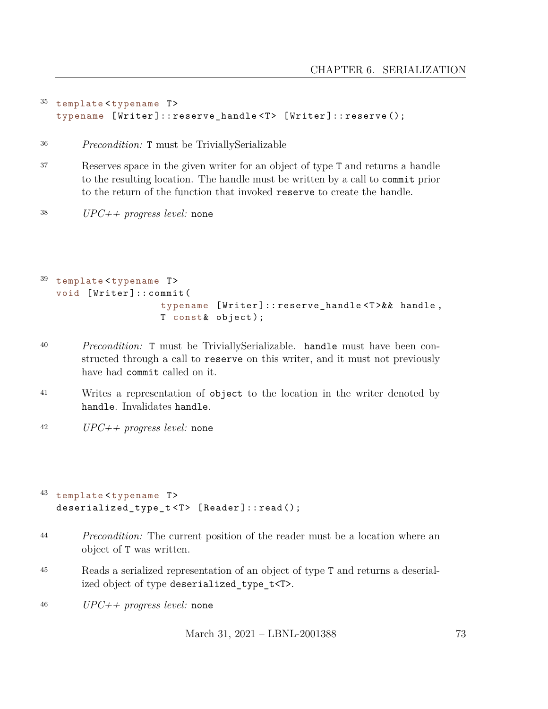```
35 template < typename T>
  typename [Writer]:: reserve_handle<T> [Writer]:: reserve();
```
<sup>36</sup> *Precondition:* T must be TriviallySerializable

<sup>37</sup> Reserves space in the given writer for an object of type T and returns a handle to the resulting location. The handle must be written by a call to commit prior to the return of the function that invoked reserve to create the handle.

<sup>38</sup> *UPC++ progress level:* none

```
39 template < typename T>
  void [Writer]:: commit (
                     typename [Writer]:: reserve_handle<T>&& handle,
                     T const & object);
```
- <sup>40</sup> *Precondition:* T must be TriviallySerializable. handle must have been constructed through a call to reserve on this writer, and it must not previously have had commit called on it.
- <sup>41</sup> Writes a representation of object to the location in the writer denoted by handle. Invalidates handle.
- <sup>42</sup> *UPC++ progress level:* none

```
43 template \lttypename T>
  deserialized_type_t <T> [Reader]:: read ();
```
- <sup>44</sup> *Precondition:* The current position of the reader must be a location where an object of T was written.
- <sup>45</sup> Reads a serialized representation of an object of type T and returns a deserialized object of type deserialized\_type\_t<T>.
- <sup>46</sup> *UPC++ progress level:* none

```
March 31, 2021 – LBNL-2001388 73
```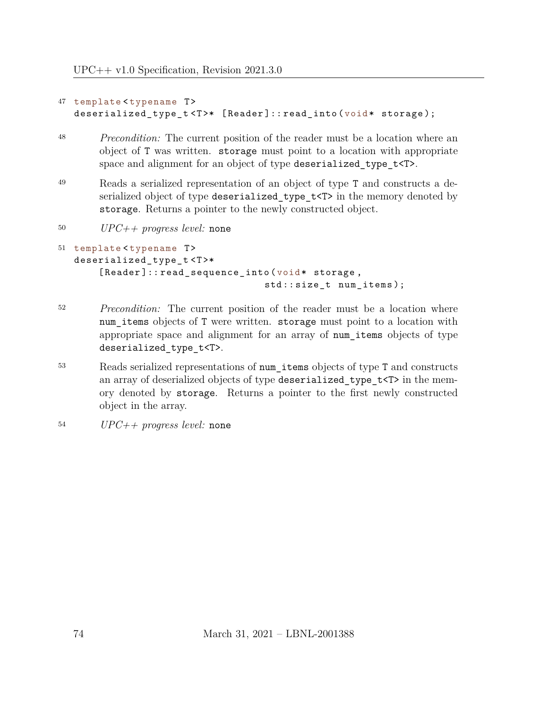#### 47 template<typename T> deserialized\_type\_t <T>\* [Reader]:: read\_into (void\* storage);

- <sup>48</sup> *Precondition:* The current position of the reader must be a location where an object of T was written. storage must point to a location with appropriate space and alignment for an object of type deserialized type  $t$ <T>.
- <sup>49</sup> Reads a serialized representation of an object of type T and constructs a deserialized object of type deserialized\_type\_t<T> in the memory denoted by storage. Returns a pointer to the newly constructed object.
- <sup>50</sup> *UPC++ progress level:* none

```
51 template<typename T>
  deserialized_type_t <T>*
       [Reader]:: read_sequence_into (void* storage,
                                    std :: size_t num_items );
```
- <sup>52</sup> *Precondition:* The current position of the reader must be a location where num items objects of T were written. storage must point to a location with appropriate space and alignment for an array of num\_items objects of type deserialized\_type\_t<T>.
- <sup>53</sup> Reads serialized representations of num\_items objects of type T and constructs an array of deserialized objects of type deserialized type  $t$ <T> in the memory denoted by storage. Returns a pointer to the first newly constructed object in the array.
- <sup>54</sup> *UPC++ progress level:* none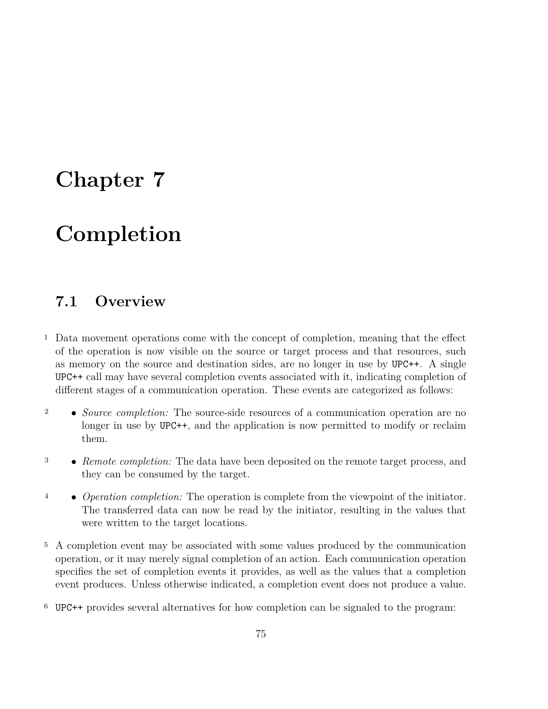# **Chapter 7**

# **Completion**

## <span id="page-83-0"></span>**7.1 Overview**

- <sup>1</sup> Data movement operations come with the concept of completion, meaning that the effect of the operation is now visible on the source or target process and that resources, such as memory on the source and destination sides, are no longer in use by UPC++. A single UPC++ call may have several completion events associated with it, indicating completion of different stages of a communication operation. These events are categorized as follows:
- <sup>2</sup> *Source completion:* The source-side resources of a communication operation are no longer in use by UPC++, and the application is now permitted to modify or reclaim them.
- <sup>3</sup> *Remote completion:* The data have been deposited on the remote target process, and they can be consumed by the target.
- <sup>4</sup> *Operation completion:* The operation is complete from the viewpoint of the initiator. The transferred data can now be read by the initiator, resulting in the values that were written to the target locations.
- <sup>5</sup> A completion event may be associated with some values produced by the communication operation, or it may merely signal completion of an action. Each communication operation specifies the set of completion events it provides, as well as the values that a completion event produces. Unless otherwise indicated, a completion event does not produce a value.
- <sup>6</sup> UPC++ provides several alternatives for how completion can be signaled to the program: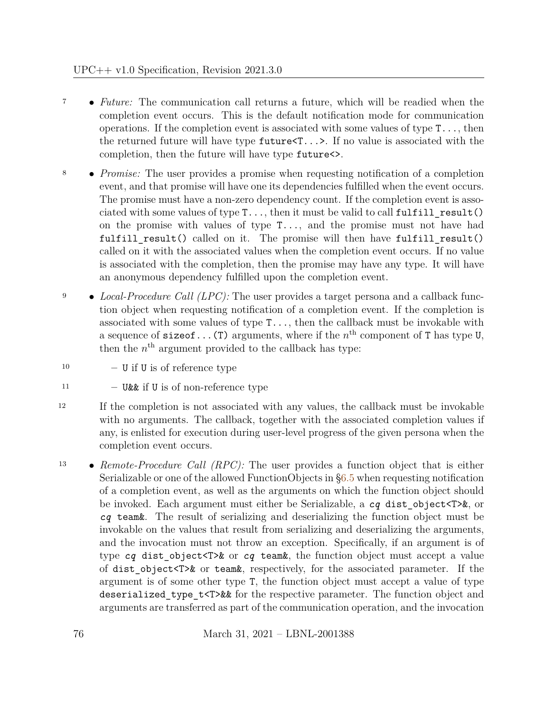- <sup>7</sup> *Future:* The communication call returns a future, which will be readied when the completion event occurs. This is the default notification mode for communication operations. If the completion event is associated with some values of type  $T_{\text{...}}$ , then the returned future will have type  $future < T...$ . If no value is associated with the completion, then the future will have type future<>.
- <sup>8</sup> *Promise:* The user provides a promise when requesting notification of a completion event, and that promise will have one its dependencies fulfilled when the event occurs. The promise must have a non-zero dependency count. If the completion event is associated with some values of type  $T...$ , then it must be valid to call fulfill result() on the promise with values of type T..., and the promise must not have had fulfill result() called on it. The promise will then have fulfill result() called on it with the associated values when the completion event occurs. If no value is associated with the completion, then the promise may have any type. It will have an anonymous dependency fulfilled upon the completion event.
- <sup>9</sup> *Local-Procedure Call (LPC):* The user provides a target persona and a callback function object when requesting notification of a completion event. If the completion is associated with some values of type T..., then the callback must be invokable with a sequence of  $\texttt{sizeof} \dots \texttt{(T)}$  arguments, where if the  $n^{\text{th}}$  component of T has type U, then the  $n<sup>th</sup>$  argument provided to the callback has type:
- <sup>10</sup> **–** U if U is of reference type
- <sup>11</sup> **–** U&& if U is of non-reference type
- <sup>12</sup> If the completion is not associated with any values, the callback must be invokable with no arguments. The callback, together with the associated completion values if any, is enlisted for execution during user-level progress of the given persona when the completion event occurs.
- <sup>13</sup> *Remote-Procedure Call (RPC):* The user provides a function object that is either Serializable or one of the allowed FunctionObjects in [§6.5](#page-70-0) when requesting notification of a completion event, as well as the arguments on which the function object should be invoked. Each argument must either be Serializable, a *cq* dist\_object<T>&, or *cq* team&. The result of serializing and deserializing the function object must be invokable on the values that result from serializing and deserializing the arguments, and the invocation must not throw an exception. Specifically, if an argument is of type *cq* dist\_object<T>& or *cq* team&, the function object must accept a value of dist\_object<T>& or team&, respectively, for the associated parameter. If the argument is of some other type T, the function object must accept a value of type deserialized type  $t < T > k\&$  for the respective parameter. The function object and arguments are transferred as part of the communication operation, and the invocation

76 March 31, 2021 – LBNL-2001388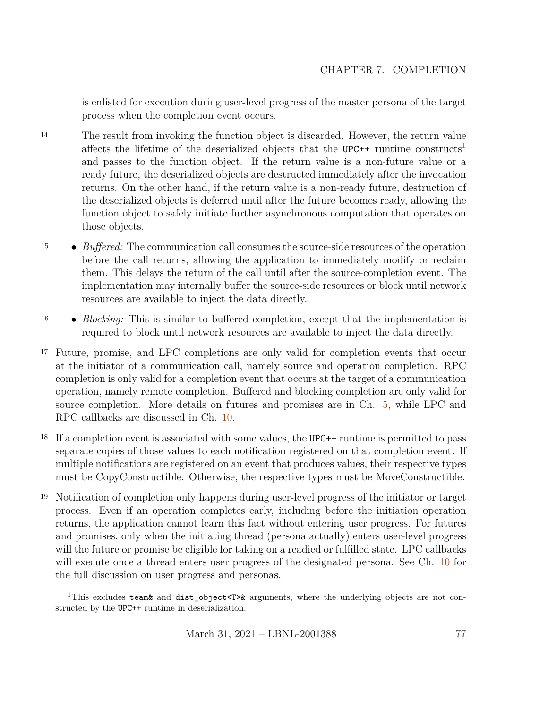is enlisted for execution during user-level progress of the master persona of the target process when the completion event occurs.

- <sup>14</sup> The result from invoking the function object is discarded. However, the return value affects the lifetime of the deserialized objects that the UPC++ runtime constructs<sup>[1](#page-85-0)</sup> and passes to the function object. If the return value is a non-future value or a ready future, the deserialized objects are destructed immediately after the invocation returns. On the other hand, if the return value is a non-ready future, destruction of the deserialized objects is deferred until after the future becomes ready, allowing the function object to safely initiate further asynchronous computation that operates on those objects.
- <sup>15</sup> *Buffered:* The communication call consumes the source-side resources of the operation before the call returns, allowing the application to immediately modify or reclaim them. This delays the return of the call until after the source-completion event. The implementation may internally buffer the source-side resources or block until network resources are available to inject the data directly.
- <sup>16</sup> *Blocking:* This is similar to buffered completion, except that the implementation is required to block until network resources are available to inject the data directly.
- <sup>17</sup> Future, promise, and LPC completions are only valid for completion events that occur at the initiator of a communication call, namely source and operation completion. RPC completion is only valid for a completion event that occurs at the target of a communication operation, namely remote completion. Buffered and blocking completion are only valid for source completion. More details on futures and promises are in Ch. [5,](#page-40-0) while LPC and RPC callbacks are discussed in Ch. [10.](#page-105-0)
- <sup>18</sup> If a completion event is associated with some values, the UPC++ runtime is permitted to pass separate copies of those values to each notification registered on that completion event. If multiple notifications are registered on an event that produces values, their respective types must be CopyConstructible. Otherwise, the respective types must be MoveConstructible.
- <sup>19</sup> Notification of completion only happens during user-level progress of the initiator or target process. Even if an operation completes early, including before the initiation operation returns, the application cannot learn this fact without entering user progress. For futures and promises, only when the initiating thread (persona actually) enters user-level progress will the future or promise be eligible for taking on a readied or fulfilled state. LPC callbacks will execute once a thread enters user progress of the designated persona. See Ch. [10](#page-105-0) for the full discussion on user progress and personas.

<span id="page-85-0"></span><sup>&</sup>lt;sup>1</sup>This excludes team  $x$  and dist\_object<T> $x$  arguments, where the underlying objects are not constructed by the UPC++ runtime in deserialization.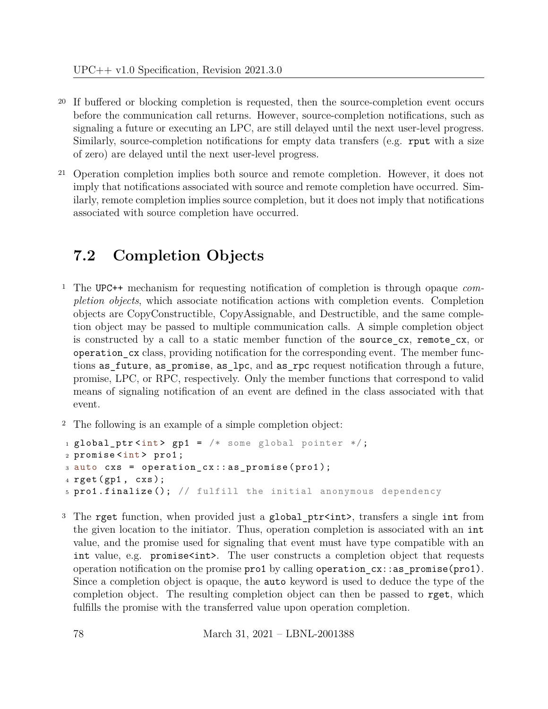- If buffered or blocking completion is requested, then the source-completion event occurs before the communication call returns. However, source-completion notifications, such as signaling a future or executing an LPC, are still delayed until the next user-level progress. Similarly, source-completion notifications for empty data transfers (e.g. rput with a size of zero) are delayed until the next user-level progress.
- <sup>21</sup> Operation completion implies both source and remote completion. However, it does not imply that notifications associated with source and remote completion have occurred. Similarly, remote completion implies source completion, but it does not imply that notifications associated with source completion have occurred.

## **7.2 Completion Objects**

- <sup>1</sup> The UPC++ mechanism for requesting notification of completion is through opaque *completion objects*, which associate notification actions with completion events. Completion objects are CopyConstructible, CopyAssignable, and Destructible, and the same completion object may be passed to multiple communication calls. A simple completion object is constructed by a call to a static member function of the source cx, remote cx, or operation\_cx class, providing notification for the corresponding event. The member functions as future, as promise, as lpc, and as rpc request notification through a future, promise, LPC, or RPC, respectively. Only the member functions that correspond to valid means of signaling notification of an event are defined in the class associated with that event.
- <sup>2</sup> The following is an example of a simple completion object:

```
1 global_ptr <int> gp1 = /* some global pointer */;
2 promise \frac{1}{1} > pro1;
3 auto cxs = operation_cx :: as_promise ( pro1 );
4 rget (gp1, cxs);
5 pro1 . finalize (); // fulfill the initial anonymous dependency
```
<sup>3</sup> The rget function, when provided just a global ptr<int>, transfers a single int from the given location to the initiator. Thus, operation completion is associated with an int value, and the promise used for signaling that event must have type compatible with an int value, e.g. promise<int>. The user constructs a completion object that requests operation notification on the promise  $proj$  by calling operation  $cx$ :: as promise(pro1). Since a completion object is opaque, the auto keyword is used to deduce the type of the completion object. The resulting completion object can then be passed to rget, which fulfills the promise with the transferred value upon operation completion.

78 March 31, 2021 – LBNL-2001388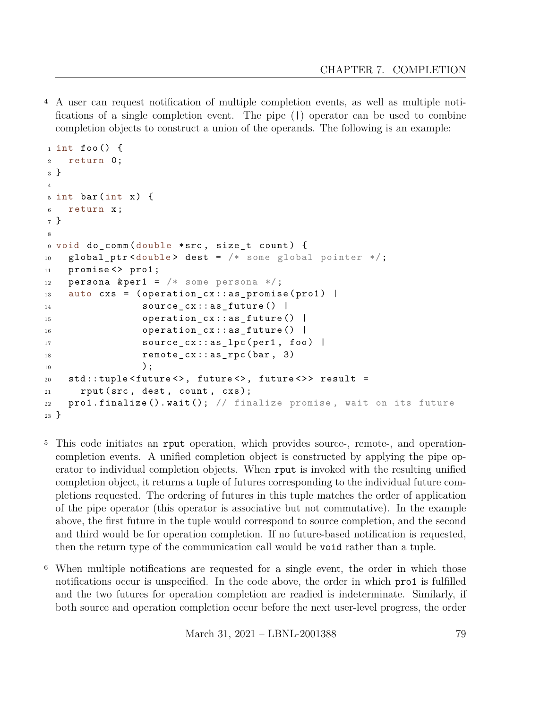<sup>4</sup> A user can request notification of multiple completion events, as well as multiple notifications of a single completion event. The pipe (|) operator can be used to combine completion objects to construct a union of the operands. The following is an example:

```
_1 int foo() {
2 return 0;
3 }
4
5 int bar (int x) {
6 return x;
7 }
8
9 void do_comm ( double * src , size_t count ) {
10 global ptr < double > dest = /* some global pointer */;11 promise <> pro1;
12 persona & per1 = /* some persona */;
13 auto cxs = (operation_cx::as\_promise (pro1) )14 source_cx :: as_future () |
15 operation_cx:: as_future () |
16 operation_cx :: as_future () |
17 source_cx:: as_lpc (per1, foo) |
18 remote_cx:: as_rpc (bar, 3)
19 );
20 std :: tuple < future < > , future < > , future < > > result =
21 rput ( src , dest , count , cxs );
22 pro1 . finalize (). wait (); // finalize promise , wait on its future
23 }
```
- <sup>5</sup> This code initiates an rput operation, which provides source-, remote-, and operationcompletion events. A unified completion object is constructed by applying the pipe operator to individual completion objects. When rput is invoked with the resulting unified completion object, it returns a tuple of futures corresponding to the individual future completions requested. The ordering of futures in this tuple matches the order of application of the pipe operator (this operator is associative but not commutative). In the example above, the first future in the tuple would correspond to source completion, and the second and third would be for operation completion. If no future-based notification is requested, then the return type of the communication call would be void rather than a tuple.
- <sup>6</sup> When multiple notifications are requested for a single event, the order in which those notifications occur is unspecified. In the code above, the order in which **pro1** is fulfilled and the two futures for operation completion are readied is indeterminate. Similarly, if both source and operation completion occur before the next user-level progress, the order

$$
March\;31,\;2021-LBNL-2001388\qquad79
$$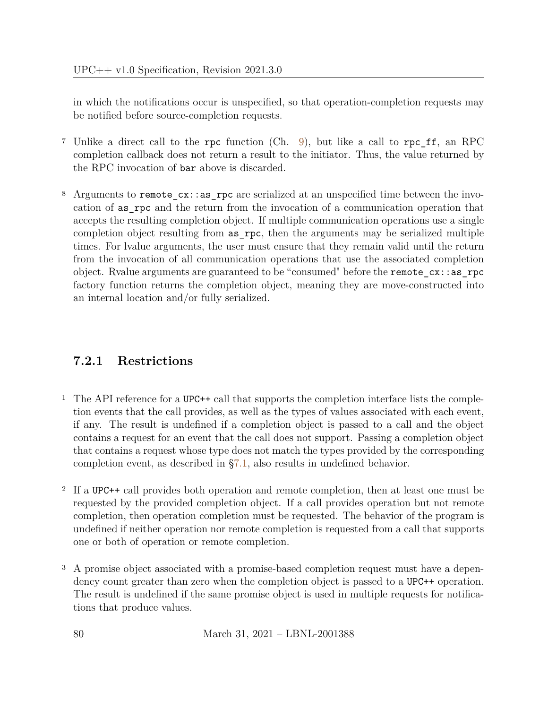in which the notifications occur is unspecified, so that operation-completion requests may be notified before source-completion requests.

- <sup>7</sup> Unlike a direct call to the rpc function (Ch. [9\)](#page-97-0), but like a call to rpc\_ff, an RPC completion callback does not return a result to the initiator. Thus, the value returned by the RPC invocation of bar above is discarded.
- 8 Arguments to remote cx:: as rpc are serialized at an unspecified time between the invocation of as\_rpc and the return from the invocation of a communication operation that accepts the resulting completion object. If multiple communication operations use a single completion object resulting from as\_rpc, then the arguments may be serialized multiple times. For lvalue arguments, the user must ensure that they remain valid until the return from the invocation of all communication operations that use the associated completion object. Rvalue arguments are guaranteed to be "consumed" before the remote\_cx::as\_rpc factory function returns the completion object, meaning they are move-constructed into an internal location and/or fully serialized.

### **7.2.1 Restrictions**

- <sup>1</sup> The API reference for a UPC++ call that supports the completion interface lists the completion events that the call provides, as well as the types of values associated with each event, if any. The result is undefined if a completion object is passed to a call and the object contains a request for an event that the call does not support. Passing a completion object that contains a request whose type does not match the types provided by the corresponding completion event, as described in [§7.1,](#page-83-0) also results in undefined behavior.
- <sup>2</sup> If a UPC++ call provides both operation and remote completion, then at least one must be requested by the provided completion object. If a call provides operation but not remote completion, then operation completion must be requested. The behavior of the program is undefined if neither operation nor remote completion is requested from a call that supports one or both of operation or remote completion.
- <sup>3</sup> A promise object associated with a promise-based completion request must have a dependency count greater than zero when the completion object is passed to a UPC++ operation. The result is undefined if the same promise object is used in multiple requests for notifications that produce values.

80 March 31, 2021 – LBNL-2001388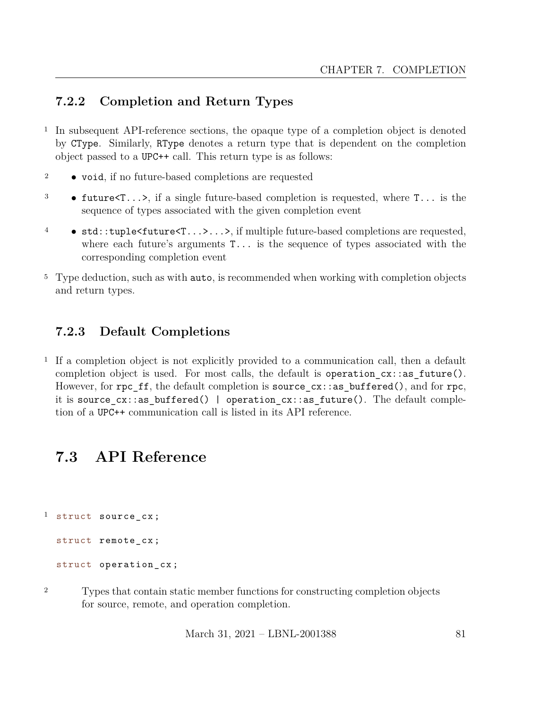## **7.2.2 Completion and Return Types**

- <sup>1</sup> In subsequent API-reference sections, the opaque type of a completion object is denoted by CType. Similarly, RType denotes a return type that is dependent on the completion object passed to a UPC++ call. This return type is as follows:
- <sup>2</sup> void, if no future-based completions are requested
- <sup>3</sup> future<T...>, if a single future-based completion is requested, where T... is the sequence of types associated with the given completion event
- <sup>4</sup> std::tuple<future<T...>...>, if multiple future-based completions are requested, where each future's arguments T... is the sequence of types associated with the corresponding completion event
- <sup>5</sup> Type deduction, such as with auto, is recommended when working with completion objects and return types.

### **7.2.3 Default Completions**

<sup>1</sup> If a completion object is not explicitly provided to a communication call, then a default completion object is used. For most calls, the default is operation\_cx::as\_future(). However, for rpc ff, the default completion is source  $cx$ :: as buffered(), and for rpc, it is source cx::as buffered() | operation  $cx::as$  future(). The default completion of a UPC++ communication call is listed in its API reference.

## **7.3 API Reference**

```
1 struct source_cx ;
  struct remote_cx ;
  struct operation_cx ;
```
<sup>2</sup> Types that contain static member functions for constructing completion objects for source, remote, and operation completion.

March 31, 2021 – LBNL-2001388 81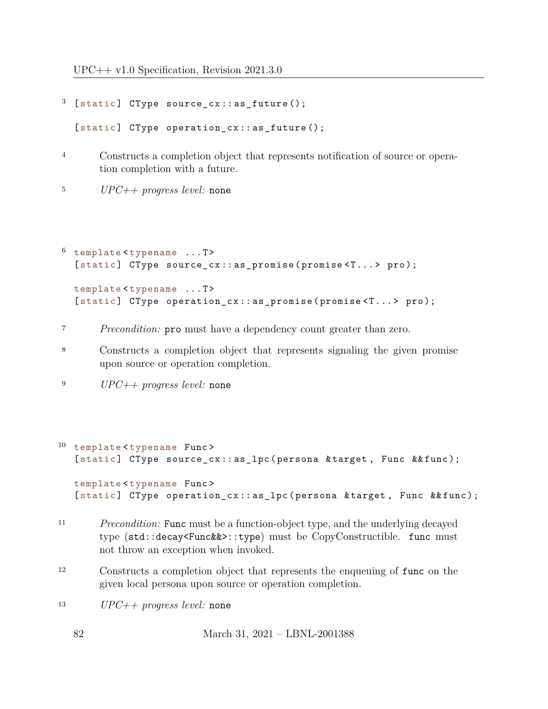```
[static] CType source_cx:: as_future();
```

```
[static] CType operation_cx::as_future();
```
<sup>4</sup> Constructs a completion object that represents notification of source or operation completion with a future.

```
5 UPC++ progress level: none
```

```
6 template < typename ... T>
  [static] CType source_cx::as_promise(promise<T...> pro);
  template<typename ... T>
  [static] CType operation_cx::as_promise(promise<T...> pro);
```
- <sup>7</sup> *Precondition:* pro must have a dependency count greater than zero.
- <sup>8</sup> Constructs a completion object that represents signaling the given promise upon source or operation completion.
- <sup>9</sup> *UPC++ progress level:* none

```
10 template lttypename Func >
   [static] CType source_cx::as_lpc (persona & target, Func & & func);
  template < typename Func >
   [static] CType operation_cx::as_lpc (persona & target, Func & & func);
```
- <sup>11</sup> *Precondition:* Func must be a function-object type, and the underlying decayed type (std::decay<Func&&>::type) must be CopyConstructible. func must not throw an exception when invoked.
- <sup>12</sup> Constructs a completion object that represents the enqueuing of func on the given local persona upon source or operation completion.
- <sup>13</sup> *UPC++ progress level:* none
	- 82 March 31, 2021 LBNL-2001388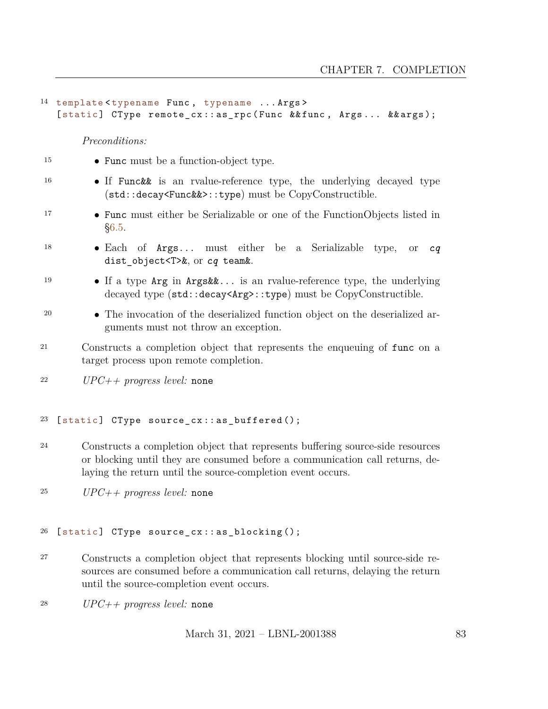#### 14 template<typename Func, typename ... Args> [static] CType remote\_cx::as\_rpc (Func &&func, Args... &&args);

*Preconditions:*

| 15 | • Func must be a function-object type.                                                                                                              |
|----|-----------------------------------------------------------------------------------------------------------------------------------------------------|
| 16 | • If Func& is an ryalue-reference type, the underlying decayed type<br>(std::decay <func&&>::type) must be CopyConstructible.</func&&>              |
| 17 | • Func must either be Serializable or one of the Function Objects listed in<br>§6.5.                                                                |
| 18 | • Each of $\text{Arg} s \dots$ must either be a Serializable type,<br>or<br>$c\,q$<br>dist object <t>&amp;, or cq team&amp;.</t>                    |
| 19 | • If a type $Arg$ in $Args\&$ is an ryalue-reference type, the underlying<br>decayed type (std::decay <arg>::type) must be CopyConstructible.</arg> |
| 20 | • The invocation of the desertialized function object on the desertialized ar-<br>guments must not throw an exception.                              |
| 21 | Constructs a completion object that represents the enqueuing of func on a<br>target process upon remote completion.                                 |

<sup>22</sup> *UPC++ progress level:* none

#### $23$  [static] CType source\_cx:: as\_buffered();

- <sup>24</sup> Constructs a completion object that represents buffering source-side resources or blocking until they are consumed before a communication call returns, delaying the return until the source-completion event occurs.
- <sup>25</sup> *UPC++ progress level:* none

#### $26$  [static] CType source\_cx:: as\_blocking();

- <sup>27</sup> Constructs a completion object that represents blocking until source-side resources are consumed before a communication call returns, delaying the return until the source-completion event occurs.
- <sup>28</sup> *UPC++ progress level:* none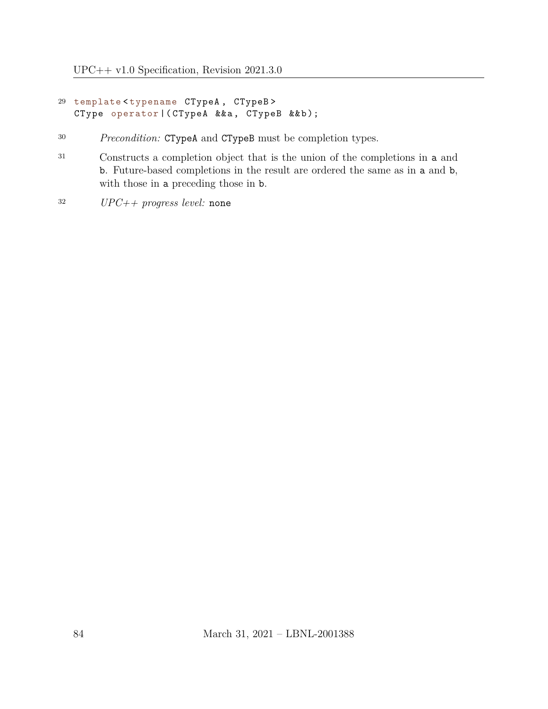#### 29 template < typename CTypeA , CTypeB > CType operator | (CTypeA & & a, CTypeB & & b);

- <sup>30</sup> *Precondition:* CTypeA and CTypeB must be completion types.
- <sup>31</sup> Constructs a completion object that is the union of the completions in a and b. Future-based completions in the result are ordered the same as in a and b, with those in a preceding those in b.
- <sup>32</sup> *UPC++ progress level:* none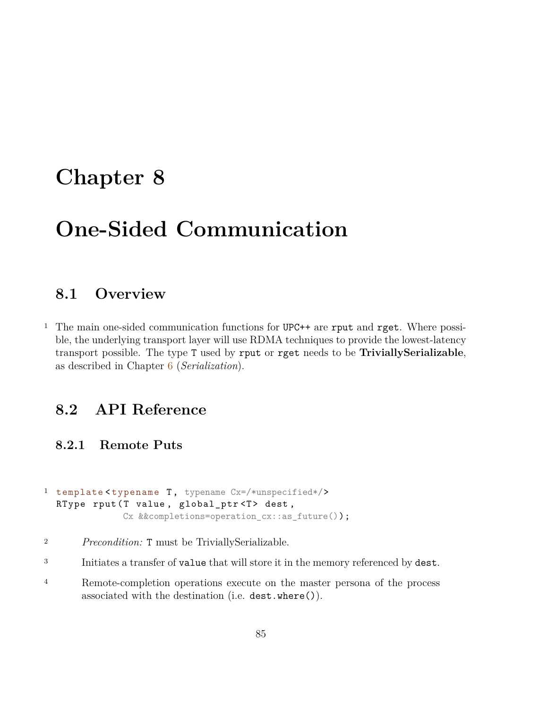# **Chapter 8**

# **One-Sided Communication**

## **8.1 Overview**

<sup>1</sup> The main one-sided communication functions for UPC++ are rput and rget. Where possible, the underlying transport layer will use RDMA techniques to provide the lowest-latency transport possible. The type T used by rput or rget needs to be **TriviallySerializable**, as described in Chapter [6](#page-58-0) (*Serialization*).

## **8.2 API Reference**

### **8.2.1 Remote Puts**

```
1 template < typename T , typename Cx=/*unspecified*/>
  RType rput (T value, global_ptr <T> dest,
              Cx &&completions=operation_cx::as_future());
```
<sup>2</sup> *Precondition:* T must be TriviallySerializable.

- <sup>3</sup> Initiates a transfer of value that will store it in the memory referenced by dest.
- <sup>4</sup> Remote-completion operations execute on the master persona of the process associated with the destination (i.e. dest.where()).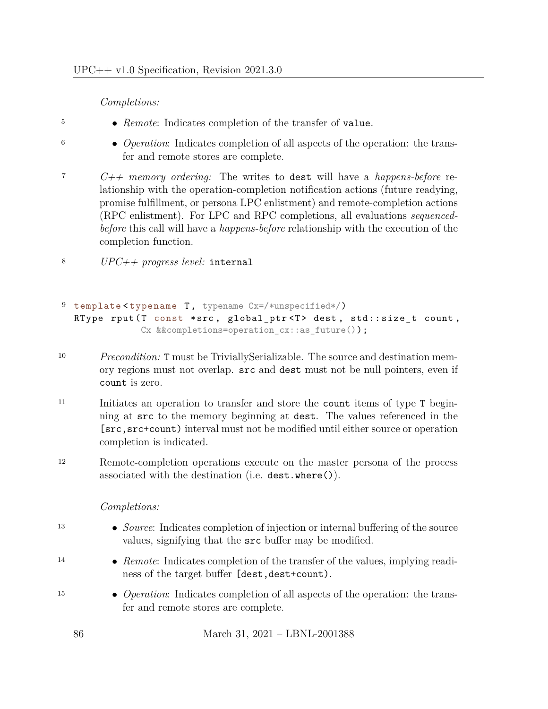#### *Completions:*

- <sup>5</sup> *Remote*: Indicates completion of the transfer of value.
- <sup>6</sup> *Operation*: Indicates completion of all aspects of the operation: the transfer and remote stores are complete.
- <sup>7</sup> *C++ memory ordering:* The writes to dest will have a *happens-before* relationship with the operation-completion notification actions (future readying, promise fulfillment, or persona LPC enlistment) and remote-completion actions (RPC enlistment). For LPC and RPC completions, all evaluations *sequencedbefore* this call will have a *happens-before* relationship with the execution of the completion function.
- <sup>8</sup> *UPC++ progress level:* internal

```
9 template < typename T, typename Cx=/*unspecified*/)
  RType rput (T const *src, global_ptr <T> dest, std::size_t count,
              Cx &&completions=operation_cx::as_future());
```
- <sup>10</sup> *Precondition:* T must be TriviallySerializable. The source and destination memory regions must not overlap. src and dest must not be null pointers, even if count is zero.
- <sup>11</sup> Initiates an operation to transfer and store the count items of type T beginning at src to the memory beginning at dest. The values referenced in the [src,src+count) interval must not be modified until either source or operation completion is indicated.
- <sup>12</sup> Remote-completion operations execute on the master persona of the process associated with the destination (i.e. dest.where()).

- <sup>13</sup> *Source*: Indicates completion of injection or internal buffering of the source values, signifying that the src buffer may be modified.
- <sup>14</sup> *Remote*: Indicates completion of the transfer of the values, implying readiness of the target buffer [dest,dest+count).
- <sup>15</sup> *Operation*: Indicates completion of all aspects of the operation: the transfer and remote stores are complete.
	- 86 March 31, 2021 LBNL-2001388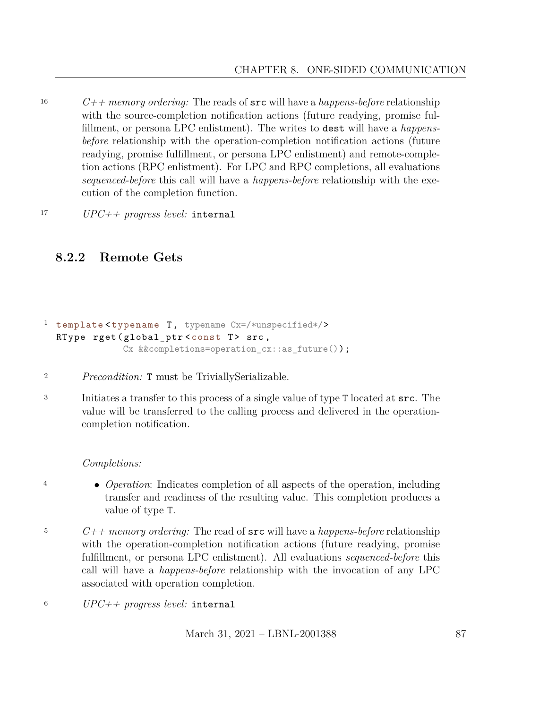<sup>16</sup> *C++ memory ordering:* The reads of src will have a *happens-before* relationship with the source-completion notification actions (future readying, promise fulfillment, or persona LPC enlistment). The writes to dest will have a *happensbefore* relationship with the operation-completion notification actions (future readying, promise fulfillment, or persona LPC enlistment) and remote-completion actions (RPC enlistment). For LPC and RPC completions, all evaluations *sequenced-before* this call will have a *happens-before* relationship with the execution of the completion function.

<sup>17</sup> *UPC++ progress level:* internal

### **8.2.2 Remote Gets**

```
1 template < typename T, typename Cx=/*unspecified*/>
  RType rget (global_ptr < const T> src,
              Cx &&completions=operation_cx::as_future());
```
- <sup>2</sup> *Precondition:* T must be TriviallySerializable.
- <sup>3</sup> Initiates a transfer to this process of a single value of type T located at src. The value will be transferred to the calling process and delivered in the operationcompletion notification.

- <sup>4</sup> *Operation*: Indicates completion of all aspects of the operation, including transfer and readiness of the resulting value. This completion produces a value of type T.
- <sup>5</sup> *C++ memory ordering:* The read of src will have a *happens-before* relationship with the operation-completion notification actions (future readying, promise fulfillment, or persona LPC enlistment). All evaluations *sequenced-before* this call will have a *happens-before* relationship with the invocation of any LPC associated with operation completion.
- <sup>6</sup> *UPC++ progress level:* internal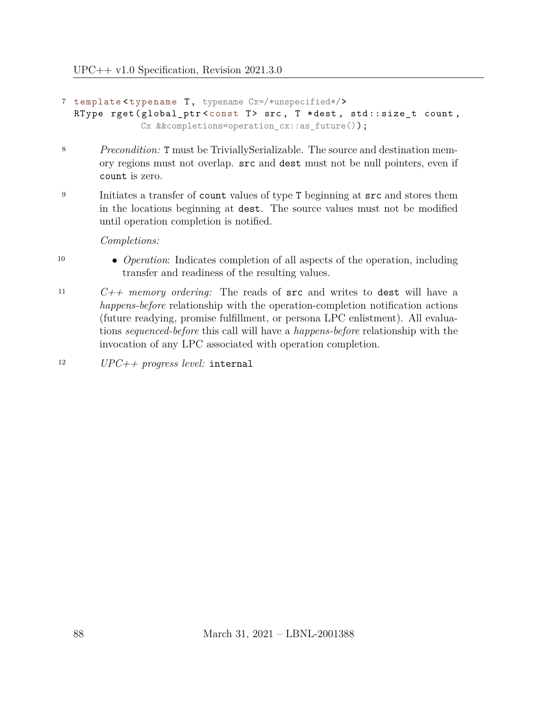```
7 template < typename T , typename Cx=/*unspecified*/>
```

```
RType rget (global_ptr < const T> src, T *dest, std:: size_t count,
            Cx &&completions=operation_cx::as_future());
```
- <sup>8</sup> *Precondition:* T must be TriviallySerializable. The source and destination memory regions must not overlap. src and dest must not be null pointers, even if count is zero.
- <sup>9</sup> Initiates a transfer of count values of type T beginning at src and stores them in the locations beginning at dest. The source values must not be modified until operation completion is notified.

- <sup>10</sup> *Operation*: Indicates completion of all aspects of the operation, including transfer and readiness of the resulting values.
- <sup>11</sup> *C++ memory ordering:* The reads of src and writes to dest will have a *happens-before* relationship with the operation-completion notification actions (future readying, promise fulfillment, or persona LPC enlistment). All evaluations *sequenced-before* this call will have a *happens-before* relationship with the invocation of any LPC associated with operation completion.
- <sup>12</sup> *UPC++ progress level:* internal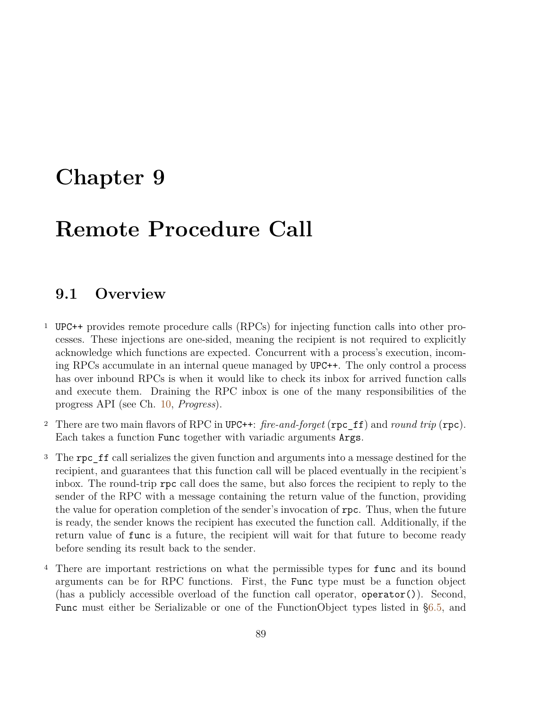# <span id="page-97-0"></span>**Chapter 9**

# **Remote Procedure Call**

### **9.1 Overview**

- <sup>1</sup> UPC++ provides remote procedure calls (RPCs) for injecting function calls into other processes. These injections are one-sided, meaning the recipient is not required to explicitly acknowledge which functions are expected. Concurrent with a process's execution, incoming RPCs accumulate in an internal queue managed by UPC++. The only control a process has over inbound RPCs is when it would like to check its inbox for arrived function calls and execute them. Draining the RPC inbox is one of the many responsibilities of the progress API (see Ch. [10,](#page-105-0) *Progress*).
- <sup>2</sup> There are two main flavors of RPC in UPC++: *fire-and-forget* (rpc\_ff) and *round trip* (rpc). Each takes a function Func together with variadic arguments Args.
- <sup>3</sup> The rpc ff call serializes the given function and arguments into a message destined for the recipient, and guarantees that this function call will be placed eventually in the recipient's inbox. The round-trip rpc call does the same, but also forces the recipient to reply to the sender of the RPC with a message containing the return value of the function, providing the value for operation completion of the sender's invocation of rpc. Thus, when the future is ready, the sender knows the recipient has executed the function call. Additionally, if the return value of func is a future, the recipient will wait for that future to become ready before sending its result back to the sender.
- <sup>4</sup> There are important restrictions on what the permissible types for func and its bound arguments can be for RPC functions. First, the Func type must be a function object (has a publicly accessible overload of the function call operator, operator()). Second, Func must either be Serializable or one of the FunctionObject types listed in [§6.5,](#page-70-0) and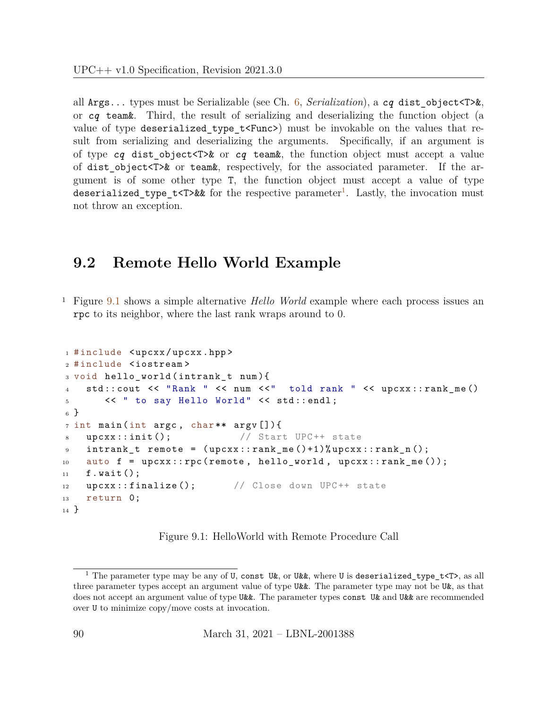all Args... types must be Serializable (see Ch. [6,](#page-58-0) *Serialization*), a *cq* dist\_object<T>&, or *cq* team&. Third, the result of serializing and deserializing the function object (a value of type deserialized type  $t$ <Func>) must be invokable on the values that result from serializing and deserializing the arguments. Specifically, if an argument is of type *cq* dist\_object<T>& or *cq* team&, the function object must accept a value of dist object<T>& or team&, respectively, for the associated parameter. If the argument is of some other type T, the function object must accept a value of type deserialized\_type\_t<T>&& for the respective parameter<sup>[1](#page-98-0)</sup>. Lastly, the invocation must not throw an exception.

## **9.2 Remote Hello World Example**

<sup>1</sup> Figure [9.1](#page-98-1) shows a simple alternative *Hello World* example where each process issues an rpc to its neighbor, where the last rank wraps around to 0.

```
1 #include <upcxx/upcxx.hpp>
2 # include < iostream >
3 void hello_world ( intrank_t num ){
4 std :: cout << " Rank " << num <<" told rank " << upcxx :: rank_me ()
5 << " to say Hello World" << std::endl;
6 }
7 int main (int argc , char ** argv []){
\frac{1}{8} upcxx::init(); \frac{1}{8} // Start UPC++ state
9 intrank t remote = (upcxx:: rank_me()+1)% upcxx:: rank_n();
10 auto f = upcxx::rpc (remote, hello_world, upcxx::rank_me());
11 f. wait ();
12 upcxx::finalize(); // Close down UPC++ state
13 return 0;
14 }
```
<span id="page-98-1"></span>Figure 9.1: HelloWorld with Remote Procedure Call

<span id="page-98-0"></span><sup>&</sup>lt;sup>1</sup> The parameter type may be any of U, const U&, or U&&, where U is deserialized\_type\_t<T>, as all three parameter types accept an argument value of type U&&. The parameter type may not be U&, as that does not accept an argument value of type U&&. The parameter types const U& and U&& are recommended over U to minimize copy/move costs at invocation.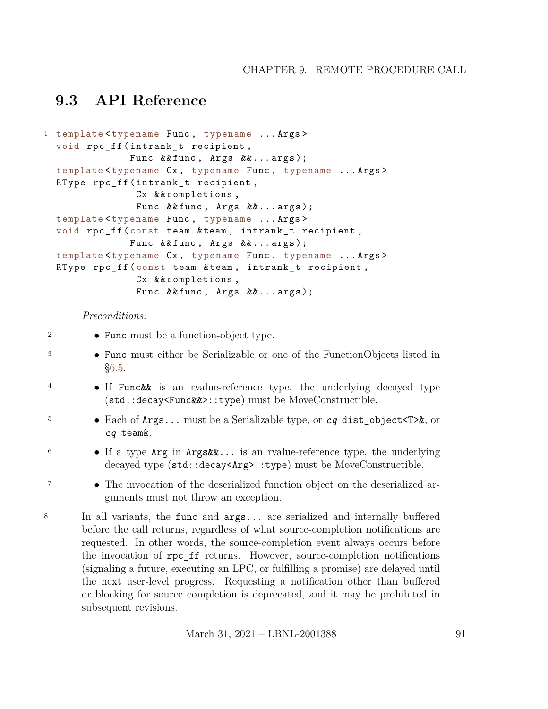## **9.3 API Reference**

```
1 template<typename Func, typename ... Args>
  void rpc_ff ( intrank_t recipient ,
               Func & & func, Args & &... args);
  template<typename Cx, typename Func, typename ... Args>
  RType rpc_ff ( intrank_t recipient ,
                Cx && completions ,
                Func & & func, Args & &... args);
  template<typename Func, typename ... Args>
  void rpc_ff ( const team & team , intrank_t recipient ,
               Func & & func, Args & &... args);
  template<typename Cx, typename Func, typename ... Args>
  RType rpc_ff ( const team & team , intrank_t recipient ,
                Cx && completions ,
                Func & & func, Args & &... args);
```
#### *Preconditions:*

| $\overline{2}$ | • Func must be a function-object type.                                                                                                                                                                                                                                                                                                                                                                                                                                                                                                                                                                   |
|----------------|----------------------------------------------------------------------------------------------------------------------------------------------------------------------------------------------------------------------------------------------------------------------------------------------------------------------------------------------------------------------------------------------------------------------------------------------------------------------------------------------------------------------------------------------------------------------------------------------------------|
| 3              | • Func must either be Serializable or one of the Function Objects listed in<br>§6.5.                                                                                                                                                                                                                                                                                                                                                                                                                                                                                                                     |
| $\overline{4}$ | • If Funck is an ryalue-reference type, the underlying decayed type<br>(std::decay <func&&>::type) must be MoveConstructible.</func&&>                                                                                                                                                                                                                                                                                                                                                                                                                                                                   |
| 5              | • Each of Args must be a Serializable type, or $cq$ dist_object <t>&amp;, or<br/>cq team&amp;.</t>                                                                                                                                                                                                                                                                                                                                                                                                                                                                                                       |
| 6              | • If a type $Arg$ in $Args\&$ is an rvalue-reference type, the underlying<br>decayed type (std::decay <arg>::type) must be MoveConstructible.</arg>                                                                                                                                                                                                                                                                                                                                                                                                                                                      |
| $\overline{7}$ | • The invocation of the desertialized function object on the desertialized ar-<br>guments must not throw an exception.                                                                                                                                                                                                                                                                                                                                                                                                                                                                                   |
| 8              | In all variants, the func and $args$ are serialized and internally buffered<br>before the call returns, regardless of what source-completion notifications are<br>requested. In other words, the source-completion event always occurs before<br>the invocation of rpc_ff returns. However, source-completion notifications<br>(signaling a future, executing an LPC, or fulfilling a promise) are delayed until<br>the next user-level progress. Requesting a notification other than buffered<br>or blocking for source completion is deprecated, and it may be prohibited in<br>subsequent revisions. |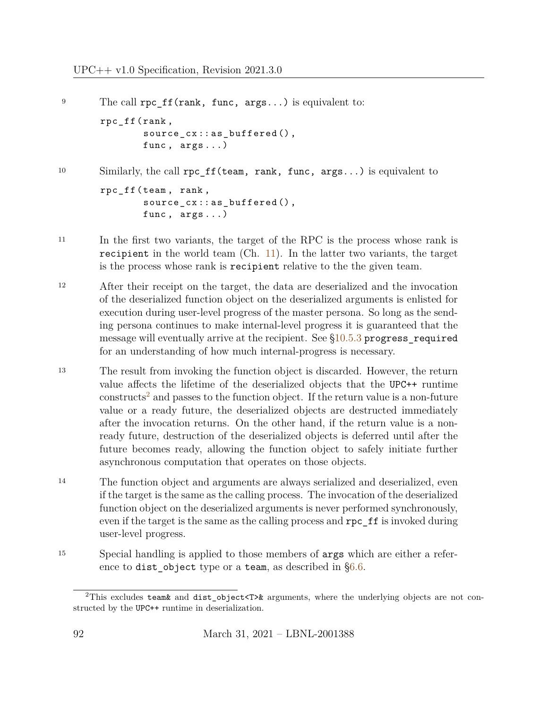```
<sup>9</sup> The call rpc_ff(rank, func, args...) is equivalent to:
         rpc_ff ( rank ,
                  source_cx:: as_buffered(),
                  func, args \dots)
10 Similarly, the call rpc \text{ff}(\text{team}, \text{rank}, \text{func}, \text{args}...) is equivalent to
         rpc_ff ( team , rank ,
                  source_cx :: as_buffered () ,
                  func, args...)
11 In the first two variants, the target of the RPC is the process whose rank is
        recipient in the world team (Ch. 11). In the latter two variants, the target
        is the process whose rank is recipient relative to the the given team.
12 After their receipt on the target, the data are deserialized and the invocation
        of the deserialized function object on the deserialized arguments is enlisted for
        execution during user-level progress of the master persona. So long as the send-
        ing persona continues to make internal-level progress it is guaranteed that the
        message will eventually arrive at the recipient. See §10.5.3 progress_required
        for an understanding of how much internal-progress is necessary.
13 The result from invoking the function object is discarded. However, the return
        value affects the lifetime of the deserialized objects that the UPC++ runtime
```
 $\text{constructs}^2$  $\text{constructs}^2$  and passes to the function object. If the return value is a non-future value or a ready future, the deserialized objects are destructed immediately after the invocation returns. On the other hand, if the return value is a nonready future, destruction of the deserialized objects is deferred until after the future becomes ready, allowing the function object to safely initiate further asynchronous computation that operates on those objects.

<sup>14</sup> The function object and arguments are always serialized and deserialized, even if the target is the same as the calling process. The invocation of the deserialized function object on the deserialized arguments is never performed synchronously, even if the target is the same as the calling process and rpc\_ff is invoked during user-level progress.

<sup>15</sup> Special handling is applied to those members of args which are either a reference to dist\_object type or a team, as described in [§6.6.](#page-71-0)

<span id="page-100-0"></span><sup>2</sup>This excludes team& and dist\_object<T>& arguments, where the underlying objects are not constructed by the UPC++ runtime in deserialization.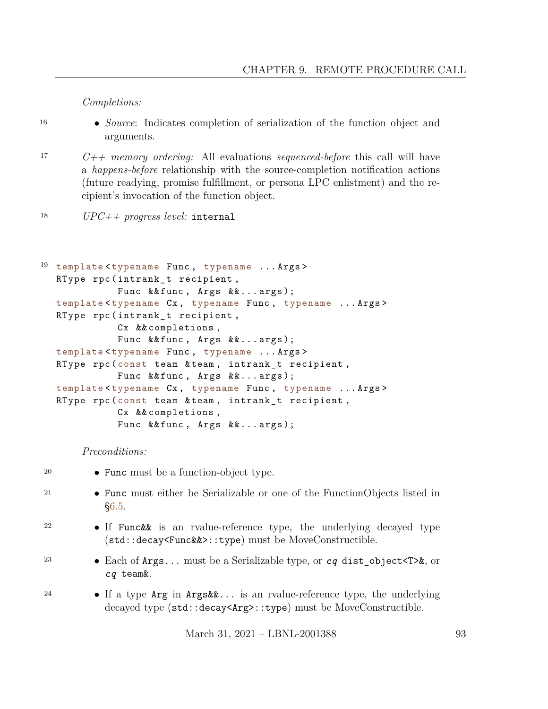*Completions:*

- <sup>16</sup> *Source*: Indicates completion of serialization of the function object and arguments.
- <sup>17</sup> *C++ memory ordering:* All evaluations *sequenced-before* this call will have a *happens-before* relationship with the source-completion notification actions (future readying, promise fulfillment, or persona LPC enlistment) and the recipient's invocation of the function object.
- <sup>18</sup> *UPC++ progress level:* internal

```
19 template < typename Func, typename ... Args>
  RType rpc ( intrank_t recipient ,
             Func & & func, Args & &... args);
  template<typename Cx, typename Func, typename ... Args>
  RType rpc ( intrank_t recipient ,
             Cx && completions ,
             Func & & func, Args & &... args);
  template<typename Func, typename ... Args>
  RType rpc ( const team & team , intrank_t recipient ,
             Func & & func, Args & &... args);
  template<typename Cx, typename Func, typename ... Args>
  RType rpc ( const team & team , intrank_t recipient ,
             Cx && completions ,
             Func & & func, Args & &... args);
```
*Preconditions:*

| 20 | • Func must be a function-object type.                                                                                                              |
|----|-----------------------------------------------------------------------------------------------------------------------------------------------------|
| 21 | • Func must either be Serializable or one of the Function Objects listed in<br>§6.5.                                                                |
| 22 | • If Funck & is an ryalue-reference type, the underlying decayed type<br>(std::decay <func&&>::type) must be MoveConstructible.</func&&>            |
| 23 | • Each of Args must be a Serializable type, or $cq$ dist object <t>&amp;, or<br/><math>cq</math> team&amp;.</t>                                     |
| 24 | • If a type $Arg$ in $Args\&$ is an ryalue-reference type, the underlying<br>decayed type (std::decay <arg>::type) must be MoveConstructible.</arg> |

March 31, 2021 – LBNL-2001388 93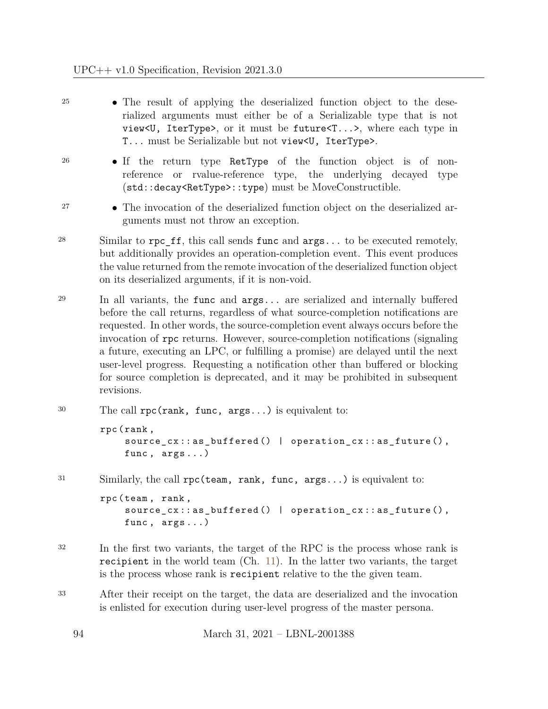| 25     | • The result of applying the desertialized function object to the dese-<br>rialized arguments must either be of a Serializable type that is not<br>view <u, itertype="">, or it must be future<t>, where each type in<br/>T must be Serializable but not view<u, itertype="">.</u,></t></u,>                                                                                                                                                                                                                                                                                                          |
|--------|-------------------------------------------------------------------------------------------------------------------------------------------------------------------------------------------------------------------------------------------------------------------------------------------------------------------------------------------------------------------------------------------------------------------------------------------------------------------------------------------------------------------------------------------------------------------------------------------------------|
| 26     | • If the return type RetType of the function object is of<br>non-<br>reference or rvalue-reference type, the underlying decayed<br>type<br>(std::decay <rettype>::type) must be MoveConstructible.</rettype>                                                                                                                                                                                                                                                                                                                                                                                          |
| $27\,$ | • The invocation of the deserialized function object on the deserialized ar-<br>guments must not throw an exception.                                                                                                                                                                                                                                                                                                                                                                                                                                                                                  |
| 28     | Similar to $\text{rpc}_\text{f}$ , this call sends func and $\arg s \dots$ to be executed remotely,<br>but additionally provides an operation-completion event. This event produces<br>the value returned from the remote invocation of the deserialized function object<br>on its describilized arguments, if it is non-void.                                                                                                                                                                                                                                                                        |
| 29     | In all variants, the func and $args$ are serialized and internally buffered<br>before the call returns, regardless of what source-completion notifications are<br>requested. In other words, the source-completion event always occurs before the<br>invocation of rpc returns. However, source-completion notifications (signaling<br>a future, executing an LPC, or fulfilling a promise) are delayed until the next<br>user-level progress. Requesting a notification other than buffered or blocking<br>for source completion is deprecated, and it may be prohibited in subsequent<br>revisions. |
| 30     | The call $\text{rpc}(\text{rank}, \text{func}, \text{args})$ is equivalent to:                                                                                                                                                                                                                                                                                                                                                                                                                                                                                                                        |
|        | rpc(rank,<br>$source_c x :: as_buffered()   operation_c x :: as_future(),$<br>func, $args$ )                                                                                                                                                                                                                                                                                                                                                                                                                                                                                                          |
| 31     | Similarly, the call $rpc(tean, rank, func, args)$ is equivalent to:                                                                                                                                                                                                                                                                                                                                                                                                                                                                                                                                   |
|        | rpc (team, rank,<br>source_cx::as_buffered()   operation_cx::as_future(),<br>func, $args)$                                                                                                                                                                                                                                                                                                                                                                                                                                                                                                            |
| 32     | In the first two variants, the target of the RPC is the process whose rank is<br>recipient in the world team $(Ch. 11)$ . In the latter two variants, the target<br>is the process whose rank is recipient relative to the the given team.                                                                                                                                                                                                                                                                                                                                                            |
| 33     | After their receipt on the target, the data are desertalized and the invocation                                                                                                                                                                                                                                                                                                                                                                                                                                                                                                                       |

is enlisted for execution during user-level progress of the master persona.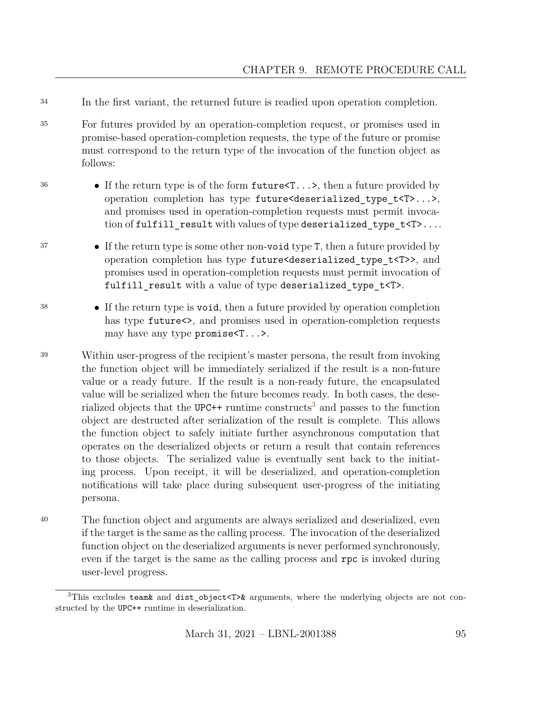<sup>34</sup> In the first variant, the returned future is readied upon operation completion.

<sup>35</sup> For futures provided by an operation-completion request, or promises used in promise-based operation-completion requests, the type of the future or promise must correspond to the return type of the invocation of the function object as follows:

- <sup>36</sup> If the return type is of the form future<T...>, then a future provided by operation completion has type future<deserialized\_type\_t<T>...>, and promises used in operation-completion requests must permit invocation of fulfill result with values of type deserialized type  $t$ <T>....
- <sup>37</sup> If the return type is some other non-void type T, then a future provided by operation completion has type future  $\text{deserialized type } t \leq T}$ , and promises used in operation-completion requests must permit invocation of fulfill result with a value of type deserialized type  $t$ <T>.
- <sup>38</sup> If the return type is void, then a future provided by operation completion has type future $\leftrightarrow$ , and promises used in operation-completion requests may have any type promise<T...>.
- <sup>39</sup> Within user-progress of the recipient's master persona, the result from invoking the function object will be immediately serialized if the result is a non-future value or a ready future. If the result is a non-ready future, the encapsulated value will be serialized when the future becomes ready. In both cases, the dese-rialized objects that the UPC++ runtime constructs<sup>[3](#page-103-0)</sup> and passes to the function object are destructed after serialization of the result is complete. This allows the function object to safely initiate further asynchronous computation that operates on the deserialized objects or return a result that contain references to those objects. The serialized value is eventually sent back to the initiating process. Upon receipt, it will be deserialized, and operation-completion notifications will take place during subsequent user-progress of the initiating persona.
- <sup>40</sup> The function object and arguments are always serialized and deserialized, even if the target is the same as the calling process. The invocation of the deserialized function object on the deserialized arguments is never performed synchronously, even if the target is the same as the calling process and rpc is invoked during user-level progress.

<span id="page-103-0"></span><sup>3</sup>This excludes team& and dist\_object<T>& arguments, where the underlying objects are not constructed by the UPC++ runtime in deserialization.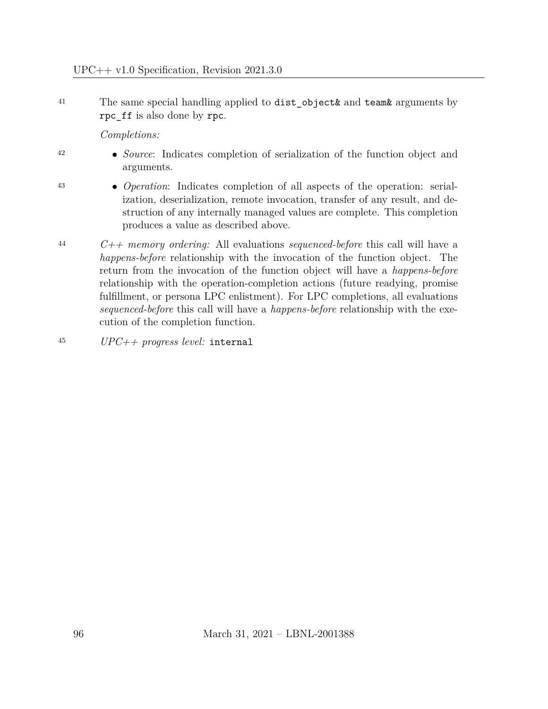<sup>41</sup> The same special handling applied to dist\_object& and team& arguments by rpc\_ff is also done by rpc.

- <sup>42</sup> *Source*: Indicates completion of serialization of the function object and arguments.
- <sup>43</sup> *Operation*: Indicates completion of all aspects of the operation: serialization, deserialization, remote invocation, transfer of any result, and destruction of any internally managed values are complete. This completion produces a value as described above.
- <sup>44</sup> *C++ memory ordering:* All evaluations *sequenced-before* this call will have a *happens-before* relationship with the invocation of the function object. The return from the invocation of the function object will have a *happens-before* relationship with the operation-completion actions (future readying, promise fulfillment, or persona LPC enlistment). For LPC completions, all evaluations *sequenced-before* this call will have a *happens-before* relationship with the execution of the completion function.
- <sup>45</sup> *UPC++ progress level:* internal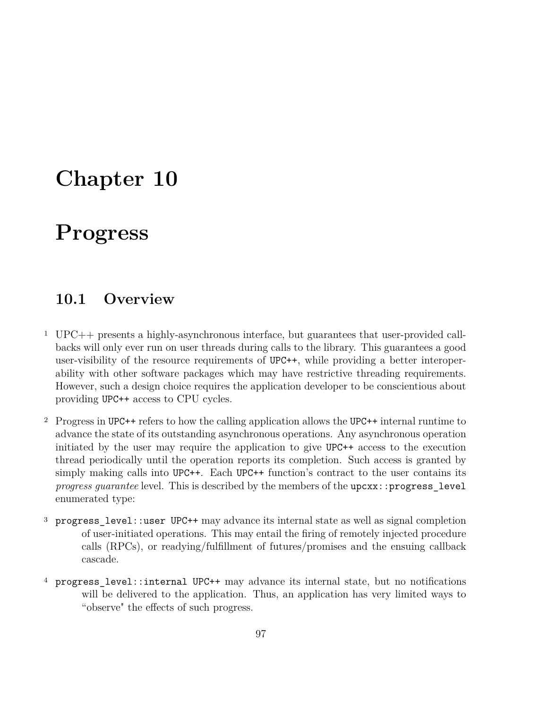# <span id="page-105-0"></span>**Chapter 10**

# **Progress**

## **10.1 Overview**

- <sup>1</sup> UPC++ presents a highly-asynchronous interface, but guarantees that user-provided callbacks will only ever run on user threads during calls to the library. This guarantees a good user-visibility of the resource requirements of UPC++, while providing a better interoperability with other software packages which may have restrictive threading requirements. However, such a design choice requires the application developer to be conscientious about providing UPC++ access to CPU cycles.
- <sup>2</sup> Progress in UPC++ refers to how the calling application allows the UPC++ internal runtime to advance the state of its outstanding asynchronous operations. Any asynchronous operation initiated by the user may require the application to give UPC++ access to the execution thread periodically until the operation reports its completion. Such access is granted by simply making calls into UPC++. Each UPC++ function's contract to the user contains its *progress guarantee* level. This is described by the members of the upcxx::progress level enumerated type:
- <sup>3</sup> progress\_level::user UPC++ may advance its internal state as well as signal completion of user-initiated operations. This may entail the firing of remotely injected procedure calls (RPCs), or readying/fulfillment of futures/promises and the ensuing callback cascade.
- 4 progress level::internal UPC++ may advance its internal state, but no notifications will be delivered to the application. Thus, an application has very limited ways to "observe" the effects of such progress.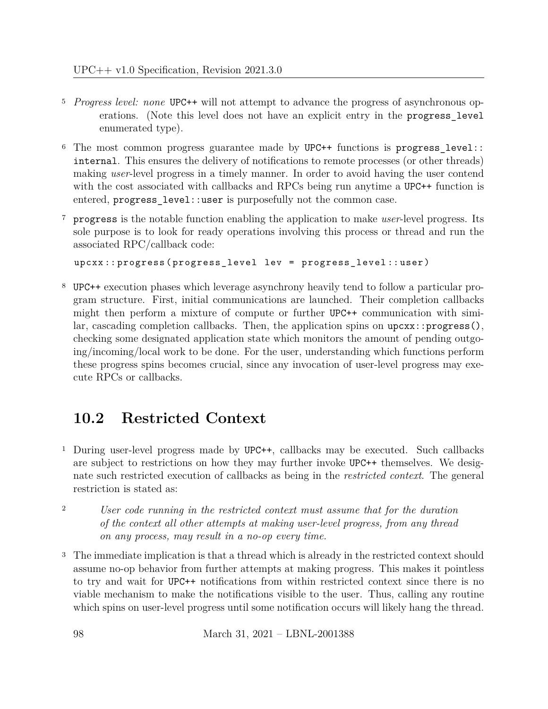- <sup>5</sup> *Progress level: none* UPC++ will not attempt to advance the progress of asynchronous operations. (Note this level does not have an explicit entry in the progress\_level enumerated type).
- <sup>6</sup> The most common progress guarantee made by UPC++ functions is progress\_level:: internal. This ensures the delivery of notifications to remote processes (or other threads) making *user*-level progress in a timely manner. In order to avoid having the user contend with the cost associated with callbacks and RPCs being run anytime a UPC++ function is entered, progress level::user is purposefully not the common case.
- <sup>7</sup> progress is the notable function enabling the application to make *user*-level progress. Its sole purpose is to look for ready operations involving this process or thread and run the associated RPC/callback code:

```
upcxx :: progress ( progress_level lev = progress_level :: user )
```
<sup>8</sup> UPC++ execution phases which leverage asynchrony heavily tend to follow a particular program structure. First, initial communications are launched. Their completion callbacks might then perform a mixture of compute or further UPC++ communication with similar, cascading completion callbacks. Then, the application spins on  $upcx::propress()$ , checking some designated application state which monitors the amount of pending outgoing/incoming/local work to be done. For the user, understanding which functions perform these progress spins becomes crucial, since any invocation of user-level progress may execute RPCs or callbacks.

## **10.2 Restricted Context**

- <sup>1</sup> During user-level progress made by UPC++, callbacks may be executed. Such callbacks are subject to restrictions on how they may further invoke UPC++ themselves. We designate such restricted execution of callbacks as being in the *restricted context*. The general restriction is stated as:
- <sup>2</sup> *User code running in the restricted context must assume that for the duration of the context all other attempts at making user-level progress, from any thread on any process, may result in a no-op every time.*
- <sup>3</sup> The immediate implication is that a thread which is already in the restricted context should assume no-op behavior from further attempts at making progress. This makes it pointless to try and wait for UPC++ notifications from within restricted context since there is no viable mechanism to make the notifications visible to the user. Thus, calling any routine which spins on user-level progress until some notification occurs will likely hang the thread.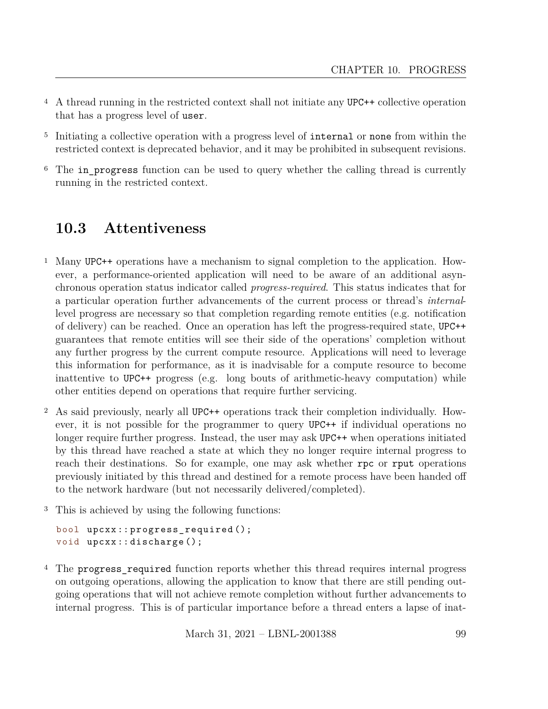- <sup>4</sup> A thread running in the restricted context shall not initiate any UPC++ collective operation that has a progress level of user.
- <sup>5</sup> Initiating a collective operation with a progress level of internal or none from within the restricted context is deprecated behavior, and it may be prohibited in subsequent revisions.
- <sup>6</sup> The in progress function can be used to query whether the calling thread is currently running in the restricted context.

## **10.3 Attentiveness**

- <sup>1</sup> Many UPC++ operations have a mechanism to signal completion to the application. However, a performance-oriented application will need to be aware of an additional asynchronous operation status indicator called *progress-required*. This status indicates that for a particular operation further advancements of the current process or thread's *internal*level progress are necessary so that completion regarding remote entities (e.g. notification of delivery) can be reached. Once an operation has left the progress-required state, UPC++ guarantees that remote entities will see their side of the operations' completion without any further progress by the current compute resource. Applications will need to leverage this information for performance, as it is inadvisable for a compute resource to become inattentive to UPC++ progress (e.g. long bouts of arithmetic-heavy computation) while other entities depend on operations that require further servicing.
- <sup>2</sup> As said previously, nearly all UPC++ operations track their completion individually. However, it is not possible for the programmer to query UPC++ if individual operations no longer require further progress. Instead, the user may ask UPC++ when operations initiated by this thread have reached a state at which they no longer require internal progress to reach their destinations. So for example, one may ask whether rpc or rput operations previously initiated by this thread and destined for a remote process have been handed off to the network hardware (but not necessarily delivered/completed).
- This is achieved by using the following functions:

```
bool upcxx :: progress_required ();
void upcxx :: discharge ();
```
<sup>4</sup> The progress required function reports whether this thread requires internal progress on outgoing operations, allowing the application to know that there are still pending outgoing operations that will not achieve remote completion without further advancements to internal progress. This is of particular importance before a thread enters a lapse of inat-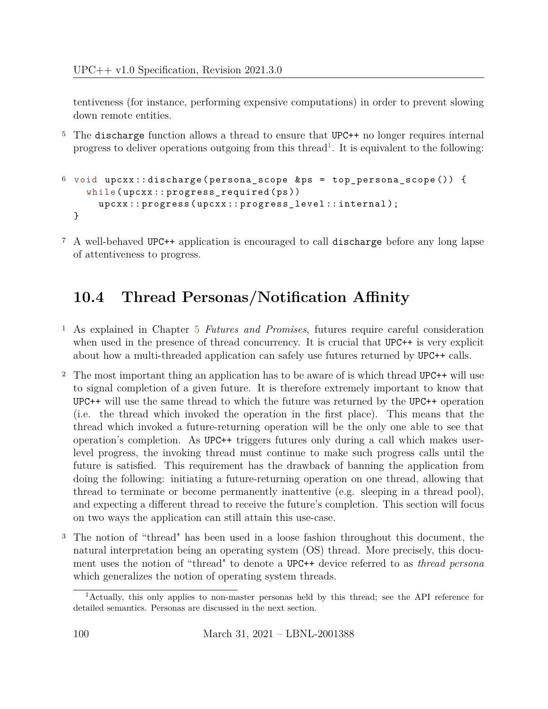tentiveness (for instance, performing expensive computations) in order to prevent slowing down remote entities.

<sup>5</sup> The discharge function allows a thread to ensure that UPC++ no longer requires internal progress to deliver operations outgoing from this thread<sup>[1](#page-108-0)</sup>. It is equivalent to the following:

```
6 void upcxx:: discharge (persona_scope & ps = top_persona_scope ()) {
    while ( upcxx :: progress_required ( ps ))
      upcxx :: progress ( upcxx :: progress_level :: internal );
  }
```
<sup>7</sup> A well-behaved UPC++ application is encouraged to call discharge before any long lapse of attentiveness to progress.

## **10.4 Thread Personas/Notification Affinity**

- <sup>1</sup> As explained in Chapter [5](#page-40-0) *Futures and Promises*, futures require careful consideration when used in the presence of thread concurrency. It is crucial that UPC++ is very explicit about how a multi-threaded application can safely use futures returned by UPC++ calls.
- <sup>2</sup> The most important thing an application has to be aware of is which thread UPC++ will use to signal completion of a given future. It is therefore extremely important to know that UPC++ will use the same thread to which the future was returned by the UPC++ operation (i.e. the thread which invoked the operation in the first place). This means that the thread which invoked a future-returning operation will be the only one able to see that operation's completion. As UPC++ triggers futures only during a call which makes userlevel progress, the invoking thread must continue to make such progress calls until the future is satisfied. This requirement has the drawback of banning the application from doing the following: initiating a future-returning operation on one thread, allowing that thread to terminate or become permanently inattentive (e.g. sleeping in a thread pool), and expecting a different thread to receive the future's completion. This section will focus on two ways the application can still attain this use-case.
- <sup>3</sup> The notion of "thread" has been used in a loose fashion throughout this document, the natural interpretation being an operating system (OS) thread. More precisely, this document uses the notion of "thread" to denote a UPC++ device referred to as *thread persona* which generalizes the notion of operating system threads.

<span id="page-108-0"></span><sup>1</sup>Actually, this only applies to non-master personas held by this thread; see the API reference for detailed semantics. Personas are discussed in the next section.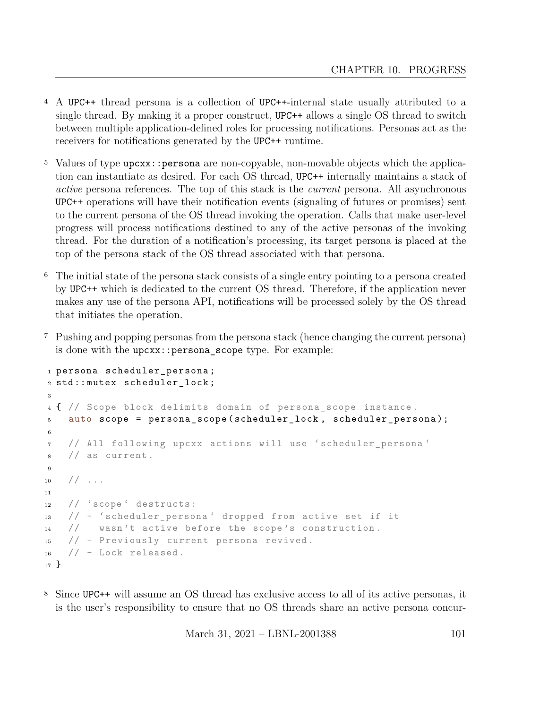- <sup>4</sup> A UPC++ thread persona is a collection of UPC++-internal state usually attributed to a single thread. By making it a proper construct, UPC++ allows a single OS thread to switch between multiple application-defined roles for processing notifications. Personas act as the receivers for notifications generated by the UPC++ runtime.
- <sup>5</sup> Values of type upcxx::persona are non-copyable, non-movable objects which the application can instantiate as desired. For each OS thread, UPC++ internally maintains a stack of *active* persona references. The top of this stack is the *current* persona. All asynchronous UPC++ operations will have their notification events (signaling of futures or promises) sent to the current persona of the OS thread invoking the operation. Calls that make user-level progress will process notifications destined to any of the active personas of the invoking thread. For the duration of a notification's processing, its target persona is placed at the top of the persona stack of the OS thread associated with that persona.
- <sup>6</sup> The initial state of the persona stack consists of a single entry pointing to a persona created by UPC++ which is dedicated to the current OS thread. Therefore, if the application never makes any use of the persona API, notifications will be processed solely by the OS thread that initiates the operation.
- <sup>7</sup> Pushing and popping personas from the persona stack (hence changing the current persona) is done with the upcxx::persona\_scope type. For example:

```
1 persona scheduler persona;
2 std :: mutex scheduler_lock ;
3
4 { // Scope block delimits domain of persona_scope instance .
5 auto scope = persona_scope ( scheduler_lock , scheduler_persona );
6
7 // All following upcxx actions will use 'scheduler_persona '
8 // as current.
9
10 / / ...11
12 // 'scope' destructs:
13 // - 'scheduler_persona ' dropped from active set if it
14 // wasn 't active before the scope 's construction .
15 // - Previously current persona revived .
16 // - Lock released.
17 }
```
<sup>8</sup> Since UPC++ will assume an OS thread has exclusive access to all of its active personas, it is the user's responsibility to ensure that no OS threads share an active persona concur-

March 31, 2021 – LBNL-2001388 101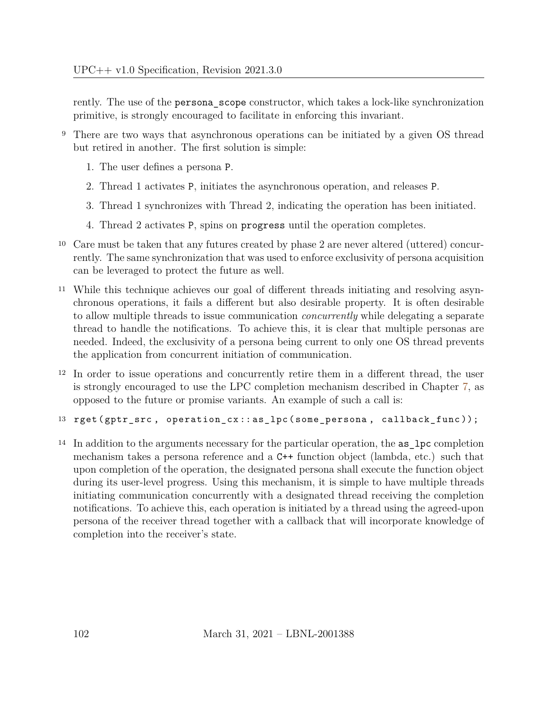rently. The use of the persona\_scope constructor, which takes a lock-like synchronization primitive, is strongly encouraged to facilitate in enforcing this invariant.

- <sup>9</sup> There are two ways that asynchronous operations can be initiated by a given OS thread but retired in another. The first solution is simple:
	- 1. The user defines a persona P.
	- 2. Thread 1 activates P, initiates the asynchronous operation, and releases P.
	- 3. Thread 1 synchronizes with Thread 2, indicating the operation has been initiated.
	- 4. Thread 2 activates P, spins on progress until the operation completes.
- <sup>10</sup> Care must be taken that any futures created by phase 2 are never altered (uttered) concurrently. The same synchronization that was used to enforce exclusivity of persona acquisition can be leveraged to protect the future as well.
- <sup>11</sup> While this technique achieves our goal of different threads initiating and resolving asynchronous operations, it fails a different but also desirable property. It is often desirable to allow multiple threads to issue communication *concurrently* while delegating a separate thread to handle the notifications. To achieve this, it is clear that multiple personas are needed. Indeed, the exclusivity of a persona being current to only one OS thread prevents the application from concurrent initiation of communication.
- <sup>12</sup> In order to issue operations and concurrently retire them in a different thread, the user is strongly encouraged to use the LPC completion mechanism described in Chapter [7,](#page-83-0) as opposed to the future or promise variants. An example of such a call is:
- 13 rget (gptr\_src, operation\_cx::as\_lpc (some\_persona, callback\_func));
- <sup>14</sup> In addition to the arguments necessary for the particular operation, the as  $\log$  completion mechanism takes a persona reference and a C++ function object (lambda, etc.) such that upon completion of the operation, the designated persona shall execute the function object during its user-level progress. Using this mechanism, it is simple to have multiple threads initiating communication concurrently with a designated thread receiving the completion notifications. To achieve this, each operation is initiated by a thread using the agreed-upon persona of the receiver thread together with a callback that will incorporate knowledge of completion into the receiver's state.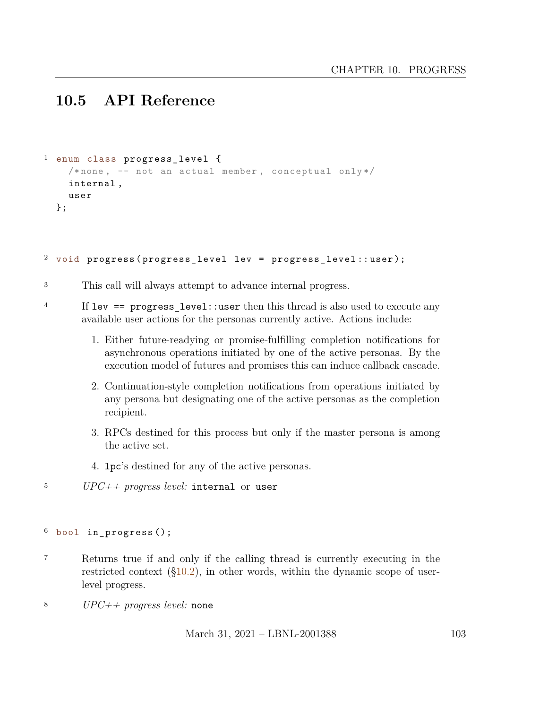## **10.5 API Reference**

```
1 enum class progress_level {
    /*none, -- not an actual member, conceptual only*/
    internal ,
    user
 };
```

```
2 void progress ( progress_level lev = progress_level :: user );
```
- <sup>3</sup> This call will always attempt to advance internal progress.
- <sup>4</sup> If lev == progress level::user then this thread is also used to execute any available user actions for the personas currently active. Actions include:
	- 1. Either future-readying or promise-fulfilling completion notifications for asynchronous operations initiated by one of the active personas. By the execution model of futures and promises this can induce callback cascade.
	- 2. Continuation-style completion notifications from operations initiated by any persona but designating one of the active personas as the completion recipient.
	- 3. RPCs destined for this process but only if the master persona is among the active set.
	- 4. lpc's destined for any of the active personas.
- <sup>5</sup> *UPC++ progress level:* internal or user

```
6 bool in_progress();
```
- <sup>7</sup> Returns true if and only if the calling thread is currently executing in the restricted context  $(\S10.2)$ , in other words, within the dynamic scope of userlevel progress.
- <sup>8</sup> *UPC++ progress level:* none

```
March 31, 2021 – LBNL-2001388 103
```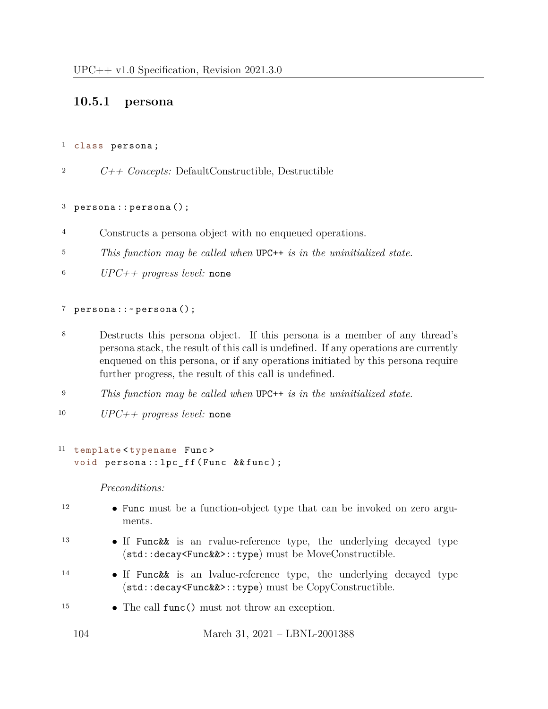### <span id="page-112-0"></span>**10.5.1 persona**

```
1 class persona ;
```
<sup>2</sup> *C++ Concepts:* DefaultConstructible, Destructible

### 3 persona :: persona ();

- <sup>4</sup> Constructs a persona object with no enqueued operations.
- <sup>5</sup> *This function may be called when* UPC++ *is in the uninitialized state.*
- <sup>6</sup> *UPC++ progress level:* none

```
7 persona ::~ persona ();
```
- <sup>8</sup> Destructs this persona object. If this persona is a member of any thread's persona stack, the result of this call is undefined. If any operations are currently enqueued on this persona, or if any operations initiated by this persona require further progress, the result of this call is undefined.
- <sup>9</sup> *This function may be called when* UPC++ *is in the uninitialized state.*
- <sup>10</sup> *UPC++ progress level:* none

```
11 template<typename Func>
  void persona :: lpc_ff ( Func && func );
```
*Preconditions:*

| 12  | • Func must be a function-object type that can be invoked on zero argu-<br>ments.                                                       |
|-----|-----------------------------------------------------------------------------------------------------------------------------------------|
| 13  | • If Func&& is an ryalue-reference type, the underlying decayed type<br>(std::decay <func&&>::type) must be MoveConstructible.</func&&> |
| 14  | • If Func&& is an Ivalue-reference type, the underlying decayed type<br>(std::decay <func&&>::type) must be CopyConstructible.</func&&> |
| 15  | • The call $func()$ must not throw an exception.                                                                                        |
| 104 | March 31, $2021 - LBNL-2001388$                                                                                                         |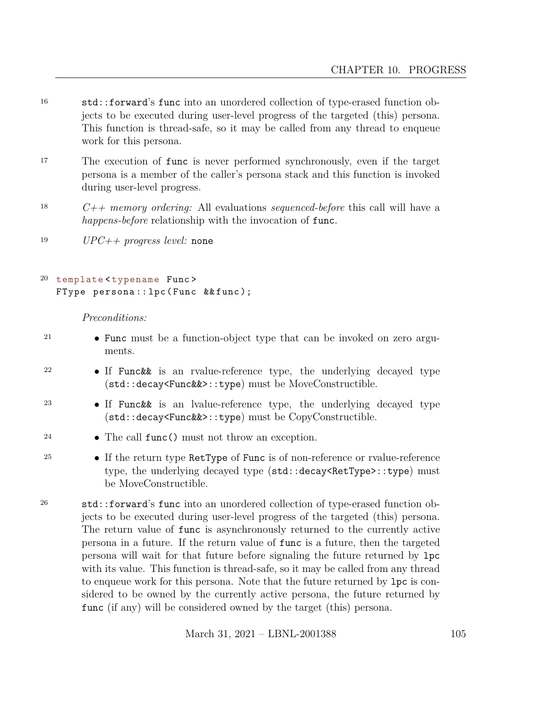- <sup>16</sup> std::forward's func into an unordered collection of type-erased function objects to be executed during user-level progress of the targeted (this) persona. This function is thread-safe, so it may be called from any thread to enqueue work for this persona.
- <sup>17</sup> The execution of func is never performed synchronously, even if the target persona is a member of the caller's persona stack and this function is invoked during user-level progress.
- <sup>18</sup> *C++ memory ordering:* All evaluations *sequenced-before* this call will have a *happens-before* relationship with the invocation of func.
- <sup>19</sup> *UPC++ progress level:* none

```
20 template < typename Func >
  FType persona:: lpc (Func &&func);
```
#### *Preconditions:*

- <sup>21</sup> Func must be a function-object type that can be invoked on zero arguments.
- <sup>22</sup> If Func&& is an rvalue-reference type, the underlying decayed type (std::decay<Func&&>::type) must be MoveConstructible.
- <sup>23</sup> If Func&& is an lvalue-reference type, the underlying decayed type (std::decay<Func&&>::type) must be CopyConstructible.
- <sup>24</sup> The call func() must not throw an exception.
- <sup>25</sup> If the return type RetType of Func is of non-reference or rvalue-reference type, the underlying decayed type (std::decay<RetType>::type) must be MoveConstructible.
- <sup>26</sup> std::forward's func into an unordered collection of type-erased function objects to be executed during user-level progress of the targeted (this) persona. The return value of func is asynchronously returned to the currently active persona in a future. If the return value of func is a future, then the targeted persona will wait for that future before signaling the future returned by lpc with its value. This function is thread-safe, so it may be called from any thread to enqueue work for this persona. Note that the future returned by lpc is considered to be owned by the currently active persona, the future returned by func (if any) will be considered owned by the target (this) persona.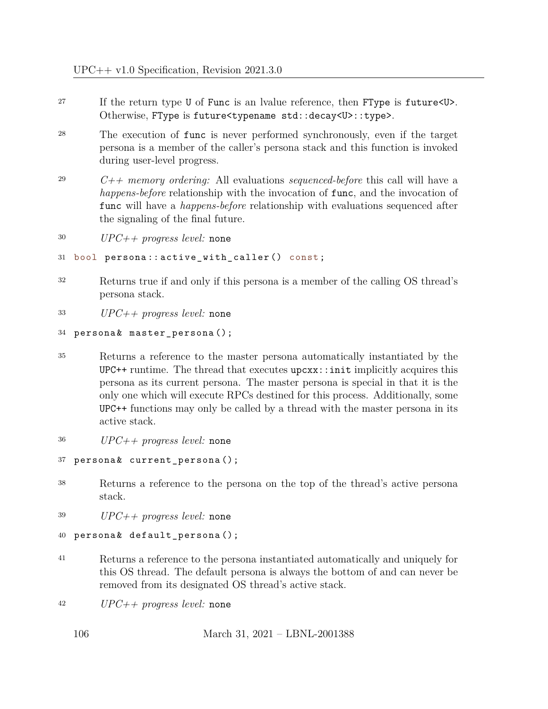- <sup>27</sup> If the return type U of Func is an lvalue reference, then FType is future<U>. Otherwise, FType is future<typename std::decay<U>::type>.
- <sup>28</sup> The execution of func is never performed synchronously, even if the target persona is a member of the caller's persona stack and this function is invoked during user-level progress.
- <sup>29</sup> *C++ memory ordering:* All evaluations *sequenced-before* this call will have a *happens-before* relationship with the invocation of func, and the invocation of func will have a *happens-before* relationship with evaluations sequenced after the signaling of the final future.
- <sup>30</sup> *UPC++ progress level:* none

```
31 bool persona :: active_with_caller () const ;
```
- <sup>32</sup> Returns true if and only if this persona is a member of the calling OS thread's persona stack.
- <sup>33</sup> *UPC++ progress level:* none

```
34 persona & master_persona ();
```
- <sup>35</sup> Returns a reference to the master persona automatically instantiated by the UPC++ runtime. The thread that executes upcxx::init implicitly acquires this persona as its current persona. The master persona is special in that it is the only one which will execute RPCs destined for this process. Additionally, some UPC++ functions may only be called by a thread with the master persona in its active stack.
- <sup>36</sup> *UPC++ progress level:* none

```
37 persona& current_persona();
```
- <sup>38</sup> Returns a reference to the persona on the top of the thread's active persona stack.
- <sup>39</sup> *UPC++ progress level:* none

```
40 persona& default_persona();
```
- <sup>41</sup> Returns a reference to the persona instantiated automatically and uniquely for this OS thread. The default persona is always the bottom of and can never be removed from its designated OS thread's active stack.
- <sup>42</sup> *UPC++ progress level:* none

```
106 March 31, 2021 – LBNL-2001388
```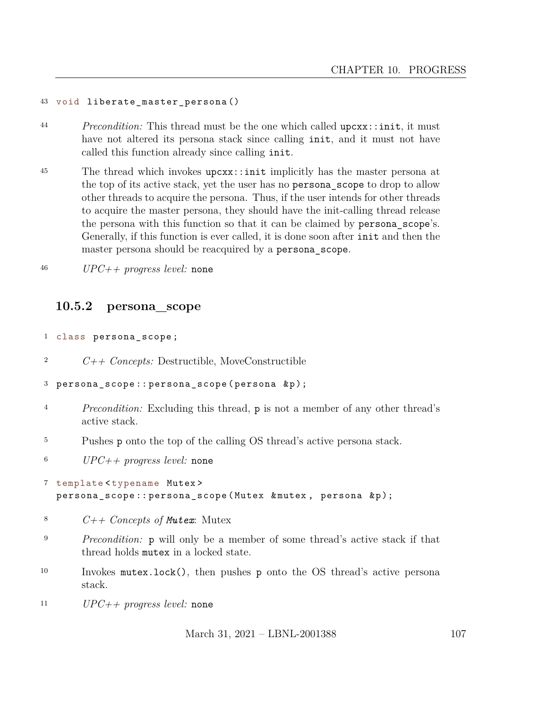#### 43 void liberate\_master\_persona ()

- <sup>44</sup> *Precondition:* This thread must be the one which called upcxx::init, it must have not altered its persona stack since calling init, and it must not have called this function already since calling init.
- <sup>45</sup> The thread which invokes upcxx::init implicitly has the master persona at the top of its active stack, yet the user has no persona\_scope to drop to allow other threads to acquire the persona. Thus, if the user intends for other threads to acquire the master persona, they should have the init-calling thread release the persona with this function so that it can be claimed by persona\_scope's. Generally, if this function is ever called, it is done soon after init and then the master persona should be reacquired by a persona scope.

<sup>46</sup> *UPC++ progress level:* none

### **10.5.2 persona\_scope**

```
1 class persona_scope ;
```
<sup>2</sup> *C++ Concepts:* Destructible, MoveConstructible

```
3 persona_scope :: persona_scope ( persona & p );
```
- <sup>4</sup> *Precondition:* Excluding this thread, **p** is not a member of any other thread's active stack.
- <sup>5</sup> Pushes **p** onto the top of the calling OS thread's active persona stack.
- <sup>6</sup> *UPC++ progress level:* none

```
7 template < typename Mutex >
  persona_scope:: persona_scope (Mutex & mutex, persona & p);
```
- <sup>8</sup> *C++ Concepts of Mutex*: Mutex
- <sup>9</sup> *Precondition:* p will only be a member of some thread's active stack if that thread holds mutex in a locked state.
- <sup>10</sup> Invokes mutex.lock(), then pushes p onto the OS thread's active persona stack.
- <sup>11</sup> *UPC++ progress level:* none

```
March 31, 2021 – LBNL-2001388 107
```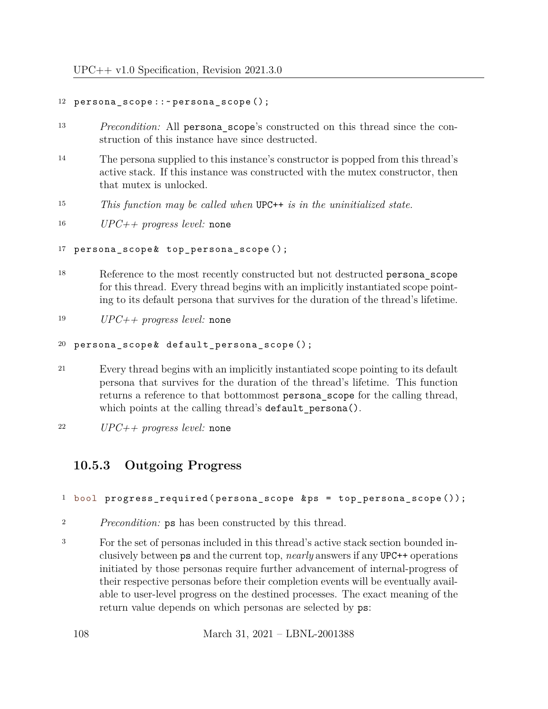#### 12 persona\_scope ::~ persona\_scope ();

- <sup>13</sup> *Precondition:* All persona\_scope's constructed on this thread since the construction of this instance have since destructed.
- <sup>14</sup> The persona supplied to this instance's constructor is popped from this thread's active stack. If this instance was constructed with the mutex constructor, then that mutex is unlocked.
- <sup>15</sup> *This function may be called when* UPC++ *is in the uninitialized state.*
- <sup>16</sup> *UPC++ progress level:* none

### 17 persona\_scope & top\_persona\_scope();

- 18 Reference to the most recently constructed but not destructed persona scope for this thread. Every thread begins with an implicitly instantiated scope pointing to its default persona that survives for the duration of the thread's lifetime.
- <sup>19</sup> *UPC++ progress level:* none

```
20 persona_scope& default_persona_scope();
```
- <sup>21</sup> Every thread begins with an implicitly instantiated scope pointing to its default persona that survives for the duration of the thread's lifetime. This function returns a reference to that bottommost persona\_scope for the calling thread, which points at the calling thread's default persona().
- <sup>22</sup> *UPC++ progress level:* none

### **10.5.3 Outgoing Progress**

```
1 bool progress required ( persona scope k ps = top persona scope () );
```
- <sup>2</sup> *Precondition:* ps has been constructed by this thread.
- <sup>3</sup> For the set of personas included in this thread's active stack section bounded inclusively between ps and the current top, *nearly* answers if any UPC++ operations initiated by those personas require further advancement of internal-progress of their respective personas before their completion events will be eventually available to user-level progress on the destined processes. The exact meaning of the return value depends on which personas are selected by ps:

108 March 31, 2021 – LBNL-2001388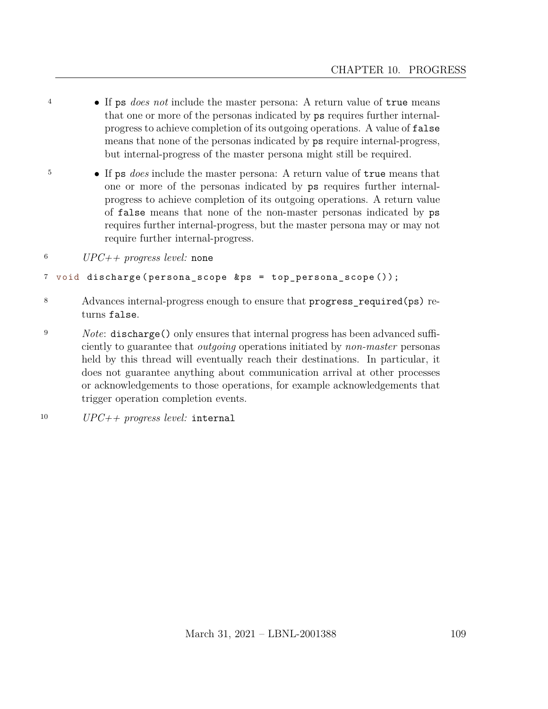- <sup>4</sup> If ps *does not* include the master persona: A return value of true means that one or more of the personas indicated by ps requires further internalprogress to achieve completion of its outgoing operations. A value of false means that none of the personas indicated by ps require internal-progress, but internal-progress of the master persona might still be required.
- <sup>5</sup> If ps *does* include the master persona: A return value of true means that one or more of the personas indicated by ps requires further internalprogress to achieve completion of its outgoing operations. A return value of false means that none of the non-master personas indicated by ps requires further internal-progress, but the master persona may or may not require further internal-progress.
- <sup>6</sup> *UPC++ progress level:* none

### 7 void discharge ( persona\_scope & ps = top\_persona\_scope ());

- <sup>8</sup> Advances internal-progress enough to ensure that progress\_required(ps) returns false.
- <sup>9</sup> *Note*: discharge() only ensures that internal progress has been advanced sufficiently to guarantee that *outgoing* operations initiated by *non-master* personas held by this thread will eventually reach their destinations. In particular, it does not guarantee anything about communication arrival at other processes or acknowledgements to those operations, for example acknowledgements that trigger operation completion events.
- <sup>10</sup> *UPC++ progress level:* internal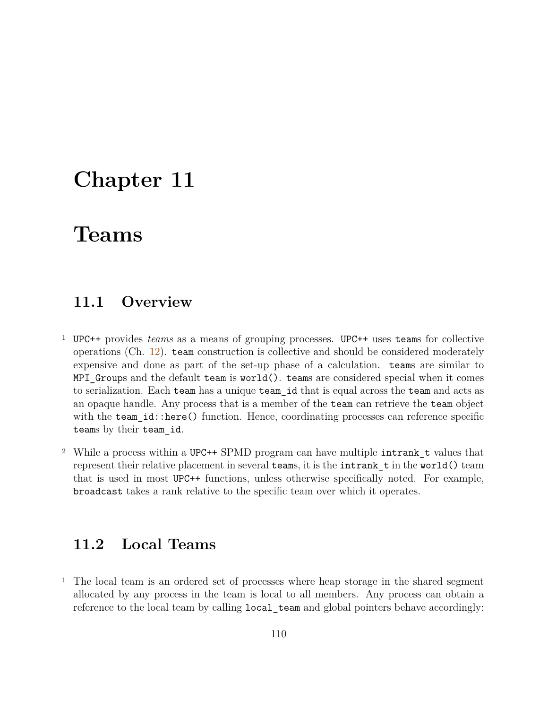# **Chapter 11**

## **Teams**

## **11.1 Overview**

- <sup>1</sup> UPC++ provides *teams* as a means of grouping processes. UPC++ uses teams for collective operations (Ch. [12\)](#page-125-0). team construction is collective and should be considered moderately expensive and done as part of the set-up phase of a calculation. teams are similar to MPI Groups and the default team is  $world()$ . teams are considered special when it comes to serialization. Each team has a unique team\_id that is equal across the team and acts as an opaque handle. Any process that is a member of the team can retrieve the team object with the team\_id::here() function. Hence, coordinating processes can reference specific teams by their team\_id.
- <sup>2</sup> While a process within a UPC++ SPMD program can have multiple intrank\_t values that represent their relative placement in several teams, it is the intrank t in the world() team that is used in most UPC++ functions, unless otherwise specifically noted. For example, broadcast takes a rank relative to the specific team over which it operates.

## <span id="page-118-0"></span>**11.2 Local Teams**

<sup>1</sup> The local team is an ordered set of processes where heap storage in the shared segment allocated by any process in the team is local to all members. Any process can obtain a reference to the local team by calling local\_team and global pointers behave accordingly: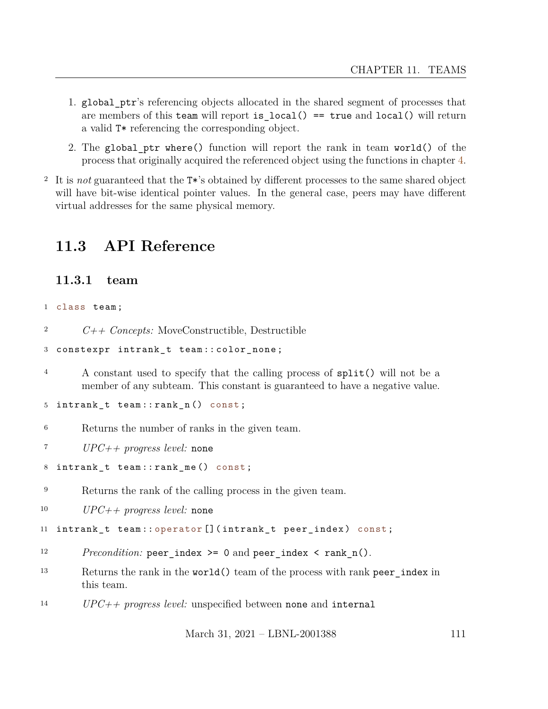- 1. global\_ptr's referencing objects allocated in the shared segment of processes that are members of this team will report is\_local() == true and local() will return a valid T\* referencing the corresponding object.
- 2. The global\_ptr where() function will report the rank in team world() of the process that originally acquired the referenced object using the functions in chapter [4.](#page-34-0)
- <sup>2</sup> It is *not* guaranteed that the T\*'s obtained by different processes to the same shared object will have bit-wise identical pointer values. In the general case, peers may have different virtual addresses for the same physical memory.

## **11.3 API Reference**

### **11.3.1 team**

```
1 class team ;
```

```
2 C++ Concepts: MoveConstructible, Destructible
```

```
3 constexpr intrank_t team :: color_none ;
```
<sup>4</sup> A constant used to specify that the calling process of split() will not be a member of any subteam. This constant is guaranteed to have a negative value.

```
5 intrank_t team::rank_n() const;
```
- <sup>6</sup> Returns the number of ranks in the given team.
- <sup>7</sup> *UPC++ progress level:* none

```
8 intrank_t team :: rank_me () const ;
```
<sup>9</sup> Returns the rank of the calling process in the given team.

<sup>10</sup> *UPC++ progress level:* none

```
11 intrank_t team :: operator []( intrank_t peer_index ) const ;
```
- 12 *Precondition:* peer index >= 0 and peer index < rank n().
- 13 Returns the rank in the world() team of the process with rank peer index in this team.
- <sup>14</sup> *UPC++ progress level:* unspecified between none and internal

```
March 31, 2021 – LBNL-2001388 111
```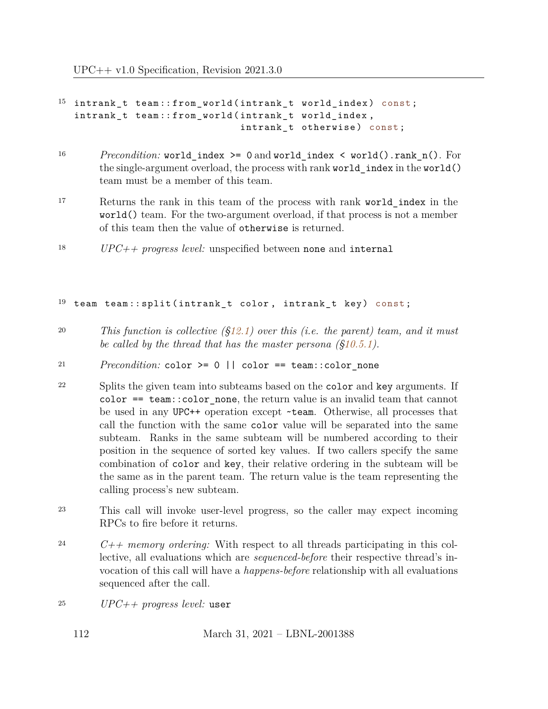```
15 intrank_t team::from_world(intrank_t world_index) const;
  intrank t team :: from world ( intrank t world index,
                               intrank_t otherwise) const;
```
- 16 *Precondition:* world index >= 0 and world index < world().rank n(). For the single-argument overload, the process with rank world\_index in the world() team must be a member of this team.
- <sup>17</sup> Returns the rank in this team of the process with rank world\_index in the world() team. For the two-argument overload, if that process is not a member of this team then the value of otherwise is returned.
- <sup>18</sup> *UPC++ progress level:* unspecified between none and internal

 $19$  team team:: split (intrank\_t color, intrank\_t key) const;

- <sup>20</sup> *This function is collective ([§12.1\)](#page-126-0) over this (i.e. the parent) team, and it must be called by the thread that has the master persona ([§10.5.1\)](#page-112-0).*
- <sup>21</sup> *Precondition:* color >= 0 || color == team::color none
- <sup>22</sup> Splits the given team into subteams based on the color and key arguments. If  $color = = team::color none, the return value is an invalid team that cannot$ be used in any UPC++ operation except ~team. Otherwise, all processes that call the function with the same color value will be separated into the same subteam. Ranks in the same subteam will be numbered according to their position in the sequence of sorted key values. If two callers specify the same combination of color and key, their relative ordering in the subteam will be the same as in the parent team. The return value is the team representing the calling process's new subteam.
- <sup>23</sup> This call will invoke user-level progress, so the caller may expect incoming RPCs to fire before it returns.
- <sup>24</sup> *C++ memory ordering:* With respect to all threads participating in this collective, all evaluations which are *sequenced-before* their respective thread's invocation of this call will have a *happens-before* relationship with all evaluations sequenced after the call.
- <sup>25</sup> *UPC++ progress level:* user
- 112 March 31, 2021 LBNL-2001388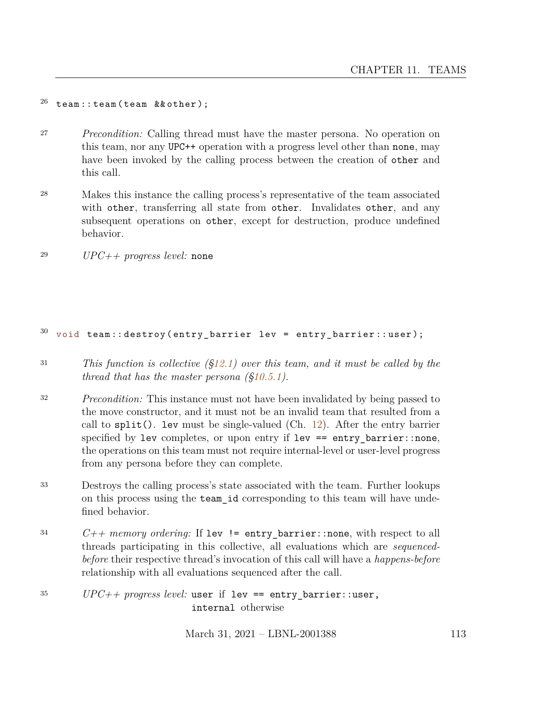$26$  team:: team (team && other);

- <sup>27</sup> *Precondition:* Calling thread must have the master persona. No operation on this team, nor any UPC++ operation with a progress level other than none, may have been invoked by the calling process between the creation of other and this call.
- <sup>28</sup> Makes this instance the calling process's representative of the team associated with other, transferring all state from other. Invalidates other, and any subsequent operations on other, except for destruction, produce undefined behavior.

<sup>29</sup> *UPC++ progress level:* none

#### $30$  void team:: destroy (entry\_barrier lev = entry\_barrier:: user);

- <sup>31</sup> *This function is collective ([§12.1\)](#page-126-0) over this team, and it must be called by the thread that has the master persona ([§10.5.1\)](#page-112-0).*
- <sup>32</sup> *Precondition:* This instance must not have been invalidated by being passed to the move constructor, and it must not be an invalid team that resulted from a call to  $split()$ . Lev must be single-valued  $(Ch. 12)$  $(Ch. 12)$ . After the entry barrier specified by lev completes, or upon entry if lev  $==$  entry barrier::none, the operations on this team must not require internal-level or user-level progress from any persona before they can complete.
- <sup>33</sup> Destroys the calling process's state associated with the team. Further lookups on this process using the team\_id corresponding to this team will have undefined behavior.
- <sup>34</sup> *C++ memory ordering:* If lev != entry\_barrier::none, with respect to all threads participating in this collective, all evaluations which are *sequencedbefore* their respective thread's invocation of this call will have a *happens-before* relationship with all evaluations sequenced after the call.
- <sup>35</sup> *UPC++ progress level:* user if lev == entry\_barrier::user, internal otherwise

March 31, 2021 – LBNL-2001388 113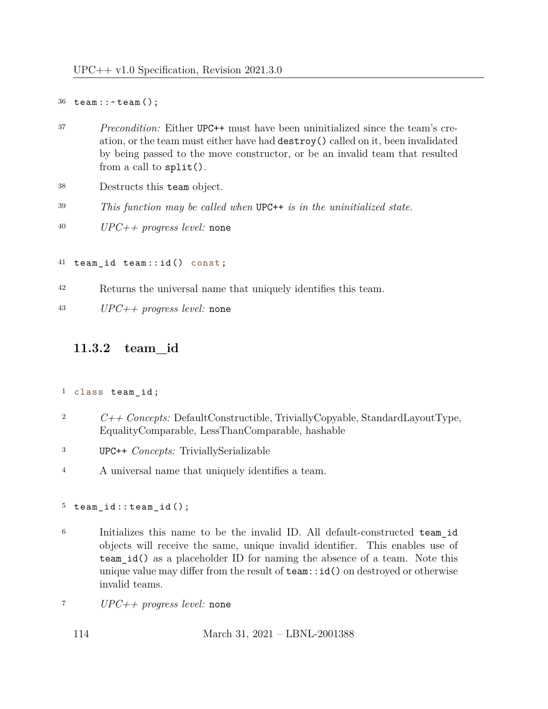$36$  team :: ~ team ();

- <sup>37</sup> *Precondition:* Either UPC++ must have been uninitialized since the team's creation, or the team must either have had destroy() called on it, been invalidated by being passed to the move constructor, or be an invalid team that resulted from a call to split().
- <sup>38</sup> Destructs this team object.
- <sup>39</sup> *This function may be called when* UPC++ *is in the uninitialized state.*
- <sup>40</sup> *UPC++ progress level:* none

### $41$  team\_id team::id() const;

- <sup>42</sup> Returns the universal name that uniquely identifies this team.
- <sup>43</sup> *UPC++ progress level:* none

### **11.3.2 team\_id**

#### 1 class team\_id ;

- <sup>2</sup> *C++ Concepts:* DefaultConstructible, TriviallyCopyable, StandardLayoutType, EqualityComparable, LessThanComparable, hashable
- <sup>3</sup> UPC++ *Concepts:* TriviallySerializable
- <sup>4</sup> A universal name that uniquely identifies a team.

### $5$  team\_id:: team\_id();

- <sup>6</sup> Initializes this name to be the invalid ID. All default-constructed team\_id objects will receive the same, unique invalid identifier. This enables use of team\_id() as a placeholder ID for naming the absence of a team. Note this unique value may differ from the result of  $\texttt{team}::\texttt{id}()$  on destroyed or otherwise invalid teams.
- <sup>7</sup> *UPC++ progress level:* none
- 114 March 31, 2021 LBNL-2001388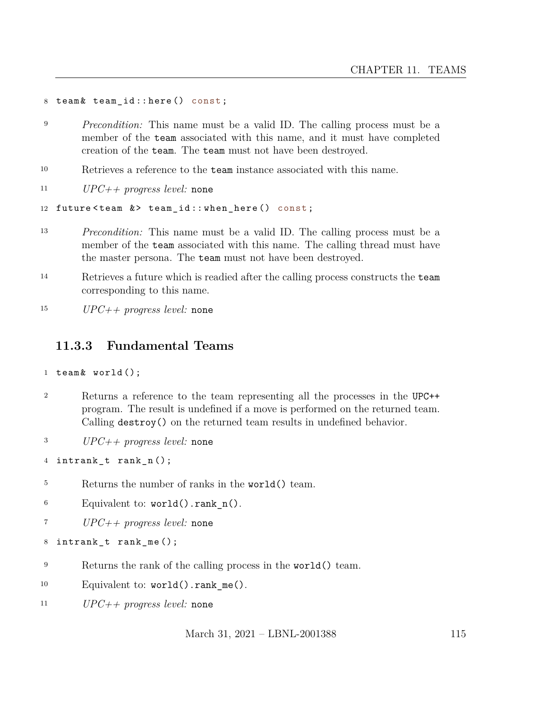```
8 team & team_id:: here () const;
```
- <sup>9</sup> *Precondition:* This name must be a valid ID. The calling process must be a member of the team associated with this name, and it must have completed creation of the team. The team must not have been destroyed.
- <sup>10</sup> Retrieves a reference to the team instance associated with this name.
- <sup>11</sup> *UPC++ progress level:* none

```
12 future<team &> team_id::when_here() const;
```
- <sup>13</sup> *Precondition:* This name must be a valid ID. The calling process must be a member of the team associated with this name. The calling thread must have the master persona. The team must not have been destroyed.
- <sup>14</sup> Retrieves a future which is readied after the calling process constructs the team corresponding to this name.
- <sup>15</sup> *UPC++ progress level:* none

### **11.3.3 Fundamental Teams**

```
1 team & world ();
```
- <sup>2</sup> Returns a reference to the team representing all the processes in the UPC++ program. The result is undefined if a move is performed on the returned team. Calling destroy() on the returned team results in undefined behavior.
- <sup>3</sup> *UPC++ progress level:* none
- 4 intrank\_t rank\_n ();
- <sup>5</sup> Returns the number of ranks in the world() team.
- 6 Equivalent to:  $word()$ .rank  $n()$ .
- <sup>7</sup> *UPC++ progress level:* none

```
8 intrank_t rank_me ();
```
- <sup>9</sup> Returns the rank of the calling process in the world() team.
- 10 Equivalent to: world().rank me().
- <sup>11</sup> *UPC++ progress level:* none

```
March 31, 2021 – LBNL-2001388 115
```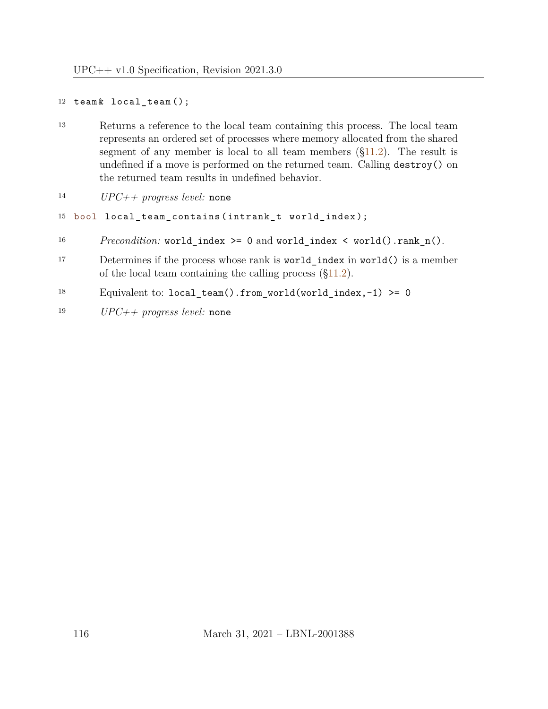```
12 team & local_team ();
```
- <sup>13</sup> Returns a reference to the local team containing this process. The local team represents an ordered set of processes where memory allocated from the shared segment of any member is local to all team members  $(\S11.2)$ . The result is undefined if a move is performed on the returned team. Calling destroy() on the returned team results in undefined behavior.
- <sup>14</sup> *UPC++ progress level:* none

```
15 bool local_team_contains ( intrank_t world_index );
```
- 16 *Precondition:* world index >= 0 and world index < world().rank n().
- <sup>17</sup> Determines if the process whose rank is world\_index in world() is a member of the local team containing the calling process ([§11.2\)](#page-118-0).
- 18 Equivalent to: local team().from world(world index,-1)  $>= 0$
- <sup>19</sup> *UPC++ progress level:* none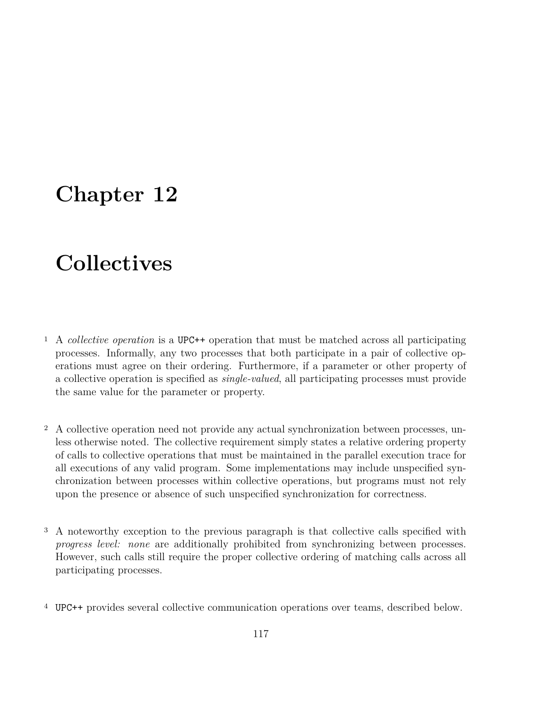# <span id="page-125-0"></span>**Chapter 12**

# **Collectives**

- <sup>1</sup> A *collective operation* is a UPC++ operation that must be matched across all participating processes. Informally, any two processes that both participate in a pair of collective operations must agree on their ordering. Furthermore, if a parameter or other property of a collective operation is specified as *single-valued*, all participating processes must provide the same value for the parameter or property.
- <sup>2</sup> A collective operation need not provide any actual synchronization between processes, unless otherwise noted. The collective requirement simply states a relative ordering property of calls to collective operations that must be maintained in the parallel execution trace for all executions of any valid program. Some implementations may include unspecified synchronization between processes within collective operations, but programs must not rely upon the presence or absence of such unspecified synchronization for correctness.
- <sup>3</sup> A noteworthy exception to the previous paragraph is that collective calls specified with *progress level: none* are additionally prohibited from synchronizing between processes. However, such calls still require the proper collective ordering of matching calls across all participating processes.
- <sup>4</sup> UPC++ provides several collective communication operations over teams, described below.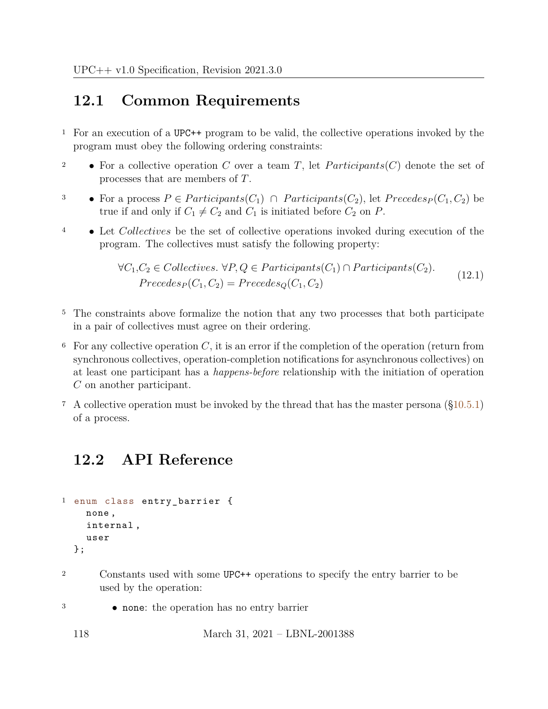## <span id="page-126-0"></span>**12.1 Common Requirements**

- <sup>1</sup> For an execution of a UPC++ program to be valid, the collective operations invoked by the program must obey the following ordering constraints:
- <sup>2</sup> For a collective operation *C* over a team *T*, let *Participants*(*C*) denote the set of processes that are members of *T*.
- <sup>3</sup> For a process  $P \in Participants(C_1) \cap Participants(C_2)$ , let  $Precedes_P(C_1, C_2)$  be true if and only if  $C_1 \neq C_2$  and  $C_1$  is initiated before  $C_2$  on  $P$ .
- <sup>4</sup> Let *Collectives* be the set of collective operations invoked during execution of the program. The collectives must satisfy the following property:

$$
\forall C_1, C_2 \in Collectives. \ \forall P, Q \in Participants(C_1) \cap Participants(C_2). Precedes_P(C_1, C_2) = Precedes_Q(C_1, C_2)
$$
\n(12.1)

- <sup>5</sup> The constraints above formalize the notion that any two processes that both participate in a pair of collectives must agree on their ordering.
- <sup>6</sup> For any collective operation *C*, it is an error if the completion of the operation (return from synchronous collectives, operation-completion notifications for asynchronous collectives) on at least one participant has a *happens-before* relationship with the initiation of operation *C* on another participant.
- <sup>7</sup> A collective operation must be invoked by the thread that has the master persona ([§10.5.1\)](#page-112-0) of a process.

## **12.2 API Reference**

```
1 enum class entry_barrier {
    none ,
    internal ,
    user
  };
```
<sup>2</sup> Constants used with some UPC++ operations to specify the entry barrier to be used by the operation:

<sup>3</sup> • none: the operation has no entry barrier

118 March 31, 2021 – LBNL-2001388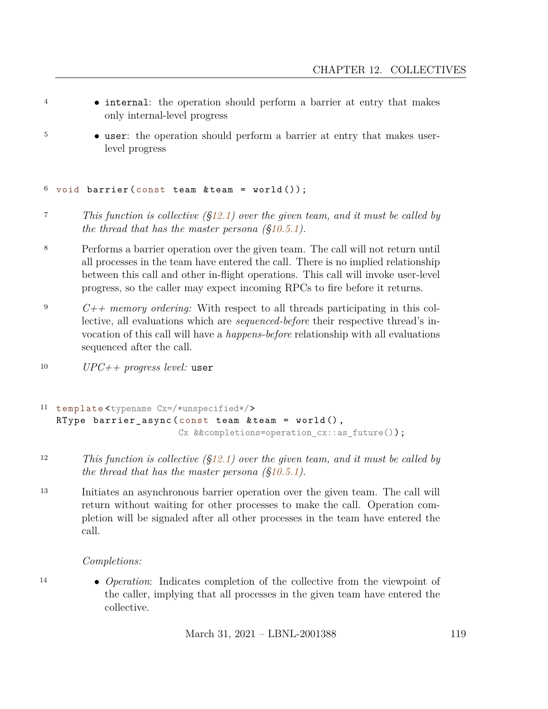- <sup>4</sup> internal: the operation should perform a barrier at entry that makes only internal-level progress
- <sup>5</sup> user: the operation should perform a barrier at entry that makes userlevel progress

```
6 void barrier (const team & team = world ());
```
- <sup>7</sup> *This function is collective ([§12.1\)](#page-126-0) over the given team, and it must be called by the thread that has the master persona ([§10.5.1\)](#page-112-0).*
- <sup>8</sup> Performs a barrier operation over the given team. The call will not return until all processes in the team have entered the call. There is no implied relationship between this call and other in-flight operations. This call will invoke user-level progress, so the caller may expect incoming RPCs to fire before it returns.
- <sup>9</sup> *C++ memory ordering:* With respect to all threads participating in this collective, all evaluations which are *sequenced-before* their respective thread's invocation of this call will have a *happens-before* relationship with all evaluations sequenced after the call.
- <sup>10</sup> *UPC++ progress level:* user

```
11 template <typename Cx=/*unspecified*/>
  RType barrier_async(const team \& team = world(),
                         Cx &&completions=operation_cx::as_future());
```
- <sup>12</sup> *This function is collective ([§12.1\)](#page-126-0) over the given team, and it must be called by the thread that has the master persona ([§10.5.1\)](#page-112-0).*
- <sup>13</sup> Initiates an asynchronous barrier operation over the given team. The call will return without waiting for other processes to make the call. Operation completion will be signaled after all other processes in the team have entered the call.

#### *Completions:*

<sup>14</sup> • *Operation*: Indicates completion of the collective from the viewpoint of the caller, implying that all processes in the given team have entered the collective.

March 31, 2021 – LBNL-2001388 119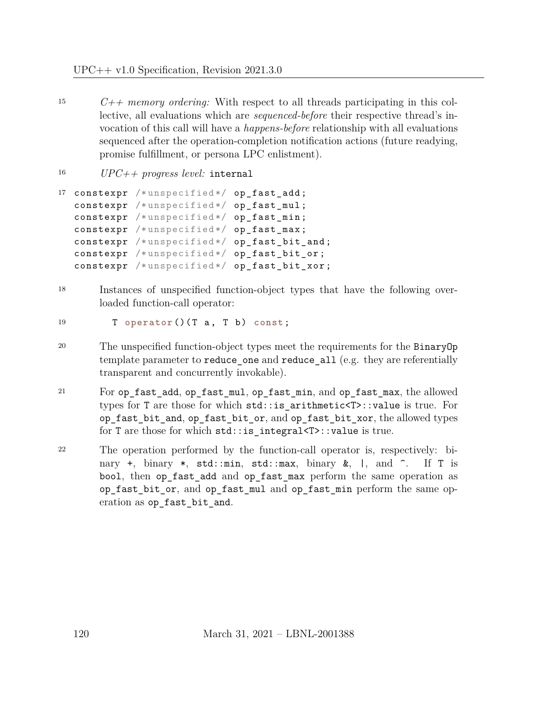<sup>15</sup> *C++ memory ordering:* With respect to all threads participating in this collective, all evaluations which are *sequenced-before* their respective thread's invocation of this call will have a *happens-before* relationship with all evaluations sequenced after the operation-completion notification actions (future readying, promise fulfillment, or persona LPC enlistment).

```
16 UPC++ progress level: internal
```

```
17 constexpr /*unspecified */ op fast add;
  constexpr /*unspecified*/ op fast mul;
  constexpr /*unspecified*/ op_fast_min;
  constexpr /*unspecified*/ op_fast_max;
  constexpr /*unspecified*/ op_fast_bit_and;
  constexpr /*unspecified*/ op_fast_bit_or;
  constexpr /*unspecified*/ op_fast_bit_xor;
```
- <sup>18</sup> Instances of unspecified function-object types that have the following overloaded function-call operator:
- 19 T operator  $()$  (T a, T b) const;
- <sup>20</sup> The unspecified function-object types meet the requirements for the BinaryOp template parameter to reduce one and reduce all (e.g. they are referentially transparent and concurrently invokable).
- <sup>21</sup> For op\_fast\_add, op\_fast\_mul, op\_fast\_min, and op\_fast\_max, the allowed types for T are those for which std::is arithmetic<T>::value is true. For op\_fast\_bit\_and, op\_fast\_bit\_or, and op\_fast\_bit\_xor, the allowed types for T are those for which std::is integral<T>::value is true.
- <sup>22</sup> The operation performed by the function-call operator is, respectively: binary +, binary  $*$ , std::min, std::max, binary  $\&$ ,  $\vert$ , and  $\hat{C}$ . If T is bool, then op fast add and op fast max perform the same operation as op\_fast\_bit\_or, and op\_fast\_mul and op\_fast\_min perform the same operation as op fast bit and.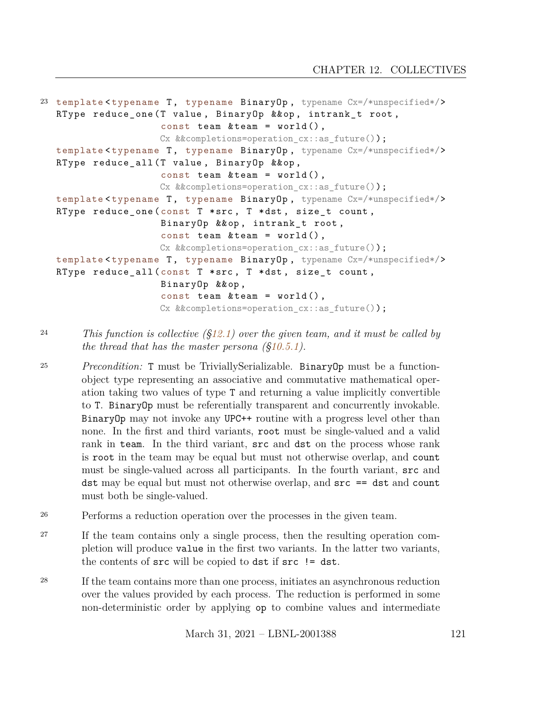```
23 template<typename T, typename BinaryOp, typename Cx=/*unspecified*/>
  RType reduce_one (T value, BinaryOp & & op, intrank_t root,
                     const team & team = world () ,
                     Cx &&completions=operation_cx::as_future());
  template<typename T, typename BinaryOp, typename Cx=/*unspecified*/>
  RType reduce_all (T value, BinaryOp & & op,
                     const team \& team = world(),
                     Cx &&completions=operation_cx::as_future());
  template<typename T, typename BinaryOp, typename Cx=/*unspecified*/>
  RType reduce_one ( const T * src , T * dst , size_t count ,
                     BinaryOp && op , intrank_t root ,
                     const team \& team = world(),
                     Cx &&completions=operation cx::as future());
  template<typename T, typename BinaryOp, typename Cx=/*unspecified*/>
  RType reduce all ( const T * src, T * dst, size t count,
                     BinaryOp && op ,
                     const team \& team = world(),
                     Cx &&completions=operation_cx::as_future());
```
- <sup>24</sup> *This function is collective ([§12.1\)](#page-126-0) over the given team, and it must be called by the thread that has the master persona ([§10.5.1\)](#page-112-0).*
- <sup>25</sup> *Precondition:* T must be TriviallySerializable. BinaryOp must be a functionobject type representing an associative and commutative mathematical operation taking two values of type T and returning a value implicitly convertible to T. BinaryOp must be referentially transparent and concurrently invokable. BinaryOp may not invoke any UPC++ routine with a progress level other than none. In the first and third variants, root must be single-valued and a valid rank in team. In the third variant, src and dst on the process whose rank is root in the team may be equal but must not otherwise overlap, and count must be single-valued across all participants. In the fourth variant, src and  $\det$  may be equal but must not otherwise overlap, and  $src == \det$  and count must both be single-valued.
- <sup>26</sup> Performs a reduction operation over the processes in the given team.
- <sup>27</sup> If the team contains only a single process, then the resulting operation completion will produce value in the first two variants. In the latter two variants, the contents of src will be copied to dst if src != dst.
- <sup>28</sup> If the team contains more than one process, initiates an asynchronous reduction over the values provided by each process. The reduction is performed in some non-deterministic order by applying op to combine values and intermediate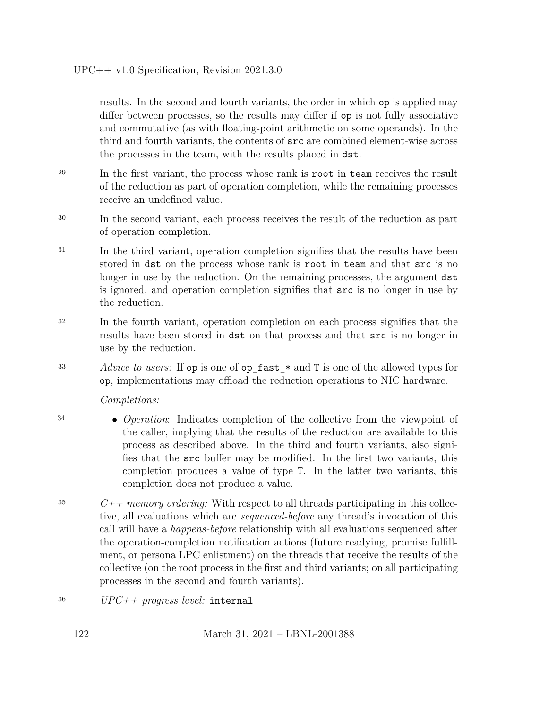results. In the second and fourth variants, the order in which op is applied may differ between processes, so the results may differ if op is not fully associative and commutative (as with floating-point arithmetic on some operands). In the third and fourth variants, the contents of src are combined element-wise across the processes in the team, with the results placed in dst.

- <sup>29</sup> In the first variant, the process whose rank is root in team receives the result of the reduction as part of operation completion, while the remaining processes receive an undefined value.
- <sup>30</sup> In the second variant, each process receives the result of the reduction as part of operation completion.
- <sup>31</sup> In the third variant, operation completion signifies that the results have been stored in dst on the process whose rank is root in team and that src is no longer in use by the reduction. On the remaining processes, the argument dst is ignored, and operation completion signifies that src is no longer in use by the reduction.
- <sup>32</sup> In the fourth variant, operation completion on each process signifies that the results have been stored in dst on that process and that src is no longer in use by the reduction.
- <sup>33</sup> *Advice to users:* If op is one of op\_fast\_\* and T is one of the allowed types for op, implementations may offload the reduction operations to NIC hardware.

*Completions:*

- <sup>34</sup> *Operation*: Indicates completion of the collective from the viewpoint of the caller, implying that the results of the reduction are available to this process as described above. In the third and fourth variants, also signifies that the src buffer may be modified. In the first two variants, this completion produces a value of type T. In the latter two variants, this completion does not produce a value.
- <sup>35</sup> *C++ memory ordering:* With respect to all threads participating in this collective, all evaluations which are *sequenced-before* any thread's invocation of this call will have a *happens-before* relationship with all evaluations sequenced after the operation-completion notification actions (future readying, promise fulfillment, or persona LPC enlistment) on the threads that receive the results of the collective (on the root process in the first and third variants; on all participating processes in the second and fourth variants).
- <sup>36</sup> *UPC++ progress level:* internal

122 March 31, 2021 – LBNL-2001388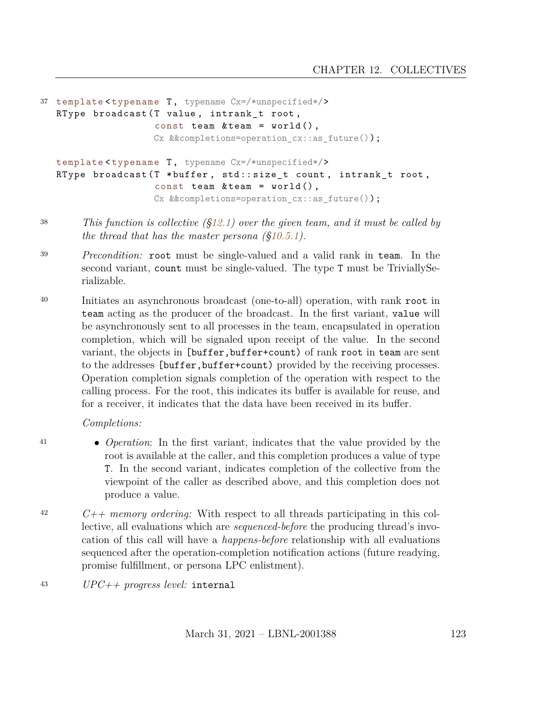```
37 template < typename T , typename Cx=/*unspecified*/>
  RType broadcast (T value, intrank_t root,
                    const team \& team = world(),
                    Cx &&completions=operation_cx::as_future());
  template<typename T, typename Cx=/*unspecified*/>
  RType broadcast (T * buffer, std::size t count, intrank t root,const team \& team = world(),
                    Cx &&completions=operation cx::as future());
```
<sup>38</sup> *This function is collective ([§12.1\)](#page-126-0) over the given team, and it must be called by the thread that has the master persona ([§10.5.1\)](#page-112-0).*

- <sup>39</sup> *Precondition:* root must be single-valued and a valid rank in team. In the second variant, count must be single-valued. The type T must be TriviallySerializable.
- <sup>40</sup> Initiates an asynchronous broadcast (one-to-all) operation, with rank root in team acting as the producer of the broadcast. In the first variant, value will be asynchronously sent to all processes in the team, encapsulated in operation completion, which will be signaled upon receipt of the value. In the second variant, the objects in [buffer,buffer+count) of rank root in team are sent to the addresses [buffer,buffer+count) provided by the receiving processes. Operation completion signals completion of the operation with respect to the calling process. For the root, this indicates its buffer is available for reuse, and for a receiver, it indicates that the data have been received in its buffer.

### *Completions:*

- <sup>41</sup> *Operation*: In the first variant, indicates that the value provided by the root is available at the caller, and this completion produces a value of type T. In the second variant, indicates completion of the collective from the viewpoint of the caller as described above, and this completion does not produce a value.
- <sup>42</sup> *C++ memory ordering:* With respect to all threads participating in this collective, all evaluations which are *sequenced-before* the producing thread's invocation of this call will have a *happens-before* relationship with all evaluations sequenced after the operation-completion notification actions (future readying, promise fulfillment, or persona LPC enlistment).
- <sup>43</sup> *UPC++ progress level:* internal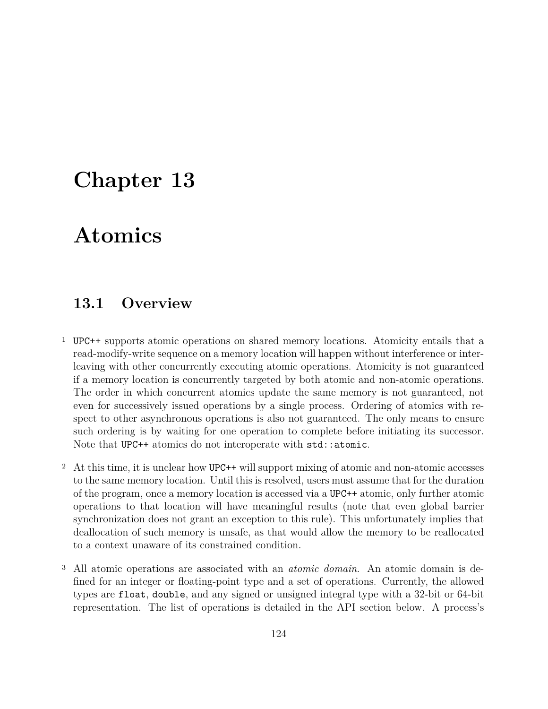# **Chapter 13**

# **Atomics**

### **13.1 Overview**

- <sup>1</sup> UPC++ supports atomic operations on shared memory locations. Atomicity entails that a read-modify-write sequence on a memory location will happen without interference or interleaving with other concurrently executing atomic operations. Atomicity is not guaranteed if a memory location is concurrently targeted by both atomic and non-atomic operations. The order in which concurrent atomics update the same memory is not guaranteed, not even for successively issued operations by a single process. Ordering of atomics with respect to other asynchronous operations is also not guaranteed. The only means to ensure such ordering is by waiting for one operation to complete before initiating its successor. Note that UPC++ atomics do not interoperate with std::atomic.
- <sup>2</sup> At this time, it is unclear how UPC++ will support mixing of atomic and non-atomic accesses to the same memory location. Until this is resolved, users must assume that for the duration of the program, once a memory location is accessed via a UPC++ atomic, only further atomic operations to that location will have meaningful results (note that even global barrier synchronization does not grant an exception to this rule). This unfortunately implies that deallocation of such memory is unsafe, as that would allow the memory to be reallocated to a context unaware of its constrained condition.
- <sup>3</sup> All atomic operations are associated with an *atomic domain*. An atomic domain is defined for an integer or floating-point type and a set of operations. Currently, the allowed types are float, double, and any signed or unsigned integral type with a 32-bit or 64-bit representation. The list of operations is detailed in the API section below. A process's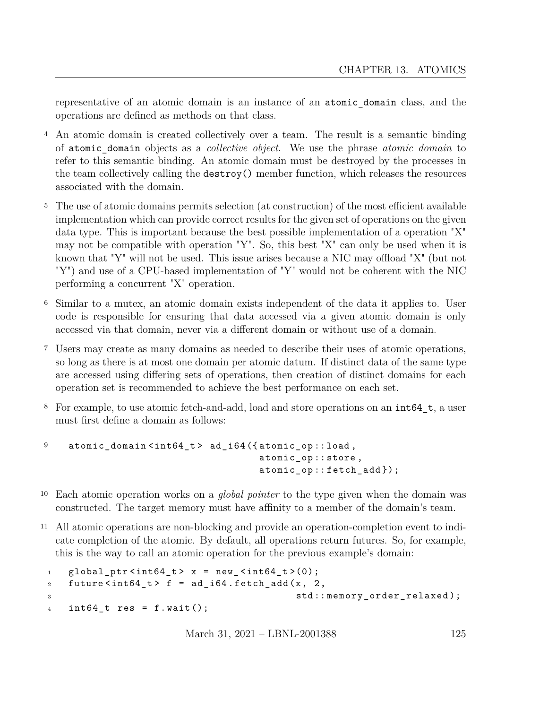representative of an atomic domain is an instance of an atomic\_domain class, and the operations are defined as methods on that class.

- <sup>4</sup> An atomic domain is created collectively over a team. The result is a semantic binding of atomic\_domain objects as a *collective object*. We use the phrase *atomic domain* to refer to this semantic binding. An atomic domain must be destroyed by the processes in the team collectively calling the destroy() member function, which releases the resources associated with the domain.
- <sup>5</sup> The use of atomic domains permits selection (at construction) of the most efficient available implementation which can provide correct results for the given set of operations on the given data type. This is important because the best possible implementation of a operation "X" may not be compatible with operation "Y". So, this best "X" can only be used when it is known that "Y" will not be used. This issue arises because a NIC may offload "X" (but not "Y") and use of a CPU-based implementation of "Y" would not be coherent with the NIC performing a concurrent "X" operation.
- <sup>6</sup> Similar to a mutex, an atomic domain exists independent of the data it applies to. User code is responsible for ensuring that data accessed via a given atomic domain is only accessed via that domain, never via a different domain or without use of a domain.
- <sup>7</sup> Users may create as many domains as needed to describe their uses of atomic operations, so long as there is at most one domain per atomic datum. If distinct data of the same type are accessed using differing sets of operations, then creation of distinct domains for each operation set is recommended to achieve the best performance on each set.
- <sup>8</sup> For example, to use atomic fetch-and-add, load and store operations on an int64\_t, a user must first define a domain as follows:

```
9 atomic_domain < int64_t > ad_i64 ({ atomic_op :: load ,
                                        atomic_op :: store ,
                                        atomic_op::fetch_add });
```
- <sup>10</sup> Each atomic operation works on a *global pointer* to the type given when the domain was constructed. The target memory must have affinity to a member of the domain's team.
- <sup>11</sup> All atomic operations are non-blocking and provide an operation-completion event to indicate completion of the atomic. By default, all operations return futures. So, for example, this is the way to call an atomic operation for the previous example's domain:

```
1 global_ptr <int64_t > x = new_ <int64_t >(0);
2 future \text{Sint64}_t > f = ad_i64.fetch_add (x, 2,
3 std :: memory_order_relaxed );
4 int64<sub>-</sub>t res = f.wait();
```

```
March 31, 2021 – LBNL-2001388 125
```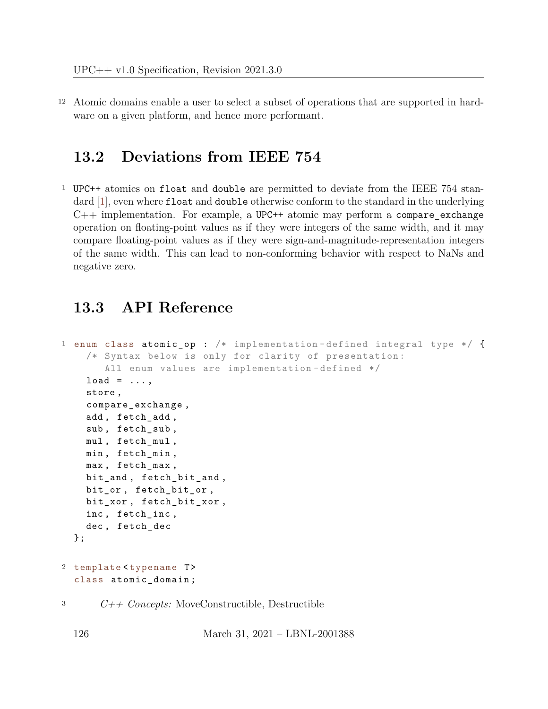<sup>12</sup> Atomic domains enable a user to select a subset of operations that are supported in hardware on a given platform, and hence more performant.

## **13.2 Deviations from IEEE 754**

<sup>1</sup> UPC++ atomics on float and double are permitted to deviate from the IEEE 754 stan-dard [\[1\]](#page-171-0), even where float and double otherwise conform to the standard in the underlying  $C++$  implementation. For example, a UPC++ atomic may perform a compare\_exchange operation on floating-point values as if they were integers of the same width, and it may compare floating-point values as if they were sign-and-magnitude-representation integers of the same width. This can lead to non-conforming behavior with respect to NaNs and negative zero.

## **13.3 API Reference**

```
1 enum class atomic_op : /* implementation - defined integral type */ {
    /* Syntax below is only for clarity of presentation :
       All enum values are implementation-defined */
    load = . . . ,store ,
    compare_exchange ,
    add , fetch_add ,
    sub , fetch_sub ,
    mul , fetch_mul ,
    min , fetch_min ,
    max , fetch_max ,
    bit_and , fetch_bit_and ,
    bit_or , fetch_bit_or ,
    bit_xor , fetch_bit_xor ,
    inc , fetch_inc ,
    dec , fetch_dec
  };
2 template<typename T>
  class atomic_domain ;
3 C++ Concepts: MoveConstructible, Destructible
  126 March 31, 2021 – LBNL-2001388
```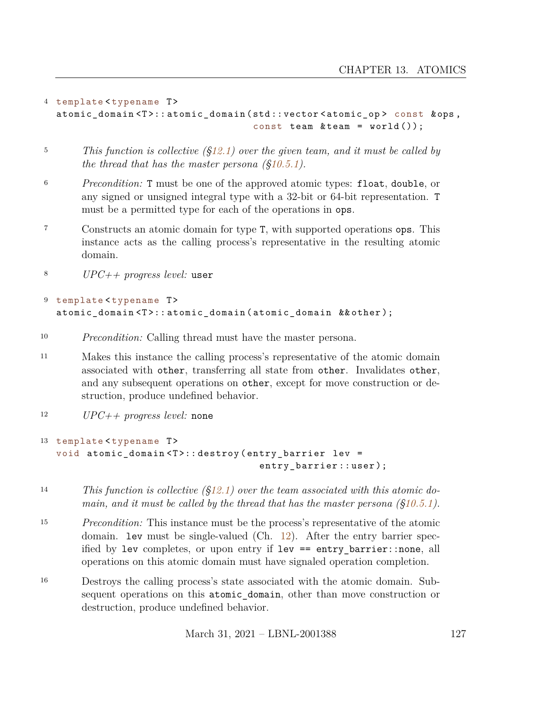4 template<typename T> atomic\_domain <T>:: atomic\_domain (std:: vector < atomic\_op> const & ops, const team  $\&$ team = world $()$  ;

- <sup>5</sup> *This function is collective ([§12.1\)](#page-126-0) over the given team, and it must be called by the thread that has the master persona ([§10.5.1\)](#page-112-0).*
- <sup>6</sup> *Precondition:* T must be one of the approved atomic types: float, double, or any signed or unsigned integral type with a 32-bit or 64-bit representation. T must be a permitted type for each of the operations in ops.
- <sup>7</sup> Constructs an atomic domain for type T, with supported operations ops. This instance acts as the calling process's representative in the resulting atomic domain.
- <sup>8</sup> *UPC++ progress level:* user

```
9 template<typename T>
  atomic_domain <T>:: atomic_domain ( atomic_domain & & other );
```
- <sup>10</sup> *Precondition:* Calling thread must have the master persona.
- <sup>11</sup> Makes this instance the calling process's representative of the atomic domain associated with other, transferring all state from other. Invalidates other, and any subsequent operations on other, except for move construction or destruction, produce undefined behavior.
- <sup>12</sup> *UPC++ progress level:* none

```
13 template<typename T>
  void atomic_domain <T>:: destroy (entry_barrier lev =
                                       entry_barrier :: user );
```
- <sup>14</sup> *This function is collective ([§12.1\)](#page-126-0) over the team associated with this atomic domain, and it must be called by the thread that has the master persona ([§10.5.1\)](#page-112-0).*
- <sup>15</sup> *Precondition:* This instance must be the process's representative of the atomic domain. lev must be single-valued (Ch. [12\)](#page-125-0). After the entry barrier specified by lev completes, or upon entry if lev == entry\_barrier::none, all operations on this atomic domain must have signaled operation completion.
- <sup>16</sup> Destroys the calling process's state associated with the atomic domain. Subsequent operations on this atomic\_domain, other than move construction or destruction, produce undefined behavior.

March 31, 2021 – LBNL-2001388 127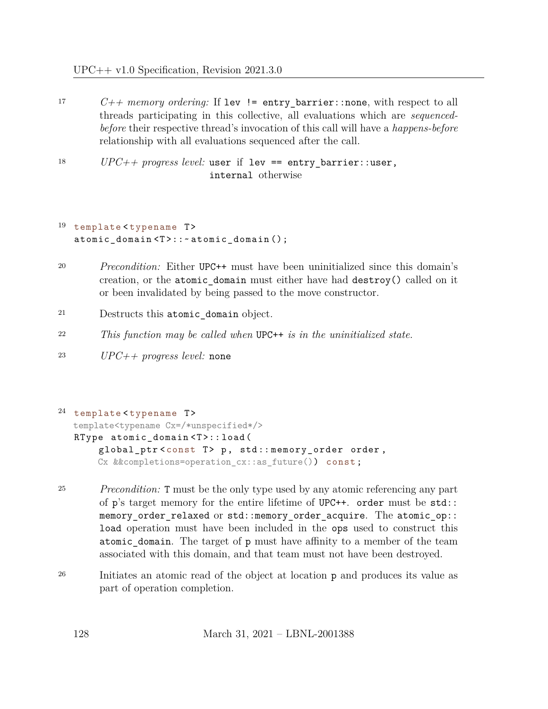- <sup>17</sup> *C++ memory ordering:* If lev != entry\_barrier::none, with respect to all threads participating in this collective, all evaluations which are *sequencedbefore* their respective thread's invocation of this call will have a *happens-before* relationship with all evaluations sequenced after the call.
- 18 *UPC++ progress level:* user if lev == entry barrier::user, internal otherwise

```
19 template lttypename T>
  atomic_domain <T>:: ~ atomic_domain ();
```
- <sup>20</sup> *Precondition:* Either UPC++ must have been uninitialized since this domain's creation, or the atomic\_domain must either have had destroy() called on it or been invalidated by being passed to the move constructor.
- <sup>21</sup> Destructs this atomic\_domain object.
- <sup>22</sup> *This function may be called when* UPC++ *is in the uninitialized state.*
- <sup>23</sup> *UPC++ progress level:* none

```
24 template < typename T>
  template<typename Cx=/*unspecified*/>
  RType atomic_domain<T>::load(
       global_ptr<const T> p, std::memory_order order,
       Cx &&completions=operation_cx::as_future()) const ;
```
- <sup>25</sup> *Precondition:* T must be the only type used by any atomic referencing any part of p's target memory for the entire lifetime of UPC++. order must be std:: memory\_order\_relaxed or std::memory\_order\_acquire. The atomic\_op:: load operation must have been included in the ops used to construct this atomic domain. The target of p must have affinity to a member of the team associated with this domain, and that team must not have been destroyed.
- <sup>26</sup> Initiates an atomic read of the object at location p and produces its value as part of operation completion.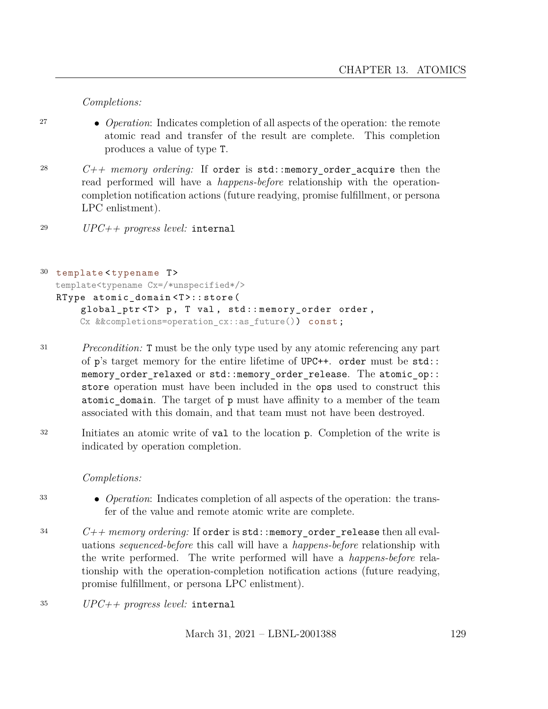*Completions:*

- <sup>27</sup> *Operation*: Indicates completion of all aspects of the operation: the remote atomic read and transfer of the result are complete. This completion produces a value of type T.
- $28$  *C++ memory ordering:* If order is std::memory\_order\_acquire then the read performed will have a *happens-before* relationship with the operationcompletion notification actions (future readying, promise fulfillment, or persona LPC enlistment).

<sup>29</sup> *UPC++ progress level:* internal

```
30 template < typename T>
  template<typename Cx=/*unspecified*/>
  RType atomic domain <T>:: store (
       global_ptr<T> p, T val, std::memory_order order,
       Cx &&completions=operation cx::as future()) const;
```
- <sup>31</sup> *Precondition:* T must be the only type used by any atomic referencing any part of p's target memory for the entire lifetime of UPC++. order must be std:: memory order relaxed or std::memory order release. The atomic op:: store operation must have been included in the ops used to construct this atomic\_domain. The target of p must have affinity to a member of the team associated with this domain, and that team must not have been destroyed.
- <sup>32</sup> Initiates an atomic write of val to the location p. Completion of the write is indicated by operation completion.

#### *Completions:*

- <sup>33</sup> *Operation*: Indicates completion of all aspects of the operation: the transfer of the value and remote atomic write are complete.
- $34$  *C++ memory ordering:* If order is std::memory order release then all evaluations *sequenced-before* this call will have a *happens-before* relationship with the write performed. The write performed will have a *happens-before* relationship with the operation-completion notification actions (future readying, promise fulfillment, or persona LPC enlistment).
- <sup>35</sup> *UPC++ progress level:* internal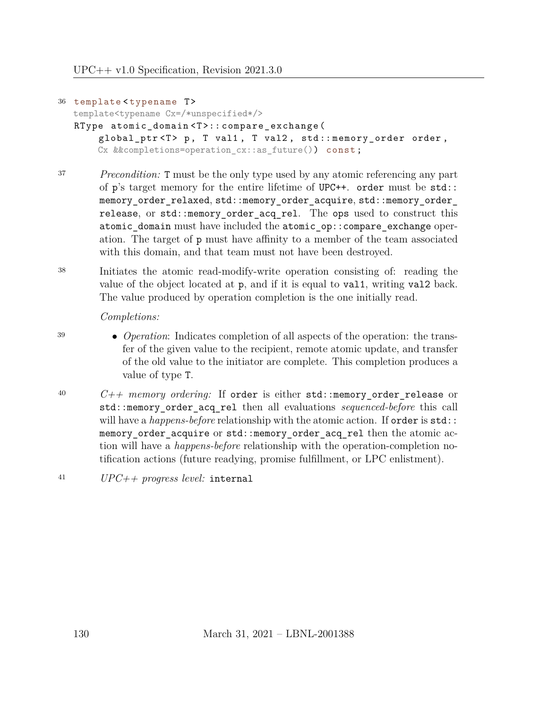```
36 template<typename T>
```

```
template<typename Cx=/*unspecified*/>
```

```
RType atomic_domain<T>:: compare_exchange (
    global_ptr<T> p, T val1, T val2, std::memory_order order,
    Cx &&completions=operation_cx::as_future()) const ;
```
<sup>37</sup> *Precondition:* T must be the only type used by any atomic referencing any part of p's target memory for the entire lifetime of UPC++. order must be std:: memory order relaxed, std::memory order acquire, std::memory order release, or std::memory order acq rel. The ops used to construct this atomic domain must have included the atomic op:: compare exchange operation. The target of p must have affinity to a member of the team associated with this domain, and that team must not have been destroyed.

<sup>38</sup> Initiates the atomic read-modify-write operation consisting of: reading the value of the object located at p, and if it is equal to val1, writing val2 back. The value produced by operation completion is the one initially read.

### *Completions:*

<sup>39</sup> • *Operation*: Indicates completion of all aspects of the operation: the transfer of the given value to the recipient, remote atomic update, and transfer of the old value to the initiator are complete. This completion produces a value of type T.

- <sup>40</sup> *C++ memory ordering:* If order is either std::memory\_order\_release or std::memory\_order\_acq\_rel then all evaluations *sequenced-before* this call will have a *happens-before* relationship with the atomic action. If **order** is std: memory order acquire or std:: memory order acq rel then the atomic action will have a *happens-before* relationship with the operation-completion notification actions (future readying, promise fulfillment, or LPC enlistment).
- <sup>41</sup> *UPC++ progress level:* internal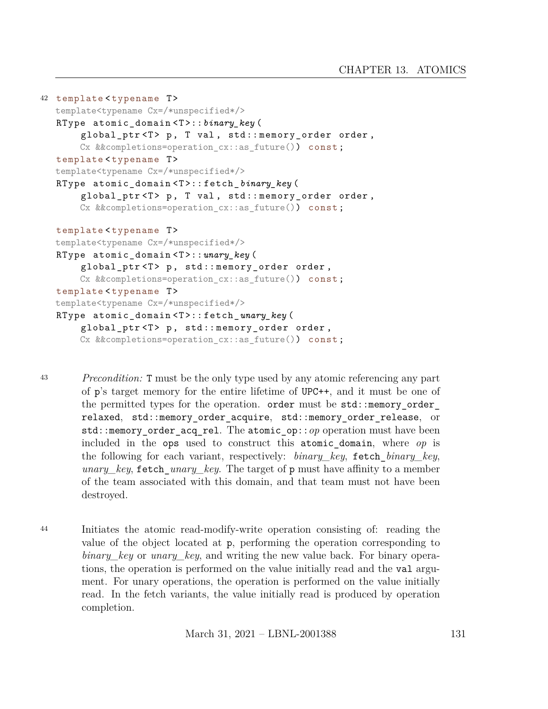```
42 template < typename T>
  template<typename Cx=/*unspecified*/>
  RType atomic_domain <T >::binary_key (
       global_ptr<T> p, T val, std::memory_order order,
       Cx &&completions=operation_cx::as_future()) const;
  template<typename T>
  template<typename Cx=/*unspecified*/>
  RType atomic_domain <T >:: fetch_binary_key (
       global_ptr<T> p, T val, std::memory_order order,
       Cx &&completions=operation cx::as future()) const;
  template<typename T>
  template<typename Cx=/*unspecified*/>
  RType atomic_domain <T >::unary_key (
       global ptr<T> p, std:: memory order order,
       Cx &&completions=operation_cx::as_future()) const ;
  template<typename T>
  template<typename Cx=/*unspecified*/>
  RType atomic_domain <T >:: fetch_unary_key (
       global_ptr<T> p, std::memory_order order,
       Cx &&completions=operation_cx::as_future()) const;
```
- <sup>43</sup> *Precondition:* T must be the only type used by any atomic referencing any part of p's target memory for the entire lifetime of UPC++, and it must be one of the permitted types for the operation. order must be std::memory order relaxed, std::memory\_order\_acquire, std::memory\_order\_release, or std::memory order acq rel. The atomic op:: *op* operation must have been included in the ops used to construct this atomic\_domain, where *op* is the following for each variant, respectively: *binary\_key*, fetch\_*binary\_key*, *unary\_key*, fetch\_*unary\_key*. The target of p must have affinity to a member of the team associated with this domain, and that team must not have been destroyed.
- <sup>44</sup> Initiates the atomic read-modify-write operation consisting of: reading the value of the object located at p, performing the operation corresponding to *binary\_key* or *unary\_key*, and writing the new value back. For binary operations, the operation is performed on the value initially read and the val argument. For unary operations, the operation is performed on the value initially read. In the fetch variants, the value initially read is produced by operation completion.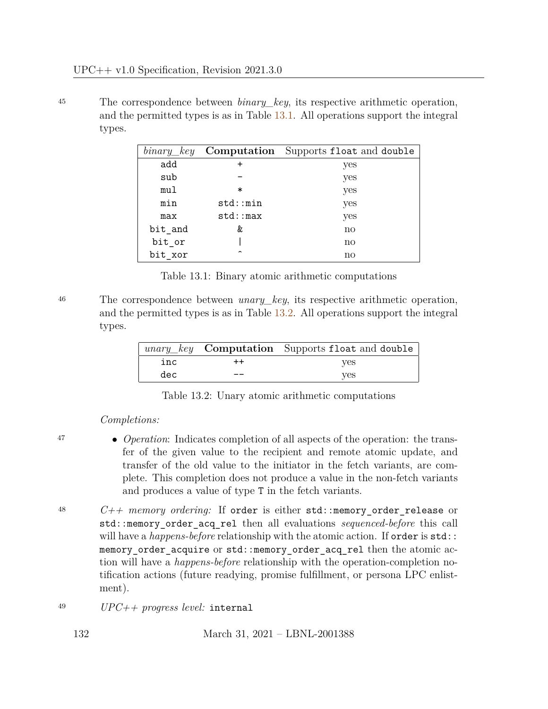<sup>45</sup> The correspondence between *binary\_key*, its respective arithmetic operation, and the permitted types is as in Table [13.1.](#page-140-0) All operations support the integral types.

|         |          | $binary\_key$ Computation Supports float and double |
|---------|----------|-----------------------------------------------------|
| add     | +        | yes                                                 |
| sub     |          | yes                                                 |
| mul     | $^\ast$  | yes                                                 |
| min     | std: min | yes                                                 |
| max     | std: max | yes                                                 |
| bit and | &c       | $\mathbf{n}$                                        |
| bit or  |          | $\mathbf{n}$                                        |
| bit xor | ∼        | $\mathbf{n}$                                        |

<span id="page-140-0"></span>Table 13.1: Binary atomic arithmetic computations

<sup>46</sup> The correspondence between *unary\_key*, its respective arithmetic operation, and the permitted types is as in Table [13.2.](#page-140-1) All operations support the integral types.

|     | <i>unary key</i> Computation Supports float and double |
|-----|--------------------------------------------------------|
| inc | ves                                                    |
| dec | ves                                                    |

<span id="page-140-1"></span>Table 13.2: Unary atomic arithmetic computations

#### *Completions:*

- 
- <sup>47</sup> *Operation*: Indicates completion of all aspects of the operation: the transfer of the given value to the recipient and remote atomic update, and transfer of the old value to the initiator in the fetch variants, are complete. This completion does not produce a value in the non-fetch variants and produces a value of type T in the fetch variants.
- <sup>48</sup> *C++ memory ordering:* If order is either std::memory\_order\_release or std::memory\_order\_acq\_rel then all evaluations *sequenced-before* this call will have a *happens-before* relationship with the atomic action. If order is std:: memory order acquire or std::memory order acq rel then the atomic action will have a *happens-before* relationship with the operation-completion notification actions (future readying, promise fulfillment, or persona LPC enlistment).
- <sup>49</sup> *UPC++ progress level:* internal

132 March 31, 2021 – LBNL-2001388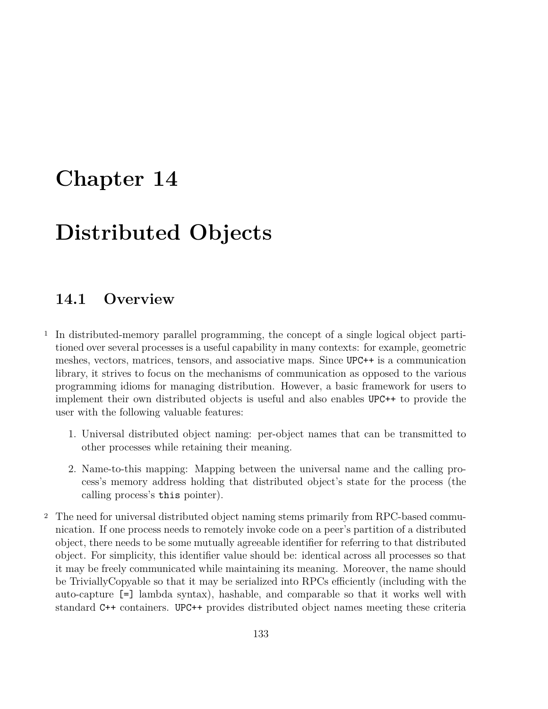# **Chapter 14**

# **Distributed Objects**

## **14.1 Overview**

- <sup>1</sup> In distributed-memory parallel programming, the concept of a single logical object partitioned over several processes is a useful capability in many contexts: for example, geometric meshes, vectors, matrices, tensors, and associative maps. Since UPC++ is a communication library, it strives to focus on the mechanisms of communication as opposed to the various programming idioms for managing distribution. However, a basic framework for users to implement their own distributed objects is useful and also enables UPC++ to provide the user with the following valuable features:
	- 1. Universal distributed object naming: per-object names that can be transmitted to other processes while retaining their meaning.
	- 2. Name-to-this mapping: Mapping between the universal name and the calling process's memory address holding that distributed object's state for the process (the calling process's this pointer).
- <sup>2</sup> The need for universal distributed object naming stems primarily from RPC-based communication. If one process needs to remotely invoke code on a peer's partition of a distributed object, there needs to be some mutually agreeable identifier for referring to that distributed object. For simplicity, this identifier value should be: identical across all processes so that it may be freely communicated while maintaining its meaning. Moreover, the name should be TriviallyCopyable so that it may be serialized into RPCs efficiently (including with the auto-capture [=] lambda syntax), hashable, and comparable so that it works well with standard C++ containers. UPC++ provides distributed object names meeting these criteria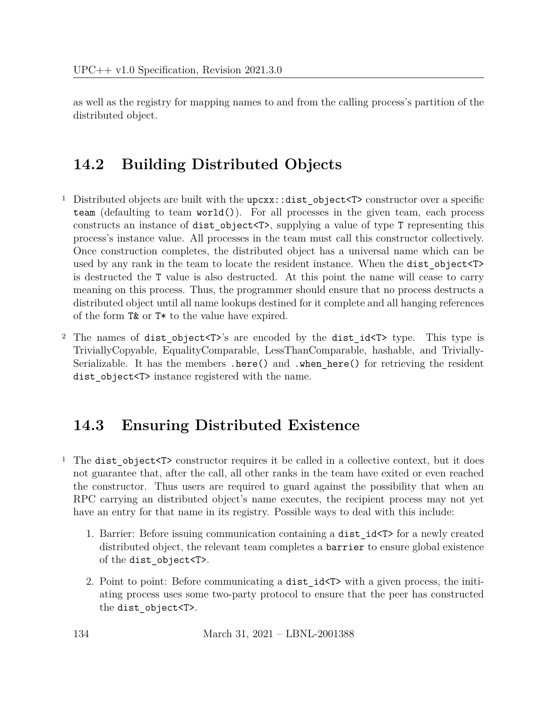as well as the registry for mapping names to and from the calling process's partition of the distributed object.

## **14.2 Building Distributed Objects**

- <sup>1</sup> Distributed objects are built with the upcxx::dist\_object<T> constructor over a specific team (defaulting to team world()). For all processes in the given team, each process constructs an instance of dist\_object<T>, supplying a value of type T representing this process's instance value. All processes in the team must call this constructor collectively. Once construction completes, the distributed object has a universal name which can be used by any rank in the team to locate the resident instance. When the dist object<T> is destructed the T value is also destructed. At this point the name will cease to carry meaning on this process. Thus, the programmer should ensure that no process destructs a distributed object until all name lookups destined for it complete and all hanging references of the form T& or T\* to the value have expired.
- <sup>2</sup> The names of dist object<T>'s are encoded by the dist id<T> type. This type is TriviallyCopyable, EqualityComparable, LessThanComparable, hashable, and Trivially-Serializable. It has the members .here() and .when\_here() for retrieving the resident dist\_object<T> instance registered with the name.

## **14.3 Ensuring Distributed Existence**

- <sup>1</sup> The dist object<T> constructor requires it be called in a collective context, but it does not guarantee that, after the call, all other ranks in the team have exited or even reached the constructor. Thus users are required to guard against the possibility that when an RPC carrying an distributed object's name executes, the recipient process may not yet have an entry for that name in its registry. Possible ways to deal with this include:
	- 1. Barrier: Before issuing communication containing a dist\_id<T> for a newly created distributed object, the relevant team completes a barrier to ensure global existence of the dist\_object<T>.
	- 2. Point to point: Before communicating a dist\_id<T> with a given process, the initiating process uses some two-party protocol to ensure that the peer has constructed the dist\_object<T>.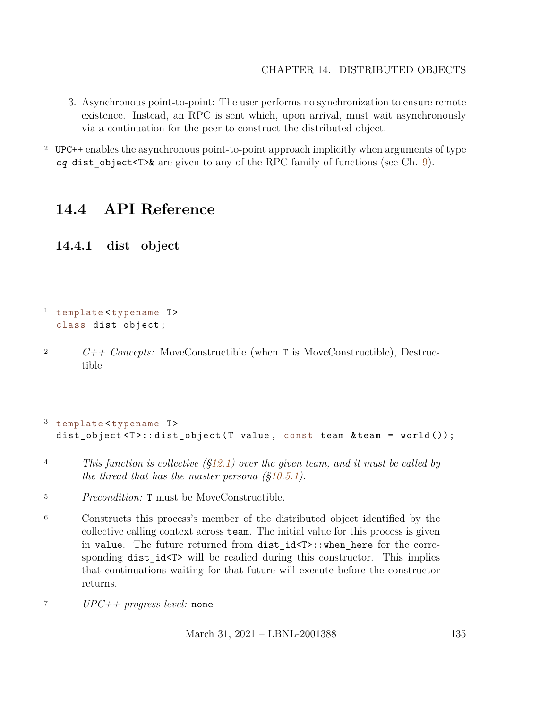- 3. Asynchronous point-to-point: The user performs no synchronization to ensure remote existence. Instead, an RPC is sent which, upon arrival, must wait asynchronously via a continuation for the peer to construct the distributed object.
- <sup>2</sup> UPC++ enables the asynchronous point-to-point approach implicitly when arguments of type *cq* dist object<T>& are given to any of the RPC family of functions (see Ch. [9\)](#page-97-0).

## **14.4 API Reference**

### **14.4.1 dist\_object**

```
1 template < typename T>
  class dist_object ;
```
<sup>2</sup> *C++ Concepts:* MoveConstructible (when T is MoveConstructible), Destructible

```
3 template < typename T >
  dist\_object < T:: dist_object (T value, const team \& team = world ());
```
- <sup>4</sup> *This function is collective ([§12.1\)](#page-126-0) over the given team, and it must be called by the thread that has the master persona ([§10.5.1\)](#page-112-0).*
- <sup>5</sup> *Precondition:* T must be MoveConstructible.
- <sup>6</sup> Constructs this process's member of the distributed object identified by the collective calling context across team. The initial value for this process is given in value. The future returned from dist id<T>::when here for the corresponding dist id<T> will be readied during this constructor. This implies that continuations waiting for that future will execute before the constructor returns.
- <sup>7</sup> *UPC++ progress level:* none

```
March 31, 2021 – LBNL-2001388 135
```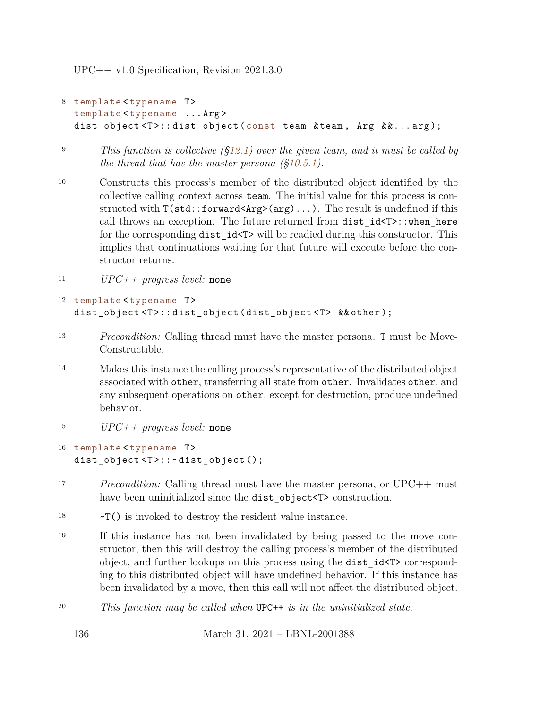```
8 template<typename T>
 template<typename ... Arg>
 dist_object<T>::dist_object(const team & team, Arg &&... arg);
```
- <sup>9</sup> *This function is collective ([§12.1\)](#page-126-0) over the given team, and it must be called by the thread that has the master persona ([§10.5.1\)](#page-112-0).*
- <sup>10</sup> Constructs this process's member of the distributed object identified by the collective calling context across team. The initial value for this process is constructed with  $T(\text{std}:\text{forward}\leq\text{Arg}\leq\text{arg})\ldots$ ). The result is undefined if this call throws an exception. The future returned from dist  $id < T$ ::when here for the corresponding dist\_id<T> will be readied during this constructor. This implies that continuations waiting for that future will execute before the constructor returns.
- <sup>11</sup> *UPC++ progress level:* none

```
12 template<typename T>
  dist_object<T>::dist_object(dist_object<T> &&other);
```
- <sup>13</sup> *Precondition:* Calling thread must have the master persona. T must be Move-Constructible.
- <sup>14</sup> Makes this instance the calling process's representative of the distributed object associated with other, transferring all state from other. Invalidates other, and any subsequent operations on other, except for destruction, produce undefined behavior.
- <sup>15</sup> *UPC++ progress level:* none

```
16 template < typename T>
  dist_object<T>::~dist_object();
```
- <sup>17</sup> *Precondition:* Calling thread must have the master persona, or UPC++ must have been uninitialized since the dist\_object<T> construction.
- $18$   $\sim$  T() is invoked to destroy the resident value instance.
- <sup>19</sup> If this instance has not been invalidated by being passed to the move constructor, then this will destroy the calling process's member of the distributed object, and further lookups on this process using the dist\_id<T> corresponding to this distributed object will have undefined behavior. If this instance has been invalidated by a move, then this call will not affect the distributed object.
- <sup>20</sup> *This function may be called when* UPC++ *is in the uninitialized state.*

```
136 March 31, 2021 – LBNL-2001388
```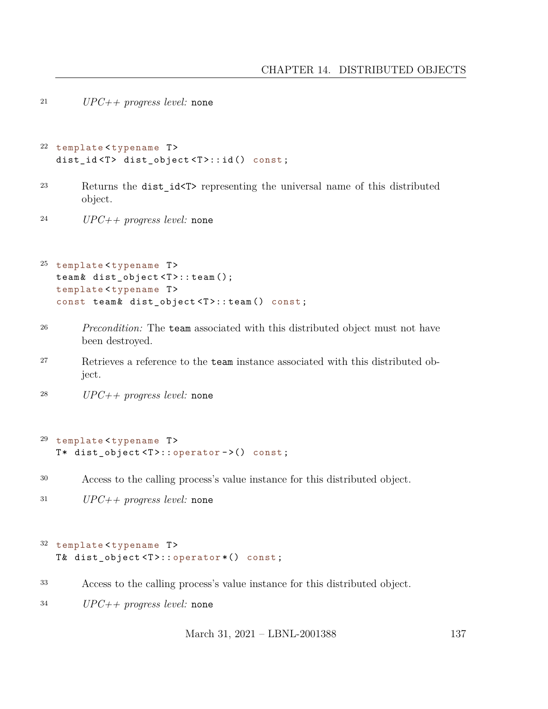<span id="page-145-0"></span><sup>21</sup> *UPC++ progress level:* none

```
22 template < typename T>
  dist_id<T> dist_object<T>::id() const;
```
- <sup>23</sup> Returns the dist\_id<T> representing the universal name of this distributed object.
- <sup>24</sup> *UPC++ progress level:* none

```
25 template<typename T>
  team & dist_object <T>:: team ();
  template<typename T>
  const team& dist_object<T>::team() const;
```
- <sup>26</sup> *Precondition:* The team associated with this distributed object must not have been destroyed.
- <sup>27</sup> Retrieves a reference to the team instance associated with this distributed object.
- <sup>28</sup> *UPC++ progress level:* none

```
29 template lttypename T>
  T* dist_object <T>:: operator ->() const;
```
- <sup>30</sup> Access to the calling process's value instance for this distributed object.
- <sup>31</sup> *UPC++ progress level:* none

```
32 template < typename T>
  T& dist_object<T>::operator*() const;
```
- <sup>33</sup> Access to the calling process's value instance for this distributed object.
- <sup>34</sup> *UPC++ progress level:* none

```
March 31, 2021 – LBNL-2001388 137
```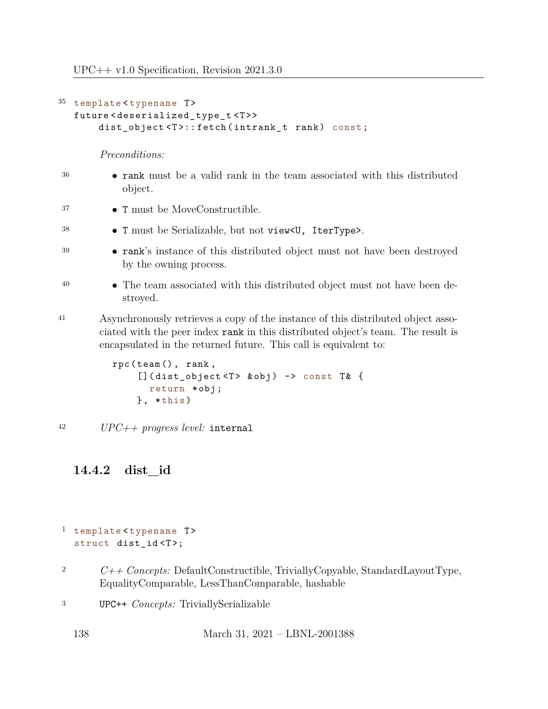```
35 template < typename T>
```

```
future < deserialized_type_t <T > >
    dist_object<T>::fetch(intrank_t rank) const;
```
*Preconditions:*

```
36 • rank must be a valid rank in the team associated with this distributed
           object.
```
- <sup>37</sup> T must be MoveConstructible.
- <sup>38</sup> T must be Serializable, but not view<U, IterType>.
- <sup>39</sup> rank's instance of this distributed object must not have been destroyed by the owning process.
- <sup>40</sup> The team associated with this distributed object must not have been destroyed.
- <sup>41</sup> Asynchronously retrieves a copy of the instance of this distributed object associated with the peer index rank in this distributed object's team. The result is encapsulated in the returned future. This call is equivalent to:

```
rpc ( team () , rank ,
    [](dist_object <T> & obj) -> const T& {
       return * obj ;
    }, *this)
```
<sup>42</sup> *UPC++ progress level:* internal

## **14.4.2 dist\_id**

```
1 template \lttypename T>
  struct dist_id <T>;
```
- <sup>2</sup> *C++ Concepts:* DefaultConstructible, TriviallyCopyable, StandardLayoutType, EqualityComparable, LessThanComparable, hashable
- <sup>3</sup> UPC++ *Concepts:* TriviallySerializable
	- 138 March 31, 2021 LBNL-2001388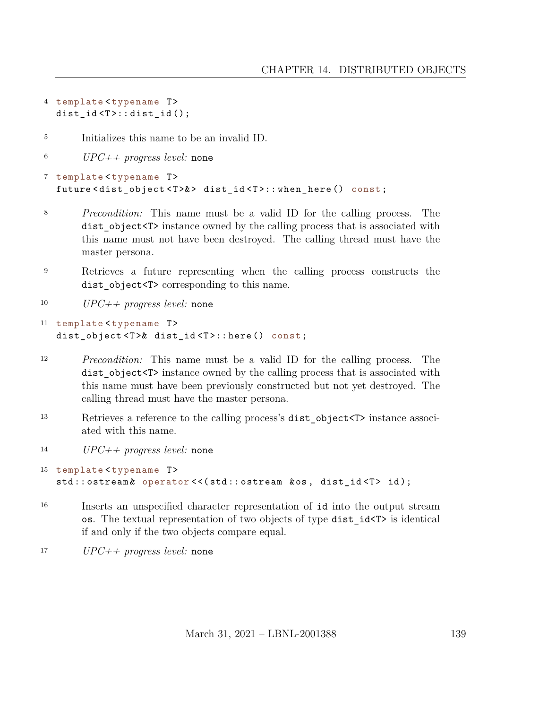```
4 template < typename T>
  dist_id < T>:: dist_id();
```
- <sup>5</sup> Initializes this name to be an invalid ID.
- <sup>6</sup> *UPC++ progress level:* none

```
7 template<typename T>
 future<dist_object<T>&>dist_id<T>::when_here() const;
```
- <sup>8</sup> *Precondition:* This name must be a valid ID for the calling process. The dist object<T> instance owned by the calling process that is associated with this name must not have been destroyed. The calling thread must have the master persona.
- <sup>9</sup> Retrieves a future representing when the calling process constructs the dist object<T> corresponding to this name.
- <sup>10</sup> *UPC++ progress level:* none

```
11 template<typename T>
  dist_object<T>& dist_id<T>::here() const;
```
- <sup>12</sup> *Precondition:* This name must be a valid ID for the calling process. The dist object<T> instance owned by the calling process that is associated with this name must have been previously constructed but not yet destroyed. The calling thread must have the master persona.
- <sup>13</sup> Retrieves a reference to the calling process's dist\_object<T> instance associated with this name.
- <sup>14</sup> *UPC++ progress level:* none

```
15 template<typename T>
  std:: ostream & operator << (std:: ostream & os, dist_id < T> id);
```
- <sup>16</sup> Inserts an unspecified character representation of id into the output stream os. The textual representation of two objects of type dist\_id<T> is identical if and only if the two objects compare equal.
- <sup>17</sup> *UPC++ progress level:* none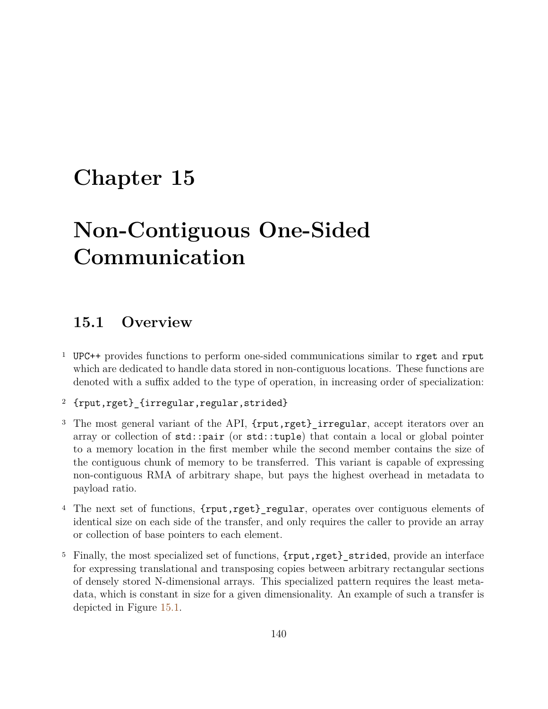## **Chapter 15**

# **Non-Contiguous One-Sided Communication**

## **15.1 Overview**

<sup>1</sup> UPC++ provides functions to perform one-sided communications similar to rget and rput which are dedicated to handle data stored in non-contiguous locations. These functions are denoted with a suffix added to the type of operation, in increasing order of specialization:

<sup>2</sup> {rput,rget}\_{irregular,regular,strided}

- <sup>3</sup> The most general variant of the API, {rput,rget} irregular, accept iterators over an array or collection of std::pair (or std::tuple) that contain a local or global pointer to a memory location in the first member while the second member contains the size of the contiguous chunk of memory to be transferred. This variant is capable of expressing non-contiguous RMA of arbitrary shape, but pays the highest overhead in metadata to payload ratio.
- <sup>4</sup> The next set of functions, {rput,rget} regular, operates over contiguous elements of identical size on each side of the transfer, and only requires the caller to provide an array or collection of base pointers to each element.
- <sup>5</sup> Finally, the most specialized set of functions, {rput,rget}\_strided, provide an interface for expressing translational and transposing copies between arbitrary rectangular sections of densely stored N-dimensional arrays. This specialized pattern requires the least metadata, which is constant in size for a given dimensionality. An example of such a transfer is depicted in Figure [15.1.](#page-149-0)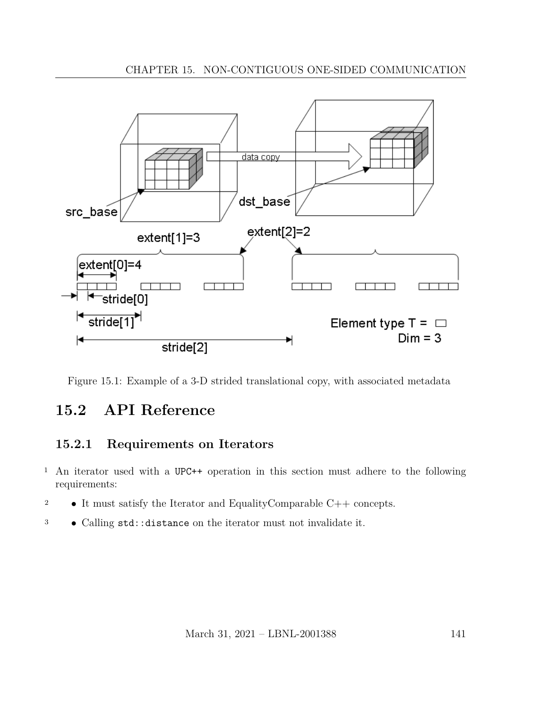

<span id="page-149-0"></span>Figure 15.1: Example of a 3-D strided translational copy, with associated metadata

## **15.2 API Reference**

## **15.2.1 Requirements on Iterators**

- <sup>1</sup> An iterator used with a UPC++ operation in this section must adhere to the following requirements:
- <sup>2</sup> It must satisfy the Iterator and EqualityComparable C $++$  concepts.
- <sup>3</sup> Calling std::distance on the iterator must not invalidate it.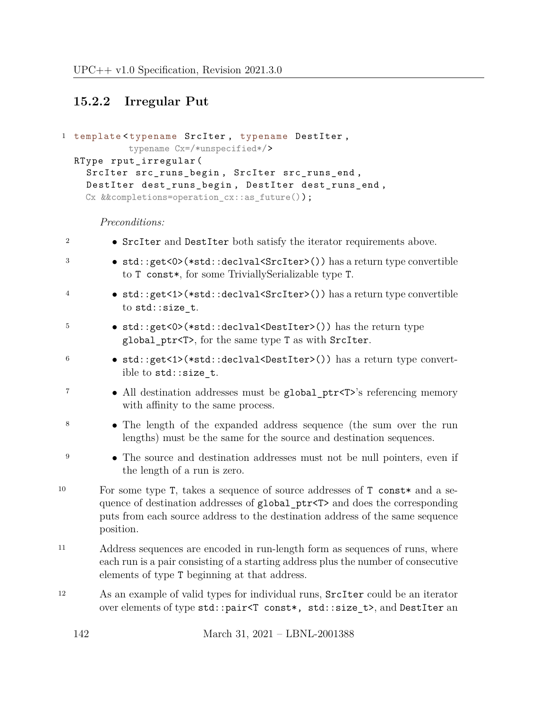### <span id="page-150-0"></span>**15.2.2 Irregular Put**

```
1 template < typename SrcIter , typename DestIter ,
           typename Cx=/*unspecified*/>
 RType rput_irregular (
    SrcIter src_runs_begin , SrcIter src_runs_end ,
    DestIter dest_runs_begin , DestIter dest_runs_end ,
    Cx &&completions=operation_cx::as_future());
```
*Preconditions:*

| $\boldsymbol{2}$ | • SrcIter and DestIter both satisfy the iterator requirements above.                                                                                                                                                                                                 |  |
|------------------|----------------------------------------------------------------------------------------------------------------------------------------------------------------------------------------------------------------------------------------------------------------------|--|
| 3                | • std:: get<0>(*std:: declval <srciter>()) has a return type convertible<br/>to T const*, for some TriviallySerializable type T.</srciter>                                                                                                                           |  |
| 4                | • std::get<1>(*std::declval <srciter>()) has a return type convertible<br/>to std:: size t.</srciter>                                                                                                                                                                |  |
| 5                | • $std::get<0>(**std::dec1val<DestIter>())$ has the return type<br>global ptr <t>, for the same type T as with SrcIter.</t>                                                                                                                                          |  |
| 6                | • std::get<1>(*std::declval <destiter>()) has a return type convert-<br/>ible to std:: size t.</destiter>                                                                                                                                                            |  |
| 7                | • All destination addresses must be global_ptr <t>'s referencing memory<br/>with affinity to the same process.</t>                                                                                                                                                   |  |
| 8                | • The length of the expanded address sequence (the sum over the run<br>lengths) must be the same for the source and destination sequences.                                                                                                                           |  |
| 9                | • The source and destination addresses must not be null pointers, even if<br>the length of a run is zero.                                                                                                                                                            |  |
| 10               | For some type $T$ , takes a sequence of source addresses of $T$ const* and a se-<br>quence of destination addresses of global_ptr <t> and does the corresponding<br/>puts from each source address to the destination address of the same sequence<br/>position.</t> |  |
| 11               | Address sequences are encoded in run-length form as sequences of runs, where<br>each run is a pair consisting of a starting address plus the number of consecutive<br>elements of type T beginning at that address.                                                  |  |
| 12               | As an example of valid types for individual runs, SrcIter could be an iterator<br>over elements of type std::pair <t const*,="" std::size_t="">, and DestIter an</t>                                                                                                 |  |
| 142              | March 31, 2021 - LBNL-2001388                                                                                                                                                                                                                                        |  |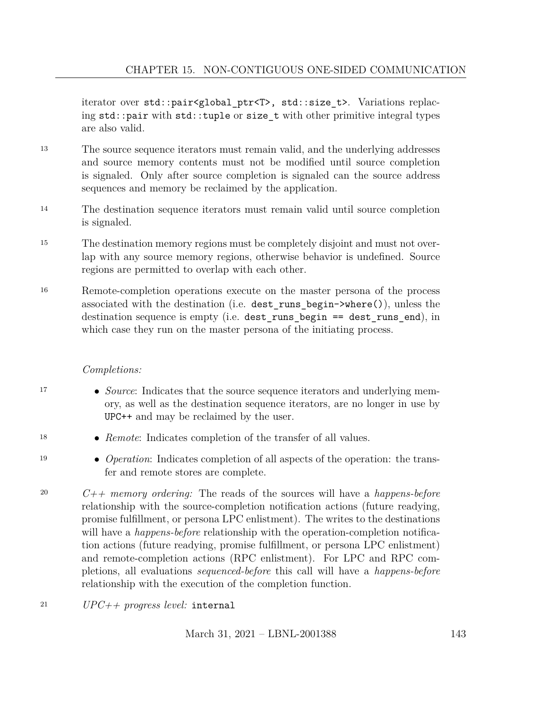iterator over std::pair<global\_ptr<T>, std::size\_t>. Variations replacing std::pair with std::tuple or size\_t with other primitive integral types are also valid.

- <sup>13</sup> The source sequence iterators must remain valid, and the underlying addresses and source memory contents must not be modified until source completion is signaled. Only after source completion is signaled can the source address sequences and memory be reclaimed by the application.
- <sup>14</sup> The destination sequence iterators must remain valid until source completion is signaled.
- <sup>15</sup> The destination memory regions must be completely disjoint and must not overlap with any source memory regions, otherwise behavior is undefined. Source regions are permitted to overlap with each other.
- <sup>16</sup> Remote-completion operations execute on the master persona of the process associated with the destination (i.e. dest runs begin- $\triangleright$ where()), unless the destination sequence is empty (i.e. dest runs begin == dest runs end), in which case they run on the master persona of the initiating process.

#### *Completions:*

- <sup>17</sup> *Source*: Indicates that the source sequence iterators and underlying memory, as well as the destination sequence iterators, are no longer in use by UPC++ and may be reclaimed by the user.
- <sup>18</sup> *Remote*: Indicates completion of the transfer of all values.
- <sup>19</sup> *Operation*: Indicates completion of all aspects of the operation: the transfer and remote stores are complete.
- <sup>20</sup> *C++ memory ordering:* The reads of the sources will have a *happens-before* relationship with the source-completion notification actions (future readying, promise fulfillment, or persona LPC enlistment). The writes to the destinations will have a *happens-before* relationship with the operation-completion notification actions (future readying, promise fulfillment, or persona LPC enlistment) and remote-completion actions (RPC enlistment). For LPC and RPC completions, all evaluations *sequenced-before* this call will have a *happens-before* relationship with the execution of the completion function.
- <sup>21</sup> *UPC++ progress level:* internal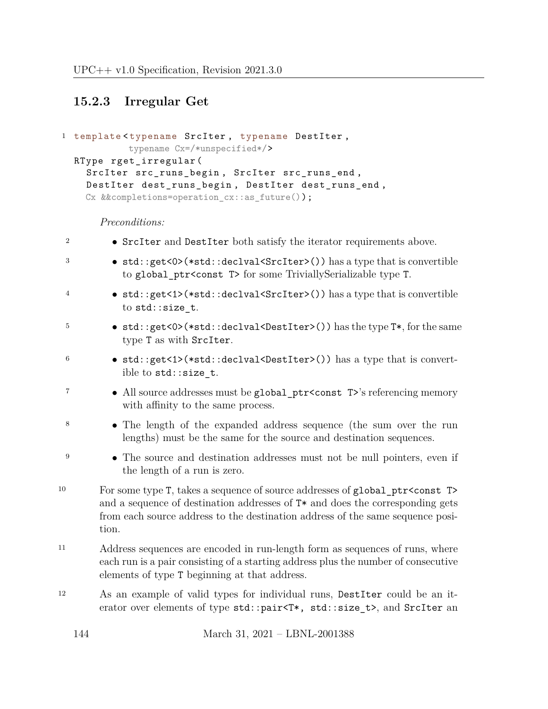## <span id="page-152-0"></span>**15.2.3 Irregular Get**

```
1 template < typename SrcIter , typename DestIter ,
           typename Cx=/*unspecified*/>
  RType rget_irregular (
    SrcIter src_runs_begin , SrcIter src_runs_end ,
    DestIter dest_runs_begin , DestIter dest_runs_end ,
    Cx &&completions=operation_cx::as_future());
```
*Preconditions:*

| $\boldsymbol{2}$ | • SrcIter and DestIter both satisfy the iterator requirements above.                                                                                                                                                                                                                 |  |
|------------------|--------------------------------------------------------------------------------------------------------------------------------------------------------------------------------------------------------------------------------------------------------------------------------------|--|
| 3                | • std::get<0>(*std::declval <srciter>()) has a type that is convertible<br/>to global ptr<const t=""> for some TriviallySerializable type T.</const></srciter>                                                                                                                       |  |
| 4                | • std::get<1>(*std::declval <srciter>()) has a type that is convertible<br/>to std:: size t.</srciter>                                                                                                                                                                               |  |
| 5                | • $std::get<0>(**std::declval<DestIter>())$ has the type T*, for the same<br>type T as with SrcIter.                                                                                                                                                                                 |  |
| 6                | • std::get<1>(*std::declval <destiter>()) has a type that is convert-<br/>ible to std:: size t.</destiter>                                                                                                                                                                           |  |
| 7                | • All source addresses must be global_ptr <const t="">'s referencing memory<br/>with affinity to the same process.</const>                                                                                                                                                           |  |
| 8                | • The length of the expanded address sequence (the sum over the run<br>lengths) must be the same for the source and destination sequences.                                                                                                                                           |  |
| $\boldsymbol{9}$ | • The source and destination addresses must not be null pointers, even if<br>the length of a run is zero.                                                                                                                                                                            |  |
| 10               | For some type T, takes a sequence of source addresses of global_ptr <const t=""><br/>and a sequence of destination addresses of <math>T*</math> and does the corresponding gets<br/>from each source address to the destination address of the same sequence posi-<br/>tion.</const> |  |
| 11               | Address sequences are encoded in run-length form as sequences of runs, where<br>each run is a pair consisting of a starting address plus the number of consecutive<br>elements of type T beginning at that address.                                                                  |  |
| 12               | As an example of valid types for individual runs, DestIter could be an it-<br>erator over elements of type std::pair <t*, std::size_t="">, and SrcIter an</t*,>                                                                                                                      |  |
| 144              | March 31, 2021 - LBNL-2001388                                                                                                                                                                                                                                                        |  |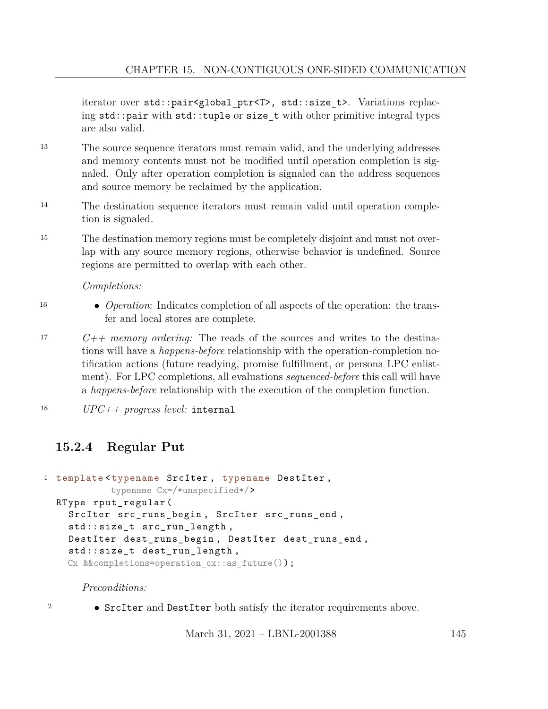<span id="page-153-0"></span>iterator over std::pair<global\_ptr<T>, std::size\_t>. Variations replacing std::pair with std::tuple or size\_t with other primitive integral types are also valid.

- <sup>13</sup> The source sequence iterators must remain valid, and the underlying addresses and memory contents must not be modified until operation completion is signaled. Only after operation completion is signaled can the address sequences and source memory be reclaimed by the application.
- <sup>14</sup> The destination sequence iterators must remain valid until operation completion is signaled.
- <sup>15</sup> The destination memory regions must be completely disjoint and must not overlap with any source memory regions, otherwise behavior is undefined. Source regions are permitted to overlap with each other.

#### *Completions:*

- <sup>16</sup> *Operation*: Indicates completion of all aspects of the operation: the transfer and local stores are complete.
- <sup>17</sup> *C++ memory ordering:* The reads of the sources and writes to the destinations will have a *happens-before* relationship with the operation-completion notification actions (future readying, promise fulfillment, or persona LPC enlistment). For LPC completions, all evaluations *sequenced-before* this call will have a *happens-before* relationship with the execution of the completion function.

<sup>18</sup> *UPC++ progress level:* internal

## **15.2.4 Regular Put**

```
1 template<typename SrcIter, typename DestIter,
           typename Cx=/*unspecified*/>
  RType rput_regular (
    SrcIter src_runs_begin , SrcIter src_runs_end ,
    std :: size_t src_run_length ,
    DestIter dest_runs_begin , DestIter dest_runs_end ,
    std :: size_t dest_run_length ,
    Cx &&completions=operation cx:ias future());
```
*Preconditions:*

<sup>2</sup> • SrcIter and DestIter both satisfy the iterator requirements above.

```
March 31, 2021 – LBNL-2001388 145
```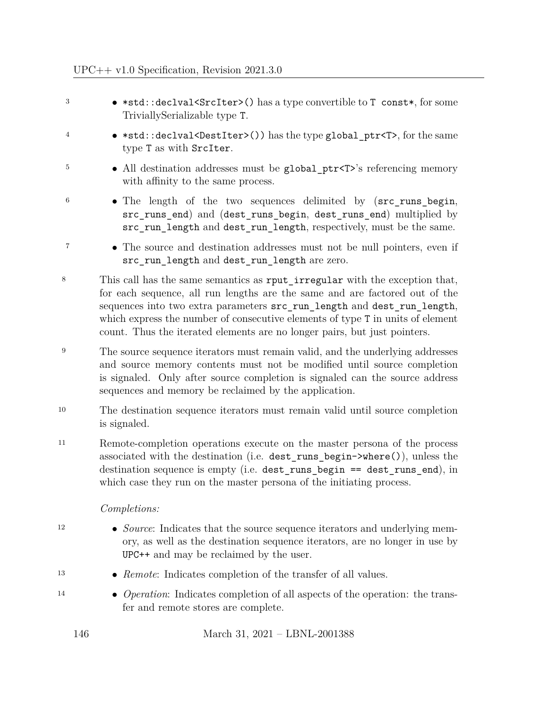| 146              | March 31, $2021 - LBNL-2001388$                                                                                                                                                                                                                                                                                                                                                                      |  |  |
|------------------|------------------------------------------------------------------------------------------------------------------------------------------------------------------------------------------------------------------------------------------------------------------------------------------------------------------------------------------------------------------------------------------------------|--|--|
| 14               | Operation: Indicates completion of all aspects of the operation: the trans-<br>fer and remote stores are complete.                                                                                                                                                                                                                                                                                   |  |  |
| 13               | <i>Remote:</i> Indicates completion of the transfer of all values.                                                                                                                                                                                                                                                                                                                                   |  |  |
| 12               | • <i>Source</i> : Indicates that the source sequence iterators and underlying mem-<br>ory, as well as the destination sequence iterators, are no longer in use by<br>$UPC++$ and may be reclaimed by the user.                                                                                                                                                                                       |  |  |
|                  | <i>Completions:</i>                                                                                                                                                                                                                                                                                                                                                                                  |  |  |
| 11               | Remote-completion operations execute on the master persona of the process<br>associated with the destination (i.e. dest_runs_begin->where()), unless the<br>destination sequence is empty (i.e. dest_runs_begin == dest_runs_end), in<br>which case they run on the master persona of the initiating process.                                                                                        |  |  |
| 10               | The destination sequence iterators must remain valid until source completion<br>is signaled.                                                                                                                                                                                                                                                                                                         |  |  |
| $\boldsymbol{9}$ | The source sequence iterators must remain valid, and the underlying addresses<br>and source memory contents must not be modified until source completion<br>is signaled. Only after source completion is signaled can the source address<br>sequences and memory be reclaimed by the application.                                                                                                    |  |  |
| 8                | This call has the same semantics as rput_irregular with the exception that,<br>for each sequence, all run lengths are the same and are factored out of the<br>sequences into two extra parameters src_run_length and dest_run_length,<br>which express the number of consecutive elements of type T in units of element<br>count. Thus the iterated elements are no longer pairs, but just pointers. |  |  |
| 7                | • The source and destination addresses must not be null pointers, even if<br>src_run_length and dest_run_length are zero.                                                                                                                                                                                                                                                                            |  |  |
| $\,6\,$          | • The length of the two sequences delimited by (src_runs_begin,<br>src runs end) and (dest runs begin, dest runs end) multiplied by<br>src_run_length and dest_run_length, respectively, must be the same.                                                                                                                                                                                           |  |  |
| 5                | • All destination addresses must be global_ptr <t>'s referencing memory<br/>with affinity to the same process.</t>                                                                                                                                                                                                                                                                                   |  |  |
| 4                | • $*std::dec1val<DestIter>())$ has the type global_ptr <t>, for the same<br/>type T as with SrcIter.</t>                                                                                                                                                                                                                                                                                             |  |  |
| 3                | • *std::declval <srciter>() has a type convertible to T const*, for some<br/>TriviallySerializable type T.</srciter>                                                                                                                                                                                                                                                                                 |  |  |
|                  |                                                                                                                                                                                                                                                                                                                                                                                                      |  |  |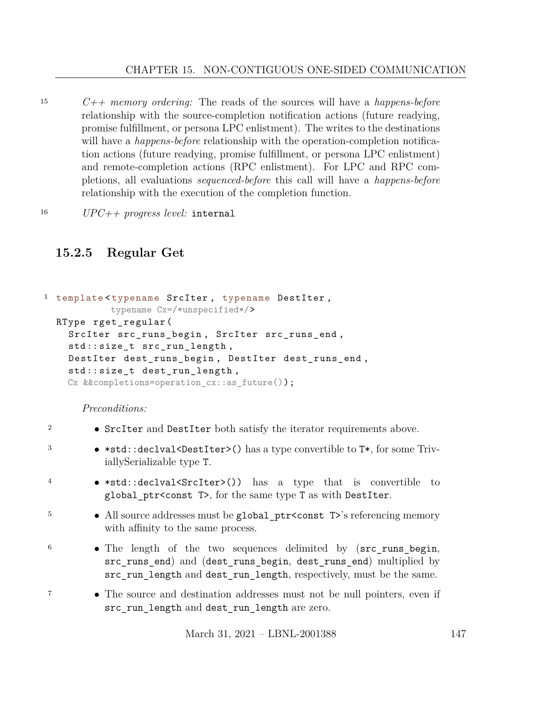<span id="page-155-0"></span><sup>15</sup> *C++ memory ordering:* The reads of the sources will have a *happens-before* relationship with the source-completion notification actions (future readying, promise fulfillment, or persona LPC enlistment). The writes to the destinations will have a *happens-before* relationship with the operation-completion notification actions (future readying, promise fulfillment, or persona LPC enlistment) and remote-completion actions (RPC enlistment). For LPC and RPC completions, all evaluations *sequenced-before* this call will have a *happens-before* relationship with the execution of the completion function.

<sup>16</sup> *UPC++ progress level:* internal

### **15.2.5 Regular Get**

```
1 template<typename SrcIter, typename DestIter,
           typename Cx=/*unspecified*/>
  RType rget_regular (
    SrcIter src_runs_begin , SrcIter src_runs_end ,
    std:: size t src run length,
    DestIter dest_runs_begin , DestIter dest_runs_end ,
    std:: size t dest run length,
    Cx &&completions=operation cx::as future());
```
*Preconditions:*

| • SrcIter and DestIter both satisfy the iterator requirements above. |  |  |
|----------------------------------------------------------------------|--|--|
|----------------------------------------------------------------------|--|--|

- 3 \*std::declval<DestIter>() has a type convertible to T\*, for some TriviallySerializable type T.
- <sup>4</sup> \*std::declval<SrcIter>()) has a type that is convertible to global\_ptr<const T>, for the same type T as with DestIter.
- <sup>5</sup> All source addresses must be global ptr<const T>'s referencing memory with affinity to the same process.
- $^6$  The length of the two sequences delimited by (src runs begin, src runs end) and (dest runs begin, dest runs end) multiplied by src run length and dest run length, respectively, must be the same.
- <sup>7</sup> The source and destination addresses must not be null pointers, even if src\_run\_length and dest\_run\_length are zero.

March 31, 2021 – LBNL-2001388 147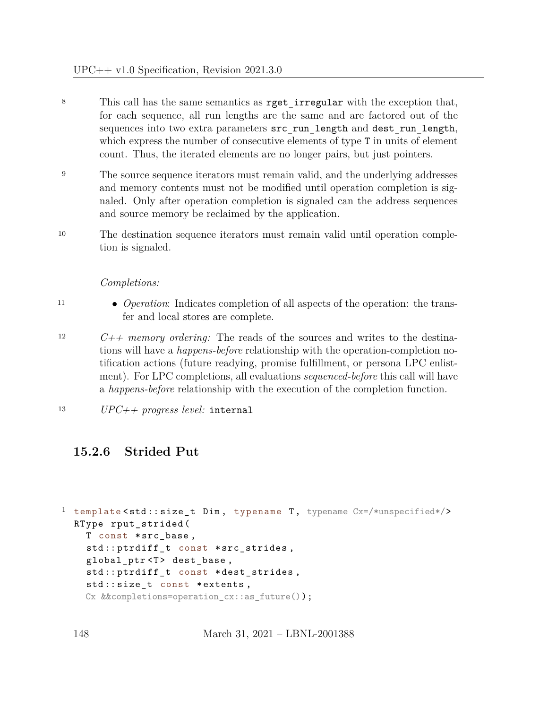- <span id="page-156-0"></span><sup>8</sup> This call has the same semantics as rget\_irregular with the exception that, for each sequence, all run lengths are the same and are factored out of the sequences into two extra parameters src\_run\_length and dest\_run\_length, which express the number of consecutive elements of type T in units of element count. Thus, the iterated elements are no longer pairs, but just pointers.
- <sup>9</sup> The source sequence iterators must remain valid, and the underlying addresses and memory contents must not be modified until operation completion is signaled. Only after operation completion is signaled can the address sequences and source memory be reclaimed by the application.
- <sup>10</sup> The destination sequence iterators must remain valid until operation completion is signaled.

*Completions:*

- <sup>11</sup> *Operation*: Indicates completion of all aspects of the operation: the transfer and local stores are complete.
- <sup>12</sup> *C++ memory ordering:* The reads of the sources and writes to the destinations will have a *happens-before* relationship with the operation-completion notification actions (future readying, promise fulfillment, or persona LPC enlistment). For LPC completions, all evaluations *sequenced-before* this call will have a *happens-before* relationship with the execution of the completion function.
- <sup>13</sup> *UPC++ progress level:* internal

## **15.2.6 Strided Put**

```
1 template \texttt{std}: size_t Dim, typename T, typename Cx=/*unspecified*/>
  RType rput_strided (
    T const * src_base ,
    std :: ptrdiff_t const * src_strides ,
    global_ptr<T> dest_base,
    std :: ptrdiff_t const * dest_strides ,
    std :: size_t const * extents ,
    Cx &&completions=operation cx:ias future());
```
148 March 31, 2021 – LBNL-2001388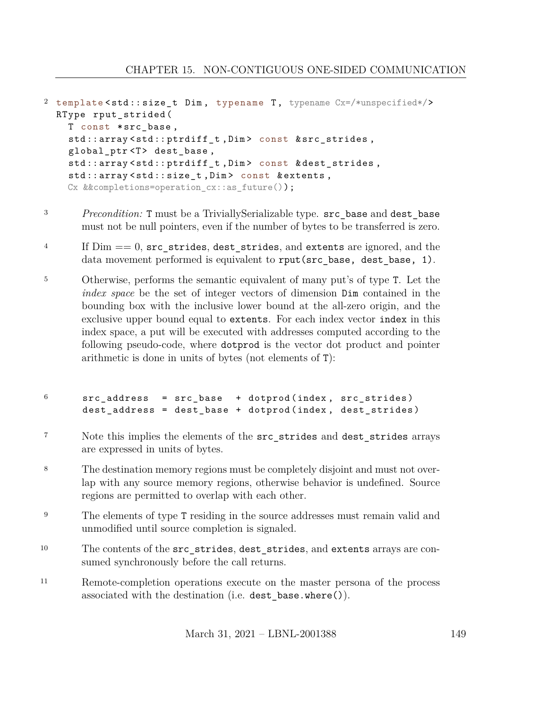```
template < std: : size_t Dim, typename T, typename Cx=/*unspecified*/>
RType rput_strided (
  T const * src_base ,
  std:: array<std:: ptrdiff_t, Dim>_const_&src_strides,
  global_ptr<T> dest_base,
  std :: array < std :: ptrdiff_t , Dim > const & dest_strides ,
  std :: array < std :: size_t , Dim > const & extents ,
  Cx &&completions=operation_cx::as_future());
```
- <sup>3</sup> *Precondition:* T must be a TriviallySerializable type. src base and dest base must not be null pointers, even if the number of bytes to be transferred is zero.
- <sup>4</sup> If  $Dim == 0$ , src strides, dest strides, and extents are ignored, and the data movement performed is equivalent to rput(src base, dest base, 1).
- <sup>5</sup> Otherwise, performs the semantic equivalent of many put's of type **T**. Let the *index space* be the set of integer vectors of dimension Dim contained in the bounding box with the inclusive lower bound at the all-zero origin, and the exclusive upper bound equal to extents. For each index vector index in this index space, a put will be executed with addresses computed according to the following pseudo-code, where dotprod is the vector dot product and pointer arithmetic is done in units of bytes (not elements of T):

```
6 src_address = src_base + dotprod (index, src_strides)
      dest_address = dest_base + dotprod ( index , dest_strides )
```
- <sup>7</sup> Note this implies the elements of the src strides and dest strides arrays are expressed in units of bytes.
- <sup>8</sup> The destination memory regions must be completely disjoint and must not overlap with any source memory regions, otherwise behavior is undefined. Source regions are permitted to overlap with each other.
- <sup>9</sup> The elements of type T residing in the source addresses must remain valid and unmodified until source completion is signaled.
- <sup>10</sup> The contents of the src strides, dest strides, and extents arrays are consumed synchronously before the call returns.
- <sup>11</sup> Remote-completion operations execute on the master persona of the process associated with the destination (i.e. dest\_base.where()).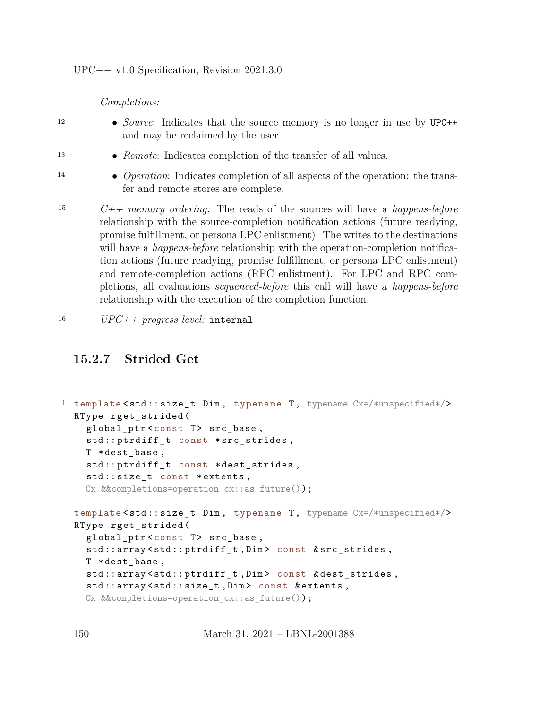#### <span id="page-158-0"></span>*Completions:*

- <sup>12</sup> *Source*: Indicates that the source memory is no longer in use by UPC++ and may be reclaimed by the user.
- <sup>13</sup> *Remote*: Indicates completion of the transfer of all values.
- <sup>14</sup> *Operation*: Indicates completion of all aspects of the operation: the transfer and remote stores are complete.
- <sup>15</sup> *C++ memory ordering:* The reads of the sources will have a *happens-before* relationship with the source-completion notification actions (future readying, promise fulfillment, or persona LPC enlistment). The writes to the destinations will have a *happens-before* relationship with the operation-completion notification actions (future readying, promise fulfillment, or persona LPC enlistment) and remote-completion actions (RPC enlistment). For LPC and RPC completions, all evaluations *sequenced-before* this call will have a *happens-before* relationship with the execution of the completion function.
- <sup>16</sup> *UPC++ progress level:* internal

### **15.2.7 Strided Get**

```
1 template < std: : size_t Dim, typename T, typename Cx=/*unspecified*/>
  RType rget_strided (
    global_ptr<const T> src_base,
    std :: ptrdiff_t const * src_strides ,
    T * dest_base ,
    std :: ptrdiff_t const * dest_strides ,
    std::size_t const * extents,
    Cx &&completions=operation_cx::as_future());
  template<std::size_t Dim, typename T, typename Cx=/*unspecified*/>
  RType rget_strided (
    global ptr<const T> src base,
    std :: array < std :: ptrdiff_t , Dim > const & src_strides ,
    T * dest_base ,
    std :: array < std :: ptrdiff_t , Dim > const & dest_strides ,
    std :: array < std :: size_t , Dim > const & extents ,
    Cx &&completions=operation_cx::as_future());
```
150 March 31, 2021 – LBNL-2001388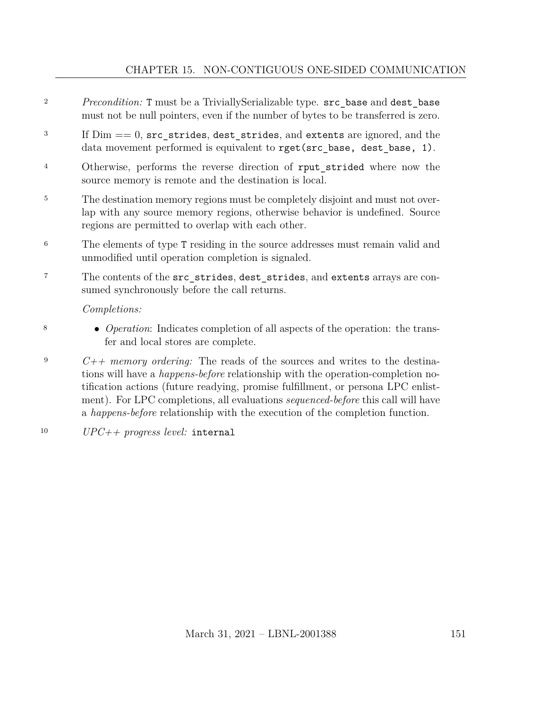- <sup>2</sup> *Precondition:* T must be a TriviallySerializable type. src\_base and dest\_base must not be null pointers, even if the number of bytes to be transferred is zero.
- $3$  If Dim  $== 0$ , src strides, dest strides, and extents are ignored, and the data movement performed is equivalent to rget(src base, dest base, 1).
- <sup>4</sup> Otherwise, performs the reverse direction of rput strided where now the source memory is remote and the destination is local.
- <sup>5</sup> The destination memory regions must be completely disjoint and must not overlap with any source memory regions, otherwise behavior is undefined. Source regions are permitted to overlap with each other.
- <sup>6</sup> The elements of type T residing in the source addresses must remain valid and unmodified until operation completion is signaled.
- <sup>7</sup> The contents of the src\_strides, dest\_strides, and extents arrays are consumed synchronously before the call returns.

*Completions:*

- <sup>8</sup> *Operation*: Indicates completion of all aspects of the operation: the transfer and local stores are complete.
- <sup>9</sup> *C++ memory ordering:* The reads of the sources and writes to the destinations will have a *happens-before* relationship with the operation-completion notification actions (future readying, promise fulfillment, or persona LPC enlistment). For LPC completions, all evaluations *sequenced-before* this call will have a *happens-before* relationship with the execution of the completion function.
- <sup>10</sup> *UPC++ progress level:* internal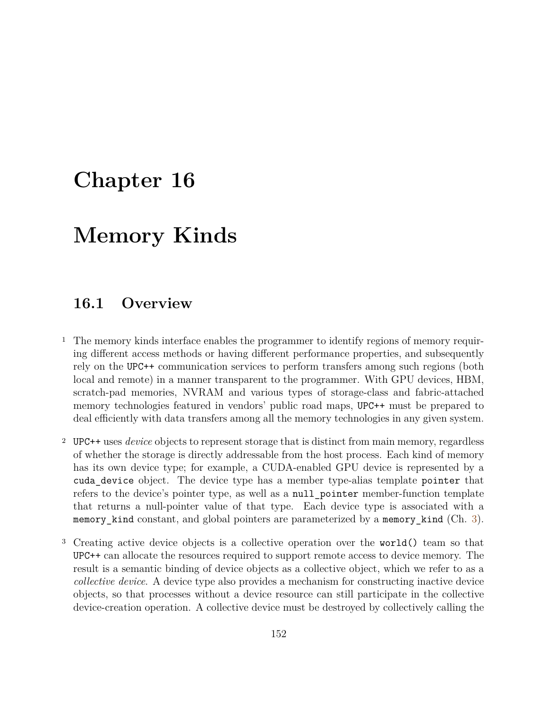## **Chapter 16**

## **Memory Kinds**

## **16.1 Overview**

- <sup>1</sup> The memory kinds interface enables the programmer to identify regions of memory requiring different access methods or having different performance properties, and subsequently rely on the UPC++ communication services to perform transfers among such regions (both local and remote) in a manner transparent to the programmer. With GPU devices, HBM, scratch-pad memories, NVRAM and various types of storage-class and fabric-attached memory technologies featured in vendors' public road maps, UPC++ must be prepared to deal efficiently with data transfers among all the memory technologies in any given system.
- <sup>2</sup> UPC++ uses *device* objects to represent storage that is distinct from main memory, regardless of whether the storage is directly addressable from the host process. Each kind of memory has its own device type; for example, a CUDA-enabled GPU device is represented by a cuda\_device object. The device type has a member type-alias template pointer that refers to the device's pointer type, as well as a null pointer member-function template that returns a null-pointer value of that type. Each device type is associated with a memory\_kind constant, and global pointers are parameterized by a memory\_kind (Ch. [3\)](#page-21-0).
- <sup>3</sup> Creating active device objects is a collective operation over the world() team so that UPC++ can allocate the resources required to support remote access to device memory. The result is a semantic binding of device objects as a collective object, which we refer to as a *collective device*. A device type also provides a mechanism for constructing inactive device objects, so that processes without a device resource can still participate in the collective device-creation operation. A collective device must be destroyed by collectively calling the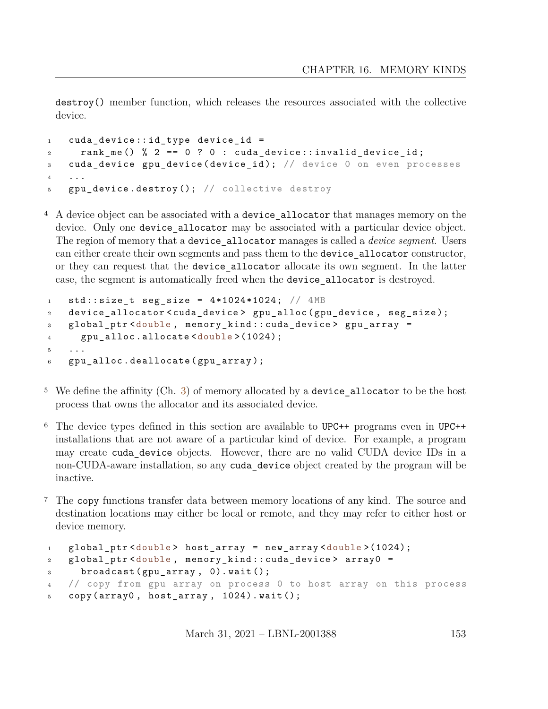destroy() member function, which releases the resources associated with the collective device.

```
1 cuda_device:: id_type device_id =
2 rank_me() % 2 == 0 ? 0 : cuda_device::invalid_device_id;
3 cuda_device gpu_device ( device_id ); // device 0 on even processes
4 \cdot \cdot \cdot5 gpu_device . destroy (); // collective destroy
```
<sup>4</sup> A device object can be associated with a device allocator that manages memory on the device. Only one device allocator may be associated with a particular device object. The region of memory that a device\_allocator manages is called a *device segment*. Users can either create their own segments and pass them to the device\_allocator constructor, or they can request that the device\_allocator allocate its own segment. In the latter case, the segment is automatically freed when the device\_allocator is destroyed.

```
1 std::size_t seg_size = 4*1024*1024; // 4MB2 device_allocator < cuda_device > gpu_alloc ( gpu_device , seg_size );
3 global_ptr <double , memory_kind :: cuda_device > gpu_array =
4 gpu_alloc . allocate <double >(1024);
5 \cdot \cdot \cdot6 gpu_alloc . deallocate ( gpu_array );
```
- <sup>5</sup> We define the affinity (Ch. [3\)](#page-21-0) of memory allocated by a device\_allocator to be the host process that owns the allocator and its associated device.
- <sup>6</sup> The device types defined in this section are available to UPC++ programs even in UPC++ installations that are not aware of a particular kind of device. For example, a program may create cuda device objects. However, there are no valid CUDA device IDs in a non-CUDA-aware installation, so any cuda\_device object created by the program will be inactive.
- <sup>7</sup> The copy functions transfer data between memory locations of any kind. The source and destination locations may either be local or remote, and they may refer to either host or device memory.

```
1 global_ptr<double> host_array = new_array<double>(1024);
2 global_ptr <double , memory_kind :: cuda_device > array0 =
3 broadcast (gpu_array, 0). wait ();
4 // copy from gpu array on process 0 to host array on this process
5 copy (array), host_array, 1024). wait ();
```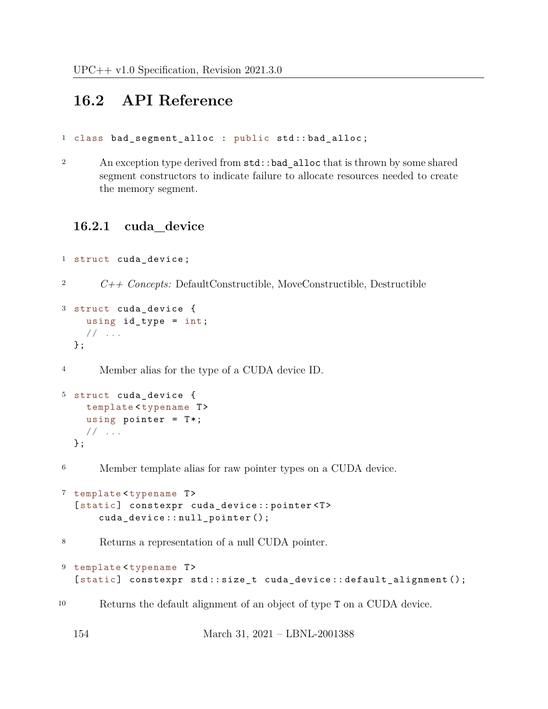## <span id="page-162-0"></span>**16.2 API Reference**

```
1 class bad_segment_alloc : public std :: bad_alloc ;
```
2 An exception type derived from  $std::bad\_alloc$  that is thrown by some shared segment constructors to indicate failure to allocate resources needed to create the memory segment.

### **16.2.1 cuda\_device**

1 struct cuda\_device ;

```
2 C++ Concepts: DefaultConstructible, MoveConstructible, Destructible
```

```
3 struct cuda_device {
    using id_type = int;
    // ...
  };
```
<sup>4</sup> Member alias for the type of a CUDA device ID.

```
5 struct cuda_device {
    template<typename T>
    using pointer = T*;
    // ...
 };
```
<sup>6</sup> Member template alias for raw pointer types on a CUDA device.

```
7 template<typename T>
  [static] constexpr cuda_device::pointer<T>
      cuda_device :: null_pointer ();
```
<sup>8</sup> Returns a representation of a null CUDA pointer.

```
9 template<typename T>
  [static] constexpr std::size_t cuda_device::default_alignment();
```
<sup>10</sup> Returns the default alignment of an object of type T on a CUDA device.

```
154 March 31, 2021 – LBNL-2001388
```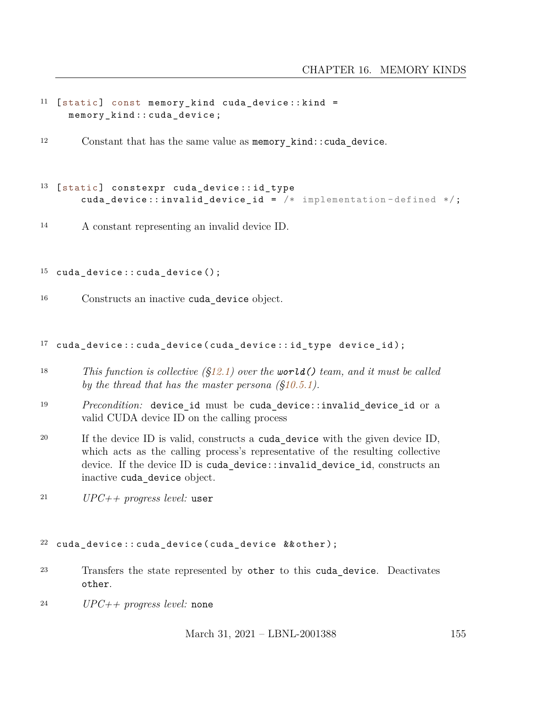- <span id="page-163-0"></span> $11$  [static] const memory\_kind cuda\_device:: kind = memory\_kind :: cuda\_device ;
- <sup>12</sup> Constant that has the same value as memory\_kind::cuda\_device.
- $13$  [static] constexpr cuda\_device::id\_type cuda\_device:: invalid\_device\_id =  $/*$  implementation-defined  $*/;$
- <sup>14</sup> A constant representing an invalid device ID.

 $15$  cuda\_device :: cuda\_device ();

<sup>16</sup> Constructs an inactive cuda\_device object.

 $17$  cuda device :: cuda device ( cuda device :: id type device id );

- <sup>18</sup> *This function is collective ([§12.1\)](#page-126-0) over the world() team, and it must be called by the thread that has the master persona ([§10.5.1\)](#page-112-0).*
- <sup>19</sup> *Precondition:* device\_id must be cuda\_device::invalid\_device\_id or a valid CUDA device ID on the calling process
- <sup>20</sup> If the device ID is valid, constructs a **cuda device** with the given device ID, which acts as the calling process's representative of the resulting collective device. If the device ID is cuda device::invalid device id, constructs an inactive cuda\_device object.
- <sup>21</sup> *UPC++ progress level:* user

 $22$  cuda\_device:: cuda\_device (cuda\_device &&other);

- <sup>23</sup> Transfers the state represented by other to this cuda\_device. Deactivates other.
- <sup>24</sup> *UPC++ progress level:* none

March 31, 2021 – LBNL-2001388 155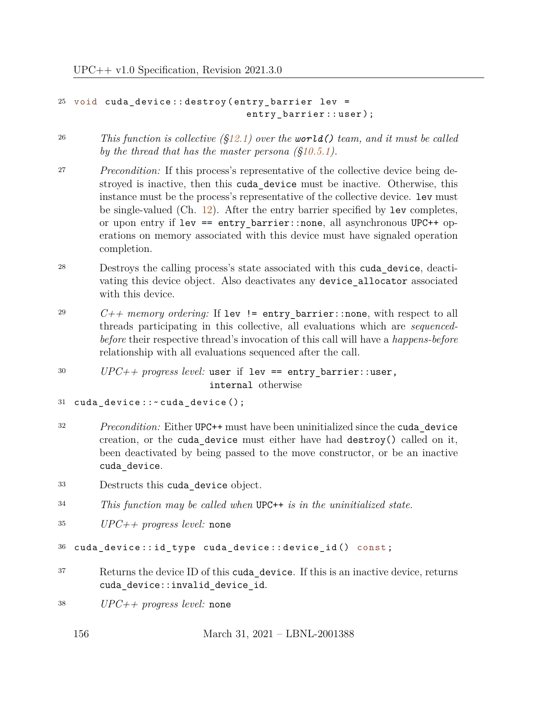#### <span id="page-164-0"></span>25 void cuda\_device :: destroy ( entry\_barrier lev = entry barrier :: user );

<sup>26</sup> *This function is collective ([§12.1\)](#page-126-0) over the world() team, and it must be called by the thread that has the master persona ([§10.5.1\)](#page-112-0).*

- <sup>27</sup> *Precondition:* If this process's representative of the collective device being destroyed is inactive, then this cuda\_device must be inactive. Otherwise, this instance must be the process's representative of the collective device. lev must be single-valued (Ch. [12\)](#page-125-0). After the entry barrier specified by lev completes, or upon entry if lev == entry\_barrier::none, all asynchronous UPC++ operations on memory associated with this device must have signaled operation completion.
- <sup>28</sup> Destroys the calling process's state associated with this cuda\_device, deactivating this device object. Also deactivates any device\_allocator associated with this device.
- <sup>29</sup> *C++ memory ordering:* If lev != entry\_barrier::none, with respect to all threads participating in this collective, all evaluations which are *sequencedbefore* their respective thread's invocation of this call will have a *happens-before* relationship with all evaluations sequenced after the call.
- <sup>30</sup> *UPC++ progress level:* user if lev == entry\_barrier::user, internal otherwise

```
31 cuda_device ::~ cuda_device ();
```
- <sup>32</sup> *Precondition:* Either UPC++ must have been uninitialized since the cuda device creation, or the cuda\_device must either have had destroy() called on it, been deactivated by being passed to the move constructor, or be an inactive cuda\_device.
- <sup>33</sup> Destructs this cuda\_device object.
- <sup>34</sup> *This function may be called when* UPC++ *is in the uninitialized state.*
- <sup>35</sup> *UPC++ progress level:* none

36 cuda\_device :: id\_type cuda\_device :: device\_id () const ;

- <sup>37</sup> Returns the device ID of this cuda\_device. If this is an inactive device, returns cuda device:: invalid device id.
- <sup>38</sup> *UPC++ progress level:* none

```
156 March 31, 2021 – LBNL-2001388
```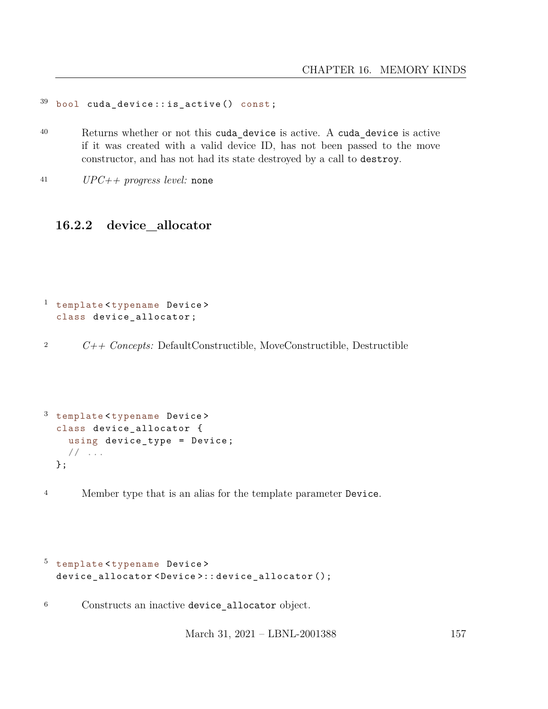<span id="page-165-0"></span> $39$  bool cuda\_device :: is\_active () const;

<sup>40</sup> Returns whether or not this cuda\_device is active. A cuda\_device is active if it was created with a valid device ID, has not been passed to the move constructor, and has not had its state destroyed by a call to destroy.

<sup>41</sup> *UPC++ progress level:* none

#### **16.2.2 device\_allocator**

```
<sup>1</sup> template < typename Device >
  class device_allocator ;
```
<sup>2</sup> *C++ Concepts:* DefaultConstructible, MoveConstructible, Destructible

```
3 template < typename Device >
  class device_allocator {
    using device_type = Device ;
    // ...
  };
```
<sup>4</sup> Member type that is an alias for the template parameter Device.

```
5 template < typename Device >
  device_allocator < Device >:: device_allocator ();
```
<sup>6</sup> Constructs an inactive device\_allocator object.

```
March 31, 2021 – LBNL-2001388 157
```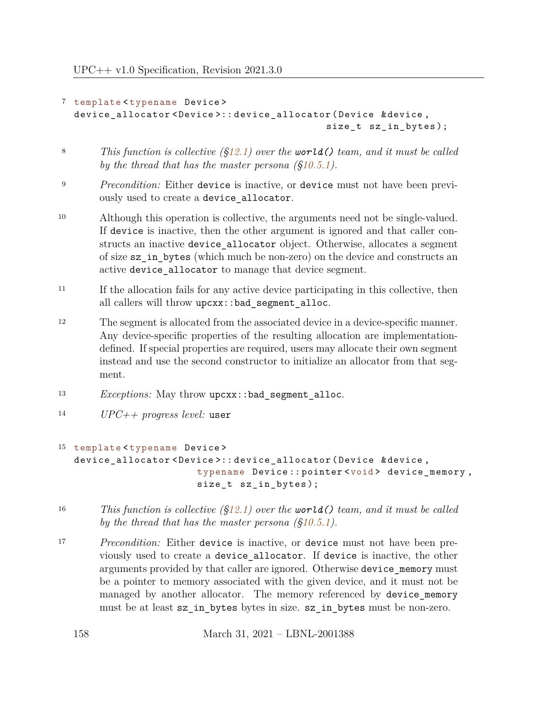```
7 template < typename Device >
  device_allocator <Device >:: device_allocator (Device & device,
                                               size_t sz_in_bytes );
```
- <sup>8</sup> *This function is collective ([§12.1\)](#page-126-0) over the world() team, and it must be called by the thread that has the master persona ([§10.5.1\)](#page-112-0).*
- <sup>9</sup> *Precondition:* Either device is inactive, or device must not have been previously used to create a device\_allocator.
- <sup>10</sup> Although this operation is collective, the arguments need not be single-valued. If device is inactive, then the other argument is ignored and that caller constructs an inactive device\_allocator object. Otherwise, allocates a segment of size sz\_in\_bytes (which much be non-zero) on the device and constructs an active device allocator to manage that device segment.
- <sup>11</sup> If the allocation fails for any active device participating in this collective, then all callers will throw upcxx: : bad segment alloc.
- <sup>12</sup> The segment is allocated from the associated device in a device-specific manner. Any device-specific properties of the resulting allocation are implementationdefined. If special properties are required, users may allocate their own segment instead and use the second constructor to initialize an allocator from that segment.
- <sup>13</sup> *Exceptions:* May throw upcxx::bad\_segment\_alloc.
- <sup>14</sup> *UPC++ progress level:* user

```
15 template<typename Device>
  device allocator < Device >:: device allocator ( Device & device ,
                         typename Device :: pointer <void > device_memory ,
                         size_t sz_in_bytes );
```
- <sup>16</sup> *This function is collective ([§12.1\)](#page-126-0) over the world() team, and it must be called by the thread that has the master persona ([§10.5.1\)](#page-112-0).*
- <sup>17</sup> *Precondition:* Either device is inactive, or device must not have been previously used to create a device\_allocator. If device is inactive, the other arguments provided by that caller are ignored. Otherwise device\_memory must be a pointer to memory associated with the given device, and it must not be managed by another allocator. The memory referenced by device memory must be at least sz\_in\_bytes bytes in size. sz\_in\_bytes must be non-zero.

```
158 March 31, 2021 – LBNL-2001388
```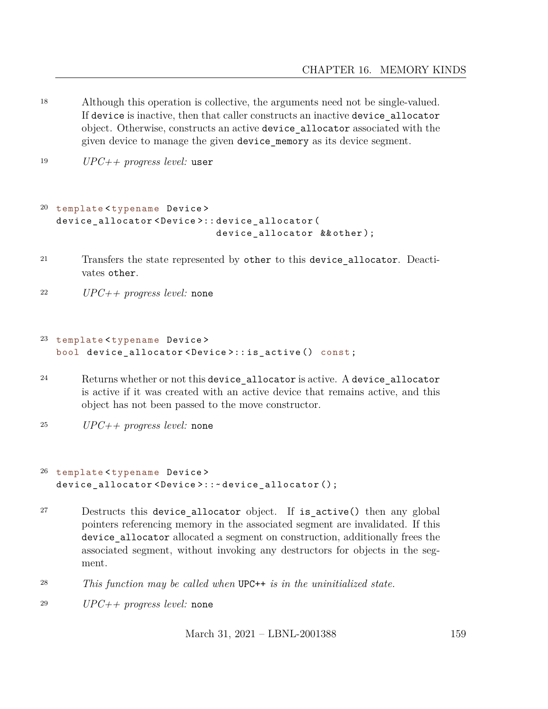- <span id="page-167-0"></span><sup>18</sup> Although this operation is collective, the arguments need not be single-valued. If device is inactive, then that caller constructs an inactive device\_allocator object. Otherwise, constructs an active device\_allocator associated with the given device to manage the given device memory as its device segment.
- <sup>19</sup> *UPC++ progress level:* user

```
20 template<typename Device>
  device_allocator < Device >:: device_allocator (
                               device allocator && other);
```
- <sup>21</sup> Transfers the state represented by other to this device allocator. Deactivates other.
- <sup>22</sup> *UPC++ progress level:* none

```
23 template<typename Device>
  bool device_allocator < Device >:: is_active () const ;
```
- <sup>24</sup> Returns whether or not this device\_allocator is active. A device\_allocator is active if it was created with an active device that remains active, and this object has not been passed to the move constructor.
- <sup>25</sup> *UPC++ progress level:* none

```
26 template<typename Device>
  device_allocator < Device >::~ device_allocator ();
```
- <sup>27</sup> Destructs this device\_allocator object. If is\_active() then any global pointers referencing memory in the associated segment are invalidated. If this device allocator allocated a segment on construction, additionally frees the associated segment, without invoking any destructors for objects in the segment.
- <sup>28</sup> *This function may be called when* UPC++ *is in the uninitialized state.*
- <sup>29</sup> *UPC++ progress level:* none

```
March 31, 2021 – LBNL-2001388 159
```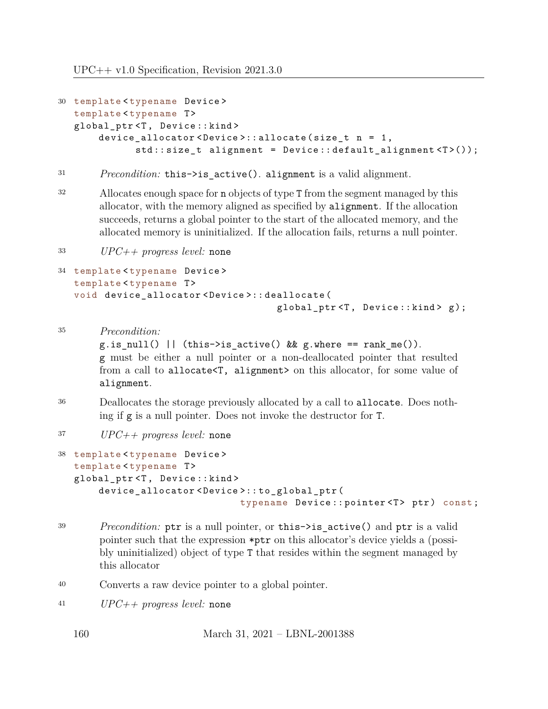```
30 template < typename Device >
  template<typename T>
  global_ptr <T , Device :: kind >
       device_allocator < Device >:: allocate ( size_t n = 1 ,
              std :: size_t alignment = Device :: default_alignment <T >());
```

```
31 Precondition: this->is_active(). alignment is a valid alignment.
```
<sup>32</sup> Allocates enough space for n objects of type T from the segment managed by this allocator, with the memory aligned as specified by alignment. If the allocation succeeds, returns a global pointer to the start of the allocated memory, and the allocated memory is uninitialized. If the allocation fails, returns a null pointer.

```
33 UPC++ progress level: none
```

```
34 template < typename Device >
   template<typename T>
   void device_allocator < Device >:: deallocate (
                                        global_ptr <T , Device :: kind > g );
```
<sup>35</sup> *Precondition:* g.is null()  $||$  (this->is active() && g.where == rank me()). g must be either a null pointer or a non-deallocated pointer that resulted from a call to allocate<T, alignment> on this allocator, for some value of alignment.

- <sup>36</sup> Deallocates the storage previously allocated by a call to allocate. Does nothing if g is a null pointer. Does not invoke the destructor for T.
- <sup>37</sup> *UPC++ progress level:* none

```
38 template < typename Device >
  template<typename T>
  global_ptr <T , Device :: kind >
       device_allocator < Device >:: to_global_ptr (
                                 typename Device:: pointer<T> ptr) const;
```
- <sup>39</sup> *Precondition:* ptr is a null pointer, or this->is\_active() and ptr is a valid pointer such that the expression \*ptr on this allocator's device yields a (possibly uninitialized) object of type T that resides within the segment managed by this allocator
- <sup>40</sup> Converts a raw device pointer to a global pointer.
- <sup>41</sup> *UPC++ progress level:* none
	- 160 March 31, 2021 LBNL-2001388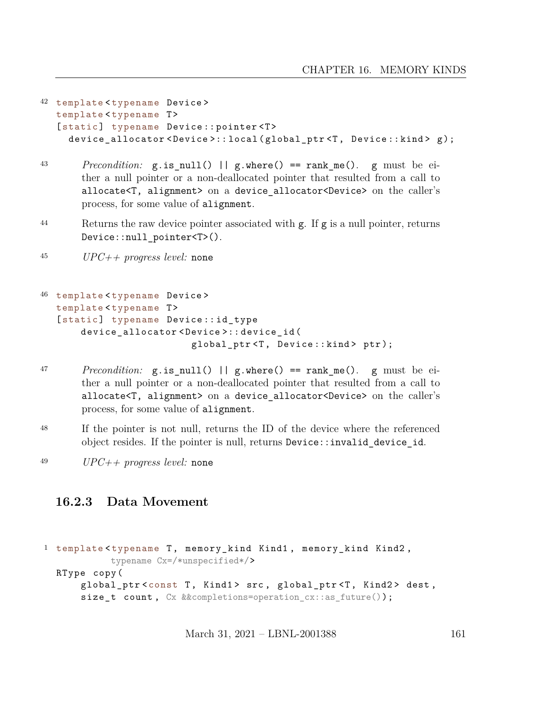```
42 template<typename Device>
  template<typename T>
  [static] typename Device::pointer<T>
    device allocator < Device >:: local ( global ptr < T, Device :: kind > g );
```
- <sup>43</sup> *Precondition:* g.is\_null() || g.where() == rank\_me(). g must be either a null pointer or a non-deallocated pointer that resulted from a call to allocate<T, alignment> on a device\_allocator<Device> on the caller's process, for some value of alignment.
- <sup>44</sup> Returns the raw device pointer associated with g. If g is a null pointer, returns Device:: null\_pointer<T>().
- <sup>45</sup> *UPC++ progress level:* none

```
46 template < typename Device >
  template<typename T>
  [static] typename Device::id_type
       device_allocator < Device >:: device_id (
                           global_ptr <T , Device :: kind > ptr );
```
- $47$  *Precondition:* g.is null()  $||$  g.where() == rank me(). g must be either a null pointer or a non-deallocated pointer that resulted from a call to allocate<T, alignment> on a device\_allocator<Device> on the caller's process, for some value of alignment.
- <sup>48</sup> If the pointer is not null, returns the ID of the device where the referenced object resides. If the pointer is null, returns Device::invalid\_device\_id.
- <sup>49</sup> *UPC++ progress level:* none

#### **16.2.3 Data Movement**

```
1 template<typename T, memory_kind Kind1, memory_kind Kind2,
           typename Cx=/*unspecified*/>
  RType copy (
      global_ptr < const T, Kind1> src, global_ptr <T, Kind2> dest,
      size_t count, Cx &&completions=operation_cx::as_future());
```
March 31, 2021 – LBNL-2001388 161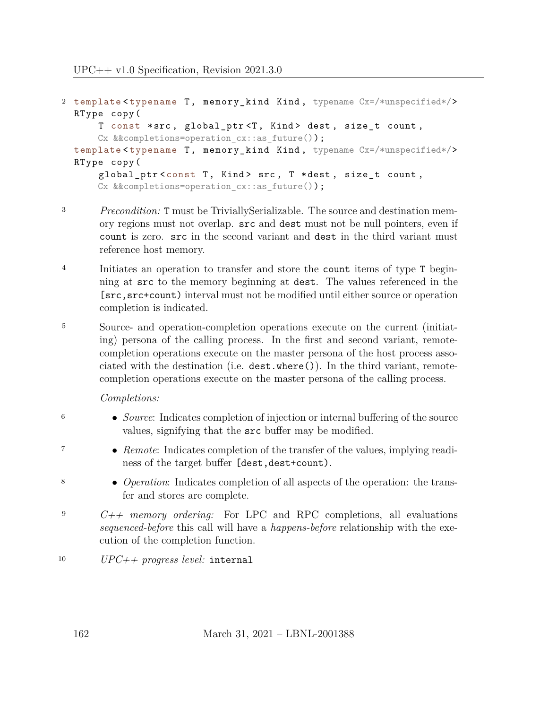UPC++ v1.0 Specification, Revision 2021.3.0

```
2 template < typename T, memory_kind Kind, typename Cx=/*unspecified*/>
  RType copy (
      T const *src, global_ptr<T, Kind> dest, size_t count,
      Cx &&completions=operation_cx::as_future());
  template <typename T, memory_kind Kind, typename Cx=/*unspecified*/>
  RType copy (
      global ptr<const T, Kind> src, T *dest, size t count,
      Cx &&completions=operation_cx::as_future());
```
- <sup>3</sup> *Precondition:* T must be TriviallySerializable. The source and destination memory regions must not overlap. src and dest must not be null pointers, even if count is zero. src in the second variant and dest in the third variant must reference host memory.
- <sup>4</sup> Initiates an operation to transfer and store the count items of type T beginning at src to the memory beginning at dest. The values referenced in the [src,src+count) interval must not be modified until either source or operation completion is indicated.
- <sup>5</sup> Source- and operation-completion operations execute on the current (initiating) persona of the calling process. In the first and second variant, remotecompletion operations execute on the master persona of the host process associated with the destination (i.e.  $dest.\text{where}()$ ). In the third variant, remotecompletion operations execute on the master persona of the calling process.

*Completions:*

- <sup>6</sup> *Source*: Indicates completion of injection or internal buffering of the source values, signifying that the src buffer may be modified.
- <sup>7</sup> *Remote*: Indicates completion of the transfer of the values, implying readiness of the target buffer [dest,dest+count).
- <sup>8</sup> *Operation*: Indicates completion of all aspects of the operation: the transfer and stores are complete.
- <sup>9</sup> *C++ memory ordering:* For LPC and RPC completions, all evaluations *sequenced-before* this call will have a *happens-before* relationship with the execution of the completion function.
- <sup>10</sup> *UPC++ progress level:* internal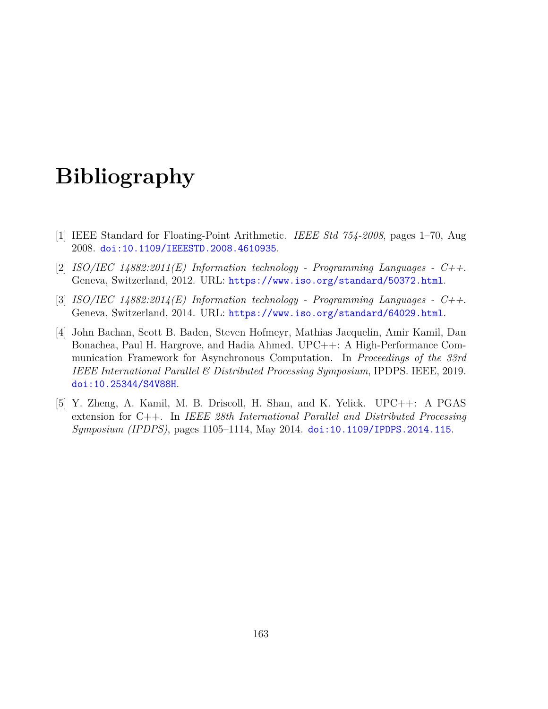# **Bibliography**

- [1] IEEE Standard for Floating-Point Arithmetic. *IEEE Std 754-2008*, pages 1–70, Aug 2008. [doi:10.1109/IEEESTD.2008.4610935](https://doi.org/10.1109/IEEESTD.2008.4610935).
- [2] *ISO/IEC 14882:2011(E) Information technology Programming Languages C++*. Geneva, Switzerland, 2012. URL: <https://www.iso.org/standard/50372.html>.
- [3] *ISO/IEC 14882:2014(E) Information technology Programming Languages C++*. Geneva, Switzerland, 2014. URL: <https://www.iso.org/standard/64029.html>.
- [4] John Bachan, Scott B. Baden, Steven Hofmeyr, Mathias Jacquelin, Amir Kamil, Dan Bonachea, Paul H. Hargrove, and Hadia Ahmed. UPC++: A High-Performance Communication Framework for Asynchronous Computation. In *Proceedings of the 33rd IEEE International Parallel & Distributed Processing Symposium*, IPDPS. IEEE, 2019. [doi:10.25344/S4V88H](https://doi.org/10.25344/S4V88H).
- [5] Y. Zheng, A. Kamil, M. B. Driscoll, H. Shan, and K. Yelick. UPC++: A PGAS extension for C++. In *IEEE 28th International Parallel and Distributed Processing Symposium (IPDPS)*, pages 1105–1114, May 2014. [doi:10.1109/IPDPS.2014.115](https://doi.org/10.1109/IPDPS.2014.115).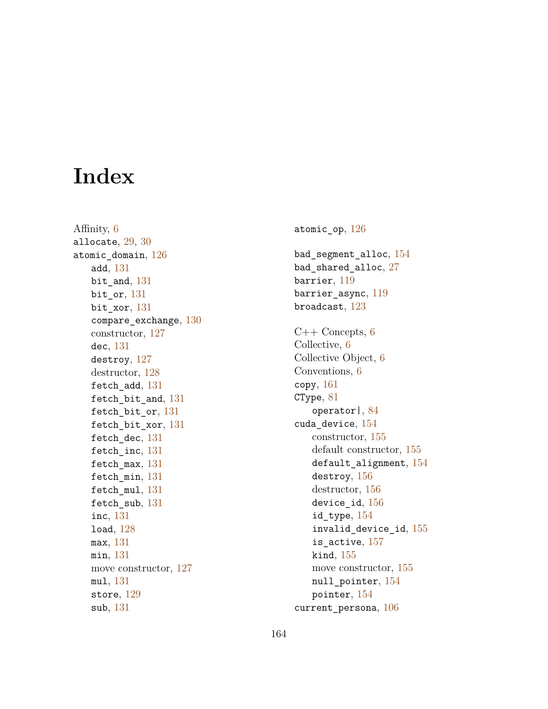# **Index**

Affinity, [6](#page-14-0) allocate, [29,](#page-37-0) [30](#page-38-0) atomic\_domain, [126](#page-134-0) add, [131](#page-139-0) bit\_and, [131](#page-139-0) bit\_or, [131](#page-139-0) bit\_xor, [131](#page-139-0) compare exchange,  $130$ constructor, [127](#page-135-0) dec, [131](#page-139-0) destroy, [127](#page-135-0) destructor, [128](#page-136-0) fetch\_add, [131](#page-139-0) fetch\_bit\_and, [131](#page-139-0) fetch\_bit\_or, [131](#page-139-0) fetch\_bit\_xor, [131](#page-139-0) fetch\_dec, [131](#page-139-0) fetch inc, [131](#page-139-0) fetch max, [131](#page-139-0) fetch\_min, [131](#page-139-0) fetch\_mul, [131](#page-139-0) fetch sub, [131](#page-139-0) inc, [131](#page-139-0) load, [128](#page-136-0) max, [131](#page-139-0) min, [131](#page-139-0) move constructor, [127](#page-135-0) mul, [131](#page-139-0) store, [129](#page-137-0) sub, [131](#page-139-0)

atomic\_op, [126](#page-134-0) bad segment alloc, [154](#page-162-0) bad shared alloc,  $27$ barrier, [119](#page-127-0) barrier\_async, [119](#page-127-0) broadcast, [123](#page-131-0) C++ Concepts, [6](#page-14-0) Collective, [6](#page-14-0) Collective Object, [6](#page-14-0) Conventions, [6](#page-14-0) copy, [161](#page-169-0) CType, [81](#page-89-0) operator|, [84](#page-92-0) cuda device,  $154$ constructor, [155](#page-163-0) default constructor, [155](#page-163-0) default\_alignment, [154](#page-162-0) destroy, [156](#page-164-0) destructor, [156](#page-164-0) device id,  $156$ id\_type, [154](#page-162-0) invalid device id,  $155$ is active,  $157$ kind, [155](#page-163-0) move constructor, [155](#page-163-0) null\_pointer, [154](#page-162-0) pointer, [154](#page-162-0) current\_persona, [106](#page-114-0)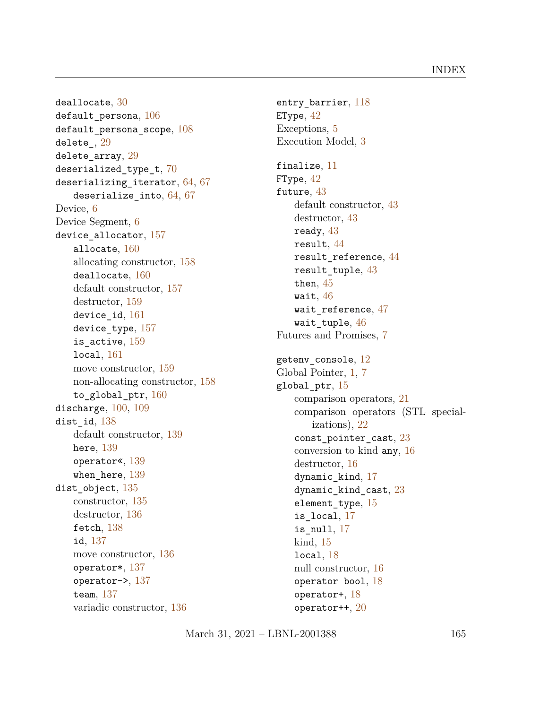deallocate, [30](#page-38-0) default persona,  $106$ default persona scope,  $108$ delete, [29](#page-37-0) delete  $array, 29$  $array, 29$ deserialized type t,  $70$ deserializing iterator, [64,](#page-72-0) [67](#page-75-0) deserialize into,  $64, 67$  $64, 67$  $64, 67$ Device, [6](#page-14-0) Device Segment, [6](#page-14-0) device\_allocator, [157](#page-165-0) allocate, [160](#page-168-0) allocating constructor, [158](#page-166-0) deallocate, [160](#page-168-0) default constructor, [157](#page-165-0) destructor, [159](#page-167-0) device\_id, [161](#page-169-0) device\_type, [157](#page-165-0) is active,  $159$ local, [161](#page-169-0) move constructor, [159](#page-167-0) non-allocating constructor, [158](#page-166-0) to global ptr,  $160$ discharge, [100,](#page-108-0) [109](#page-117-0) dist\_id, [138](#page-146-0) default constructor, [139](#page-147-0) here, [139](#page-147-0) operator«, [139](#page-147-0) when here,  $139$ dist\_object, [135](#page-143-0) constructor, [135](#page-143-0) destructor, [136](#page-144-0) fetch, [138](#page-146-0) id, [137](#page-145-0) move constructor, [136](#page-144-0) operator\*, [137](#page-145-0) operator->, [137](#page-145-0) team, [137](#page-145-0) variadic constructor, [136](#page-144-0)

entry\_barrier, [118](#page-126-1) EType, [42](#page-50-0) Exceptions, [5](#page-13-0) Execution Model, [3](#page-11-0) finalize, [11](#page-19-0) FType, [42](#page-50-0) future, [43](#page-51-0) default constructor, [43](#page-51-0) destructor, [43](#page-51-0) ready, [43](#page-51-0) result, [44](#page-52-0) result reference,  $44$ result\_tuple, [43](#page-51-0) then, [45](#page-53-0) wait, [46](#page-54-0) wait\_reference, [47](#page-55-0) wait tuple,  $46$ Futures and Promises, [7](#page-15-0) getenv console,  $12$ Global Pointer, [1,](#page-9-0) [7](#page-15-0) global\_ptr, [15](#page-23-0) comparison operators, [21](#page-29-0) comparison operators (STL specializations), [22](#page-30-0) const\_pointer\_cast, [23](#page-31-0) conversion to kind any, [16](#page-24-0) destructor, [16](#page-24-0) dynamic\_kind, [17](#page-25-0) dynamic\_kind\_cast, [23](#page-31-0) element type,  $15$ is\_local, [17](#page-25-0) is null,  $17$ kind, [15](#page-23-0) local, [18](#page-26-0) null constructor, [16](#page-24-0) operator bool, [18](#page-26-0) operator+, [18](#page-26-0) operator++, [20](#page-28-0)

March 31, 2021 – LBNL-2001388 165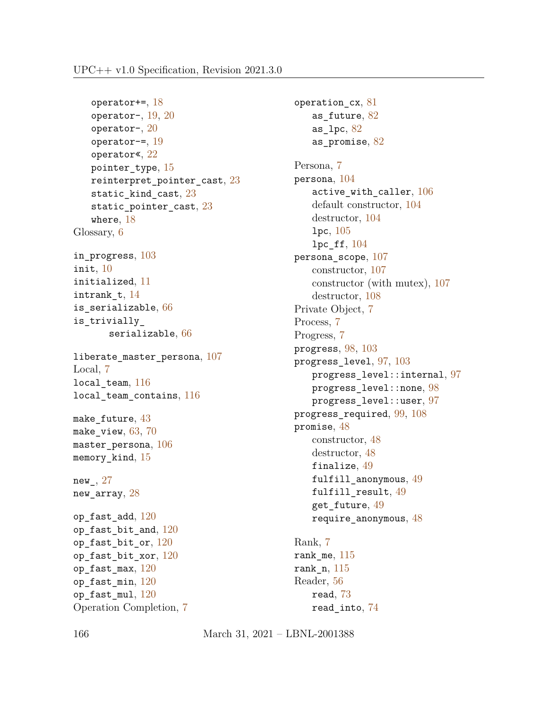operator+=, [18](#page-26-0) operator-,  $19, 20$  $19, 20$  $19, 20$ operator–, [20](#page-28-0) operator-=, [19](#page-27-0) operator«, [22](#page-30-0) pointer type,  $15$ reinterpret pointer cast,  $23$ static kind cast,  $23$ static\_pointer\_cast, [23](#page-31-0) where, [18](#page-26-0) Glossary, [6](#page-14-0) in\_progress, [103](#page-111-0) init, [10](#page-18-0) initialized, [11](#page-19-0) intrank\_t, [14](#page-22-0) is serializable,  $66$ is trivially serializable, [66](#page-74-0) liberate master persona,  $107$ Local, [7](#page-15-0) local\_team, [116](#page-124-0) local team contains,  $116$ make future,  $43$ make view,  $63, 70$  $63, 70$  $63, 70$ master persona,  $106$ memory kind, [15](#page-23-0) new\_, [27](#page-35-0) new array,  $28$ op fast add,  $120$ op\_fast\_bit\_and, [120](#page-128-0) op fast bit or,  $120$ op\_fast\_bit\_xor, [120](#page-128-0) op\_fast\_max, [120](#page-128-0) op fast min,  $120$ op fast mul,  $120$ Operation Completion, [7](#page-15-0)

operation\_cx, [81](#page-89-0) as future, [82](#page-90-0) as  $1pc$ ,  $82$ as promise, [82](#page-90-0) Persona, [7](#page-15-0) persona, [104](#page-112-1) active\_with\_caller, [106](#page-114-0) default constructor, [104](#page-112-1) destructor, [104](#page-112-1) lpc, [105](#page-113-0) lpc\_ff, [104](#page-112-1) persona scope,  $107$ constructor, [107](#page-115-0) constructor (with mutex), [107](#page-115-0) destructor, [108](#page-116-0) Private Object, [7](#page-15-0) Process, [7](#page-15-0) Progress, [7](#page-15-0) progress, [98,](#page-106-0) [103](#page-111-0) progress\_level, [97,](#page-105-0) [103](#page-111-0) progress level::internal, [97](#page-105-0) progress\_level::none, [98](#page-106-0) progress level::user, [97](#page-105-0) progress\_required, [99,](#page-107-0) [108](#page-116-0) promise, [48](#page-56-0) constructor, [48](#page-56-0) destructor, [48](#page-56-0) finalize, [49](#page-57-0) fulfill anonymous,  $49$ fulfill result,  $49$ get future,  $49$ require\_anonymous, [48](#page-56-0) Rank, [7](#page-15-0) rank me,  $115$ 

rank  $n, 115$  $n, 115$ Reader, [56](#page-64-0) read, [73](#page-81-0) read\_into, [74](#page-82-0)

166 March 31, 2021 – LBNL-2001388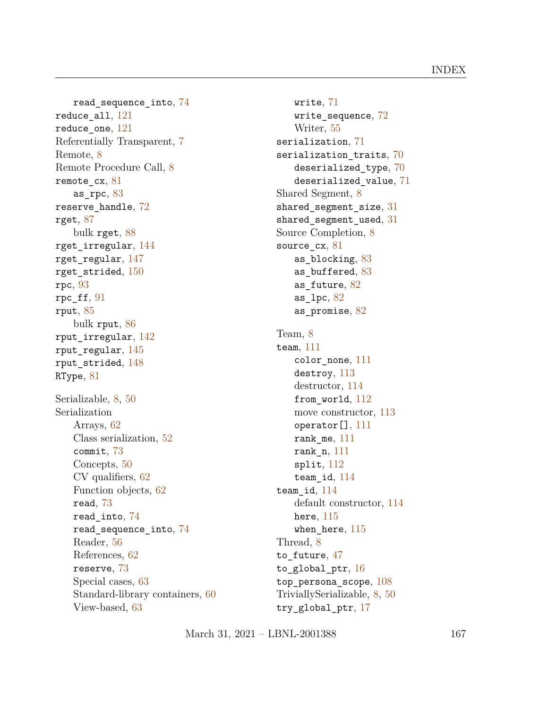read\_sequence\_into, [74](#page-82-0) reduce all, [121](#page-129-0) reduce one, [121](#page-129-0) Referentially Transparent, [7](#page-15-0) Remote, [8](#page-16-0) Remote Procedure Call, [8](#page-16-0) remote  $cx, 81$  $cx, 81$ as  $rpc$ ,  $83$ reserve\_handle, [72](#page-80-0) rget, [87](#page-95-0) bulk rget, [88](#page-96-0) rget\_irregular, [144](#page-152-0) rget regular,  $147$ rget\_strided, [150](#page-158-0) rpc, [93](#page-101-0) rpc\_ff, [91](#page-99-0) rput, [85](#page-93-0) bulk rput, [86](#page-94-0) rput\_irregular, [142](#page-150-0) rput regular,  $145$ rput\_strided, [148](#page-156-0) RType, [81](#page-89-0) Serializable, [8,](#page-16-0) [50](#page-58-0) Serialization Arrays, [62](#page-70-0) Class serialization, [52](#page-60-0) commit, [73](#page-81-0) Concepts, [50](#page-58-0) CV qualifiers, [62](#page-70-0) Function objects, [62](#page-70-0) read, [73](#page-81-0) read\_into, [74](#page-82-0) read\_sequence\_into, [74](#page-82-0) Reader, [56](#page-64-0) References, [62](#page-70-0) reserve,  $73$ Special cases, [63](#page-71-0) Standard-library containers, [60](#page-68-0) View-based, [63](#page-71-0)

write, [71](#page-79-0) write sequence,  $72$ Writer, [55](#page-63-0) serialization, [71](#page-79-0) serialization traits,  $70$ deserialized\_type, [70](#page-78-0) deserialized value, [71](#page-79-0) Shared Segment, [8](#page-16-0) shared\_segment\_size, [31](#page-39-0) shared\_segment\_used, [31](#page-39-0) Source Completion, [8](#page-16-0) source\_cx, [81](#page-89-0) as blocking,  $83$ as\_buffered, [83](#page-91-0) as future, [82](#page-90-0) as  $1pc$ ,  $82$ as promise, [82](#page-90-0) Team, [8](#page-16-0) team, [111](#page-119-0) color\_none, [111](#page-119-0) destroy, [113](#page-121-0) destructor, [114](#page-122-0) from world, [112](#page-120-0) move constructor, [113](#page-121-0) operator[], [111](#page-119-0) rank\_me, [111](#page-119-0) rank\_n, [111](#page-119-0) split, [112](#page-120-0) team\_id, [114](#page-122-0) team id, [114](#page-122-0) default constructor, [114](#page-122-0) here, [115](#page-123-0) when here,  $115$ Thread, [8](#page-16-0) to\_future, [47](#page-55-0) to\_global\_ptr, [16](#page-24-0) top persona scope,  $108$ TriviallySerializable, [8,](#page-16-0) [50](#page-58-0) try\_global\_ptr, [17](#page-25-0)

March 31, 2021 – LBNL-2001388 167